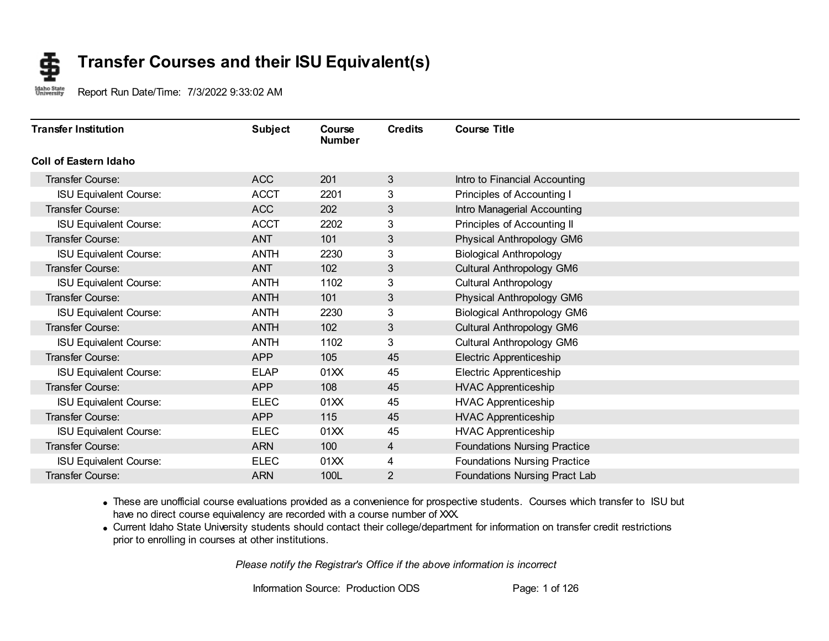#### **Transfer Courses and their ISU Equivalent(s)** \$

Idaho State<br>University Report Run Date/Time: 7/3/2022 9:33:02 AM

| <b>Transfer Institution</b>   | <b>Subject</b> | Course<br><b>Number</b> | <b>Credits</b> | <b>Course Title</b>                 |
|-------------------------------|----------------|-------------------------|----------------|-------------------------------------|
| Coll of Eastern Idaho         |                |                         |                |                                     |
| Transfer Course:              | <b>ACC</b>     | 201                     | 3              | Intro to Financial Accounting       |
| <b>ISU Equivalent Course:</b> | <b>ACCT</b>    | 2201                    | 3              | Principles of Accounting I          |
| <b>Transfer Course:</b>       | <b>ACC</b>     | 202                     | 3              | Intro Managerial Accounting         |
| <b>ISU Equivalent Course:</b> | <b>ACCT</b>    | 2202                    | 3              | Principles of Accounting II         |
| <b>Transfer Course:</b>       | <b>ANT</b>     | 101                     | 3              | Physical Anthropology GM6           |
| <b>ISU Equivalent Course:</b> | <b>ANTH</b>    | 2230                    | 3              | <b>Biological Anthropology</b>      |
| <b>Transfer Course:</b>       | <b>ANT</b>     | 102                     | 3              | Cultural Anthropology GM6           |
| <b>ISU Equivalent Course:</b> | <b>ANTH</b>    | 1102                    | 3              | <b>Cultural Anthropology</b>        |
| <b>Transfer Course:</b>       | <b>ANTH</b>    | 101                     | 3              | Physical Anthropology GM6           |
| <b>ISU Equivalent Course:</b> | <b>ANTH</b>    | 2230                    | 3              | <b>Biological Anthropology GM6</b>  |
| <b>Transfer Course:</b>       | <b>ANTH</b>    | 102                     | 3              | Cultural Anthropology GM6           |
| <b>ISU Equivalent Course:</b> | <b>ANTH</b>    | 1102                    | 3              | Cultural Anthropology GM6           |
| <b>Transfer Course:</b>       | <b>APP</b>     | 105                     | 45             | Electric Apprenticeship             |
| <b>ISU Equivalent Course:</b> | <b>ELAP</b>    | 01XX                    | 45             | Electric Apprenticeship             |
| <b>Transfer Course:</b>       | <b>APP</b>     | 108                     | 45             | <b>HVAC Apprenticeship</b>          |
| <b>ISU Equivalent Course:</b> | <b>ELEC</b>    | 01XX                    | 45             | <b>HVAC Apprenticeship</b>          |
| <b>Transfer Course:</b>       | <b>APP</b>     | 115                     | 45             | <b>HVAC Apprenticeship</b>          |
| <b>ISU Equivalent Course:</b> | <b>ELEC</b>    | 01XX                    | 45             | <b>HVAC Apprenticeship</b>          |
| Transfer Course:              | <b>ARN</b>     | 100                     | 4              | <b>Foundations Nursing Practice</b> |
| <b>ISU Equivalent Course:</b> | <b>ELEC</b>    | 01XX                    | 4              | <b>Foundations Nursing Practice</b> |
| Transfer Course:              | <b>ARN</b>     | 100L                    | $\overline{2}$ | Foundations Nursing Pract Lab       |

· These are unofficial course evaluations provided as a convenience for prospective students. Courses which transfer to ISU but have no direct course equivalency are recorded with a course number of XXX.

· Current Idaho State University students should contact their college/department for information on transfer credit restrictions prior to enrolling in courses at other institutions.

*Please notify the Registrar's Office if the above information is incorrect*

Information Source: Production ODS Page: 1 of 126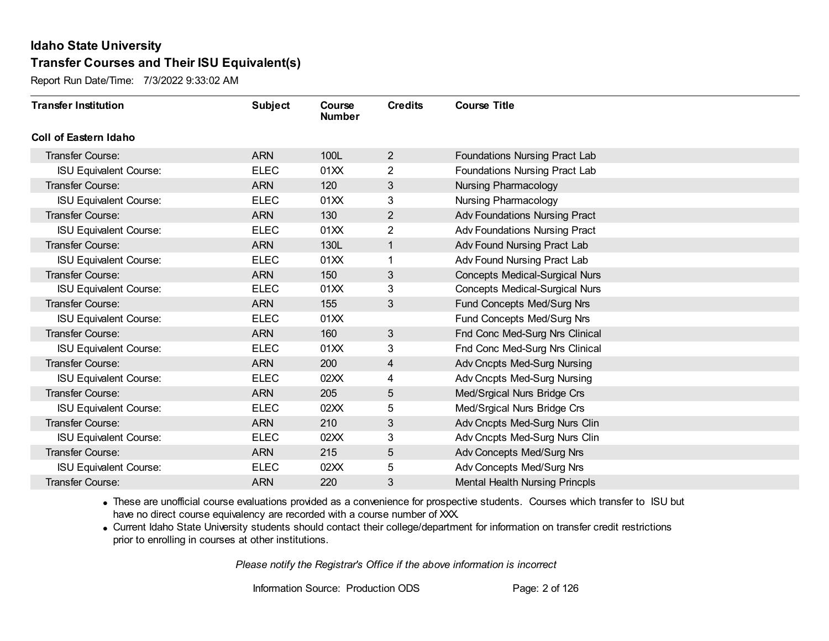Report Run Date/Time: 7/3/2022 9:33:02 AM

| <b>Transfer Institution</b>   | <b>Subject</b> | Course<br><b>Number</b> | <b>Credits</b> | <b>Course Title</b>                   |
|-------------------------------|----------------|-------------------------|----------------|---------------------------------------|
| <b>Coll of Eastern Idaho</b>  |                |                         |                |                                       |
| Transfer Course:              | <b>ARN</b>     | 100L                    | $\overline{2}$ | Foundations Nursing Pract Lab         |
| <b>ISU Equivalent Course:</b> | <b>ELEC</b>    | 01XX                    | $\overline{2}$ | Foundations Nursing Pract Lab         |
| Transfer Course:              | <b>ARN</b>     | 120                     | $\mathfrak{S}$ | <b>Nursing Pharmacology</b>           |
| <b>ISU Equivalent Course:</b> | <b>ELEC</b>    | 01XX                    | 3              | Nursing Pharmacology                  |
| Transfer Course:              | <b>ARN</b>     | 130                     | $\overline{2}$ | <b>Adv Foundations Nursing Pract</b>  |
| <b>ISU Equivalent Course:</b> | <b>ELEC</b>    | 01XX                    | 2              | <b>Adv Foundations Nursing Pract</b>  |
| Transfer Course:              | <b>ARN</b>     | 130L                    | $\mathbf{1}$   | Adv Found Nursing Pract Lab           |
| <b>ISU Equivalent Course:</b> | <b>ELEC</b>    | 01XX                    |                | Adv Found Nursing Pract Lab           |
| Transfer Course:              | <b>ARN</b>     | 150                     | $\mathfrak{S}$ | <b>Concepts Medical-Surgical Nurs</b> |
| <b>ISU Equivalent Course:</b> | <b>ELEC</b>    | 01XX                    | 3              | <b>Concepts Medical-Surgical Nurs</b> |
| Transfer Course:              | <b>ARN</b>     | 155                     | 3              | Fund Concepts Med/Surg Nrs            |
| <b>ISU Equivalent Course:</b> | <b>ELEC</b>    | 01XX                    |                | Fund Concepts Med/Surg Nrs            |
| Transfer Course:              | <b>ARN</b>     | 160                     | 3              | Fnd Conc Med-Surg Nrs Clinical        |
| <b>ISU Equivalent Course:</b> | <b>ELEC</b>    | 01XX                    | 3              | Fnd Conc Med-Surg Nrs Clinical        |
| Transfer Course:              | <b>ARN</b>     | 200                     | 4              | Adv Cncpts Med-Surg Nursing           |
| <b>ISU Equivalent Course:</b> | <b>ELEC</b>    | 02XX                    | 4              | Adv Cncpts Med-Surg Nursing           |
| Transfer Course:              | <b>ARN</b>     | 205                     | 5              | Med/Srgical Nurs Bridge Crs           |
| <b>ISU Equivalent Course:</b> | <b>ELEC</b>    | 02XX                    | 5              | Med/Srgical Nurs Bridge Crs           |
| Transfer Course:              | <b>ARN</b>     | 210                     | $\sqrt{3}$     | Adv Cncpts Med-Surg Nurs Clin         |
| <b>ISU Equivalent Course:</b> | <b>ELEC</b>    | 02XX                    | 3              | Adv Cncpts Med-Surg Nurs Clin         |
| Transfer Course:              | <b>ARN</b>     | 215                     | 5              | Adv Concepts Med/Surg Nrs             |
| <b>ISU Equivalent Course:</b> | <b>ELEC</b>    | 02XX                    | 5              | Adv Concepts Med/Surg Nrs             |
| Transfer Course:              | <b>ARN</b>     | 220                     | 3              | <b>Mental Health Nursing Princpls</b> |

· These are unofficial course evaluations provided as a convenience for prospective students. Courses which transfer to ISU but have no direct course equivalency are recorded with a course number of XXX.

· Current Idaho State University students should contact their college/department for information on transfer credit restrictions prior to enrolling in courses at other institutions.

*Please notify the Registrar's Office if the above information is incorrect*

Information Source: Production ODS Page: 2 of 126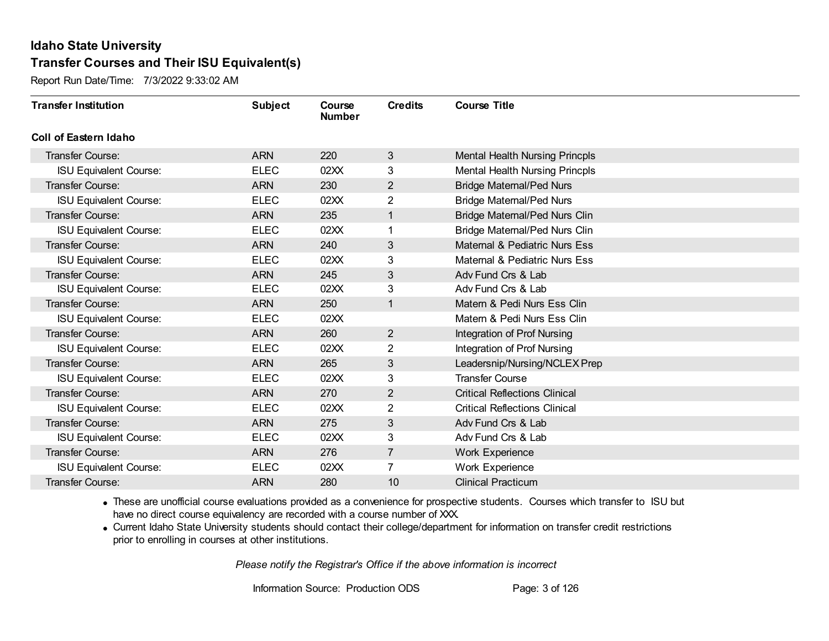Report Run Date/Time: 7/3/2022 9:33:02 AM

| <b>Transfer Institution</b>   | <b>Subject</b> | Course<br><b>Number</b> | <b>Credits</b> | <b>Course Title</b>                   |
|-------------------------------|----------------|-------------------------|----------------|---------------------------------------|
| <b>Coll of Eastern Idaho</b>  |                |                         |                |                                       |
| Transfer Course:              | <b>ARN</b>     | 220                     | 3              | <b>Mental Health Nursing Princpls</b> |
| <b>ISU Equivalent Course:</b> | <b>ELEC</b>    | 02XX                    | 3              | <b>Mental Health Nursing Princpls</b> |
| <b>Transfer Course:</b>       | <b>ARN</b>     | 230                     | $\overline{2}$ | <b>Bridge Maternal/Ped Nurs</b>       |
| <b>ISU Equivalent Course:</b> | <b>ELEC</b>    | 02XX                    | $\overline{2}$ | <b>Bridge Maternal/Ped Nurs</b>       |
| <b>Transfer Course:</b>       | <b>ARN</b>     | 235                     | $\mathbf{1}$   | <b>Bridge Maternal/Ped Nurs Clin</b>  |
| <b>ISU Equivalent Course:</b> | <b>ELEC</b>    | 02XX                    |                | Bridge Maternal/Ped Nurs Clin         |
| <b>Transfer Course:</b>       | <b>ARN</b>     | 240                     | 3              | Maternal & Pediatric Nurs Ess         |
| <b>ISU Equivalent Course:</b> | <b>ELEC</b>    | 02XX                    | 3              | Maternal & Pediatric Nurs Ess         |
| <b>Transfer Course:</b>       | <b>ARN</b>     | 245                     | $\mathfrak{S}$ | Adv Fund Crs & Lab                    |
| <b>ISU Equivalent Course:</b> | <b>ELEC</b>    | 02XX                    | 3              | Adv Fund Crs & Lab                    |
| <b>Transfer Course:</b>       | <b>ARN</b>     | 250                     | $\mathbf{1}$   | Matern & Pedi Nurs Ess Clin           |
| <b>ISU Equivalent Course:</b> | <b>ELEC</b>    | 02XX                    |                | Matern & Pedi Nurs Ess Clin           |
| Transfer Course:              | <b>ARN</b>     | 260                     | $\overline{2}$ | Integration of Prof Nursing           |
| <b>ISU Equivalent Course:</b> | <b>ELEC</b>    | 02XX                    | $\overline{2}$ | Integration of Prof Nursing           |
| Transfer Course:              | <b>ARN</b>     | 265                     | $\mathfrak{S}$ | Leadersnip/Nursing/NCLEX Prep         |
| <b>ISU Equivalent Course:</b> | <b>ELEC</b>    | 02XX                    | 3              | <b>Transfer Course</b>                |
| <b>Transfer Course:</b>       | <b>ARN</b>     | 270                     | $\overline{2}$ | <b>Critical Reflections Clinical</b>  |
| <b>ISU Equivalent Course:</b> | <b>ELEC</b>    | 02XX                    | 2              | <b>Critical Reflections Clinical</b>  |
| <b>Transfer Course:</b>       | <b>ARN</b>     | 275                     | 3              | Adv Fund Crs & Lab                    |
| <b>ISU Equivalent Course:</b> | <b>ELEC</b>    | 02XX                    | 3              | Adv Fund Crs & Lab                    |
| <b>Transfer Course:</b>       | <b>ARN</b>     | 276                     | $\overline{7}$ | Work Experience                       |
| <b>ISU Equivalent Course:</b> | <b>ELEC</b>    | 02XX                    | $\overline{7}$ | Work Experience                       |
| Transfer Course:              | <b>ARN</b>     | 280                     | 10             | <b>Clinical Practicum</b>             |

· These are unofficial course evaluations provided as a convenience for prospective students. Courses which transfer to ISU but have no direct course equivalency are recorded with a course number of XXX.

· Current Idaho State University students should contact their college/department for information on transfer credit restrictions prior to enrolling in courses at other institutions.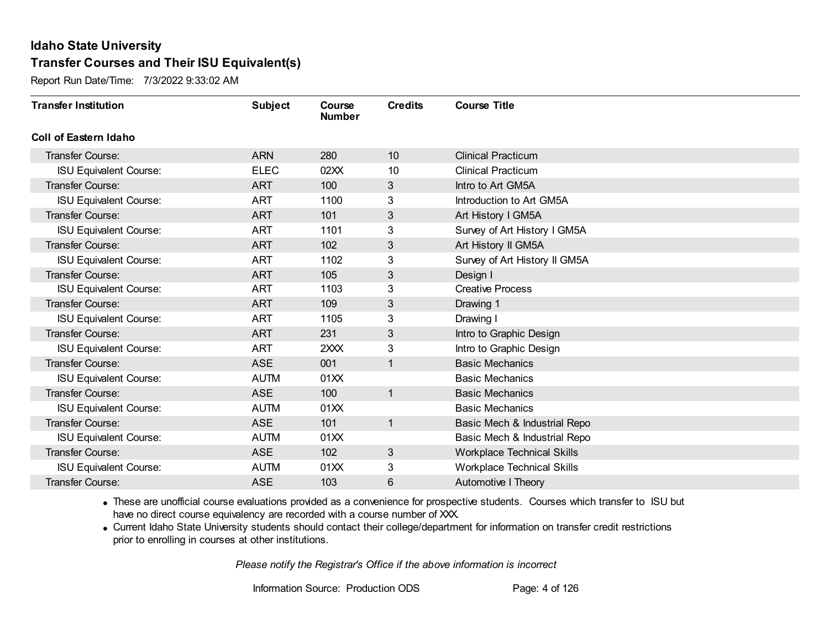Report Run Date/Time: 7/3/2022 9:33:02 AM

| <b>Transfer Institution</b>   | <b>Subject</b> | Course<br><b>Number</b> | <b>Credits</b> | <b>Course Title</b>               |
|-------------------------------|----------------|-------------------------|----------------|-----------------------------------|
| Coll of Eastern Idaho         |                |                         |                |                                   |
| Transfer Course:              | <b>ARN</b>     | 280                     | 10             | <b>Clinical Practicum</b>         |
| <b>ISU Equivalent Course:</b> | <b>ELEC</b>    | 02XX                    | 10             | <b>Clinical Practicum</b>         |
| Transfer Course:              | <b>ART</b>     | 100                     | 3              | Intro to Art GM5A                 |
| <b>ISU Equivalent Course:</b> | <b>ART</b>     | 1100                    | 3              | Introduction to Art GM5A          |
| <b>Transfer Course:</b>       | <b>ART</b>     | 101                     | 3 <sup>1</sup> | Art History I GM5A                |
| <b>ISU Equivalent Course:</b> | <b>ART</b>     | 1101                    | 3              | Survey of Art History I GM5A      |
| Transfer Course:              | <b>ART</b>     | 102                     | 3              | Art History II GM5A               |
| <b>ISU Equivalent Course:</b> | <b>ART</b>     | 1102                    | 3              | Survey of Art History II GM5A     |
| <b>Transfer Course:</b>       | <b>ART</b>     | 105                     | $\mathfrak{S}$ | Design I                          |
| <b>ISU Equivalent Course:</b> | <b>ART</b>     | 1103                    | 3              | <b>Creative Process</b>           |
| Transfer Course:              | <b>ART</b>     | 109                     | 3              | Drawing 1                         |
| <b>ISU Equivalent Course:</b> | <b>ART</b>     | 1105                    | 3              | Drawing I                         |
| Transfer Course:              | <b>ART</b>     | 231                     | 3              | Intro to Graphic Design           |
| <b>ISU Equivalent Course:</b> | <b>ART</b>     | 2XXX                    | 3              | Intro to Graphic Design           |
| Transfer Course:              | <b>ASE</b>     | 001                     | $\mathbf{1}$   | <b>Basic Mechanics</b>            |
| <b>ISU Equivalent Course:</b> | <b>AUTM</b>    | 01XX                    |                | <b>Basic Mechanics</b>            |
| Transfer Course:              | <b>ASE</b>     | 100                     | $\mathbf{1}$   | <b>Basic Mechanics</b>            |
| <b>ISU Equivalent Course:</b> | <b>AUTM</b>    | 01XX                    |                | <b>Basic Mechanics</b>            |
| Transfer Course:              | <b>ASE</b>     | 101                     | $\mathbf{1}$   | Basic Mech & Industrial Repo      |
| <b>ISU Equivalent Course:</b> | <b>AUTM</b>    | 01XX                    |                | Basic Mech & Industrial Repo      |
| Transfer Course:              | <b>ASE</b>     | 102                     | 3              | <b>Workplace Technical Skills</b> |
| <b>ISU Equivalent Course:</b> | <b>AUTM</b>    | 01XX                    | 3              | <b>Workplace Technical Skills</b> |
| Transfer Course:              | <b>ASE</b>     | 103                     | 6              | Automotive I Theory               |

· These are unofficial course evaluations provided as a convenience for prospective students. Courses which transfer to ISU but have no direct course equivalency are recorded with a course number of XXX.

· Current Idaho State University students should contact their college/department for information on transfer credit restrictions prior to enrolling in courses at other institutions.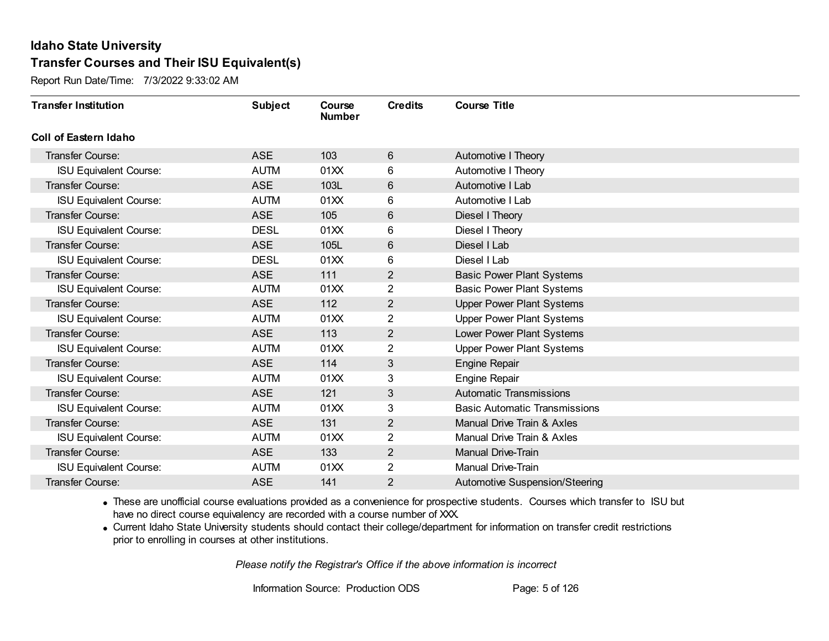Report Run Date/Time: 7/3/2022 9:33:02 AM

| <b>Transfer Institution</b>   | <b>Subject</b> | Course<br><b>Number</b> | <b>Credits</b> | <b>Course Title</b>                  |
|-------------------------------|----------------|-------------------------|----------------|--------------------------------------|
| Coll of Eastern Idaho         |                |                         |                |                                      |
| Transfer Course:              | <b>ASE</b>     | 103                     | $6\,$          | Automotive I Theory                  |
| <b>ISU Equivalent Course:</b> | <b>AUTM</b>    | 01XX                    | 6              | Automotive I Theory                  |
| Transfer Course:              | <b>ASE</b>     | 103L                    | $6\phantom{1}$ | Automotive I Lab                     |
| <b>ISU Equivalent Course:</b> | <b>AUTM</b>    | 01XX                    | 6              | Automotive I Lab                     |
| <b>Transfer Course:</b>       | <b>ASE</b>     | 105                     | 6              | Diesel I Theory                      |
| <b>ISU Equivalent Course:</b> | <b>DESL</b>    | 01XX                    | 6              | Diesel I Theory                      |
| Transfer Course:              | <b>ASE</b>     | 105L                    | $6\,$          | Diesel I Lab                         |
| <b>ISU Equivalent Course:</b> | <b>DESL</b>    | 01XX                    | 6              | Diesel I Lab                         |
| Transfer Course:              | <b>ASE</b>     | 111                     | $\overline{2}$ | <b>Basic Power Plant Systems</b>     |
| <b>ISU Equivalent Course:</b> | <b>AUTM</b>    | 01XX                    | $\overline{2}$ | <b>Basic Power Plant Systems</b>     |
| <b>Transfer Course:</b>       | <b>ASE</b>     | 112                     | 2              | <b>Upper Power Plant Systems</b>     |
| <b>ISU Equivalent Course:</b> | <b>AUTM</b>    | 01XX                    | 2              | <b>Upper Power Plant Systems</b>     |
| Transfer Course:              | <b>ASE</b>     | 113                     | 2              | Lower Power Plant Systems            |
| <b>ISU Equivalent Course:</b> | <b>AUTM</b>    | 01XX                    | $\overline{2}$ | <b>Upper Power Plant Systems</b>     |
| Transfer Course:              | <b>ASE</b>     | 114                     | 3              | <b>Engine Repair</b>                 |
| <b>ISU Equivalent Course:</b> | <b>AUTM</b>    | 01XX                    | 3              | <b>Engine Repair</b>                 |
| Transfer Course:              | <b>ASE</b>     | 121                     | 3              | <b>Automatic Transmissions</b>       |
| <b>ISU Equivalent Course:</b> | <b>AUTM</b>    | 01XX                    | 3              | <b>Basic Automatic Transmissions</b> |
| <b>Transfer Course:</b>       | <b>ASE</b>     | 131                     | $\overline{2}$ | Manual Drive Train & Axles           |
| <b>ISU Equivalent Course:</b> | <b>AUTM</b>    | 01XX                    | $\overline{2}$ | Manual Drive Train & Axles           |
| Transfer Course:              | <b>ASE</b>     | 133                     | $\overline{2}$ | Manual Drive-Train                   |
| <b>ISU Equivalent Course:</b> | <b>AUTM</b>    | 01XX                    | $\overline{2}$ | Manual Drive-Train                   |
| Transfer Course:              | <b>ASE</b>     | 141                     | 2              | Automotive Suspension/Steering       |

· These are unofficial course evaluations provided as a convenience for prospective students. Courses which transfer to ISU but have no direct course equivalency are recorded with a course number of XXX.

· Current Idaho State University students should contact their college/department for information on transfer credit restrictions prior to enrolling in courses at other institutions.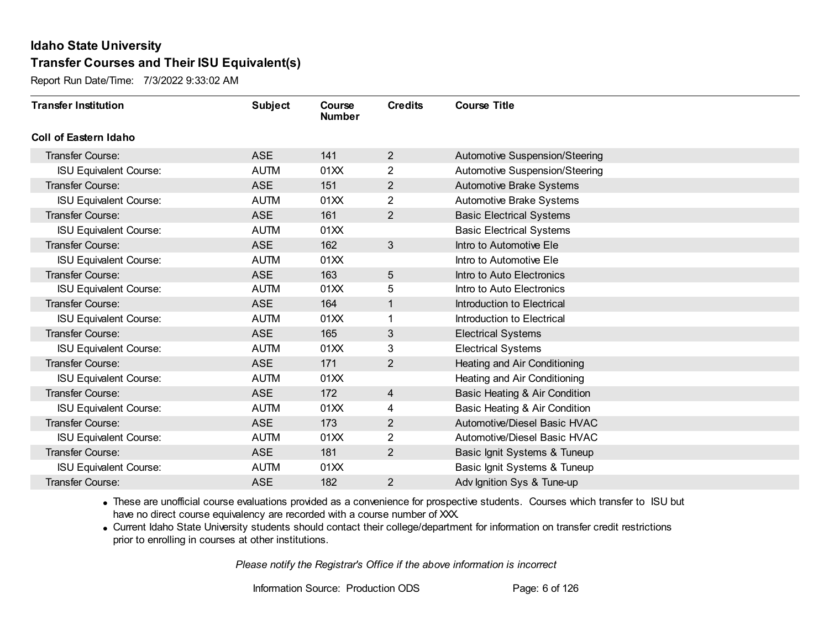Report Run Date/Time: 7/3/2022 9:33:02 AM

| <b>Transfer Institution</b>   | <b>Subject</b> | Course<br><b>Number</b> | <b>Credits</b> | <b>Course Title</b>             |
|-------------------------------|----------------|-------------------------|----------------|---------------------------------|
| Coll of Eastern Idaho         |                |                         |                |                                 |
| Transfer Course:              | <b>ASE</b>     | 141                     | $\overline{2}$ | Automotive Suspension/Steering  |
| <b>ISU Equivalent Course:</b> | <b>AUTM</b>    | 01XX                    | $\overline{2}$ | Automotive Suspension/Steering  |
| <b>Transfer Course:</b>       | <b>ASE</b>     | 151                     | $\overline{2}$ | Automotive Brake Systems        |
| <b>ISU Equivalent Course:</b> | <b>AUTM</b>    | 01XX                    | $\overline{2}$ | Automotive Brake Systems        |
| <b>Transfer Course:</b>       | <b>ASE</b>     | 161                     | $\overline{2}$ | <b>Basic Electrical Systems</b> |
| <b>ISU Equivalent Course:</b> | <b>AUTM</b>    | 01XX                    |                | <b>Basic Electrical Systems</b> |
| <b>Transfer Course:</b>       | <b>ASE</b>     | 162                     | 3              | Intro to Automotive Ele         |
| <b>ISU Equivalent Course:</b> | <b>AUTM</b>    | 01XX                    |                | Intro to Automotive Ele         |
| Transfer Course:              | <b>ASE</b>     | 163                     | 5              | Intro to Auto Electronics       |
| <b>ISU Equivalent Course:</b> | <b>AUTM</b>    | 01XX                    | 5              | Intro to Auto Electronics       |
| Transfer Course:              | <b>ASE</b>     | 164                     | 1              | Introduction to Electrical      |
| <b>ISU Equivalent Course:</b> | <b>AUTM</b>    | 01XX                    |                | Introduction to Electrical      |
| Transfer Course:              | <b>ASE</b>     | 165                     | 3              | <b>Electrical Systems</b>       |
| <b>ISU Equivalent Course:</b> | <b>AUTM</b>    | 01XX                    | 3              | <b>Electrical Systems</b>       |
| Transfer Course:              | <b>ASE</b>     | 171                     | $\overline{2}$ | Heating and Air Conditioning    |
| <b>ISU Equivalent Course:</b> | <b>AUTM</b>    | 01XX                    |                | Heating and Air Conditioning    |
| Transfer Course:              | <b>ASE</b>     | 172                     | $\overline{4}$ | Basic Heating & Air Condition   |
| <b>ISU Equivalent Course:</b> | <b>AUTM</b>    | 01XX                    | 4              | Basic Heating & Air Condition   |
| <b>Transfer Course:</b>       | <b>ASE</b>     | 173                     | 2              | Automotive/Diesel Basic HVAC    |
| <b>ISU Equivalent Course:</b> | <b>AUTM</b>    | 01XX                    | $\overline{2}$ | Automotive/Diesel Basic HVAC    |
| Transfer Course:              | <b>ASE</b>     | 181                     | $\overline{2}$ | Basic Ignit Systems & Tuneup    |
| <b>ISU Equivalent Course:</b> | <b>AUTM</b>    | 01XX                    |                | Basic Ignit Systems & Tuneup    |
| Transfer Course:              | <b>ASE</b>     | 182                     | 2              | Adv Ignition Sys & Tune-up      |

· These are unofficial course evaluations provided as a convenience for prospective students. Courses which transfer to ISU but have no direct course equivalency are recorded with a course number of XXX.

· Current Idaho State University students should contact their college/department for information on transfer credit restrictions prior to enrolling in courses at other institutions.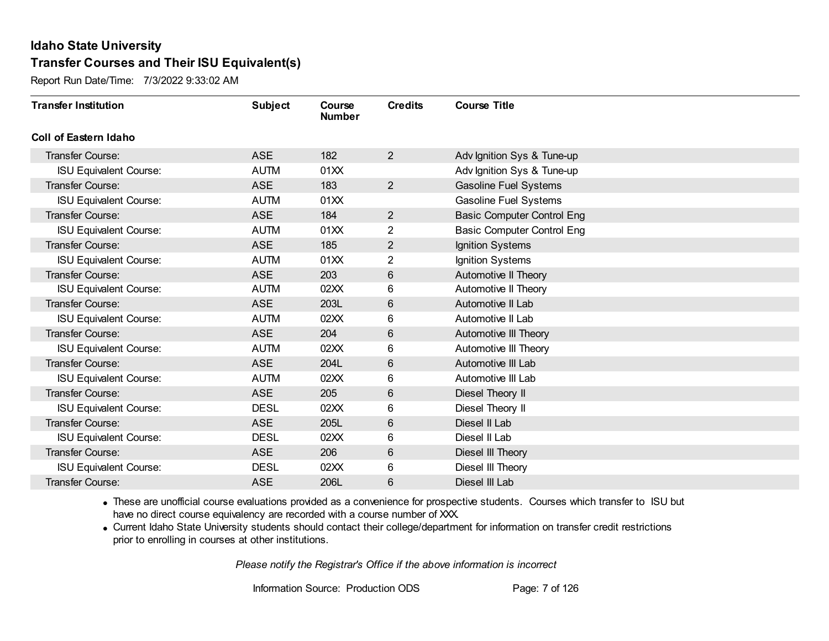Report Run Date/Time: 7/3/2022 9:33:02 AM

| <b>Transfer Institution</b>   | <b>Subject</b> | Course<br><b>Number</b> | <b>Credits</b> | <b>Course Title</b>               |
|-------------------------------|----------------|-------------------------|----------------|-----------------------------------|
| Coll of Eastern Idaho         |                |                         |                |                                   |
| Transfer Course:              | <b>ASE</b>     | 182                     | $\overline{2}$ | Adv Ignition Sys & Tune-up        |
| <b>ISU Equivalent Course:</b> | <b>AUTM</b>    | 01XX                    |                | Adv Ignition Sys & Tune-up        |
| Transfer Course:              | <b>ASE</b>     | 183                     | $2^{\circ}$    | <b>Gasoline Fuel Systems</b>      |
| <b>ISU Equivalent Course:</b> | <b>AUTM</b>    | 01XX                    |                | Gasoline Fuel Systems             |
| <b>Transfer Course:</b>       | <b>ASE</b>     | 184                     | $\overline{2}$ | <b>Basic Computer Control Eng</b> |
| <b>ISU Equivalent Course:</b> | <b>AUTM</b>    | 01XX                    | 2              | <b>Basic Computer Control Eng</b> |
| Transfer Course:              | <b>ASE</b>     | 185                     | $\overline{2}$ | Ignition Systems                  |
| <b>ISU Equivalent Course:</b> | <b>AUTM</b>    | 01XX                    | 2              | Ignition Systems                  |
| <b>Transfer Course:</b>       | <b>ASE</b>     | 203                     | 6              | Automotive II Theory              |
| <b>ISU Equivalent Course:</b> | <b>AUTM</b>    | 02XX                    | 6              | Automotive II Theory              |
| Transfer Course:              | <b>ASE</b>     | 203L                    | 6              | Automotive II Lab                 |
| <b>ISU Equivalent Course:</b> | <b>AUTM</b>    | 02XX                    | 6              | Automotive II Lab                 |
| Transfer Course:              | <b>ASE</b>     | 204                     | 6              | Automotive III Theory             |
| <b>ISU Equivalent Course:</b> | <b>AUTM</b>    | 02XX                    | 6              | Automotive III Theory             |
| Transfer Course:              | <b>ASE</b>     | 204L                    | 6              | Automotive III Lab                |
| <b>ISU Equivalent Course:</b> | <b>AUTM</b>    | 02XX                    | 6              | Automotive III Lab                |
| Transfer Course:              | <b>ASE</b>     | 205                     | 6              | Diesel Theory II                  |
| <b>ISU Equivalent Course:</b> | <b>DESL</b>    | 02XX                    | 6              | Diesel Theory II                  |
| Transfer Course:              | <b>ASE</b>     | 205L                    | 6              | Diesel II Lab                     |
| <b>ISU Equivalent Course:</b> | <b>DESL</b>    | 02XX                    | 6              | Diesel II Lab                     |
| <b>Transfer Course:</b>       | <b>ASE</b>     | 206                     | 6              | Diesel III Theory                 |
| <b>ISU Equivalent Course:</b> | <b>DESL</b>    | 02XX                    | 6              | Diesel III Theory                 |
| Transfer Course:              | <b>ASE</b>     | 206L                    | 6              | Diesel III Lab                    |

· These are unofficial course evaluations provided as a convenience for prospective students. Courses which transfer to ISU but have no direct course equivalency are recorded with a course number of XXX.

· Current Idaho State University students should contact their college/department for information on transfer credit restrictions prior to enrolling in courses at other institutions.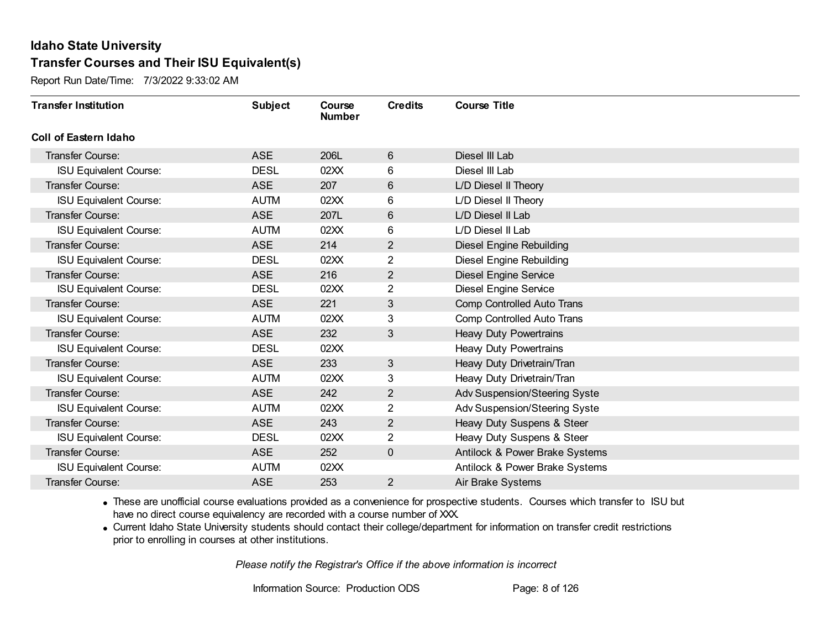Report Run Date/Time: 7/3/2022 9:33:02 AM

| <b>Transfer Institution</b>   | <b>Subject</b> | Course<br><b>Number</b> | <b>Credits</b> | <b>Course Title</b>             |
|-------------------------------|----------------|-------------------------|----------------|---------------------------------|
| Coll of Eastern Idaho         |                |                         |                |                                 |
| Transfer Course:              | <b>ASE</b>     | 206L                    | 6              | Diesel III Lab                  |
| <b>ISU Equivalent Course:</b> | <b>DESL</b>    | 02XX                    | 6              | Diesel III Lab                  |
| Transfer Course:              | <b>ASE</b>     | 207                     | 6              | L/D Diesel II Theory            |
| <b>ISU Equivalent Course:</b> | <b>AUTM</b>    | 02XX                    | 6              | L/D Diesel II Theory            |
| <b>Transfer Course:</b>       | <b>ASE</b>     | 207L                    | 6              | L/D Diesel II Lab               |
| <b>ISU Equivalent Course:</b> | <b>AUTM</b>    | 02XX                    | 6              | L/D Diesel II Lab               |
| Transfer Course:              | <b>ASE</b>     | 214                     | 2              | <b>Diesel Engine Rebuilding</b> |
| <b>ISU Equivalent Course:</b> | <b>DESL</b>    | 02XX                    | 2              | <b>Diesel Engine Rebuilding</b> |
| Transfer Course:              | <b>ASE</b>     | 216                     | $\overline{2}$ | <b>Diesel Engine Service</b>    |
| <b>ISU Equivalent Course:</b> | <b>DESL</b>    | 02XX                    | $\overline{2}$ | <b>Diesel Engine Service</b>    |
| <b>Transfer Course:</b>       | <b>ASE</b>     | 221                     | 3              | Comp Controlled Auto Trans      |
| <b>ISU Equivalent Course:</b> | <b>AUTM</b>    | 02XX                    | 3              | Comp Controlled Auto Trans      |
| Transfer Course:              | <b>ASE</b>     | 232                     | 3              | <b>Heavy Duty Powertrains</b>   |
| <b>ISU Equivalent Course:</b> | <b>DESL</b>    | 02XX                    |                | <b>Heavy Duty Powertrains</b>   |
| Transfer Course:              | <b>ASE</b>     | 233                     | 3              | Heavy Duty Drivetrain/Tran      |
| <b>ISU Equivalent Course:</b> | <b>AUTM</b>    | 02XX                    | 3              | Heavy Duty Drivetrain/Tran      |
| Transfer Course:              | <b>ASE</b>     | 242                     | 2              | Adv Suspension/Steering Syste   |
| <b>ISU Equivalent Course:</b> | <b>AUTM</b>    | 02XX                    | $\overline{2}$ | Adv Suspension/Steering Syste   |
| Transfer Course:              | <b>ASE</b>     | 243                     | $\overline{2}$ | Heavy Duty Suspens & Steer      |
| <b>ISU Equivalent Course:</b> | <b>DESL</b>    | 02XX                    | $\overline{2}$ | Heavy Duty Suspens & Steer      |
| Transfer Course:              | <b>ASE</b>     | 252                     | $\overline{0}$ | Antilock & Power Brake Systems  |
| <b>ISU Equivalent Course:</b> | <b>AUTM</b>    | 02XX                    |                | Antilock & Power Brake Systems  |
| Transfer Course:              | <b>ASE</b>     | 253                     | $\overline{2}$ | Air Brake Systems               |

· These are unofficial course evaluations provided as a convenience for prospective students. Courses which transfer to ISU but have no direct course equivalency are recorded with a course number of XXX.

· Current Idaho State University students should contact their college/department for information on transfer credit restrictions prior to enrolling in courses at other institutions.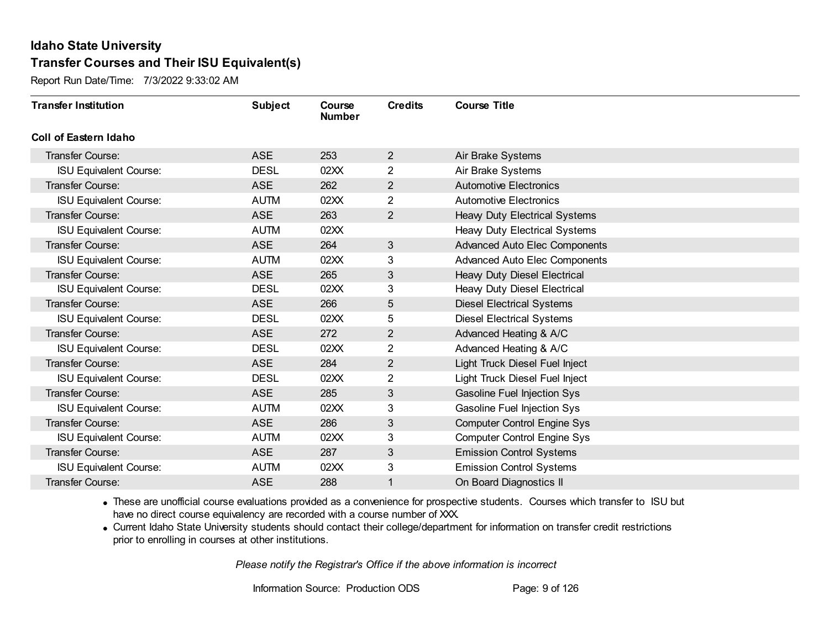Report Run Date/Time: 7/3/2022 9:33:02 AM

| <b>Transfer Institution</b>   | <b>Subject</b> | <b>Course</b><br><b>Number</b> | <b>Credits</b> | <b>Course Title</b>                  |
|-------------------------------|----------------|--------------------------------|----------------|--------------------------------------|
| Coll of Eastern Idaho         |                |                                |                |                                      |
| Transfer Course:              | <b>ASE</b>     | 253                            | $\overline{2}$ | Air Brake Systems                    |
| <b>ISU Equivalent Course:</b> | <b>DESL</b>    | 02XX                           | $\overline{2}$ | Air Brake Systems                    |
| Transfer Course:              | <b>ASE</b>     | 262                            | $\overline{2}$ | <b>Automotive Electronics</b>        |
| <b>ISU Equivalent Course:</b> | <b>AUTM</b>    | 02XX                           | $\overline{2}$ | <b>Automotive Electronics</b>        |
| <b>Transfer Course:</b>       | <b>ASE</b>     | 263                            | $\overline{2}$ | Heavy Duty Electrical Systems        |
| <b>ISU Equivalent Course:</b> | <b>AUTM</b>    | 02XX                           |                | Heavy Duty Electrical Systems        |
| Transfer Course:              | <b>ASE</b>     | 264                            | 3              | Advanced Auto Elec Components        |
| <b>ISU Equivalent Course:</b> | <b>AUTM</b>    | 02XX                           | 3              | <b>Advanced Auto Elec Components</b> |
| Transfer Course:              | <b>ASE</b>     | 265                            | 3              | Heavy Duty Diesel Electrical         |
| <b>ISU Equivalent Course:</b> | <b>DESL</b>    | 02XX                           | 3              | Heavy Duty Diesel Electrical         |
| Transfer Course:              | <b>ASE</b>     | 266                            | 5              | <b>Diesel Electrical Systems</b>     |
| <b>ISU Equivalent Course:</b> | <b>DESL</b>    | 02XX                           | 5              | <b>Diesel Electrical Systems</b>     |
| Transfer Course:              | <b>ASE</b>     | 272                            | $\overline{2}$ | Advanced Heating & A/C               |
| <b>ISU Equivalent Course:</b> | <b>DESL</b>    | 02XX                           | $\overline{2}$ | Advanced Heating & A/C               |
| Transfer Course:              | <b>ASE</b>     | 284                            | $\overline{2}$ | Light Truck Diesel Fuel Inject       |
| <b>ISU Equivalent Course:</b> | <b>DESL</b>    | 02XX                           | $\overline{2}$ | Light Truck Diesel Fuel Inject       |
| Transfer Course:              | <b>ASE</b>     | 285                            | 3              | <b>Gasoline Fuel Injection Sys</b>   |
| <b>ISU Equivalent Course:</b> | <b>AUTM</b>    | 02XX                           | 3              | Gasoline Fuel Injection Sys          |
| <b>Transfer Course:</b>       | <b>ASE</b>     | 286                            | 3              | <b>Computer Control Engine Sys</b>   |
| <b>ISU Equivalent Course:</b> | <b>AUTM</b>    | 02XX                           | 3              | <b>Computer Control Engine Sys</b>   |
| Transfer Course:              | <b>ASE</b>     | 287                            | 3              | <b>Emission Control Systems</b>      |
| <b>ISU Equivalent Course:</b> | <b>AUTM</b>    | 02XX                           | 3              | <b>Emission Control Systems</b>      |
| Transfer Course:              | <b>ASE</b>     | 288                            | 1              | On Board Diagnostics II              |

· These are unofficial course evaluations provided as a convenience for prospective students. Courses which transfer to ISU but have no direct course equivalency are recorded with a course number of XXX.

· Current Idaho State University students should contact their college/department for information on transfer credit restrictions prior to enrolling in courses at other institutions.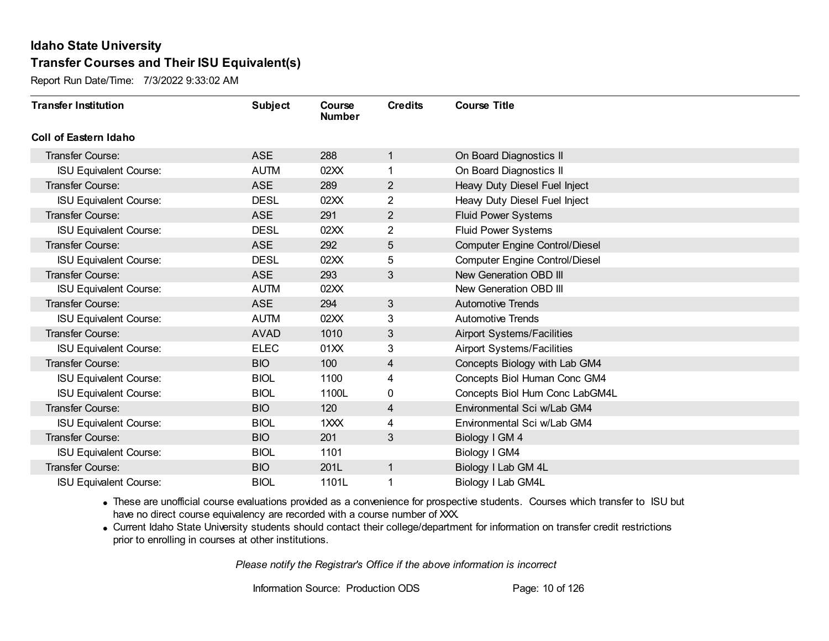Report Run Date/Time: 7/3/2022 9:33:02 AM

| <b>Transfer Institution</b>   | <b>Subject</b> | Course<br><b>Number</b> | <b>Credits</b> | <b>Course Title</b>                   |
|-------------------------------|----------------|-------------------------|----------------|---------------------------------------|
| <b>Coll of Eastern Idaho</b>  |                |                         |                |                                       |
| Transfer Course:              | <b>ASE</b>     | 288                     | $\mathbf{1}$   | On Board Diagnostics II               |
| <b>ISU Equivalent Course:</b> | <b>AUTM</b>    | 02XX                    |                | On Board Diagnostics II               |
| <b>Transfer Course:</b>       | <b>ASE</b>     | 289                     | $\overline{2}$ | Heavy Duty Diesel Fuel Inject         |
| <b>ISU Equivalent Course:</b> | <b>DESL</b>    | 02XX                    | $\overline{2}$ | Heavy Duty Diesel Fuel Inject         |
| <b>Transfer Course:</b>       | <b>ASE</b>     | 291                     | $\overline{2}$ | <b>Fluid Power Systems</b>            |
| <b>ISU Equivalent Course:</b> | <b>DESL</b>    | 02XX                    | $\overline{c}$ | Fluid Power Systems                   |
| <b>Transfer Course:</b>       | <b>ASE</b>     | 292                     | 5              | <b>Computer Engine Control/Diesel</b> |
| <b>ISU Equivalent Course:</b> | <b>DESL</b>    | 02XX                    | 5              | <b>Computer Engine Control/Diesel</b> |
| <b>Transfer Course:</b>       | <b>ASE</b>     | 293                     | $\mathfrak{S}$ | New Generation OBD III                |
| <b>ISU Equivalent Course:</b> | <b>AUTM</b>    | 02XX                    |                | New Generation OBD III                |
| <b>Transfer Course:</b>       | <b>ASE</b>     | 294                     | 3              | <b>Automotive Trends</b>              |
| <b>ISU Equivalent Course:</b> | <b>AUTM</b>    | 02XX                    | 3              | <b>Automotive Trends</b>              |
| Transfer Course:              | <b>AVAD</b>    | 1010                    | 3              | <b>Airport Systems/Facilities</b>     |
| <b>ISU Equivalent Course:</b> | <b>ELEC</b>    | 01XX                    | 3              | <b>Airport Systems/Facilities</b>     |
| Transfer Course:              | <b>BIO</b>     | 100                     | 4              | Concepts Biology with Lab GM4         |
| <b>ISU Equivalent Course:</b> | <b>BIOL</b>    | 1100                    | 4              | Concepts Biol Human Conc GM4          |
| <b>ISU Equivalent Course:</b> | <b>BIOL</b>    | 1100L                   | 0              | Concepts Biol Hum Conc LabGM4L        |
| <b>Transfer Course:</b>       | <b>BIO</b>     | 120                     | 4              | Environmental Sci w/Lab GM4           |
| <b>ISU Equivalent Course:</b> | <b>BIOL</b>    | 1XXX                    | 4              | Environmental Sci w/Lab GM4           |
| <b>Transfer Course:</b>       | <b>BIO</b>     | 201                     | 3              | Biology I GM 4                        |
| <b>ISU Equivalent Course:</b> | <b>BIOL</b>    | 1101                    |                | Biology I GM4                         |
| Transfer Course:              | <b>BIO</b>     | 201L                    | $\mathbf{1}$   | Biology I Lab GM 4L                   |
| <b>ISU Equivalent Course:</b> | <b>BIOL</b>    | 1101L                   |                | Biology I Lab GM4L                    |

· These are unofficial course evaluations provided as a convenience for prospective students. Courses which transfer to ISU but have no direct course equivalency are recorded with a course number of XXX.

· Current Idaho State University students should contact their college/department for information on transfer credit restrictions prior to enrolling in courses at other institutions.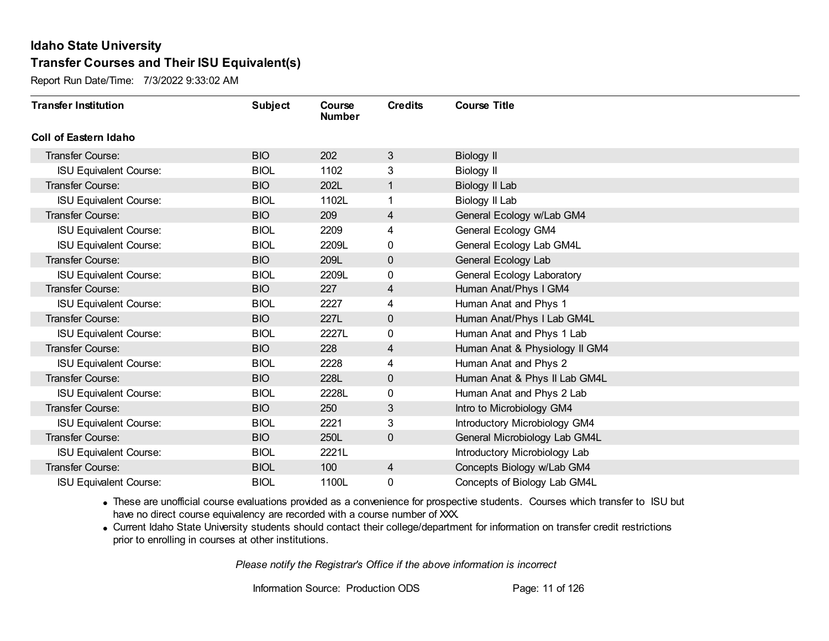Report Run Date/Time: 7/3/2022 9:33:02 AM

| <b>Transfer Institution</b>   | <b>Subject</b> | Course<br><b>Number</b> | <b>Credits</b> | <b>Course Title</b>            |
|-------------------------------|----------------|-------------------------|----------------|--------------------------------|
| Coll of Eastern Idaho         |                |                         |                |                                |
| Transfer Course:              | <b>BIO</b>     | 202                     | 3              | <b>Biology II</b>              |
| <b>ISU Equivalent Course:</b> | <b>BIOL</b>    | 1102                    | 3              | <b>Biology II</b>              |
| Transfer Course:              | <b>BIO</b>     | 202L                    | $\mathbf{1}$   | Biology II Lab                 |
| <b>ISU Equivalent Course:</b> | <b>BIOL</b>    | 1102L                   |                | Biology II Lab                 |
| <b>Transfer Course:</b>       | <b>BIO</b>     | 209                     | 4              | General Ecology w/Lab GM4      |
| <b>ISU Equivalent Course:</b> | <b>BIOL</b>    | 2209                    | 4              | <b>General Ecology GM4</b>     |
| <b>ISU Equivalent Course:</b> | <b>BIOL</b>    | 2209L                   | 0              | General Ecology Lab GM4L       |
| <b>Transfer Course:</b>       | <b>BIO</b>     | 209L                    | $\mathbf 0$    | General Ecology Lab            |
| <b>ISU Equivalent Course:</b> | <b>BIOL</b>    | 2209L                   | 0              | General Ecology Laboratory     |
| <b>Transfer Course:</b>       | <b>BIO</b>     | 227                     | 4              | Human Anat/Phys I GM4          |
| <b>ISU Equivalent Course:</b> | <b>BIOL</b>    | 2227                    | 4              | Human Anat and Phys 1          |
| <b>Transfer Course:</b>       | <b>BIO</b>     | 227L                    | $\mathbf 0$    | Human Anat/Phys I Lab GM4L     |
| <b>ISU Equivalent Course:</b> | <b>BIOL</b>    | 2227L                   | 0              | Human Anat and Phys 1 Lab      |
| <b>Transfer Course:</b>       | <b>BIO</b>     | 228                     | 4              | Human Anat & Physiology II GM4 |
| <b>ISU Equivalent Course:</b> | <b>BIOL</b>    | 2228                    | 4              | Human Anat and Phys 2          |
| <b>Transfer Course:</b>       | <b>BIO</b>     | 228L                    | $\pmb{0}$      | Human Anat & Phys II Lab GM4L  |
| <b>ISU Equivalent Course:</b> | <b>BIOL</b>    | 2228L                   | 0              | Human Anat and Phys 2 Lab      |
| <b>Transfer Course:</b>       | <b>BIO</b>     | 250                     | 3              | Intro to Microbiology GM4      |
| <b>ISU Equivalent Course:</b> | <b>BIOL</b>    | 2221                    | 3              | Introductory Microbiology GM4  |
| <b>Transfer Course:</b>       | <b>BIO</b>     | 250L                    | $\mathbf 0$    | General Microbiology Lab GM4L  |
| <b>ISU Equivalent Course:</b> | <b>BIOL</b>    | 2221L                   |                | Introductory Microbiology Lab  |
| Transfer Course:              | <b>BIOL</b>    | 100                     | $\overline{4}$ | Concepts Biology w/Lab GM4     |
| <b>ISU Equivalent Course:</b> | <b>BIOL</b>    | 1100L                   | 0              | Concepts of Biology Lab GM4L   |

· These are unofficial course evaluations provided as a convenience for prospective students. Courses which transfer to ISU but have no direct course equivalency are recorded with a course number of XXX.

· Current Idaho State University students should contact their college/department for information on transfer credit restrictions prior to enrolling in courses at other institutions.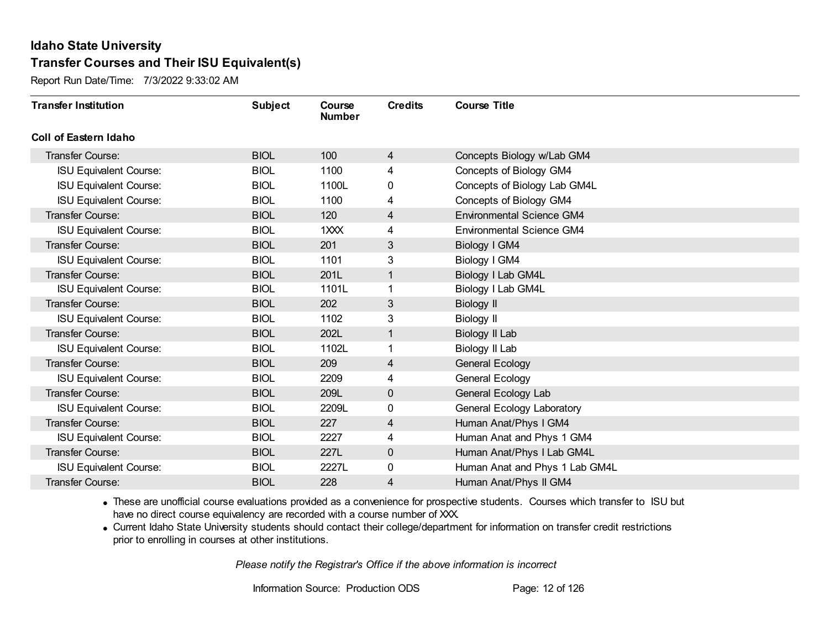Report Run Date/Time: 7/3/2022 9:33:02 AM

| <b>Transfer Institution</b>   | <b>Subject</b> | Course<br><b>Number</b>     | <b>Credits</b> | <b>Course Title</b>              |
|-------------------------------|----------------|-----------------------------|----------------|----------------------------------|
| Coll of Eastern Idaho         |                |                             |                |                                  |
| Transfer Course:              | <b>BIOL</b>    | 100                         | 4              | Concepts Biology w/Lab GM4       |
| <b>ISU Equivalent Course:</b> | <b>BIOL</b>    | 1100                        | 4              | Concepts of Biology GM4          |
| <b>ISU Equivalent Course:</b> | <b>BIOL</b>    | 1100L                       | 0              | Concepts of Biology Lab GM4L     |
| <b>ISU Equivalent Course:</b> | <b>BIOL</b>    | 1100                        | 4              | Concepts of Biology GM4          |
| <b>Transfer Course:</b>       | <b>BIOL</b>    | 120                         | 4              | <b>Environmental Science GM4</b> |
| <b>ISU Equivalent Course:</b> | <b>BIOL</b>    | 1 <sup>2</sup> <sup>2</sup> | 4              | <b>Environmental Science GM4</b> |
| Transfer Course:              | <b>BIOL</b>    | 201                         | 3              | Biology I GM4                    |
| <b>ISU Equivalent Course:</b> | <b>BIOL</b>    | 1101                        | 3              | Biology I GM4                    |
| <b>Transfer Course:</b>       | <b>BIOL</b>    | 201L                        | $\mathbf{1}$   | <b>Biology I Lab GM4L</b>        |
| <b>ISU Equivalent Course:</b> | <b>BIOL</b>    | 1101L                       | 1              | Biology I Lab GM4L               |
| <b>Transfer Course:</b>       | <b>BIOL</b>    | 202                         | 3              | Biology II                       |
| <b>ISU Equivalent Course:</b> | <b>BIOL</b>    | 1102                        | 3              | <b>Biology II</b>                |
| Transfer Course:              | <b>BIOL</b>    | 202L                        | 1              | Biology II Lab                   |
| <b>ISU Equivalent Course:</b> | <b>BIOL</b>    | 1102L                       | 1              | Biology II Lab                   |
| Transfer Course:              | <b>BIOL</b>    | 209                         | 4              | <b>General Ecology</b>           |
| <b>ISU Equivalent Course:</b> | <b>BIOL</b>    | 2209                        | 4              | <b>General Ecology</b>           |
| Transfer Course:              | <b>BIOL</b>    | 209L                        | 0              | General Ecology Lab              |
| <b>ISU Equivalent Course:</b> | <b>BIOL</b>    | 2209L                       | 0              | General Ecology Laboratory       |
| Transfer Course:              | <b>BIOL</b>    | 227                         | 4              | Human Anat/Phys I GM4            |
| <b>ISU Equivalent Course:</b> | <b>BIOL</b>    | 2227                        | 4              | Human Anat and Phys 1 GM4        |
| <b>Transfer Course:</b>       | <b>BIOL</b>    | 227L                        | 0              | Human Anat/Phys I Lab GM4L       |
| <b>ISU Equivalent Course:</b> | <b>BIOL</b>    | 2227L                       | 0              | Human Anat and Phys 1 Lab GM4L   |
| <b>Transfer Course:</b>       | <b>BIOL</b>    | 228                         | 4              | Human Anat/Phys II GM4           |

· These are unofficial course evaluations provided as a convenience for prospective students. Courses which transfer to ISU but have no direct course equivalency are recorded with a course number of XXX.

· Current Idaho State University students should contact their college/department for information on transfer credit restrictions prior to enrolling in courses at other institutions.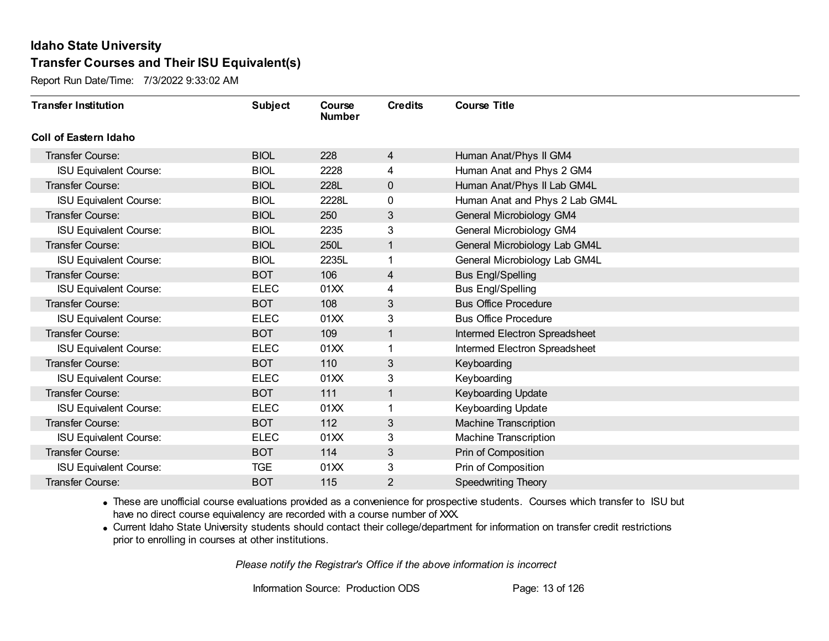Report Run Date/Time: 7/3/2022 9:33:02 AM

| <b>Transfer Institution</b>   | <b>Subject</b> | Course<br><b>Number</b> | <b>Credits</b> | <b>Course Title</b>            |
|-------------------------------|----------------|-------------------------|----------------|--------------------------------|
| Coll of Eastern Idaho         |                |                         |                |                                |
| Transfer Course:              | <b>BIOL</b>    | 228                     | $\overline{4}$ | Human Anat/Phys II GM4         |
| <b>ISU Equivalent Course:</b> | <b>BIOL</b>    | 2228                    | 4              | Human Anat and Phys 2 GM4      |
| Transfer Course:              | <b>BIOL</b>    | 228L                    | $\mathbf 0$    | Human Anat/Phys II Lab GM4L    |
| <b>ISU Equivalent Course:</b> | <b>BIOL</b>    | 2228L                   | 0              | Human Anat and Phys 2 Lab GM4L |
| Transfer Course:              | <b>BIOL</b>    | 250                     | 3              | General Microbiology GM4       |
| <b>ISU Equivalent Course:</b> | <b>BIOL</b>    | 2235                    | 3              | General Microbiology GM4       |
| Transfer Course:              | <b>BIOL</b>    | 250L                    | 1              | General Microbiology Lab GM4L  |
| <b>ISU Equivalent Course:</b> | <b>BIOL</b>    | 2235L                   | 1              | General Microbiology Lab GM4L  |
| <b>Transfer Course:</b>       | <b>BOT</b>     | 106                     | 4              | <b>Bus Engl/Spelling</b>       |
| <b>ISU Equivalent Course:</b> | <b>ELEC</b>    | 01XX                    | 4              | <b>Bus Engl/Spelling</b>       |
| <b>Transfer Course:</b>       | <b>BOT</b>     | 108                     | 3              | <b>Bus Office Procedure</b>    |
| <b>ISU Equivalent Course:</b> | <b>ELEC</b>    | 01XX                    | 3              | <b>Bus Office Procedure</b>    |
| Transfer Course:              | <b>BOT</b>     | 109                     | 1              | Intermed Electron Spreadsheet  |
| <b>ISU Equivalent Course:</b> | <b>ELEC</b>    | 01XX                    | 1              | Intermed Electron Spreadsheet  |
| Transfer Course:              | <b>BOT</b>     | 110                     | 3              | Keyboarding                    |
| <b>ISU Equivalent Course:</b> | <b>ELEC</b>    | 01XX                    | 3              | Keyboarding                    |
| Transfer Course:              | <b>BOT</b>     | 111                     | 1              | <b>Keyboarding Update</b>      |
| <b>ISU Equivalent Course:</b> | <b>ELEC</b>    | 01XX                    | 1              | Keyboarding Update             |
| Transfer Course:              | <b>BOT</b>     | 112                     | 3              | Machine Transcription          |
| <b>ISU Equivalent Course:</b> | <b>ELEC</b>    | 01XX                    | 3              | <b>Machine Transcription</b>   |
| Transfer Course:              | <b>BOT</b>     | 114                     | 3              | Prin of Composition            |
| <b>ISU Equivalent Course:</b> | <b>TGE</b>     | 01XX                    | 3              | Prin of Composition            |
| Transfer Course:              | <b>BOT</b>     | 115                     | 2              | <b>Speedwriting Theory</b>     |

· These are unofficial course evaluations provided as a convenience for prospective students. Courses which transfer to ISU but have no direct course equivalency are recorded with a course number of XXX.

· Current Idaho State University students should contact their college/department for information on transfer credit restrictions prior to enrolling in courses at other institutions.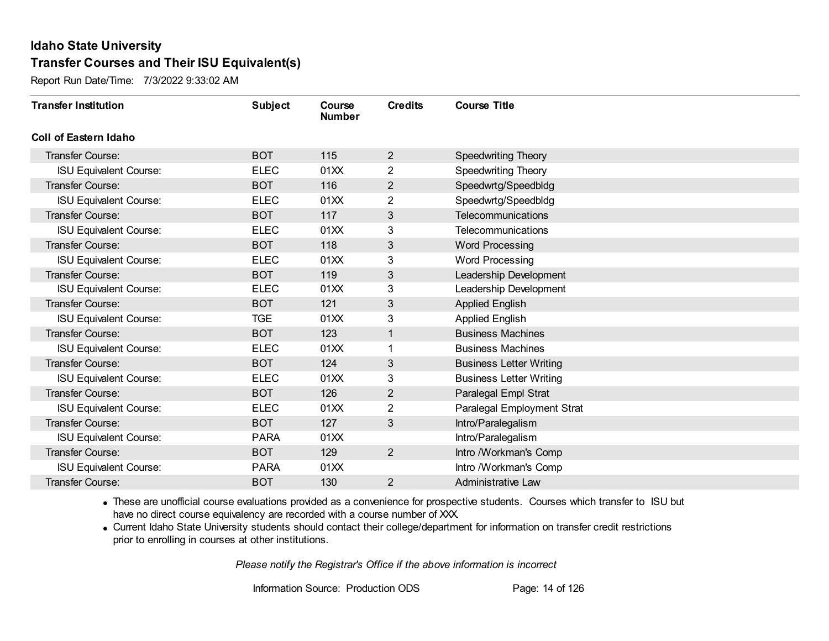Report Run Date/Time: 7/3/2022 9:33:02 AM

| <b>Transfer Institution</b>   | <b>Subject</b> | Course<br><b>Number</b> | <b>Credits</b> | <b>Course Title</b>            |
|-------------------------------|----------------|-------------------------|----------------|--------------------------------|
| <b>Coll of Eastern Idaho</b>  |                |                         |                |                                |
| Transfer Course:              | <b>BOT</b>     | 115                     | 2              | <b>Speedwriting Theory</b>     |
| <b>ISU Equivalent Course:</b> | <b>ELEC</b>    | 01XX                    | $\overline{2}$ | Speedwriting Theory            |
| Transfer Course:              | <b>BOT</b>     | 116                     | $\overline{2}$ | Speedwrtg/Speedbldg            |
| <b>ISU Equivalent Course:</b> | <b>ELEC</b>    | 01XX                    | $\overline{2}$ | Speedwrtg/Speedbldg            |
| <b>Transfer Course:</b>       | <b>BOT</b>     | 117                     | 3              | <b>Telecommunications</b>      |
| <b>ISU Equivalent Course:</b> | <b>ELEC</b>    | 01XX                    | 3              | Telecommunications             |
| <b>Transfer Course:</b>       | <b>BOT</b>     | 118                     | 3              | <b>Word Processing</b>         |
| <b>ISU Equivalent Course:</b> | <b>ELEC</b>    | 01XX                    | 3              | <b>Word Processing</b>         |
| <b>Transfer Course:</b>       | <b>BOT</b>     | 119                     | 3              | Leadership Development         |
| <b>ISU Equivalent Course:</b> | <b>ELEC</b>    | 01XX                    | 3              | Leadership Development         |
| <b>Transfer Course:</b>       | <b>BOT</b>     | 121                     | 3              | <b>Applied English</b>         |
| <b>ISU Equivalent Course:</b> | <b>TGE</b>     | 01XX                    | 3              | <b>Applied English</b>         |
| <b>Transfer Course:</b>       | <b>BOT</b>     | 123                     | 1              | <b>Business Machines</b>       |
| <b>ISU Equivalent Course:</b> | <b>ELEC</b>    | 01XX                    | 1              | <b>Business Machines</b>       |
| <b>Transfer Course:</b>       | <b>BOT</b>     | 124                     | 3              | <b>Business Letter Writing</b> |
| <b>ISU Equivalent Course:</b> | <b>ELEC</b>    | 01XX                    | 3              | <b>Business Letter Writing</b> |
| Transfer Course:              | <b>BOT</b>     | 126                     | $\overline{2}$ | Paralegal Empl Strat           |
| <b>ISU Equivalent Course:</b> | <b>ELEC</b>    | 01XX                    | 2              | Paralegal Employment Strat     |
| <b>Transfer Course:</b>       | <b>BOT</b>     | 127                     | 3              | Intro/Paralegalism             |
| <b>ISU Equivalent Course:</b> | <b>PARA</b>    | 01XX                    |                | Intro/Paralegalism             |
| <b>Transfer Course:</b>       | <b>BOT</b>     | 129                     | $\overline{2}$ | Intro /Workman's Comp          |
| <b>ISU Equivalent Course:</b> | <b>PARA</b>    | 01XX                    |                | Intro /Workman's Comp          |
| Transfer Course:              | <b>BOT</b>     | 130                     | $\overline{2}$ | <b>Administrative Law</b>      |

· These are unofficial course evaluations provided as a convenience for prospective students. Courses which transfer to ISU but have no direct course equivalency are recorded with a course number of XXX.

· Current Idaho State University students should contact their college/department for information on transfer credit restrictions prior to enrolling in courses at other institutions.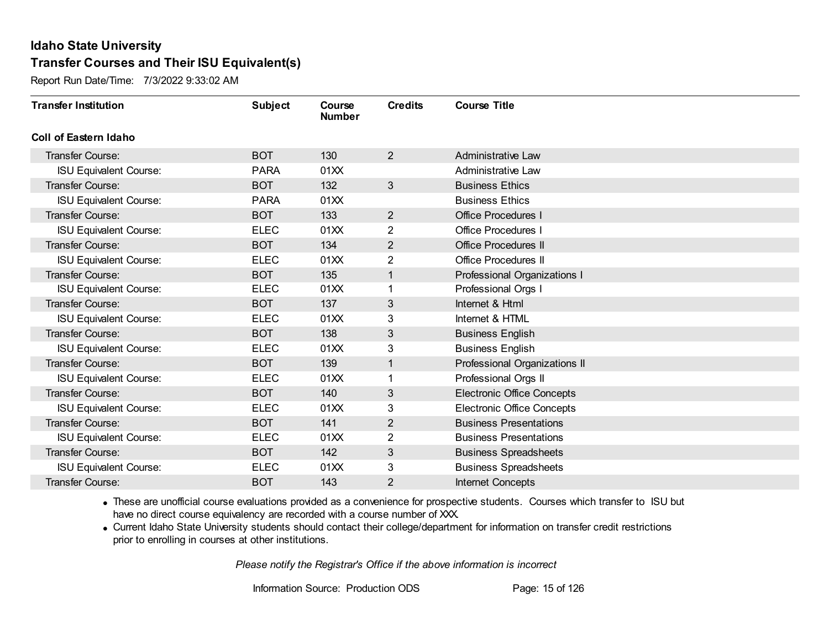Report Run Date/Time: 7/3/2022 9:33:02 AM

| <b>Transfer Institution</b>   | <b>Subject</b> | Course<br><b>Number</b> | <b>Credits</b> | <b>Course Title</b>               |
|-------------------------------|----------------|-------------------------|----------------|-----------------------------------|
| Coll of Eastern Idaho         |                |                         |                |                                   |
| <b>Transfer Course:</b>       | <b>BOT</b>     | 130                     | $\overline{2}$ | <b>Administrative Law</b>         |
| <b>ISU Equivalent Course:</b> | <b>PARA</b>    | 01XX                    |                | Administrative Law                |
| Transfer Course:              | <b>BOT</b>     | 132                     | 3              | <b>Business Ethics</b>            |
| <b>ISU Equivalent Course:</b> | <b>PARA</b>    | 01XX                    |                | <b>Business Ethics</b>            |
| <b>Transfer Course:</b>       | <b>BOT</b>     | 133                     | $\overline{2}$ | <b>Office Procedures I</b>        |
| <b>ISU Equivalent Course:</b> | <b>ELEC</b>    | 01XX                    | 2              | <b>Office Procedures I</b>        |
| <b>Transfer Course:</b>       | <b>BOT</b>     | 134                     | $\overline{2}$ | <b>Office Procedures II</b>       |
| <b>ISU Equivalent Course:</b> | <b>ELEC</b>    | 01XX                    | 2              | <b>Office Procedures II</b>       |
| <b>Transfer Course:</b>       | <b>BOT</b>     | 135                     | $\mathbf{1}$   | Professional Organizations I      |
| <b>ISU Equivalent Course:</b> | <b>ELEC</b>    | 01XX                    | 1              | Professional Orgs I               |
| <b>Transfer Course:</b>       | <b>BOT</b>     | 137                     | 3              | Internet & Html                   |
| <b>ISU Equivalent Course:</b> | <b>ELEC</b>    | 01XX                    | 3              | Internet & HTML                   |
| Transfer Course:              | <b>BOT</b>     | 138                     | 3              | <b>Business English</b>           |
| <b>ISU Equivalent Course:</b> | <b>ELEC</b>    | 01XX                    | 3              | <b>Business English</b>           |
| Transfer Course:              | <b>BOT</b>     | 139                     | $\mathbf{1}$   | Professional Organizations II     |
| <b>ISU Equivalent Course:</b> | <b>ELEC</b>    | 01XX                    | 1              | Professional Orgs II              |
| Transfer Course:              | <b>BOT</b>     | 140                     | 3              | <b>Electronic Office Concepts</b> |
| <b>ISU Equivalent Course:</b> | <b>ELEC</b>    | 01XX                    | 3              | <b>Electronic Office Concepts</b> |
| Transfer Course:              | <b>BOT</b>     | 141                     | $\overline{2}$ | <b>Business Presentations</b>     |
| <b>ISU Equivalent Course:</b> | <b>ELEC</b>    | 01XX                    | 2              | <b>Business Presentations</b>     |
| <b>Transfer Course:</b>       | <b>BOT</b>     | 142                     | 3              | <b>Business Spreadsheets</b>      |
| <b>ISU Equivalent Course:</b> | <b>ELEC</b>    | 01XX                    | 3              | <b>Business Spreadsheets</b>      |
| Transfer Course:              | <b>BOT</b>     | 143                     | 2              | <b>Internet Concepts</b>          |

· These are unofficial course evaluations provided as a convenience for prospective students. Courses which transfer to ISU but have no direct course equivalency are recorded with a course number of XXX.

· Current Idaho State University students should contact their college/department for information on transfer credit restrictions prior to enrolling in courses at other institutions.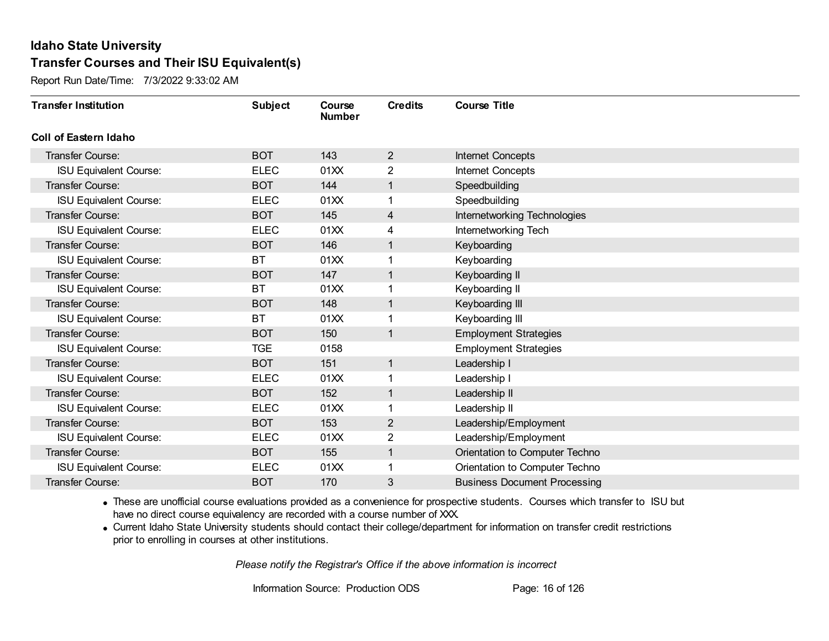Report Run Date/Time: 7/3/2022 9:33:02 AM

| <b>Transfer Institution</b>   | <b>Subject</b> | Course<br><b>Number</b> | <b>Credits</b> | <b>Course Title</b>                 |
|-------------------------------|----------------|-------------------------|----------------|-------------------------------------|
| <b>Coll of Eastern Idaho</b>  |                |                         |                |                                     |
| <b>Transfer Course:</b>       | <b>BOT</b>     | 143                     | $\overline{2}$ | Internet Concepts                   |
| <b>ISU Equivalent Course:</b> | <b>ELEC</b>    | 01XX                    | 2              | <b>Internet Concepts</b>            |
| Transfer Course:              | <b>BOT</b>     | 144                     | 1              | Speedbuilding                       |
| <b>ISU Equivalent Course:</b> | <b>ELEC</b>    | 01XX                    | 1              | Speedbuilding                       |
| <b>Transfer Course:</b>       | <b>BOT</b>     | 145                     | 4              | Internetworking Technologies        |
| <b>ISU Equivalent Course:</b> | <b>ELEC</b>    | 01XX                    | 4              | Internetworking Tech                |
| <b>Transfer Course:</b>       | <b>BOT</b>     | 146                     | $\mathbf{1}$   | Keyboarding                         |
| <b>ISU Equivalent Course:</b> | BT             | 01XX                    |                | Keyboarding                         |
| <b>Transfer Course:</b>       | <b>BOT</b>     | 147                     | 1              | Keyboarding II                      |
| <b>ISU Equivalent Course:</b> | <b>BT</b>      | 01XX                    | 1              | Keyboarding II                      |
| <b>Transfer Course:</b>       | <b>BOT</b>     | 148                     | $\mathbf{1}$   | Keyboarding III                     |
| <b>ISU Equivalent Course:</b> | <b>BT</b>      | 01XX                    | 1              | Keyboarding III                     |
| <b>Transfer Course:</b>       | <b>BOT</b>     | 150                     | 1              | <b>Employment Strategies</b>        |
| <b>ISU Equivalent Course:</b> | <b>TGE</b>     | 0158                    |                | <b>Employment Strategies</b>        |
| Transfer Course:              | <b>BOT</b>     | 151                     | $\mathbf{1}$   | Leadership I                        |
| <b>ISU Equivalent Course:</b> | <b>ELEC</b>    | 01XX                    | 1              | Leadership I                        |
| Transfer Course:              | <b>BOT</b>     | 152                     | 1              | Leadership II                       |
| <b>ISU Equivalent Course:</b> | <b>ELEC</b>    | 01XX                    | 1              | Leadership II                       |
| Transfer Course:              | <b>BOT</b>     | 153                     | $\overline{2}$ | Leadership/Employment               |
| <b>ISU Equivalent Course:</b> | <b>ELEC</b>    | 01XX                    | 2              | Leadership/Employment               |
| <b>Transfer Course:</b>       | <b>BOT</b>     | 155                     | 1              | Orientation to Computer Techno      |
| <b>ISU Equivalent Course:</b> | <b>ELEC</b>    | 01XX                    | 1              | Orientation to Computer Techno      |
| <b>Transfer Course:</b>       | <b>BOT</b>     | 170                     | 3              | <b>Business Document Processing</b> |

· These are unofficial course evaluations provided as a convenience for prospective students. Courses which transfer to ISU but have no direct course equivalency are recorded with a course number of XXX.

· Current Idaho State University students should contact their college/department for information on transfer credit restrictions prior to enrolling in courses at other institutions.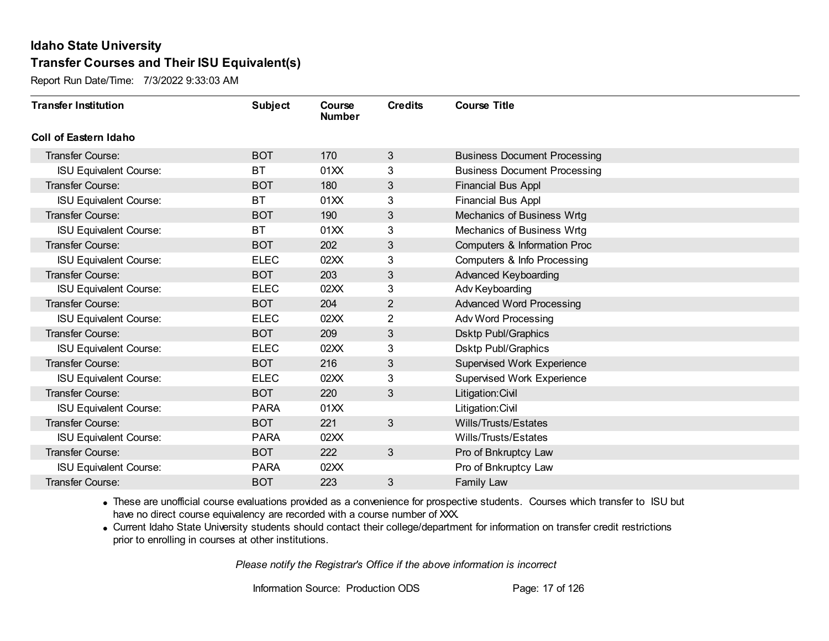Report Run Date/Time: 7/3/2022 9:33:03 AM

| <b>Transfer Institution</b>   | <b>Subject</b> | Course<br><b>Number</b> | <b>Credits</b> | <b>Course Title</b>                 |
|-------------------------------|----------------|-------------------------|----------------|-------------------------------------|
| Coll of Eastern Idaho         |                |                         |                |                                     |
| Transfer Course:              | <b>BOT</b>     | 170                     | 3              | <b>Business Document Processing</b> |
| <b>ISU Equivalent Course:</b> | <b>BT</b>      | 01XX                    | 3              | <b>Business Document Processing</b> |
| Transfer Course:              | <b>BOT</b>     | 180                     | 3              | <b>Financial Bus Appl</b>           |
| <b>ISU Equivalent Course:</b> | <b>BT</b>      | 01XX                    | 3              | <b>Financial Bus Appl</b>           |
| <b>Transfer Course:</b>       | <b>BOT</b>     | 190                     | 3              | Mechanics of Business Wrtg          |
| <b>ISU Equivalent Course:</b> | <b>BT</b>      | 01XX                    | 3              | Mechanics of Business Wrtg          |
| <b>Transfer Course:</b>       | <b>BOT</b>     | 202                     | 3              | Computers & Information Proc        |
| <b>ISU Equivalent Course:</b> | <b>ELEC</b>    | 02XX                    | 3              | Computers & Info Processing         |
| <b>Transfer Course:</b>       | <b>BOT</b>     | 203                     | $\mathbf{3}$   | <b>Advanced Keyboarding</b>         |
| <b>ISU Equivalent Course:</b> | <b>ELEC</b>    | 02XX                    | 3              | Adv Keyboarding                     |
| <b>Transfer Course:</b>       | <b>BOT</b>     | 204                     | $\overline{2}$ | <b>Advanced Word Processing</b>     |
| <b>ISU Equivalent Course:</b> | <b>ELEC</b>    | 02XX                    | 2              | <b>Adv Word Processing</b>          |
| Transfer Course:              | <b>BOT</b>     | 209                     | 3              | <b>Dsktp Publ/Graphics</b>          |
| <b>ISU Equivalent Course:</b> | <b>ELEC</b>    | 02XX                    | 3              | <b>Dsktp Publ/Graphics</b>          |
| Transfer Course:              | <b>BOT</b>     | 216                     | 3              | <b>Supervised Work Experience</b>   |
| <b>ISU Equivalent Course:</b> | <b>ELEC</b>    | 02XX                    | 3              | Supervised Work Experience          |
| Transfer Course:              | <b>BOT</b>     | 220                     | 3              | Litigation: Civil                   |
| <b>ISU Equivalent Course:</b> | <b>PARA</b>    | 01XX                    |                | Litigation: Civil                   |
| Transfer Course:              | <b>BOT</b>     | 221                     | 3              | Wills/Trusts/Estates                |
| <b>ISU Equivalent Course:</b> | <b>PARA</b>    | 02XX                    |                | Wills/Trusts/Estates                |
| <b>Transfer Course:</b>       | <b>BOT</b>     | 222                     | 3              | Pro of Bnkruptcy Law                |
| <b>ISU Equivalent Course:</b> | <b>PARA</b>    | 02XX                    |                | Pro of Bnkruptcy Law                |
| Transfer Course:              | <b>BOT</b>     | 223                     | 3              | Family Law                          |

· These are unofficial course evaluations provided as a convenience for prospective students. Courses which transfer to ISU but have no direct course equivalency are recorded with a course number of XXX.

· Current Idaho State University students should contact their college/department for information on transfer credit restrictions prior to enrolling in courses at other institutions.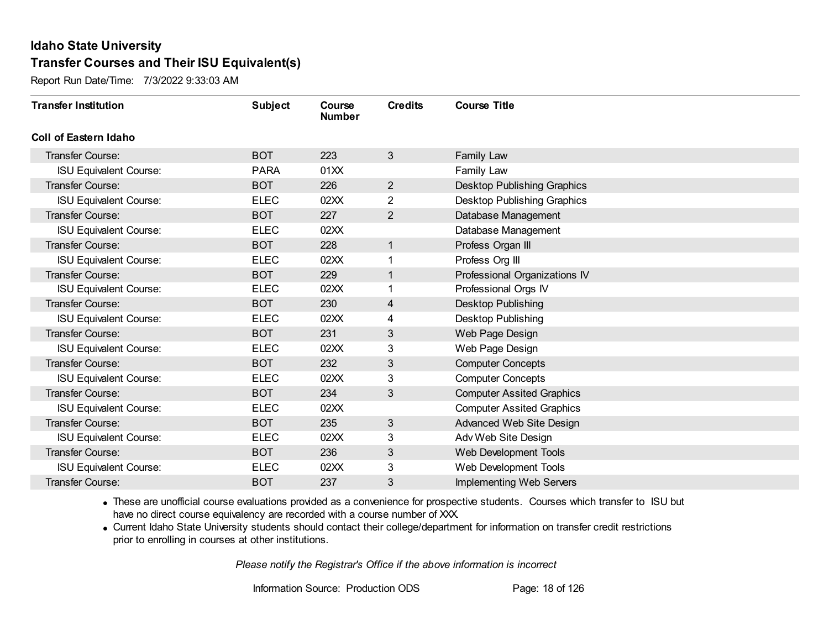Report Run Date/Time: 7/3/2022 9:33:03 AM

| <b>Transfer Institution</b>   | <b>Subject</b> | Course<br><b>Number</b> | <b>Credits</b> | <b>Course Title</b>                |
|-------------------------------|----------------|-------------------------|----------------|------------------------------------|
| <b>Coll of Eastern Idaho</b>  |                |                         |                |                                    |
| Transfer Course:              | <b>BOT</b>     | 223                     | 3              | Family Law                         |
| <b>ISU Equivalent Course:</b> | <b>PARA</b>    | 01XX                    |                | Family Law                         |
| Transfer Course:              | <b>BOT</b>     | 226                     | $\overline{2}$ | <b>Desktop Publishing Graphics</b> |
| <b>ISU Equivalent Course:</b> | <b>ELEC</b>    | 02XX                    | $\overline{2}$ | Desktop Publishing Graphics        |
| <b>Transfer Course:</b>       | <b>BOT</b>     | 227                     | $\overline{2}$ | Database Management                |
| <b>ISU Equivalent Course:</b> | <b>ELEC</b>    | 02XX                    |                | Database Management                |
| <b>Transfer Course:</b>       | <b>BOT</b>     | 228                     | 1              | Profess Organ III                  |
| <b>ISU Equivalent Course:</b> | <b>ELEC</b>    | 02XX                    |                | Profess Org III                    |
| <b>Transfer Course:</b>       | <b>BOT</b>     | 229                     | 1              | Professional Organizations IV      |
| <b>ISU Equivalent Course:</b> | <b>ELEC</b>    | 02XX                    | 1              | Professional Orgs IV               |
| <b>Transfer Course:</b>       | <b>BOT</b>     | 230                     | 4              | Desktop Publishing                 |
| <b>ISU Equivalent Course:</b> | <b>ELEC</b>    | 02XX                    | 4              | <b>Desktop Publishing</b>          |
| <b>Transfer Course:</b>       | <b>BOT</b>     | 231                     | 3              | Web Page Design                    |
| <b>ISU Equivalent Course:</b> | <b>ELEC</b>    | 02XX                    | 3              | Web Page Design                    |
| <b>Transfer Course:</b>       | <b>BOT</b>     | 232                     | 3              | <b>Computer Concepts</b>           |
| <b>ISU Equivalent Course:</b> | <b>ELEC</b>    | 02XX                    | 3              | <b>Computer Concepts</b>           |
| <b>Transfer Course:</b>       | <b>BOT</b>     | 234                     | 3              | <b>Computer Assited Graphics</b>   |
| <b>ISU Equivalent Course:</b> | <b>ELEC</b>    | 02XX                    |                | <b>Computer Assited Graphics</b>   |
| <b>Transfer Course:</b>       | <b>BOT</b>     | 235                     | $\mathfrak{S}$ | Advanced Web Site Design           |
| <b>ISU Equivalent Course:</b> | <b>ELEC</b>    | 02XX                    | 3              | Adv Web Site Design                |
| <b>Transfer Course:</b>       | <b>BOT</b>     | 236                     | 3              | Web Development Tools              |
| <b>ISU Equivalent Course:</b> | <b>ELEC</b>    | 02XX                    | 3              | Web Development Tools              |
| Transfer Course:              | <b>BOT</b>     | 237                     | 3              | <b>Implementing Web Servers</b>    |

· These are unofficial course evaluations provided as a convenience for prospective students. Courses which transfer to ISU but have no direct course equivalency are recorded with a course number of XXX.

· Current Idaho State University students should contact their college/department for information on transfer credit restrictions prior to enrolling in courses at other institutions.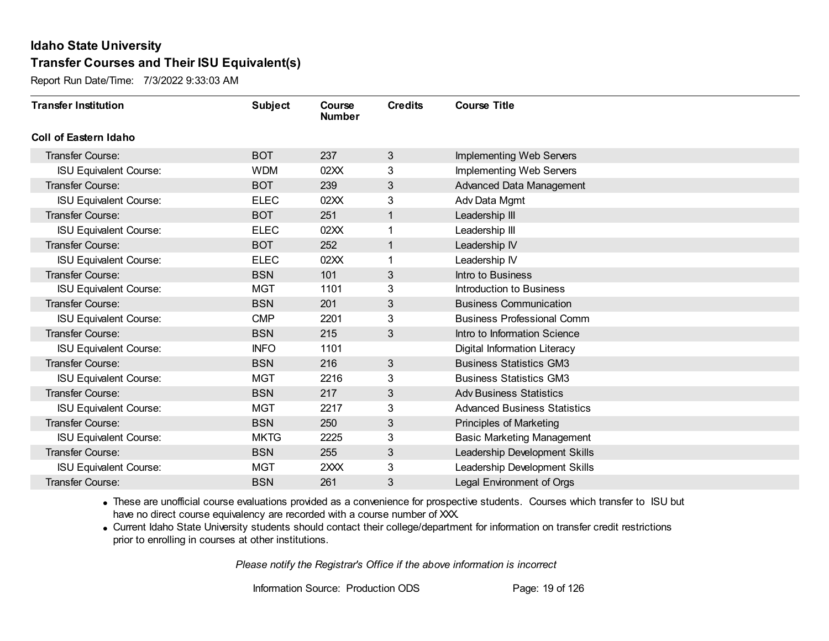Report Run Date/Time: 7/3/2022 9:33:03 AM

| <b>Transfer Institution</b>   | <b>Subject</b> | Course<br><b>Number</b> | <b>Credits</b> | <b>Course Title</b>                 |
|-------------------------------|----------------|-------------------------|----------------|-------------------------------------|
| Coll of Eastern Idaho         |                |                         |                |                                     |
| Transfer Course:              | <b>BOT</b>     | 237                     | 3              | <b>Implementing Web Servers</b>     |
| <b>ISU Equivalent Course:</b> | <b>WDM</b>     | 02XX                    | 3              | <b>Implementing Web Servers</b>     |
| Transfer Course:              | <b>BOT</b>     | 239                     | 3              | Advanced Data Management            |
| <b>ISU Equivalent Course:</b> | <b>ELEC</b>    | 02XX                    | 3              | Adv Data Mgmt                       |
| <b>Transfer Course:</b>       | <b>BOT</b>     | 251                     | 1              | Leadership III                      |
| <b>ISU Equivalent Course:</b> | <b>ELEC</b>    | 02XX                    |                | Leadership III                      |
| Transfer Course:              | <b>BOT</b>     | 252                     | 1              | Leadership IV                       |
| <b>ISU Equivalent Course:</b> | <b>ELEC</b>    | 02XX                    |                | Leadership IV                       |
| Transfer Course:              | <b>BSN</b>     | 101                     | 3              | Intro to Business                   |
| <b>ISU Equivalent Course:</b> | <b>MGT</b>     | 1101                    | 3              | Introduction to Business            |
| <b>Transfer Course:</b>       | <b>BSN</b>     | 201                     | 3              | <b>Business Communication</b>       |
| <b>ISU Equivalent Course:</b> | <b>CMP</b>     | 2201                    | 3              | <b>Business Professional Comm</b>   |
| Transfer Course:              | <b>BSN</b>     | 215                     | 3              | Intro to Information Science        |
| <b>ISU Equivalent Course:</b> | <b>INFO</b>    | 1101                    |                | Digital Information Literacy        |
| Transfer Course:              | <b>BSN</b>     | 216                     | 3              | <b>Business Statistics GM3</b>      |
| <b>ISU Equivalent Course:</b> | <b>MGT</b>     | 2216                    | 3              | <b>Business Statistics GM3</b>      |
| Transfer Course:              | <b>BSN</b>     | 217                     | $\mathbf{3}$   | <b>Adv Business Statistics</b>      |
| <b>ISU Equivalent Course:</b> | <b>MGT</b>     | 2217                    | 3              | <b>Advanced Business Statistics</b> |
| Transfer Course:              | <b>BSN</b>     | 250                     | 3              | <b>Principles of Marketing</b>      |
| <b>ISU Equivalent Course:</b> | <b>MKTG</b>    | 2225                    | 3              | <b>Basic Marketing Management</b>   |
| Transfer Course:              | <b>BSN</b>     | 255                     | 3              | Leadership Development Skills       |
| <b>ISU Equivalent Course:</b> | <b>MGT</b>     | 2XXX                    | 3              | Leadership Development Skills       |
| Transfer Course:              | <b>BSN</b>     | 261                     | 3              | <b>Legal Environment of Orgs</b>    |

· These are unofficial course evaluations provided as a convenience for prospective students. Courses which transfer to ISU but have no direct course equivalency are recorded with a course number of XXX.

· Current Idaho State University students should contact their college/department for information on transfer credit restrictions prior to enrolling in courses at other institutions.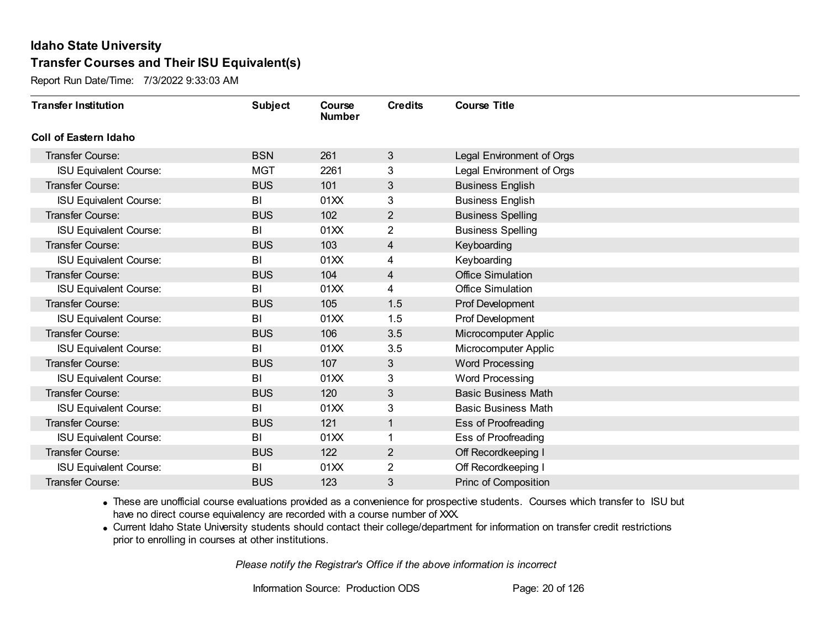Report Run Date/Time: 7/3/2022 9:33:03 AM

| <b>Transfer Institution</b>   | <b>Subject</b> | Course<br><b>Number</b> | <b>Credits</b> | <b>Course Title</b>        |
|-------------------------------|----------------|-------------------------|----------------|----------------------------|
| Coll of Eastern Idaho         |                |                         |                |                            |
| <b>Transfer Course:</b>       | <b>BSN</b>     | 261                     | $\mathbf{3}$   | Legal Environment of Orgs  |
| <b>ISU Equivalent Course:</b> | <b>MGT</b>     | 2261                    | 3              | Legal Environment of Orgs  |
| Transfer Course:              | <b>BUS</b>     | 101                     | 3              | <b>Business English</b>    |
| <b>ISU Equivalent Course:</b> | BI             | 01XX                    | 3              | <b>Business English</b>    |
| <b>Transfer Course:</b>       | <b>BUS</b>     | 102                     | $\overline{2}$ | <b>Business Spelling</b>   |
| <b>ISU Equivalent Course:</b> | BI             | 01XX                    | 2              | <b>Business Spelling</b>   |
| Transfer Course:              | <b>BUS</b>     | 103                     | 4              | Keyboarding                |
| <b>ISU Equivalent Course:</b> | BI             | 01XX                    | 4              | Keyboarding                |
| <b>Transfer Course:</b>       | <b>BUS</b>     | 104                     | 4              | <b>Office Simulation</b>   |
| <b>ISU Equivalent Course:</b> | BI             | 01XX                    | 4              | <b>Office Simulation</b>   |
| <b>Transfer Course:</b>       | <b>BUS</b>     | 105                     | 1.5            | Prof Development           |
| <b>ISU Equivalent Course:</b> | B <sub>l</sub> | 01XX                    | 1.5            | Prof Development           |
| Transfer Course:              | <b>BUS</b>     | 106                     | 3.5            | Microcomputer Applic       |
| <b>ISU Equivalent Course:</b> | BI             | 01XX                    | 3.5            | Microcomputer Applic       |
| Transfer Course:              | <b>BUS</b>     | 107                     | 3              | <b>Word Processing</b>     |
| <b>ISU Equivalent Course:</b> | BI             | 01XX                    | 3              | Word Processing            |
| Transfer Course:              | <b>BUS</b>     | 120                     | 3              | <b>Basic Business Math</b> |
| <b>ISU Equivalent Course:</b> | B <sub>l</sub> | 01XX                    | 3              | <b>Basic Business Math</b> |
| Transfer Course:              | <b>BUS</b>     | 121                     | $\mathbf{1}$   | Ess of Proofreading        |
| <b>ISU Equivalent Course:</b> | BI             | 01XX                    | 1              | Ess of Proofreading        |
| Transfer Course:              | <b>BUS</b>     | 122                     | $\overline{2}$ | Off Recordkeeping I        |
| <b>ISU Equivalent Course:</b> | BI             | 01XX                    | $\overline{2}$ | Off Recordkeeping I        |
| Transfer Course:              | <b>BUS</b>     | 123                     | 3              | Princ of Composition       |

· These are unofficial course evaluations provided as a convenience for prospective students. Courses which transfer to ISU but have no direct course equivalency are recorded with a course number of XXX.

· Current Idaho State University students should contact their college/department for information on transfer credit restrictions prior to enrolling in courses at other institutions.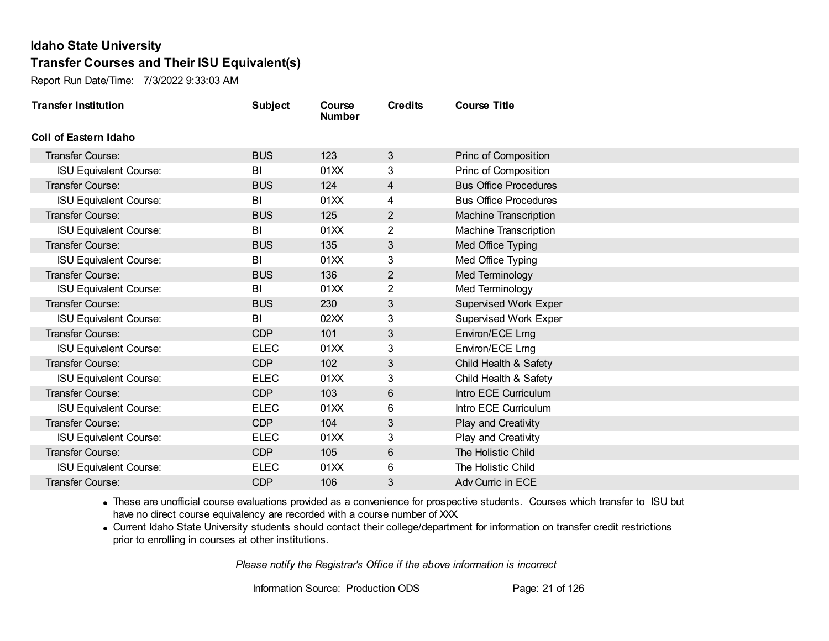Report Run Date/Time: 7/3/2022 9:33:03 AM

| <b>Transfer Institution</b>   | <b>Subject</b> | Course<br><b>Number</b> | <b>Credits</b> | <b>Course Title</b>          |
|-------------------------------|----------------|-------------------------|----------------|------------------------------|
| Coll of Eastern Idaho         |                |                         |                |                              |
| Transfer Course:              | <b>BUS</b>     | 123                     | 3              | Princ of Composition         |
| <b>ISU Equivalent Course:</b> | BI             | 01XX                    | 3              | Princ of Composition         |
| <b>Transfer Course:</b>       | <b>BUS</b>     | 124                     | 4              | <b>Bus Office Procedures</b> |
| <b>ISU Equivalent Course:</b> | BI             | 01XX                    | 4              | <b>Bus Office Procedures</b> |
| <b>Transfer Course:</b>       | <b>BUS</b>     | 125                     | $\mathbf{2}$   | <b>Machine Transcription</b> |
| <b>ISU Equivalent Course:</b> | BI             | 01XX                    | 2              | <b>Machine Transcription</b> |
| <b>Transfer Course:</b>       | <b>BUS</b>     | 135                     | 3              | Med Office Typing            |
| <b>ISU Equivalent Course:</b> | BI             | 01XX                    | 3              | Med Office Typing            |
| <b>Transfer Course:</b>       | <b>BUS</b>     | 136                     | $\overline{2}$ | Med Terminology              |
| <b>ISU Equivalent Course:</b> | BI             | 01XX                    | $\overline{2}$ | Med Terminology              |
| <b>Transfer Course:</b>       | <b>BUS</b>     | 230                     | 3              | Supervised Work Exper        |
| <b>ISU Equivalent Course:</b> | BI             | 02XX                    | 3              | Supervised Work Exper        |
| Transfer Course:              | <b>CDP</b>     | 101                     | 3              | Environ/ECE Lrng             |
| <b>ISU Equivalent Course:</b> | <b>ELEC</b>    | 01XX                    | 3              | Environ/ECE Lrng             |
| Transfer Course:              | <b>CDP</b>     | 102                     | $\mathfrak{S}$ | Child Health & Safety        |
| <b>ISU Equivalent Course:</b> | <b>ELEC</b>    | 01XX                    | 3              | Child Health & Safety        |
| <b>Transfer Course:</b>       | <b>CDP</b>     | 103                     | $6\phantom{1}$ | Intro ECE Curriculum         |
| <b>ISU Equivalent Course:</b> | <b>ELEC</b>    | 01XX                    | 6              | Intro ECE Curriculum         |
| <b>Transfer Course:</b>       | <b>CDP</b>     | 104                     | 3              | Play and Creativity          |
| <b>ISU Equivalent Course:</b> | <b>ELEC</b>    | 01XX                    | 3              | Play and Creativity          |
| <b>Transfer Course:</b>       | <b>CDP</b>     | 105                     | $\,6$          | The Holistic Child           |
| <b>ISU Equivalent Course:</b> | <b>ELEC</b>    | 01XX                    | 6              | The Holistic Child           |
| Transfer Course:              | <b>CDP</b>     | 106                     | 3              | Adv Curric in ECE            |

· These are unofficial course evaluations provided as a convenience for prospective students. Courses which transfer to ISU but have no direct course equivalency are recorded with a course number of XXX.

· Current Idaho State University students should contact their college/department for information on transfer credit restrictions prior to enrolling in courses at other institutions.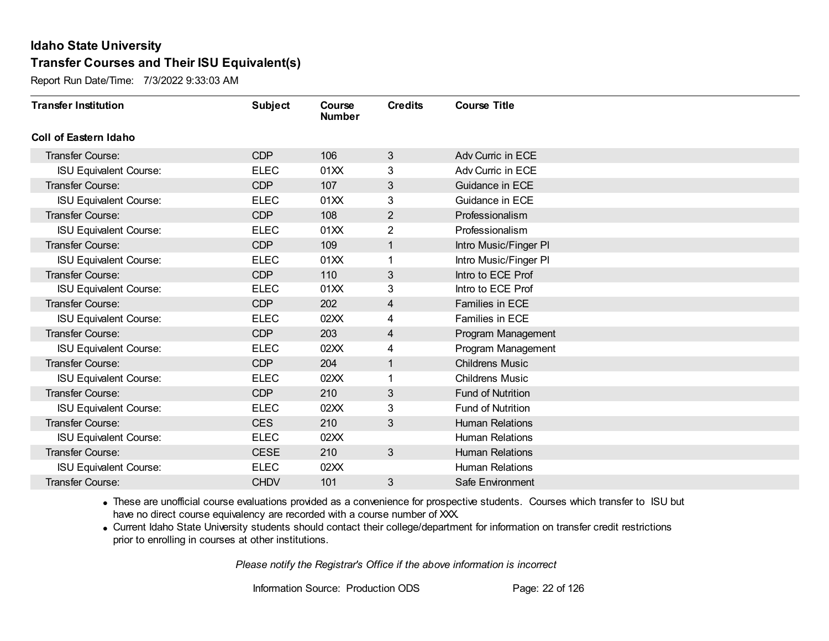Report Run Date/Time: 7/3/2022 9:33:03 AM

| <b>Transfer Institution</b>   | <b>Subject</b> | Course<br><b>Number</b> | <b>Credits</b> | <b>Course Title</b>      |
|-------------------------------|----------------|-------------------------|----------------|--------------------------|
| Coll of Eastern Idaho         |                |                         |                |                          |
| Transfer Course:              | <b>CDP</b>     | 106                     | $\mathbf{3}$   | Adv Curric in ECE        |
| <b>ISU Equivalent Course:</b> | <b>ELEC</b>    | 01XX                    | 3              | Adv Curric in ECE        |
| Transfer Course:              | <b>CDP</b>     | 107                     | 3              | Guidance in ECE          |
| <b>ISU Equivalent Course:</b> | <b>ELEC</b>    | 01XX                    | 3              | Guidance in ECE          |
| <b>Transfer Course:</b>       | <b>CDP</b>     | 108                     | 2              | Professionalism          |
| <b>ISU Equivalent Course:</b> | <b>ELEC</b>    | 01XX                    | 2              | Professionalism          |
| Transfer Course:              | <b>CDP</b>     | 109                     | 1              | Intro Music/Finger PI    |
| <b>ISU Equivalent Course:</b> | <b>ELEC</b>    | 01XX                    |                | Intro Music/Finger PI    |
| <b>Transfer Course:</b>       | <b>CDP</b>     | 110                     | 3              | Intro to ECE Prof        |
| <b>ISU Equivalent Course:</b> | <b>ELEC</b>    | 01XX                    | 3              | Intro to ECE Prof        |
| <b>Transfer Course:</b>       | <b>CDP</b>     | 202                     | $\overline{4}$ | Families in ECE          |
| <b>ISU Equivalent Course:</b> | <b>ELEC</b>    | 02XX                    | 4              | Families in ECE          |
| Transfer Course:              | <b>CDP</b>     | 203                     | 4              | Program Management       |
| <b>ISU Equivalent Course:</b> | <b>ELEC</b>    | 02XX                    | 4              | Program Management       |
| Transfer Course:              | <b>CDP</b>     | 204                     | 1              | <b>Childrens Music</b>   |
| <b>ISU Equivalent Course:</b> | <b>ELEC</b>    | 02XX                    | 1              | <b>Childrens Music</b>   |
| Transfer Course:              | <b>CDP</b>     | 210                     | 3              | <b>Fund of Nutrition</b> |
| <b>ISU Equivalent Course:</b> | <b>ELEC</b>    | 02XX                    | 3              | Fund of Nutrition        |
| Transfer Course:              | <b>CES</b>     | 210                     | 3              | <b>Human Relations</b>   |
| <b>ISU Equivalent Course:</b> | <b>ELEC</b>    | 02XX                    |                | <b>Human Relations</b>   |
| <b>Transfer Course:</b>       | <b>CESE</b>    | 210                     | 3 <sup>1</sup> | <b>Human Relations</b>   |
| <b>ISU Equivalent Course:</b> | <b>ELEC</b>    | 02XX                    |                | <b>Human Relations</b>   |
| Transfer Course:              | <b>CHDV</b>    | 101                     | 3              | Safe Environment         |

· These are unofficial course evaluations provided as a convenience for prospective students. Courses which transfer to ISU but have no direct course equivalency are recorded with a course number of XXX.

· Current Idaho State University students should contact their college/department for information on transfer credit restrictions prior to enrolling in courses at other institutions.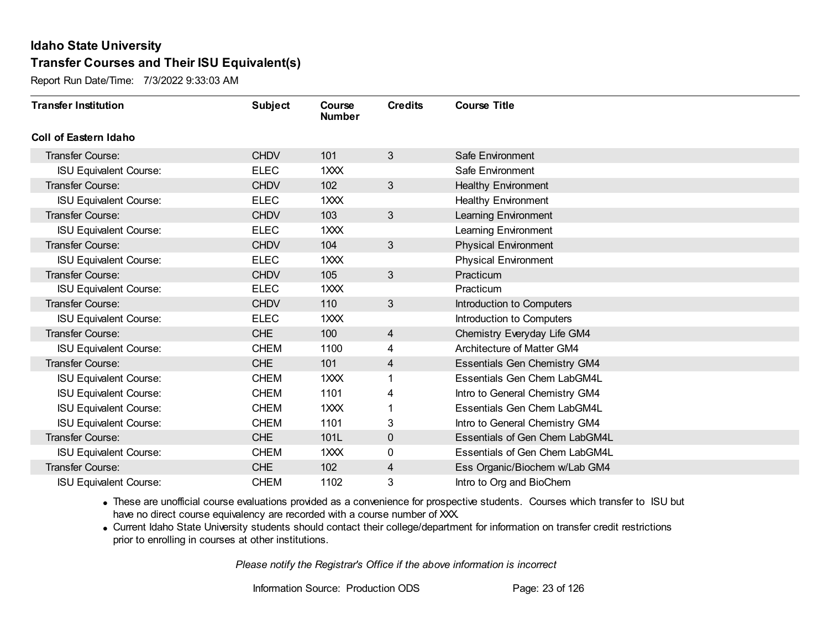Report Run Date/Time: 7/3/2022 9:33:03 AM

| <b>Transfer Institution</b>   | <b>Subject</b> | Course<br><b>Number</b> | <b>Credits</b> | <b>Course Title</b>                 |
|-------------------------------|----------------|-------------------------|----------------|-------------------------------------|
| Coll of Eastern Idaho         |                |                         |                |                                     |
| Transfer Course:              | <b>CHDV</b>    | 101                     | 3              | Safe Environment                    |
| <b>ISU Equivalent Course:</b> | <b>ELEC</b>    | 1XXX                    |                | Safe Environment                    |
| <b>Transfer Course:</b>       | <b>CHDV</b>    | 102                     | $\mathfrak{S}$ | <b>Healthy Environment</b>          |
| <b>ISU Equivalent Course:</b> | <b>ELEC</b>    | 1XXX                    |                | <b>Healthy Environment</b>          |
| <b>Transfer Course:</b>       | <b>CHDV</b>    | 103                     | $\mathfrak{S}$ | Learning Environment                |
| <b>ISU Equivalent Course:</b> | <b>ELEC</b>    | 1XXX                    |                | Learning Environment                |
| <b>Transfer Course:</b>       | <b>CHDV</b>    | 104                     | $\mathfrak{S}$ | <b>Physical Environment</b>         |
| <b>ISU Equivalent Course:</b> | <b>ELEC</b>    | 1XXX                    |                | <b>Physical Environment</b>         |
| <b>Transfer Course:</b>       | <b>CHDV</b>    | 105                     | $\mathfrak{S}$ | Practicum                           |
| <b>ISU Equivalent Course:</b> | <b>ELEC</b>    | 1XXX                    |                | Practicum                           |
| <b>Transfer Course:</b>       | <b>CHDV</b>    | 110                     | $\mathfrak{S}$ | Introduction to Computers           |
| <b>ISU Equivalent Course:</b> | <b>ELEC</b>    | 1XXX                    |                | Introduction to Computers           |
| <b>Transfer Course:</b>       | <b>CHE</b>     | 100                     | 4              | Chemistry Everyday Life GM4         |
| <b>ISU Equivalent Course:</b> | <b>CHEM</b>    | 1100                    | 4              | Architecture of Matter GM4          |
| <b>Transfer Course:</b>       | <b>CHE</b>     | 101                     | 4              | <b>Essentials Gen Chemistry GM4</b> |
| <b>ISU Equivalent Course:</b> | <b>CHEM</b>    | 1XXX                    |                | <b>Essentials Gen Chem LabGM4L</b>  |
| <b>ISU Equivalent Course:</b> | <b>CHEM</b>    | 1101                    | 4              | Intro to General Chemistry GM4      |
| <b>ISU Equivalent Course:</b> | <b>CHEM</b>    | 1XXX                    |                | Essentials Gen Chem LabGM4L         |
| <b>ISU Equivalent Course:</b> | <b>CHEM</b>    | 1101                    | 3              | Intro to General Chemistry GM4      |
| <b>Transfer Course:</b>       | <b>CHE</b>     | 101L                    | $\mathbf 0$    | Essentials of Gen Chem LabGM4L      |
| <b>ISU Equivalent Course:</b> | <b>CHEM</b>    | 1XXX                    | 0              | Essentials of Gen Chem LabGM4L      |
| Transfer Course:              | <b>CHE</b>     | 102                     | 4              | Ess Organic/Biochem w/Lab GM4       |
| <b>ISU Equivalent Course:</b> | <b>CHEM</b>    | 1102                    | 3              | Intro to Org and BioChem            |

· These are unofficial course evaluations provided as a convenience for prospective students. Courses which transfer to ISU but have no direct course equivalency are recorded with a course number of XXX.

· Current Idaho State University students should contact their college/department for information on transfer credit restrictions prior to enrolling in courses at other institutions.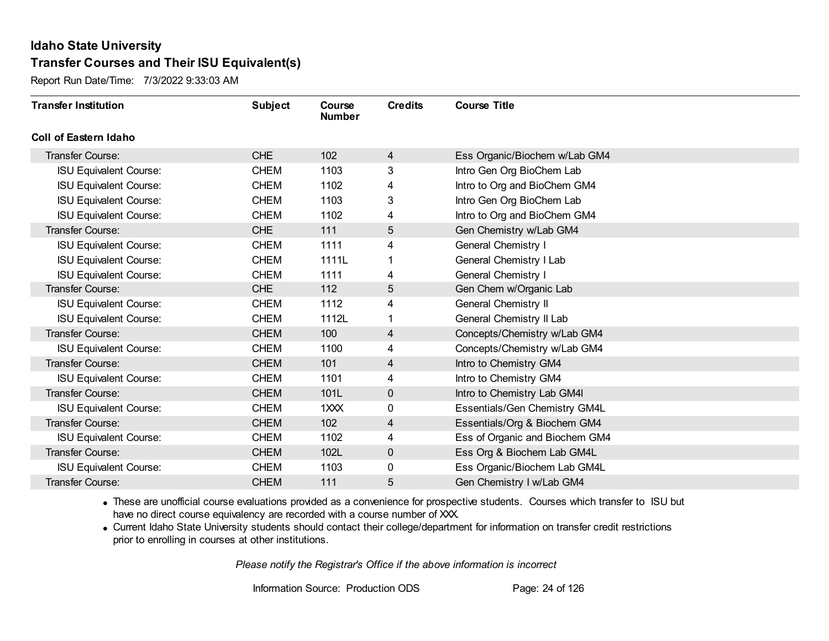Report Run Date/Time: 7/3/2022 9:33:03 AM

| <b>Transfer Institution</b>   | <b>Subject</b> | Course<br><b>Number</b> | <b>Credits</b> | <b>Course Title</b>            |
|-------------------------------|----------------|-------------------------|----------------|--------------------------------|
| <b>Coll of Eastern Idaho</b>  |                |                         |                |                                |
| <b>Transfer Course:</b>       | <b>CHE</b>     | 102                     | 4              | Ess Organic/Biochem w/Lab GM4  |
| <b>ISU Equivalent Course:</b> | <b>CHEM</b>    | 1103                    | 3              | Intro Gen Org BioChem Lab      |
| <b>ISU Equivalent Course:</b> | <b>CHEM</b>    | 1102                    | 4              | Intro to Org and BioChem GM4   |
| <b>ISU Equivalent Course:</b> | <b>CHEM</b>    | 1103                    | 3              | Intro Gen Org BioChem Lab      |
| <b>ISU Equivalent Course:</b> | <b>CHEM</b>    | 1102                    | 4              | Intro to Org and BioChem GM4   |
| Transfer Course:              | <b>CHE</b>     | 111                     | 5              | Gen Chemistry w/Lab GM4        |
| <b>ISU Equivalent Course:</b> | <b>CHEM</b>    | 1111                    | 4              | <b>General Chemistry I</b>     |
| <b>ISU Equivalent Course:</b> | <b>CHEM</b>    | 1111L                   |                | General Chemistry I Lab        |
| <b>ISU Equivalent Course:</b> | <b>CHEM</b>    | 1111                    | 4              | <b>General Chemistry I</b>     |
| Transfer Course:              | <b>CHE</b>     | 112                     | 5              | Gen Chem w/Organic Lab         |
| <b>ISU Equivalent Course:</b> | <b>CHEM</b>    | 1112                    | 4              | <b>General Chemistry II</b>    |
| <b>ISU Equivalent Course:</b> | <b>CHEM</b>    | 1112L                   | 1              | General Chemistry II Lab       |
| Transfer Course:              | <b>CHEM</b>    | 100                     | 4              | Concepts/Chemistry w/Lab GM4   |
| <b>ISU Equivalent Course:</b> | <b>CHEM</b>    | 1100                    | 4              | Concepts/Chemistry w/Lab GM4   |
| Transfer Course:              | <b>CHEM</b>    | 101                     | 4              | Intro to Chemistry GM4         |
| <b>ISU Equivalent Course:</b> | <b>CHEM</b>    | 1101                    | 4              | Intro to Chemistry GM4         |
| Transfer Course:              | <b>CHEM</b>    | 101L                    | $\mathbf{0}$   | Intro to Chemistry Lab GM4I    |
| <b>ISU Equivalent Course:</b> | <b>CHEM</b>    | 1XXX                    | 0              | Essentials/Gen Chemistry GM4L  |
| Transfer Course:              | <b>CHEM</b>    | 102                     | $\overline{4}$ | Essentials/Org & Biochem GM4   |
| <b>ISU Equivalent Course:</b> | <b>CHEM</b>    | 1102                    | 4              | Ess of Organic and Biochem GM4 |
| Transfer Course:              | <b>CHEM</b>    | 102L                    | $\mathbf 0$    | Ess Org & Biochem Lab GM4L     |
| <b>ISU Equivalent Course:</b> | <b>CHEM</b>    | 1103                    | 0              | Ess Organic/Biochem Lab GM4L   |
| Transfer Course:              | <b>CHEM</b>    | 111                     | 5              | Gen Chemistry I w/Lab GM4      |

· These are unofficial course evaluations provided as a convenience for prospective students. Courses which transfer to ISU but have no direct course equivalency are recorded with a course number of XXX.

· Current Idaho State University students should contact their college/department for information on transfer credit restrictions prior to enrolling in courses at other institutions.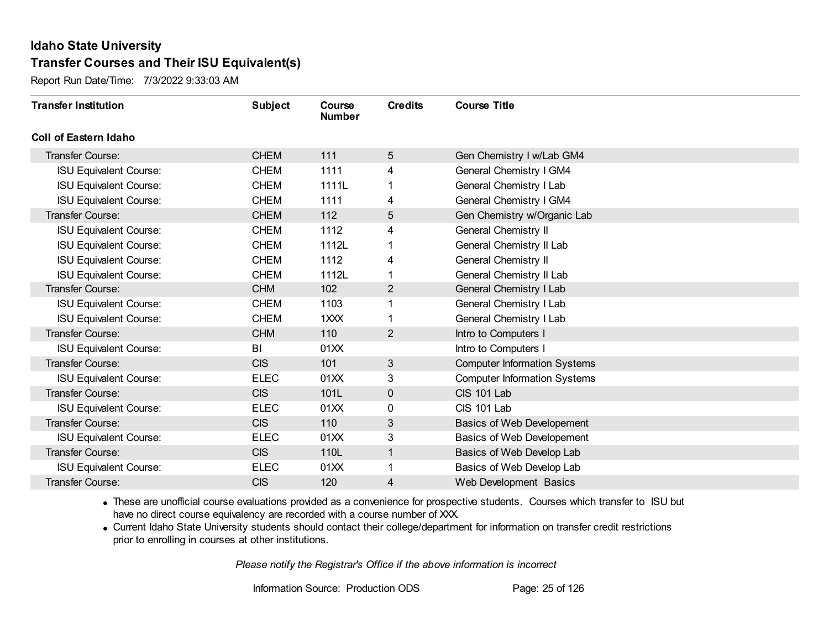Report Run Date/Time: 7/3/2022 9:33:03 AM

| <b>Transfer Institution</b>   | <b>Subject</b> | Course<br><b>Number</b> | <b>Credits</b> | <b>Course Title</b>                 |
|-------------------------------|----------------|-------------------------|----------------|-------------------------------------|
| <b>Coll of Eastern Idaho</b>  |                |                         |                |                                     |
| Transfer Course:              | <b>CHEM</b>    | 111                     | 5              | Gen Chemistry I w/Lab GM4           |
| <b>ISU Equivalent Course:</b> | <b>CHEM</b>    | 1111                    | 4              | General Chemistry I GM4             |
| <b>ISU Equivalent Course:</b> | <b>CHEM</b>    | 1111L                   |                | General Chemistry I Lab             |
| <b>ISU Equivalent Course:</b> | <b>CHEM</b>    | 1111                    | 4              | General Chemistry I GM4             |
| Transfer Course:              | <b>CHEM</b>    | 112                     | 5              | Gen Chemistry w/Organic Lab         |
| <b>ISU Equivalent Course:</b> | <b>CHEM</b>    | 1112                    | 4              | General Chemistry II                |
| <b>ISU Equivalent Course:</b> | <b>CHEM</b>    | 1112L                   |                | General Chemistry II Lab            |
| <b>ISU Equivalent Course:</b> | <b>CHEM</b>    | 1112                    | 4              | <b>General Chemistry II</b>         |
| <b>ISU Equivalent Course:</b> | <b>CHEM</b>    | 1112L                   |                | General Chemistry II Lab            |
| Transfer Course:              | <b>CHM</b>     | 102 <sub>2</sub>        | $\overline{2}$ | General Chemistry I Lab             |
| <b>ISU Equivalent Course:</b> | <b>CHEM</b>    | 1103                    |                | General Chemistry I Lab             |
| <b>ISU Equivalent Course:</b> | <b>CHEM</b>    | 1XXX                    |                | General Chemistry I Lab             |
| Transfer Course:              | <b>CHM</b>     | 110                     | $\overline{2}$ | Intro to Computers I                |
| <b>ISU Equivalent Course:</b> | BI             | 01XX                    |                | Intro to Computers I                |
| Transfer Course:              | <b>CIS</b>     | 101                     | 3 <sup>2</sup> | <b>Computer Information Systems</b> |
| <b>ISU Equivalent Course:</b> | <b>ELEC</b>    | 01XX                    | 3              | <b>Computer Information Systems</b> |
| Transfer Course:              | <b>CIS</b>     | 101L                    | $\mathbf 0$    | CIS 101 Lab                         |
| <b>ISU Equivalent Course:</b> | <b>ELEC</b>    | 01XX                    | 0              | CIS 101 Lab                         |
| Transfer Course:              | <b>CIS</b>     | 110                     | 3              | Basics of Web Developement          |
| <b>ISU Equivalent Course:</b> | <b>ELEC</b>    | 01XX                    | 3              | Basics of Web Developement          |
| Transfer Course:              | <b>CIS</b>     | 110L                    | 1              | Basics of Web Develop Lab           |
| <b>ISU Equivalent Course:</b> | <b>ELEC</b>    | 01XX                    | 1              | Basics of Web Develop Lab           |
| <b>Transfer Course:</b>       | <b>CIS</b>     | 120                     | 4              | Web Development Basics              |

· These are unofficial course evaluations provided as a convenience for prospective students. Courses which transfer to ISU but have no direct course equivalency are recorded with a course number of XXX.

· Current Idaho State University students should contact their college/department for information on transfer credit restrictions prior to enrolling in courses at other institutions.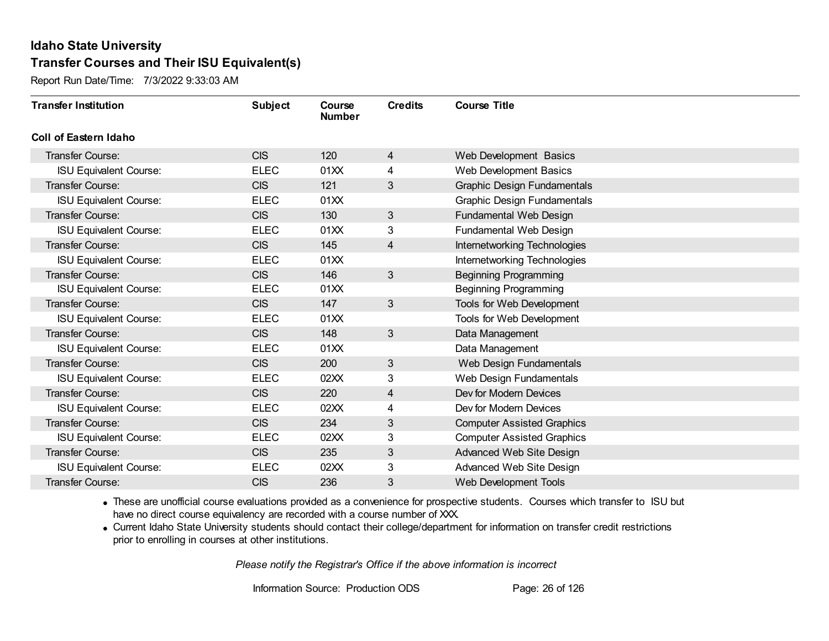Report Run Date/Time: 7/3/2022 9:33:03 AM

| <b>Transfer Institution</b>   | <b>Subject</b> | Course<br><b>Number</b> | <b>Credits</b> | <b>Course Title</b>                |
|-------------------------------|----------------|-------------------------|----------------|------------------------------------|
| Coll of Eastern Idaho         |                |                         |                |                                    |
| Transfer Course:              | <b>CIS</b>     | 120                     | $\overline{4}$ | Web Development Basics             |
| <b>ISU Equivalent Course:</b> | <b>ELEC</b>    | 01XX                    | 4              | Web Development Basics             |
| Transfer Course:              | <b>CIS</b>     | 121                     | $\mathbf{3}$   | <b>Graphic Design Fundamentals</b> |
| <b>ISU Equivalent Course:</b> | <b>ELEC</b>    | 01XX                    |                | Graphic Design Fundamentals        |
| <b>Transfer Course:</b>       | <b>CIS</b>     | 130                     | $\mathfrak{S}$ | Fundamental Web Design             |
| <b>ISU Equivalent Course:</b> | <b>ELEC</b>    | 01XX                    | 3              | Fundamental Web Design             |
| Transfer Course:              | <b>CIS</b>     | 145                     | 4              | Internetworking Technologies       |
| <b>ISU Equivalent Course:</b> | <b>ELEC</b>    | 01XX                    |                | Internetworking Technologies       |
| Transfer Course:              | <b>CIS</b>     | 146                     | $\mathfrak{S}$ | <b>Beginning Programming</b>       |
| <b>ISU Equivalent Course:</b> | <b>ELEC</b>    | 01XX                    |                | <b>Beginning Programming</b>       |
| Transfer Course:              | <b>CIS</b>     | 147                     | 3              | Tools for Web Development          |
| <b>ISU Equivalent Course:</b> | <b>ELEC</b>    | 01XX                    |                | Tools for Web Development          |
| Transfer Course:              | <b>CIS</b>     | 148                     | 3              | Data Management                    |
| <b>ISU Equivalent Course:</b> | <b>ELEC</b>    | 01XX                    |                | Data Management                    |
| Transfer Course:              | <b>CIS</b>     | 200                     | $\mathfrak{S}$ | Web Design Fundamentals            |
| <b>ISU Equivalent Course:</b> | <b>ELEC</b>    | 02XX                    | 3              | Web Design Fundamentals            |
| Transfer Course:              | <b>CIS</b>     | 220                     | 4              | Dev for Modern Devices             |
| <b>ISU Equivalent Course:</b> | <b>ELEC</b>    | 02XX                    | 4              | Dev for Modern Devices             |
| <b>Transfer Course:</b>       | <b>CIS</b>     | 234                     | 3              | <b>Computer Assisted Graphics</b>  |
| <b>ISU Equivalent Course:</b> | <b>ELEC</b>    | 02XX                    | 3              | <b>Computer Assisted Graphics</b>  |
| Transfer Course:              | <b>CIS</b>     | 235                     | $\mathfrak{S}$ | Advanced Web Site Design           |
| <b>ISU Equivalent Course:</b> | <b>ELEC</b>    | 02XX                    | 3              | Advanced Web Site Design           |
| Transfer Course:              | <b>CIS</b>     | 236                     | 3              | Web Development Tools              |

· These are unofficial course evaluations provided as a convenience for prospective students. Courses which transfer to ISU but have no direct course equivalency are recorded with a course number of XXX.

· Current Idaho State University students should contact their college/department for information on transfer credit restrictions prior to enrolling in courses at other institutions.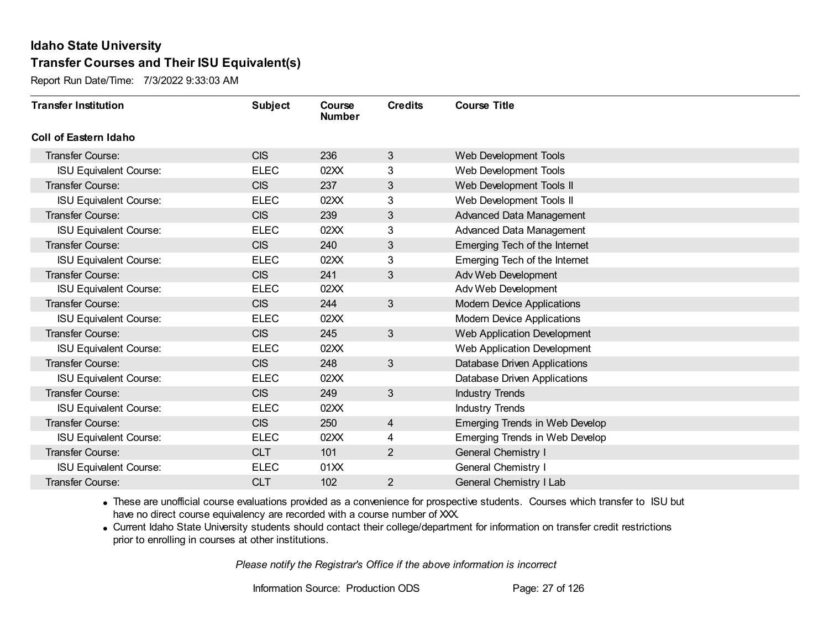Report Run Date/Time: 7/3/2022 9:33:03 AM

| <b>Transfer Institution</b>   | <b>Subject</b> | <b>Course</b><br><b>Number</b> | <b>Credits</b> | <b>Course Title</b>                   |
|-------------------------------|----------------|--------------------------------|----------------|---------------------------------------|
| Coll of Eastern Idaho         |                |                                |                |                                       |
| Transfer Course:              | <b>CIS</b>     | 236                            | 3              | Web Development Tools                 |
| <b>ISU Equivalent Course:</b> | <b>ELEC</b>    | 02XX                           | 3              | Web Development Tools                 |
| Transfer Course:              | <b>CIS</b>     | 237                            | 3              | Web Development Tools II              |
| <b>ISU Equivalent Course:</b> | <b>ELEC</b>    | 02XX                           | 3              | Web Development Tools II              |
| Transfer Course:              | <b>CIS</b>     | 239                            | 3              | Advanced Data Management              |
| <b>ISU Equivalent Course:</b> | <b>ELEC</b>    | 02XX                           | 3              | Advanced Data Management              |
| <b>Transfer Course:</b>       | <b>CIS</b>     | 240                            | 3              | Emerging Tech of the Internet         |
| <b>ISU Equivalent Course:</b> | <b>ELEC</b>    | 02XX                           | 3              | Emerging Tech of the Internet         |
| Transfer Course:              | <b>CIS</b>     | 241                            | 3              | Adv Web Development                   |
| <b>ISU Equivalent Course:</b> | <b>ELEC</b>    | 02XX                           |                | Adv Web Development                   |
| Transfer Course:              | <b>CIS</b>     | 244                            | 3              | <b>Modern Device Applications</b>     |
| <b>ISU Equivalent Course:</b> | <b>ELEC</b>    | 02XX                           |                | <b>Modern Device Applications</b>     |
| <b>Transfer Course:</b>       | <b>CIS</b>     | 245                            | 3              | Web Application Development           |
| <b>ISU Equivalent Course:</b> | <b>ELEC</b>    | 02XX                           |                | Web Application Development           |
| Transfer Course:              | <b>CIS</b>     | 248                            | 3              | Database Driven Applications          |
| <b>ISU Equivalent Course:</b> | <b>ELEC</b>    | 02XX                           |                | Database Driven Applications          |
| Transfer Course:              | <b>CIS</b>     | 249                            | 3              | <b>Industry Trends</b>                |
| <b>ISU Equivalent Course:</b> | <b>ELEC</b>    | 02XX                           |                | <b>Industry Trends</b>                |
| <b>Transfer Course:</b>       | <b>CIS</b>     | 250                            | 4              | Emerging Trends in Web Develop        |
| <b>ISU Equivalent Course:</b> | <b>ELEC</b>    | 02XX                           | 4              | <b>Emerging Trends in Web Develop</b> |
| Transfer Course:              | <b>CLT</b>     | 101                            | $\overline{2}$ | <b>General Chemistry I</b>            |
| <b>ISU Equivalent Course:</b> | <b>ELEC</b>    | 01XX                           |                | <b>General Chemistry I</b>            |
| Transfer Course:              | <b>CLT</b>     | 102                            | $\overline{2}$ | <b>General Chemistry I Lab</b>        |

· These are unofficial course evaluations provided as a convenience for prospective students. Courses which transfer to ISU but have no direct course equivalency are recorded with a course number of XXX.

· Current Idaho State University students should contact their college/department for information on transfer credit restrictions prior to enrolling in courses at other institutions.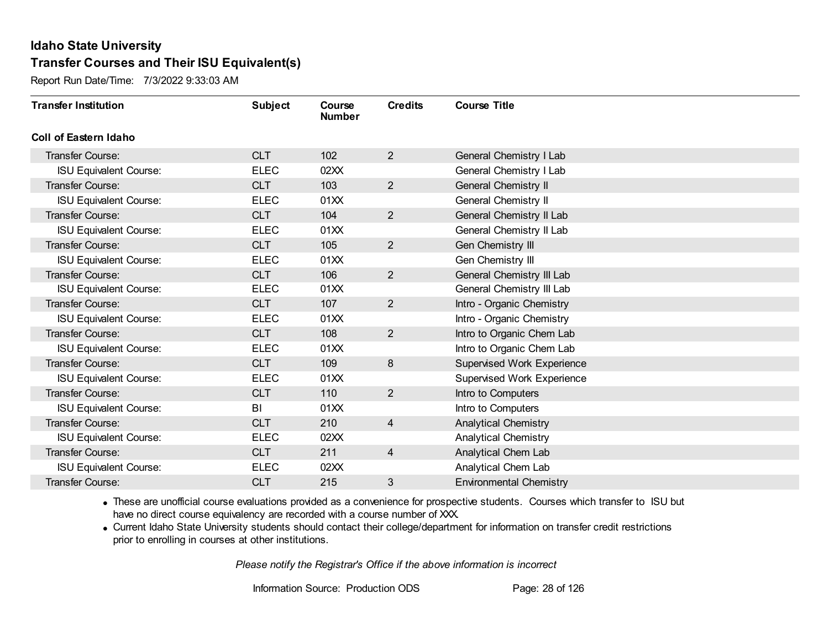Report Run Date/Time: 7/3/2022 9:33:03 AM

| <b>Transfer Institution</b>   | <b>Subject</b> | Course<br><b>Number</b> | <b>Credits</b> | <b>Course Title</b>               |
|-------------------------------|----------------|-------------------------|----------------|-----------------------------------|
| <b>Coll of Eastern Idaho</b>  |                |                         |                |                                   |
| Transfer Course:              | <b>CLT</b>     | 102                     | $\overline{2}$ | General Chemistry I Lab           |
| <b>ISU Equivalent Course:</b> | <b>ELEC</b>    | 02XX                    |                | General Chemistry I Lab           |
| Transfer Course:              | <b>CLT</b>     | 103                     | $\overline{2}$ | General Chemistry II              |
| <b>ISU Equivalent Course:</b> | <b>ELEC</b>    | 01XX                    |                | <b>General Chemistry II</b>       |
| <b>Transfer Course:</b>       | <b>CLT</b>     | 104                     | $\overline{2}$ | General Chemistry II Lab          |
| <b>ISU Equivalent Course:</b> | <b>ELEC</b>    | 01XX                    |                | General Chemistry II Lab          |
| Transfer Course:              | <b>CLT</b>     | 105                     | $\overline{2}$ | Gen Chemistry III                 |
| <b>ISU Equivalent Course:</b> | <b>ELEC</b>    | 01XX                    |                | Gen Chemistry III                 |
| Transfer Course:              | <b>CLT</b>     | 106                     | $\overline{2}$ | General Chemistry III Lab         |
| <b>ISU Equivalent Course:</b> | <b>ELEC</b>    | 01XX                    |                | General Chemistry III Lab         |
| <b>Transfer Course:</b>       | <b>CLT</b>     | 107                     | $\overline{2}$ | Intro - Organic Chemistry         |
| <b>ISU Equivalent Course:</b> | <b>ELEC</b>    | 01XX                    |                | Intro - Organic Chemistry         |
| Transfer Course:              | <b>CLT</b>     | 108                     | $\overline{2}$ | Intro to Organic Chem Lab         |
| <b>ISU Equivalent Course:</b> | <b>ELEC</b>    | 01XX                    |                | Intro to Organic Chem Lab         |
| Transfer Course:              | <b>CLT</b>     | 109                     | 8              | <b>Supervised Work Experience</b> |
| <b>ISU Equivalent Course:</b> | <b>ELEC</b>    | 01XX                    |                | <b>Supervised Work Experience</b> |
| Transfer Course:              | <b>CLT</b>     | 110                     | $\overline{2}$ | Intro to Computers                |
| <b>ISU Equivalent Course:</b> | BI             | 01XX                    |                | Intro to Computers                |
| Transfer Course:              | <b>CLT</b>     | 210                     | $\overline{4}$ | <b>Analytical Chemistry</b>       |
| <b>ISU Equivalent Course:</b> | <b>ELEC</b>    | 02XX                    |                | <b>Analytical Chemistry</b>       |
| Transfer Course:              | <b>CLT</b>     | 211                     | 4              | Analytical Chem Lab               |
| <b>ISU Equivalent Course:</b> | <b>ELEC</b>    | 02XX                    |                | Analytical Chem Lab               |
| Transfer Course:              | <b>CLT</b>     | 215                     | 3              | <b>Environmental Chemistry</b>    |

· These are unofficial course evaluations provided as a convenience for prospective students. Courses which transfer to ISU but have no direct course equivalency are recorded with a course number of XXX.

· Current Idaho State University students should contact their college/department for information on transfer credit restrictions prior to enrolling in courses at other institutions.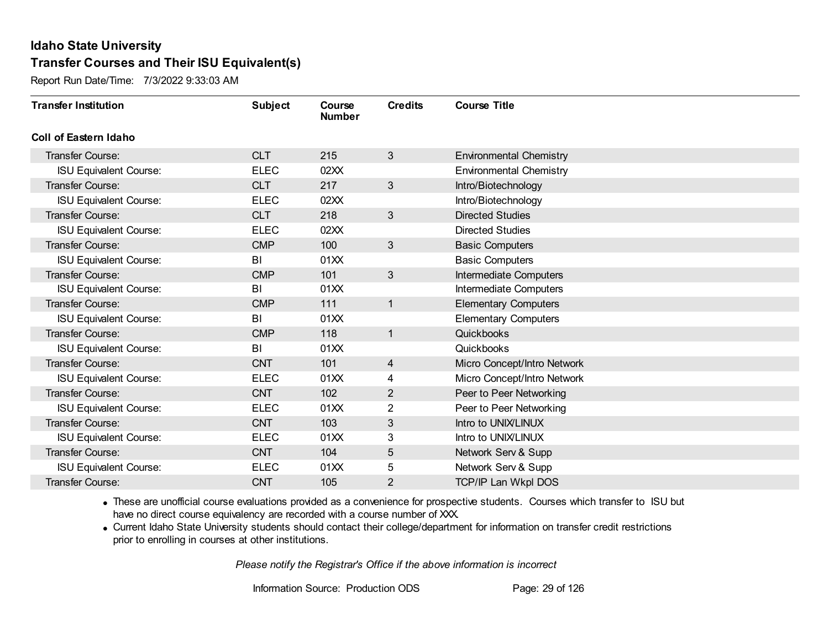Report Run Date/Time: 7/3/2022 9:33:03 AM

| <b>Transfer Institution</b>   | <b>Subject</b> | Course<br><b>Number</b> | <b>Credits</b> | <b>Course Title</b>            |
|-------------------------------|----------------|-------------------------|----------------|--------------------------------|
| Coll of Eastern Idaho         |                |                         |                |                                |
| Transfer Course:              | <b>CLT</b>     | 215                     | 3              | <b>Environmental Chemistry</b> |
| <b>ISU Equivalent Course:</b> | <b>ELEC</b>    | 02XX                    |                | <b>Environmental Chemistry</b> |
| Transfer Course:              | <b>CLT</b>     | 217                     | 3              | Intro/Biotechnology            |
| <b>ISU Equivalent Course:</b> | <b>ELEC</b>    | 02XX                    |                | Intro/Biotechnology            |
| <b>Transfer Course:</b>       | <b>CLT</b>     | 218                     | $\mathbf{3}$   | <b>Directed Studies</b>        |
| <b>ISU Equivalent Course:</b> | <b>ELEC</b>    | 02XX                    |                | <b>Directed Studies</b>        |
| Transfer Course:              | <b>CMP</b>     | 100                     | 3              | <b>Basic Computers</b>         |
| <b>ISU Equivalent Course:</b> | BI             | 01XX                    |                | <b>Basic Computers</b>         |
| <b>Transfer Course:</b>       | <b>CMP</b>     | 101                     | 3              | <b>Intermediate Computers</b>  |
| <b>ISU Equivalent Course:</b> | BI             | 01XX                    |                | Intermediate Computers         |
| <b>Transfer Course:</b>       | <b>CMP</b>     | 111                     | $\mathbf{1}$   | <b>Elementary Computers</b>    |
| <b>ISU Equivalent Course:</b> | BI             | 01XX                    |                | <b>Elementary Computers</b>    |
| Transfer Course:              | <b>CMP</b>     | 118                     | $\mathbf{1}$   | Quickbooks                     |
| <b>ISU Equivalent Course:</b> | BI             | 01XX                    |                | Quickbooks                     |
| Transfer Course:              | <b>CNT</b>     | 101                     | $\overline{4}$ | Micro Concept/Intro Network    |
| <b>ISU Equivalent Course:</b> | <b>ELEC</b>    | 01XX                    | 4              | Micro Concept/Intro Network    |
| Transfer Course:              | <b>CNT</b>     | 102                     | $\overline{2}$ | Peer to Peer Networking        |
| <b>ISU Equivalent Course:</b> | <b>ELEC</b>    | 01XX                    | 2              | Peer to Peer Networking        |
| <b>Transfer Course:</b>       | <b>CNT</b>     | 103                     | 3              | Intro to UNIX/LINUX            |
| <b>ISU Equivalent Course:</b> | <b>ELEC</b>    | 01XX                    | 3              | Intro to UNIX/LINUX            |
| <b>Transfer Course:</b>       | <b>CNT</b>     | 104                     | 5              | Network Serv & Supp            |
| <b>ISU Equivalent Course:</b> | <b>ELEC</b>    | 01XX                    | 5              | Network Serv & Supp            |
| Transfer Course:              | <b>CNT</b>     | 105                     | $\overline{2}$ | <b>TCP/IP Lan Wkpl DOS</b>     |

· These are unofficial course evaluations provided as a convenience for prospective students. Courses which transfer to ISU but have no direct course equivalency are recorded with a course number of XXX.

· Current Idaho State University students should contact their college/department for information on transfer credit restrictions prior to enrolling in courses at other institutions.

*Please notify the Registrar's Office if the above information is incorrect*

Information Source: Production ODS Page: 29 of 126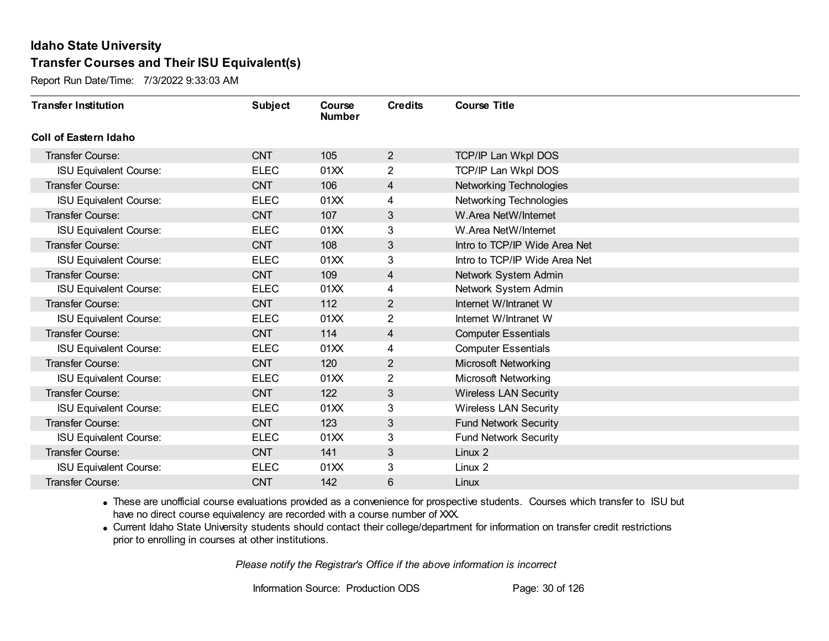Report Run Date/Time: 7/3/2022 9:33:03 AM

| <b>Transfer Institution</b>   | <b>Subject</b> | Course<br><b>Number</b> | <b>Credits</b> | <b>Course Title</b>           |
|-------------------------------|----------------|-------------------------|----------------|-------------------------------|
| Coll of Eastern Idaho         |                |                         |                |                               |
| Transfer Course:              | <b>CNT</b>     | 105                     | $\overline{2}$ | TCP/IP Lan Wkpl DOS           |
| <b>ISU Equivalent Course:</b> | <b>ELEC</b>    | 01XX                    | 2              | <b>TCP/IP Lan Wkpl DOS</b>    |
| Transfer Course:              | <b>CNT</b>     | 106                     | 4              | Networking Technologies       |
| <b>ISU Equivalent Course:</b> | <b>ELEC</b>    | 01XX                    | 4              | Networking Technologies       |
| <b>Transfer Course:</b>       | <b>CNT</b>     | 107                     | 3              | W.Area NetW/Internet          |
| <b>ISU Equivalent Course:</b> | <b>ELEC</b>    | 01XX                    | 3              | W.Area NetW/Internet          |
| Transfer Course:              | <b>CNT</b>     | 108                     | $\sqrt{3}$     | Intro to TCP/IP Wide Area Net |
| <b>ISU Equivalent Course:</b> | <b>ELEC</b>    | 01XX                    | 3              | Intro to TCP/IP Wide Area Net |
| Transfer Course:              | <b>CNT</b>     | 109                     | 4              | Network System Admin          |
| <b>ISU Equivalent Course:</b> | <b>ELEC</b>    | 01XX                    | 4              | Network System Admin          |
| <b>Transfer Course:</b>       | <b>CNT</b>     | 112                     | $\overline{2}$ | Internet W/Intranet W         |
| <b>ISU Equivalent Course:</b> | <b>ELEC</b>    | 01XX                    | 2              | Internet W/Intranet W         |
| Transfer Course:              | <b>CNT</b>     | 114                     | 4              | <b>Computer Essentials</b>    |
| <b>ISU Equivalent Course:</b> | <b>ELEC</b>    | 01XX                    | 4              | <b>Computer Essentials</b>    |
| Transfer Course:              | <b>CNT</b>     | 120                     | $\overline{2}$ | Microsoft Networking          |
| <b>ISU Equivalent Course:</b> | <b>ELEC</b>    | 01XX                    | 2              | Microsoft Networking          |
| Transfer Course:              | <b>CNT</b>     | 122                     | 3              | <b>Wireless LAN Security</b>  |
| <b>ISU Equivalent Course:</b> | <b>ELEC</b>    | 01XX                    | 3              | <b>Wireless LAN Security</b>  |
| Transfer Course:              | <b>CNT</b>     | 123                     | 3              | <b>Fund Network Security</b>  |
| <b>ISU Equivalent Course:</b> | <b>ELEC</b>    | 01XX                    | 3              | <b>Fund Network Security</b>  |
| <b>Transfer Course:</b>       | <b>CNT</b>     | 141                     | 3              | Linux 2                       |
| <b>ISU Equivalent Course:</b> | <b>ELEC</b>    | 01XX                    | 3              | Linux 2                       |
| Transfer Course:              | <b>CNT</b>     | 142                     | 6              | Linux                         |

· These are unofficial course evaluations provided as a convenience for prospective students. Courses which transfer to ISU but have no direct course equivalency are recorded with a course number of XXX.

· Current Idaho State University students should contact their college/department for information on transfer credit restrictions prior to enrolling in courses at other institutions.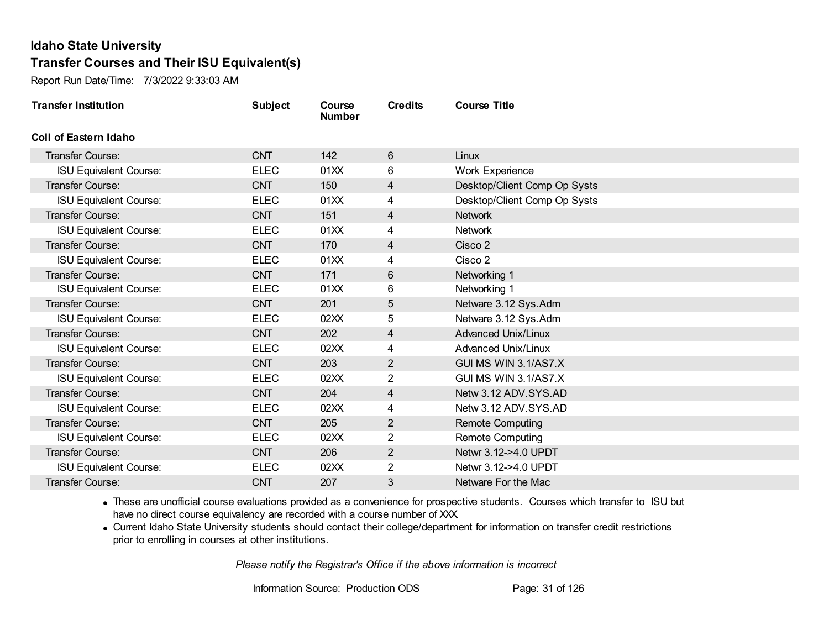Report Run Date/Time: 7/3/2022 9:33:03 AM

| <b>Transfer Institution</b>   | <b>Subject</b> | Course<br><b>Number</b> | <b>Credits</b> | <b>Course Title</b>          |
|-------------------------------|----------------|-------------------------|----------------|------------------------------|
| <b>Coll of Eastern Idaho</b>  |                |                         |                |                              |
| <b>Transfer Course:</b>       | <b>CNT</b>     | 142                     | 6              | Linux                        |
| <b>ISU Equivalent Course:</b> | <b>ELEC</b>    | 01XX                    | 6              | Work Experience              |
| <b>Transfer Course:</b>       | <b>CNT</b>     | 150                     | 4              | Desktop/Client Comp Op Systs |
| <b>ISU Equivalent Course:</b> | <b>ELEC</b>    | 01XX                    | 4              | Desktop/Client Comp Op Systs |
| <b>Transfer Course:</b>       | <b>CNT</b>     | 151                     | 4              | <b>Network</b>               |
| <b>ISU Equivalent Course:</b> | <b>ELEC</b>    | 01XX                    | 4              | <b>Network</b>               |
| <b>Transfer Course:</b>       | <b>CNT</b>     | 170                     | 4              | Cisco 2                      |
| <b>ISU Equivalent Course:</b> | <b>ELEC</b>    | 01XX                    | 4              | Cisco 2                      |
| <b>Transfer Course:</b>       | <b>CNT</b>     | 171                     | $6\,$          | Networking 1                 |
| <b>ISU Equivalent Course:</b> | <b>ELEC</b>    | 01XX                    | 6              | Networking 1                 |
| Transfer Course:              | <b>CNT</b>     | 201                     | 5              | Netware 3.12 Sys.Adm         |
| <b>ISU Equivalent Course:</b> | <b>ELEC</b>    | 02XX                    | 5              | Netware 3.12 Sys.Adm         |
| <b>Transfer Course:</b>       | <b>CNT</b>     | 202                     | 4              | <b>Advanced Unix/Linux</b>   |
| <b>ISU Equivalent Course:</b> | <b>ELEC</b>    | 02XX                    | 4              | <b>Advanced Unix/Linux</b>   |
| Transfer Course:              | <b>CNT</b>     | 203                     | $\overline{2}$ | GUI MS WIN 3.1/AS7.X         |
| <b>ISU Equivalent Course:</b> | <b>ELEC</b>    | 02XX                    | $\overline{2}$ | GUI MS WIN 3.1/AS7.X         |
| <b>Transfer Course:</b>       | <b>CNT</b>     | 204                     | 4              | Netw 3.12 ADV.SYS.AD         |
| <b>ISU Equivalent Course:</b> | <b>ELEC</b>    | 02XX                    | 4              | Netw 3.12 ADV.SYS.AD         |
| Transfer Course:              | <b>CNT</b>     | 205                     | $\overline{2}$ | <b>Remote Computing</b>      |
| <b>ISU Equivalent Course:</b> | <b>ELEC</b>    | 02XX                    | $\overline{2}$ | <b>Remote Computing</b>      |
| <b>Transfer Course:</b>       | <b>CNT</b>     | 206                     | $\overline{2}$ | Netwr 3.12->4.0 UPDT         |
| <b>ISU Equivalent Course:</b> | <b>ELEC</b>    | 02XX                    | $\overline{2}$ | Netwr 3.12->4.0 UPDT         |
| Transfer Course:              | <b>CNT</b>     | 207                     | 3              | Netware For the Mac          |

· These are unofficial course evaluations provided as a convenience for prospective students. Courses which transfer to ISU but have no direct course equivalency are recorded with a course number of XXX.

· Current Idaho State University students should contact their college/department for information on transfer credit restrictions prior to enrolling in courses at other institutions.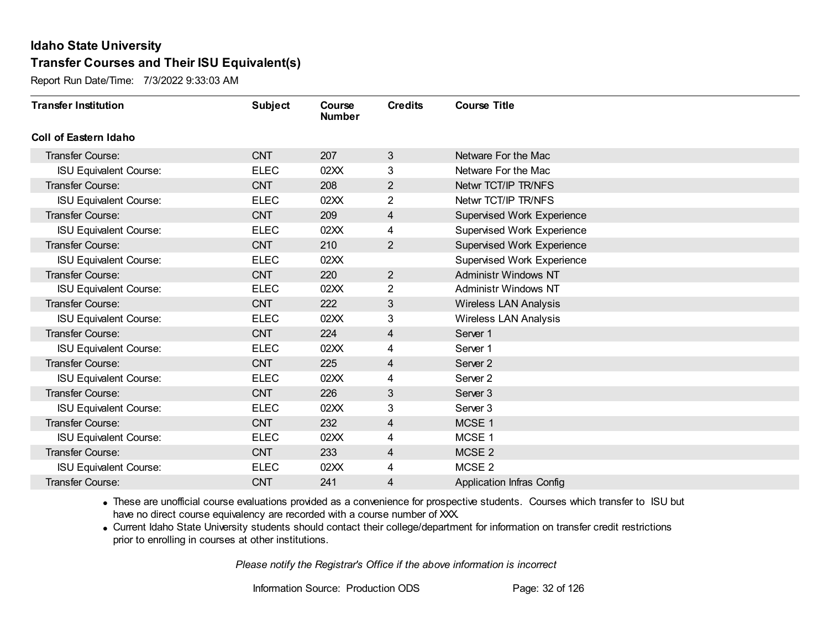Report Run Date/Time: 7/3/2022 9:33:03 AM

| <b>Transfer Institution</b>   | <b>Subject</b> | Course<br><b>Number</b> | <b>Credits</b> | <b>Course Title</b>              |
|-------------------------------|----------------|-------------------------|----------------|----------------------------------|
| Coll of Eastern Idaho         |                |                         |                |                                  |
| Transfer Course:              | <b>CNT</b>     | 207                     | 3              | Netware For the Mac              |
| <b>ISU Equivalent Course:</b> | <b>ELEC</b>    | 02XX                    | 3              | Netware For the Mac              |
| Transfer Course:              | <b>CNT</b>     | 208                     | $\overline{2}$ | Netwr TCT/IP TR/NFS              |
| <b>ISU Equivalent Course:</b> | <b>ELEC</b>    | 02XX                    | $\overline{2}$ | Netwr TCT/IP TR/NFS              |
| <b>Transfer Course:</b>       | <b>CNT</b>     | 209                     | 4              | Supervised Work Experience       |
| <b>ISU Equivalent Course:</b> | <b>ELEC</b>    | 02XX                    | 4              | Supervised Work Experience       |
| Transfer Course:              | <b>CNT</b>     | 210                     | $\overline{2}$ | Supervised Work Experience       |
| <b>ISU Equivalent Course:</b> | <b>ELEC</b>    | 02XX                    |                | Supervised Work Experience       |
| <b>Transfer Course:</b>       | <b>CNT</b>     | 220                     | $\overline{2}$ | <b>Administr Windows NT</b>      |
| <b>ISU Equivalent Course:</b> | <b>ELEC</b>    | 02XX                    | $\overline{2}$ | <b>Administr Windows NT</b>      |
| Transfer Course:              | <b>CNT</b>     | 222                     | 3              | <b>Wireless LAN Analysis</b>     |
| <b>ISU Equivalent Course:</b> | <b>ELEC</b>    | 02XX                    | 3              | <b>Wireless LAN Analysis</b>     |
| Transfer Course:              | <b>CNT</b>     | 224                     | 4              | Server 1                         |
| <b>ISU Equivalent Course:</b> | <b>ELEC</b>    | 02XX                    | 4              | Server 1                         |
| <b>Transfer Course:</b>       | <b>CNT</b>     | 225                     | 4              | Server <sub>2</sub>              |
| <b>ISU Equivalent Course:</b> | <b>ELEC</b>    | 02XX                    | 4              | Server <sub>2</sub>              |
| Transfer Course:              | <b>CNT</b>     | 226                     | 3              | Server <sub>3</sub>              |
| <b>ISU Equivalent Course:</b> | <b>ELEC</b>    | 02XX                    | 3              | Server <sub>3</sub>              |
| Transfer Course:              | <b>CNT</b>     | 232                     | 4              | MCSE 1                           |
| <b>ISU Equivalent Course:</b> | <b>ELEC</b>    | 02XX                    | 4              | MCSE 1                           |
| <b>Transfer Course:</b>       | <b>CNT</b>     | 233                     | 4              | MCSE <sub>2</sub>                |
| <b>ISU Equivalent Course:</b> | <b>ELEC</b>    | 02XX                    | 4              | MCSE <sub>2</sub>                |
| Transfer Course:              | <b>CNT</b>     | 241                     | 4              | <b>Application Infras Config</b> |

· These are unofficial course evaluations provided as a convenience for prospective students. Courses which transfer to ISU but have no direct course equivalency are recorded with a course number of XXX.

· Current Idaho State University students should contact their college/department for information on transfer credit restrictions prior to enrolling in courses at other institutions.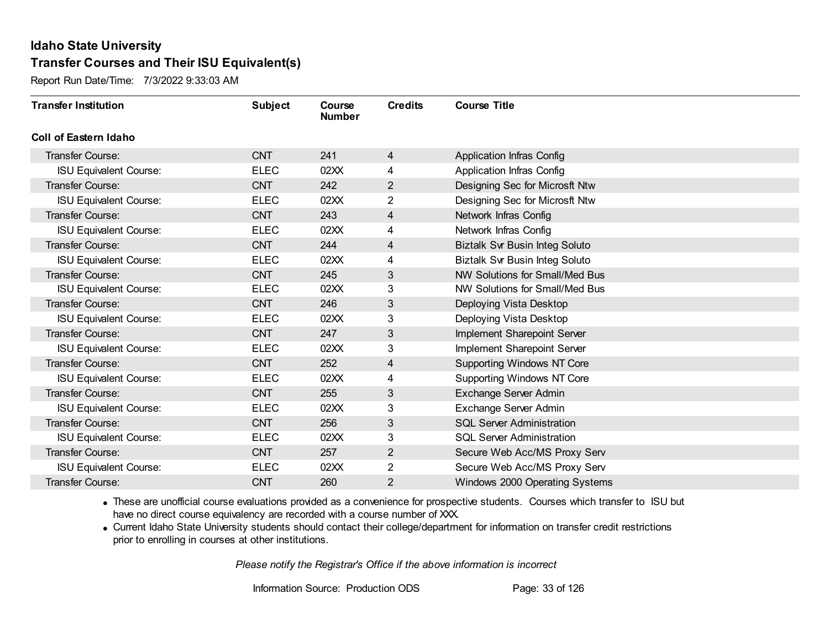Report Run Date/Time: 7/3/2022 9:33:03 AM

| <b>Transfer Institution</b>   | <b>Subject</b> | Course<br><b>Number</b> | <b>Credits</b> | <b>Course Title</b>                   |
|-------------------------------|----------------|-------------------------|----------------|---------------------------------------|
| <b>Coll of Eastern Idaho</b>  |                |                         |                |                                       |
| Transfer Course:              | <b>CNT</b>     | 241                     | 4              | Application Infras Config             |
| <b>ISU Equivalent Course:</b> | <b>ELEC</b>    | 02XX                    | 4              | Application Infras Config             |
| Transfer Course:              | <b>CNT</b>     | 242                     | $\overline{2}$ | Designing Sec for Microsft Ntw        |
| <b>ISU Equivalent Course:</b> | <b>ELEC</b>    | 02XX                    | $\overline{2}$ | Designing Sec for Microsft Ntw        |
| Transfer Course:              | <b>CNT</b>     | 243                     | 4              | Network Infras Config                 |
| <b>ISU Equivalent Course:</b> | <b>ELEC</b>    | 02XX                    | 4              | Network Infras Config                 |
| Transfer Course:              | <b>CNT</b>     | 244                     | 4              | <b>Biztalk Svr Busin Integ Soluto</b> |
| <b>ISU Equivalent Course:</b> | <b>ELEC</b>    | 02XX                    | 4              | <b>Biztalk Svr Busin Integ Soluto</b> |
| Transfer Course:              | <b>CNT</b>     | 245                     | $\mathfrak{S}$ | NW Solutions for Small/Med Bus        |
| <b>ISU Equivalent Course:</b> | <b>ELEC</b>    | 02XX                    | 3              | NW Solutions for Small/Med Bus        |
| Transfer Course:              | <b>CNT</b>     | 246                     | 3              | Deploying Vista Desktop               |
| <b>ISU Equivalent Course:</b> | <b>ELEC</b>    | 02XX                    | 3              | Deploying Vista Desktop               |
| Transfer Course:              | <b>CNT</b>     | 247                     | 3              | Implement Sharepoint Server           |
| <b>ISU Equivalent Course:</b> | <b>ELEC</b>    | 02XX                    | 3              | Implement Sharepoint Server           |
| Transfer Course:              | <b>CNT</b>     | 252                     | 4              | <b>Supporting Windows NT Core</b>     |
| <b>ISU Equivalent Course:</b> | <b>ELEC</b>    | 02XX                    | 4              | Supporting Windows NT Core            |
| Transfer Course:              | <b>CNT</b>     | 255                     | $\mathfrak{S}$ | Exchange Server Admin                 |
| <b>ISU Equivalent Course:</b> | <b>ELEC</b>    | 02XX                    | 3              | Exchange Server Admin                 |
| Transfer Course:              | <b>CNT</b>     | 256                     | $\sqrt{3}$     | <b>SQL Server Administration</b>      |
| <b>ISU Equivalent Course:</b> | <b>ELEC</b>    | 02XX                    | 3              | <b>SQL Server Administration</b>      |
| Transfer Course:              | <b>CNT</b>     | 257                     | $\overline{2}$ | Secure Web Acc/MS Proxy Serv          |
| <b>ISU Equivalent Course:</b> | <b>ELEC</b>    | 02XX                    | 2              | Secure Web Acc/MS Proxy Serv          |
| Transfer Course:              | <b>CNT</b>     | 260                     | 2              | Windows 2000 Operating Systems        |

· These are unofficial course evaluations provided as a convenience for prospective students. Courses which transfer to ISU but have no direct course equivalency are recorded with a course number of XXX.

· Current Idaho State University students should contact their college/department for information on transfer credit restrictions prior to enrolling in courses at other institutions.

*Please notify the Registrar's Office if the above information is incorrect*

Information Source: Production ODS Page: 33 of 126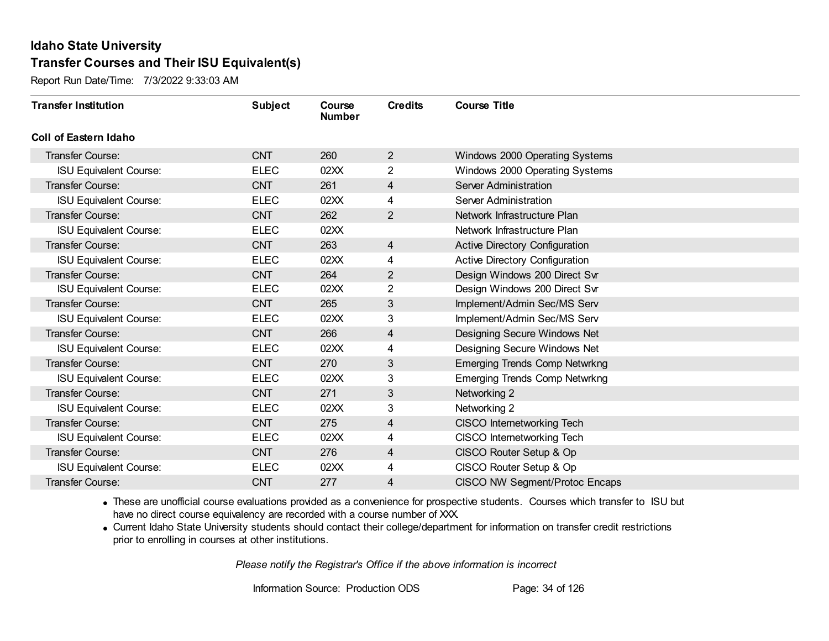Report Run Date/Time: 7/3/2022 9:33:03 AM

| <b>Transfer Institution</b>   | <b>Subject</b> | Course<br><b>Number</b> | <b>Credits</b> | <b>Course Title</b>                   |
|-------------------------------|----------------|-------------------------|----------------|---------------------------------------|
| <b>Coll of Eastern Idaho</b>  |                |                         |                |                                       |
| <b>Transfer Course:</b>       | <b>CNT</b>     | 260                     | $\overline{2}$ | Windows 2000 Operating Systems        |
| <b>ISU Equivalent Course:</b> | <b>ELEC</b>    | 02XX                    | $\overline{2}$ | Windows 2000 Operating Systems        |
| <b>Transfer Course:</b>       | <b>CNT</b>     | 261                     | 4              | Server Administration                 |
| <b>ISU Equivalent Course:</b> | <b>ELEC</b>    | 02XX                    | 4              | Server Administration                 |
| <b>Transfer Course:</b>       | <b>CNT</b>     | 262                     | $\overline{2}$ | Network Infrastructure Plan           |
| <b>ISU Equivalent Course:</b> | <b>ELEC</b>    | 02XX                    |                | Network Infrastructure Plan           |
| <b>Transfer Course:</b>       | <b>CNT</b>     | 263                     | 4              | Active Directory Configuration        |
| <b>ISU Equivalent Course:</b> | <b>ELEC</b>    | 02XX                    | 4              | Active Directory Configuration        |
| <b>Transfer Course:</b>       | <b>CNT</b>     | 264                     | $\overline{2}$ | Design Windows 200 Direct Svr         |
| <b>ISU Equivalent Course:</b> | <b>ELEC</b>    | 02XX                    | $\overline{2}$ | Design Windows 200 Direct Svr         |
| <b>Transfer Course:</b>       | <b>CNT</b>     | 265                     | 3              | Implement/Admin Sec/MS Serv           |
| <b>ISU Equivalent Course:</b> | <b>ELEC</b>    | 02XX                    | 3              | Implement/Admin Sec/MS Serv           |
| <b>Transfer Course:</b>       | <b>CNT</b>     | 266                     | 4              | Designing Secure Windows Net          |
| <b>ISU Equivalent Course:</b> | <b>ELEC</b>    | 02XX                    | 4              | Designing Secure Windows Net          |
| Transfer Course:              | <b>CNT</b>     | 270                     | 3              | <b>Emerging Trends Comp Netwrkng</b>  |
| <b>ISU Equivalent Course:</b> | <b>ELEC</b>    | 02XX                    | 3              | <b>Emerging Trends Comp Netwrkng</b>  |
| <b>Transfer Course:</b>       | <b>CNT</b>     | 271                     | 3              | Networking 2                          |
| <b>ISU Equivalent Course:</b> | <b>ELEC</b>    | 02XX                    | 3              | Networking 2                          |
| <b>Transfer Course:</b>       | <b>CNT</b>     | 275                     | 4              | CISCO Internetworking Tech            |
| <b>ISU Equivalent Course:</b> | <b>ELEC</b>    | 02XX                    | 4              | CISCO Internetworking Tech            |
| <b>Transfer Course:</b>       | <b>CNT</b>     | 276                     | 4              | CISCO Router Setup & Op               |
| <b>ISU Equivalent Course:</b> | <b>ELEC</b>    | 02XX                    | 4              | CISCO Router Setup & Op               |
| Transfer Course:              | <b>CNT</b>     | 277                     | 4              | <b>CISCO NW Segment/Protoc Encaps</b> |

· These are unofficial course evaluations provided as a convenience for prospective students. Courses which transfer to ISU but have no direct course equivalency are recorded with a course number of XXX.

· Current Idaho State University students should contact their college/department for information on transfer credit restrictions prior to enrolling in courses at other institutions.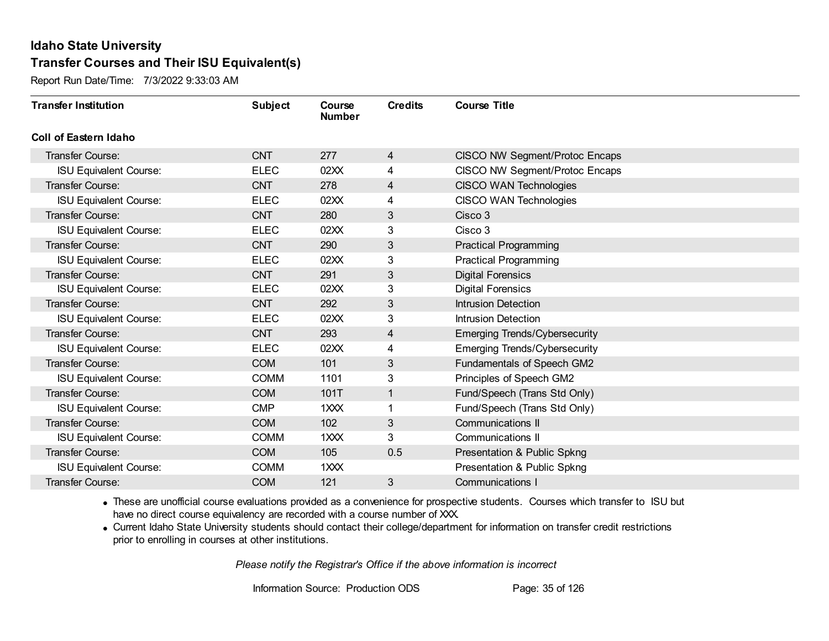Report Run Date/Time: 7/3/2022 9:33:03 AM

| <b>Transfer Institution</b>   | <b>Subject</b> | Course<br><b>Number</b> | <b>Credits</b> | <b>Course Title</b>                  |
|-------------------------------|----------------|-------------------------|----------------|--------------------------------------|
| Coll of Eastern Idaho         |                |                         |                |                                      |
| Transfer Course:              | <b>CNT</b>     | 277                     | 4              | CISCO NW Segment/Protoc Encaps       |
| <b>ISU Equivalent Course:</b> | <b>ELEC</b>    | 02XX                    | 4              | CISCO NW Segment/Protoc Encaps       |
| <b>Transfer Course:</b>       | <b>CNT</b>     | 278                     | 4              | <b>CISCO WAN Technologies</b>        |
| <b>ISU Equivalent Course:</b> | <b>ELEC</b>    | 02XX                    | 4              | <b>CISCO WAN Technologies</b>        |
| <b>Transfer Course:</b>       | <b>CNT</b>     | 280                     | $\mathfrak{S}$ | Cisco 3                              |
| <b>ISU Equivalent Course:</b> | <b>ELEC</b>    | 02XX                    | 3              | Cisco 3                              |
| <b>Transfer Course:</b>       | <b>CNT</b>     | 290                     | 3              | <b>Practical Programming</b>         |
| <b>ISU Equivalent Course:</b> | <b>ELEC</b>    | 02XX                    | 3              | <b>Practical Programming</b>         |
| <b>Transfer Course:</b>       | <b>CNT</b>     | 291                     | 3              | <b>Digital Forensics</b>             |
| <b>ISU Equivalent Course:</b> | <b>ELEC</b>    | 02XX                    | 3              | <b>Digital Forensics</b>             |
| <b>Transfer Course:</b>       | <b>CNT</b>     | 292                     | 3              | <b>Intrusion Detection</b>           |
| <b>ISU Equivalent Course:</b> | <b>ELEC</b>    | 02XX                    | 3              | <b>Intrusion Detection</b>           |
| <b>Transfer Course:</b>       | <b>CNT</b>     | 293                     | 4              | <b>Emerging Trends/Cybersecurity</b> |
| <b>ISU Equivalent Course:</b> | <b>ELEC</b>    | 02XX                    | 4              | <b>Emerging Trends/Cybersecurity</b> |
| Transfer Course:              | <b>COM</b>     | 101                     | $\mathfrak{S}$ | Fundamentals of Speech GM2           |
| <b>ISU Equivalent Course:</b> | <b>COMM</b>    | 1101                    | 3              | Principles of Speech GM2             |
| <b>Transfer Course:</b>       | <b>COM</b>     | 101T                    | $\mathbf{1}$   | Fund/Speech (Trans Std Only)         |
| <b>ISU Equivalent Course:</b> | <b>CMP</b>     | 1XXX                    |                | Fund/Speech (Trans Std Only)         |
| <b>Transfer Course:</b>       | <b>COM</b>     | 102                     | 3              | Communications II                    |
| <b>ISU Equivalent Course:</b> | <b>COMM</b>    | 1XXX                    | 3              | Communications II                    |
| <b>Transfer Course:</b>       | <b>COM</b>     | 105                     | 0.5            | Presentation & Public Spkng          |
| <b>ISU Equivalent Course:</b> | <b>COMM</b>    | 1 <sub>XX</sub>         |                | Presentation & Public Spkng          |
| <b>Transfer Course:</b>       | <b>COM</b>     | 121                     | 3              | <b>Communications I</b>              |

· These are unofficial course evaluations provided as a convenience for prospective students. Courses which transfer to ISU but have no direct course equivalency are recorded with a course number of XXX.

· Current Idaho State University students should contact their college/department for information on transfer credit restrictions prior to enrolling in courses at other institutions.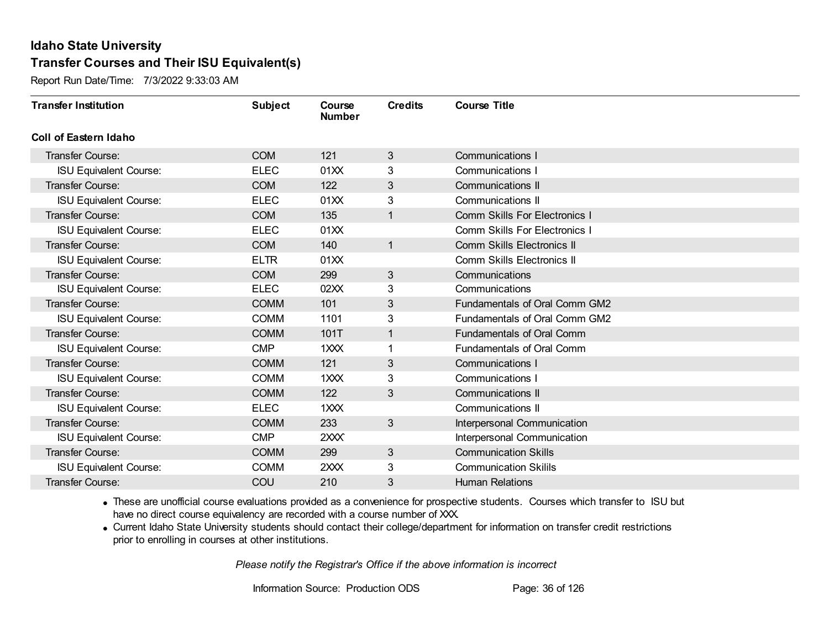Report Run Date/Time: 7/3/2022 9:33:03 AM

| <b>Transfer Institution</b>   | <b>Subject</b> | Course<br><b>Number</b> | <b>Credits</b> | <b>Course Title</b>                  |
|-------------------------------|----------------|-------------------------|----------------|--------------------------------------|
| Coll of Eastern Idaho         |                |                         |                |                                      |
| Transfer Course:              | <b>COM</b>     | 121                     | 3              | <b>Communications I</b>              |
| <b>ISU Equivalent Course:</b> | <b>ELEC</b>    | 01XX                    | 3              | Communications I                     |
| <b>Transfer Course:</b>       | <b>COM</b>     | 122                     | $\mathfrak{S}$ | <b>Communications II</b>             |
| <b>ISU Equivalent Course:</b> | <b>ELEC</b>    | 01XX                    | 3              | <b>Communications II</b>             |
| <b>Transfer Course:</b>       | <b>COM</b>     | 135                     | $\mathbf{1}$   | <b>Comm Skills For Electronics I</b> |
| <b>ISU Equivalent Course:</b> | <b>ELEC</b>    | 01XX                    |                | <b>Comm Skills For Electronics I</b> |
| <b>Transfer Course:</b>       | <b>COM</b>     | 140                     | $\mathbf{1}$   | Comm Skills Electronics II           |
| <b>ISU Equivalent Course:</b> | <b>ELTR</b>    | 01XX                    |                | Comm Skills Electronics II           |
| <b>Transfer Course:</b>       | <b>COM</b>     | 299                     | 3              | Communications                       |
| <b>ISU Equivalent Course:</b> | <b>ELEC</b>    | 02XX                    | 3              | Communications                       |
| <b>Transfer Course:</b>       | <b>COMM</b>    | 101                     | 3              | Fundamentals of Oral Comm GM2        |
| <b>ISU Equivalent Course:</b> | <b>COMM</b>    | 1101                    | 3              | Fundamentals of Oral Comm GM2        |
| <b>Transfer Course:</b>       | <b>COMM</b>    | 101T                    |                | <b>Fundamentals of Oral Comm</b>     |
| <b>ISU Equivalent Course:</b> | <b>CMP</b>     | 1XXX                    |                | <b>Fundamentals of Oral Comm</b>     |
| <b>Transfer Course:</b>       | <b>COMM</b>    | 121                     | 3              | Communications I                     |
| <b>ISU Equivalent Course:</b> | <b>COMM</b>    | 1XXX                    | 3              | Communications I                     |
| <b>Transfer Course:</b>       | <b>COMM</b>    | 122                     | 3              | <b>Communications II</b>             |
| <b>ISU Equivalent Course:</b> | <b>ELEC</b>    | 1XXX                    |                | Communications II                    |
| <b>Transfer Course:</b>       | <b>COMM</b>    | 233                     | $\mathbf{3}$   | Interpersonal Communication          |
| <b>ISU Equivalent Course:</b> | <b>CMP</b>     | 2XXX                    |                | Interpersonal Communication          |
| <b>Transfer Course:</b>       | <b>COMM</b>    | 299                     | $\sqrt{3}$     | <b>Communication Skills</b>          |
| <b>ISU Equivalent Course:</b> | <b>COMM</b>    | 2XXX                    | 3              | <b>Communication Skilils</b>         |
| Transfer Course:              | COU            | 210                     | 3              | <b>Human Relations</b>               |

· These are unofficial course evaluations provided as a convenience for prospective students. Courses which transfer to ISU but have no direct course equivalency are recorded with a course number of XXX.

· Current Idaho State University students should contact their college/department for information on transfer credit restrictions prior to enrolling in courses at other institutions.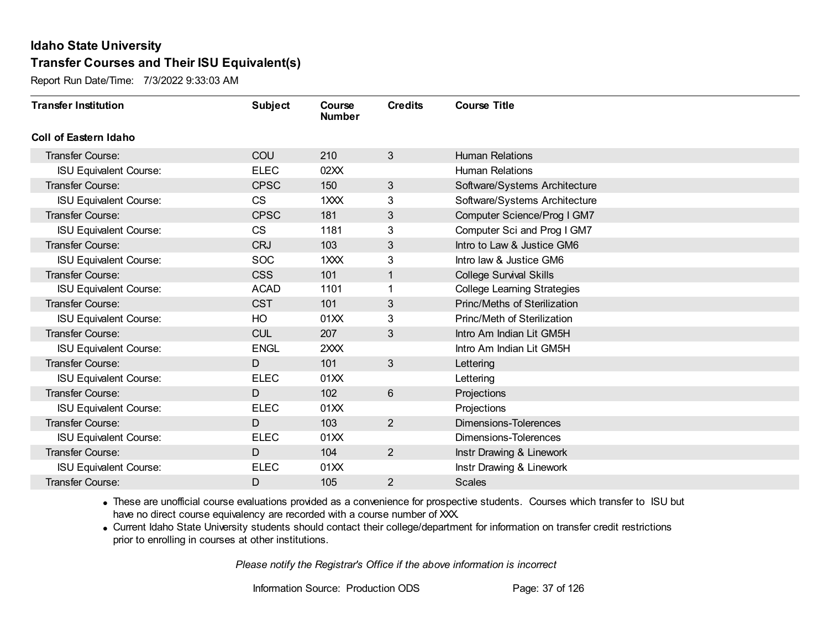Report Run Date/Time: 7/3/2022 9:33:03 AM

| <b>Transfer Institution</b>   | <b>Subject</b> | Course<br><b>Number</b> | <b>Credits</b>  | <b>Course Title</b>                |
|-------------------------------|----------------|-------------------------|-----------------|------------------------------------|
| Coll of Eastern Idaho         |                |                         |                 |                                    |
| Transfer Course:              | COU            | 210                     | $3\overline{3}$ | <b>Human Relations</b>             |
| <b>ISU Equivalent Course:</b> | <b>ELEC</b>    | 02XX                    |                 | <b>Human Relations</b>             |
| Transfer Course:              | <b>CPSC</b>    | 150                     | 3               | Software/Systems Architecture      |
| <b>ISU Equivalent Course:</b> | <b>CS</b>      | 1XXX                    | 3               | Software/Systems Architecture      |
| <b>Transfer Course:</b>       | <b>CPSC</b>    | 181                     | 3               | Computer Science/Prog I GM7        |
| <b>ISU Equivalent Course:</b> | <b>CS</b>      | 1181                    | 3               | Computer Sci and Prog I GM7        |
| <b>Transfer Course:</b>       | <b>CRJ</b>     | 103                     | 3               | Intro to Law & Justice GM6         |
| <b>ISU Equivalent Course:</b> | <b>SOC</b>     | 1XXX                    | 3               | Intro law & Justice GM6            |
| <b>Transfer Course:</b>       | <b>CSS</b>     | 101                     | 1               | <b>College Survival Skills</b>     |
| <b>ISU Equivalent Course:</b> | <b>ACAD</b>    | 1101                    | 1               | <b>College Learning Strategies</b> |
| <b>Transfer Course:</b>       | <b>CST</b>     | 101                     | 3               | Princ/Meths of Sterilization       |
| <b>ISU Equivalent Course:</b> | HO             | 01XX                    | 3               | Princ/Meth of Sterilization        |
| Transfer Course:              | <b>CUL</b>     | 207                     | 3               | Intro Am Indian Lit GM5H           |
| <b>ISU Equivalent Course:</b> | <b>ENGL</b>    | 2XXX                    |                 | Intro Am Indian Lit GM5H           |
| Transfer Course:              | D              | 101                     | 3               | Lettering                          |
| <b>ISU Equivalent Course:</b> | <b>ELEC</b>    | 01XX                    |                 | Lettering                          |
| Transfer Course:              | D              | 102                     | 6               | Projections                        |
| <b>ISU Equivalent Course:</b> | <b>ELEC</b>    | 01XX                    |                 | Projections                        |
| Transfer Course:              | D              | 103                     | $\overline{2}$  | <b>Dimensions-Tolerences</b>       |
| <b>ISU Equivalent Course:</b> | <b>ELEC</b>    | 01XX                    |                 | Dimensions-Tolerences              |
| <b>Transfer Course:</b>       | D              | 104                     | $\overline{2}$  | Instr Drawing & Linework           |
| <b>ISU Equivalent Course:</b> | <b>ELEC</b>    | 01XX                    |                 | Instr Drawing & Linework           |
| Transfer Course:              | D              | 105                     | $\overline{2}$  | <b>Scales</b>                      |

· These are unofficial course evaluations provided as a convenience for prospective students. Courses which transfer to ISU but have no direct course equivalency are recorded with a course number of XXX.

· Current Idaho State University students should contact their college/department for information on transfer credit restrictions prior to enrolling in courses at other institutions.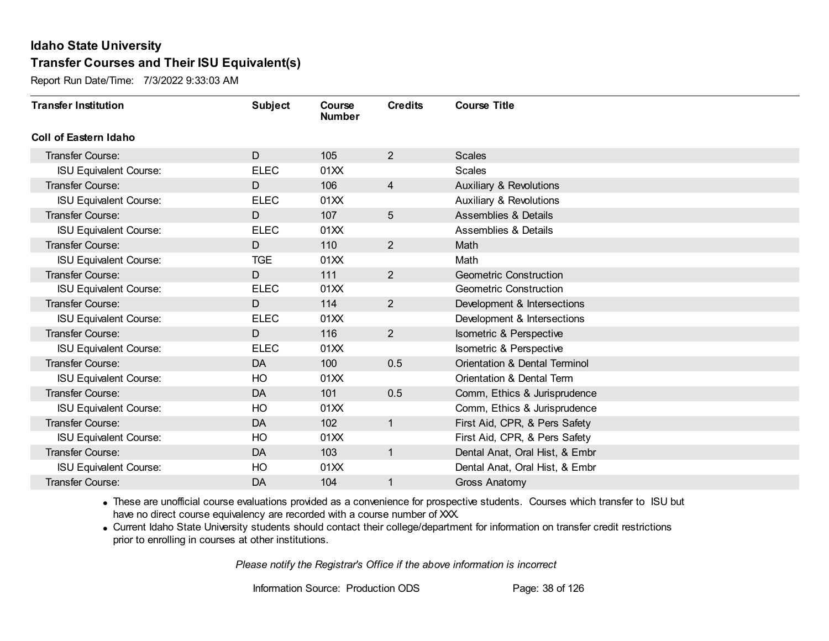Report Run Date/Time: 7/3/2022 9:33:03 AM

| <b>Transfer Institution</b>   | <b>Subject</b> | Course<br><b>Number</b> | <b>Credits</b>  | <b>Course Title</b>                |
|-------------------------------|----------------|-------------------------|-----------------|------------------------------------|
| Coll of Eastern Idaho         |                |                         |                 |                                    |
| Transfer Course:              | D              | 105                     | $\overline{2}$  | <b>Scales</b>                      |
| <b>ISU Equivalent Course:</b> | <b>ELEC</b>    | 01XX                    |                 | <b>Scales</b>                      |
| Transfer Course:              | D              | 106                     | 4               | <b>Auxiliary &amp; Revolutions</b> |
| <b>ISU Equivalent Course:</b> | <b>ELEC</b>    | 01XX                    |                 | <b>Auxiliary &amp; Revolutions</b> |
| <b>Transfer Course:</b>       | D              | 107                     | $5\overline{)}$ | <b>Assemblies &amp; Details</b>    |
| <b>ISU Equivalent Course:</b> | <b>ELEC</b>    | 01XX                    |                 | <b>Assemblies &amp; Details</b>    |
| <b>Transfer Course:</b>       | D              | 110                     | $\overline{2}$  | Math                               |
| <b>ISU Equivalent Course:</b> | <b>TGE</b>     | 01XX                    |                 | Math                               |
| <b>Transfer Course:</b>       | D              | 111                     | $\overline{2}$  | <b>Geometric Construction</b>      |
| <b>ISU Equivalent Course:</b> | <b>ELEC</b>    | 01XX                    |                 | <b>Geometric Construction</b>      |
| <b>Transfer Course:</b>       | D              | 114                     | $\overline{2}$  | Development & Intersections        |
| <b>ISU Equivalent Course:</b> | <b>ELEC</b>    | 01XX                    |                 | Development & Intersections        |
| Transfer Course:              | D              | 116                     | $\overline{2}$  | Isometric & Perspective            |
| <b>ISU Equivalent Course:</b> | <b>ELEC</b>    | 01XX                    |                 | Isometric & Perspective            |
| Transfer Course:              | DA             | 100                     | 0.5             | Orientation & Dental Terminol      |
| <b>ISU Equivalent Course:</b> | HO             | 01XX                    |                 | Orientation & Dental Term          |
| Transfer Course:              | DA             | 101                     | 0.5             | Comm, Ethics & Jurisprudence       |
| <b>ISU Equivalent Course:</b> | HO             | 01XX                    |                 | Comm, Ethics & Jurisprudence       |
| Transfer Course:              | DA             | 102                     | $\mathbf{1}$    | First Aid, CPR, & Pers Safety      |
| <b>ISU Equivalent Course:</b> | HO             | 01XX                    |                 | First Aid, CPR, & Pers Safety      |
| <b>Transfer Course:</b>       | DA             | 103                     | $\mathbf{1}$    | Dental Anat, Oral Hist, & Embr     |
| <b>ISU Equivalent Course:</b> | HO             | 01XX                    |                 | Dental Anat, Oral Hist, & Embr     |
| Transfer Course:              | DA             | 104                     | 1               | <b>Gross Anatomy</b>               |

· These are unofficial course evaluations provided as a convenience for prospective students. Courses which transfer to ISU but have no direct course equivalency are recorded with a course number of XXX.

· Current Idaho State University students should contact their college/department for information on transfer credit restrictions prior to enrolling in courses at other institutions.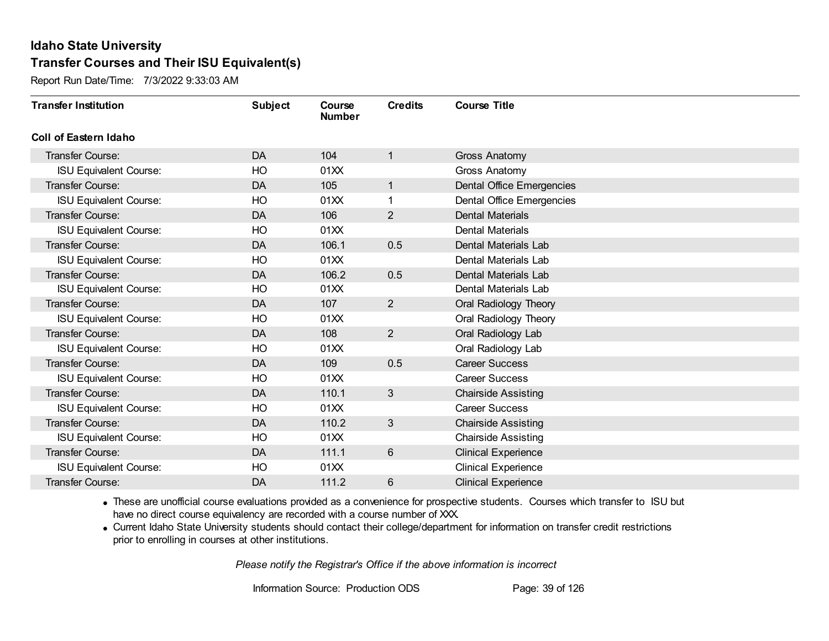Report Run Date/Time: 7/3/2022 9:33:03 AM

| <b>Transfer Institution</b>   | <b>Subject</b> | Course<br><b>Number</b> | <b>Credits</b> | <b>Course Title</b>              |
|-------------------------------|----------------|-------------------------|----------------|----------------------------------|
| Coll of Eastern Idaho         |                |                         |                |                                  |
| Transfer Course:              | DA             | 104                     | 1              | <b>Gross Anatomy</b>             |
| <b>ISU Equivalent Course:</b> | HO             | 01XX                    |                | Gross Anatomy                    |
| Transfer Course:              | DA             | 105                     | $\mathbf{1}$   | <b>Dental Office Emergencies</b> |
| <b>ISU Equivalent Course:</b> | HO             | 01XX                    | 1              | <b>Dental Office Emergencies</b> |
| <b>Transfer Course:</b>       | <b>DA</b>      | 106                     | $\overline{2}$ | <b>Dental Materials</b>          |
| <b>ISU Equivalent Course:</b> | HO             | 01XX                    |                | <b>Dental Materials</b>          |
| Transfer Course:              | DA             | 106.1                   | 0.5            | Dental Materials Lab             |
| <b>ISU Equivalent Course:</b> | HO             | 01XX                    |                | Dental Materials Lab             |
| <b>Transfer Course:</b>       | DA             | 106.2                   | 0.5            | Dental Materials Lab             |
| <b>ISU Equivalent Course:</b> | HO             | 01XX                    |                | Dental Materials Lab             |
| <b>Transfer Course:</b>       | <b>DA</b>      | 107                     | $\overline{2}$ | Oral Radiology Theory            |
| <b>ISU Equivalent Course:</b> | HO             | 01XX                    |                | Oral Radiology Theory            |
| Transfer Course:              | <b>DA</b>      | 108                     | $\overline{2}$ | Oral Radiology Lab               |
| <b>ISU Equivalent Course:</b> | HO             | 01XX                    |                | Oral Radiology Lab               |
| Transfer Course:              | DA             | 109                     | 0.5            | <b>Career Success</b>            |
| <b>ISU Equivalent Course:</b> | HO             | 01XX                    |                | <b>Career Success</b>            |
| Transfer Course:              | DA             | 110.1                   | 3              | <b>Chairside Assisting</b>       |
| <b>ISU Equivalent Course:</b> | HO             | 01XX                    |                | <b>Career Success</b>            |
| Transfer Course:              | DA             | 110.2                   | 3              | <b>Chairside Assisting</b>       |
| <b>ISU Equivalent Course:</b> | HO             | 01XX                    |                | <b>Chairside Assisting</b>       |
| <b>Transfer Course:</b>       | <b>DA</b>      | 111.1                   | 6              | <b>Clinical Experience</b>       |
| <b>ISU Equivalent Course:</b> | HO             | 01XX                    |                | <b>Clinical Experience</b>       |
| Transfer Course:              | DA             | 111.2                   | 6              | <b>Clinical Experience</b>       |

· These are unofficial course evaluations provided as a convenience for prospective students. Courses which transfer to ISU but have no direct course equivalency are recorded with a course number of XXX.

· Current Idaho State University students should contact their college/department for information on transfer credit restrictions prior to enrolling in courses at other institutions.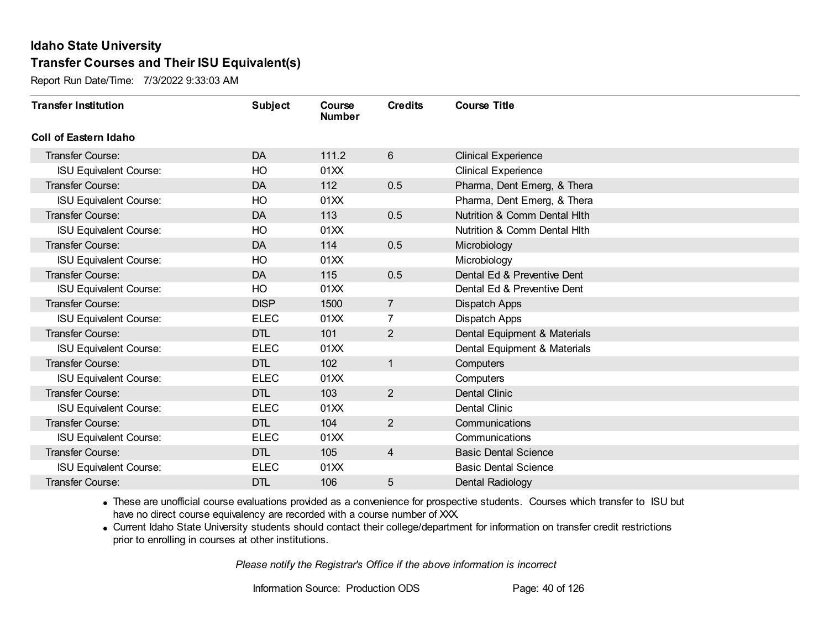Report Run Date/Time: 7/3/2022 9:33:03 AM

| <b>Transfer Institution</b>   | <b>Subject</b> | Course<br><b>Number</b> | <b>Credits</b> | <b>Course Title</b>          |
|-------------------------------|----------------|-------------------------|----------------|------------------------------|
| <b>Coll of Eastern Idaho</b>  |                |                         |                |                              |
| Transfer Course:              | DA             | 111.2                   | 6              | <b>Clinical Experience</b>   |
| <b>ISU Equivalent Course:</b> | HO             | 01XX                    |                | <b>Clinical Experience</b>   |
| <b>Transfer Course:</b>       | DA             | 112                     | 0.5            | Pharma, Dent Emerg, & Thera  |
| <b>ISU Equivalent Course:</b> | HO             | 01XX                    |                | Pharma, Dent Emerg, & Thera  |
| <b>Transfer Course:</b>       | DA             | 113                     | 0.5            | Nutrition & Comm Dental Hith |
| <b>ISU Equivalent Course:</b> | HO             | 01XX                    |                | Nutrition & Comm Dental Hith |
| <b>Transfer Course:</b>       | <b>DA</b>      | 114                     | 0.5            | Microbiology                 |
| <b>ISU Equivalent Course:</b> | HO             | 01XX                    |                | Microbiology                 |
| <b>Transfer Course:</b>       | <b>DA</b>      | 115                     | 0.5            | Dental Ed & Preventive Dent  |
| <b>ISU Equivalent Course:</b> | HO             | 01XX                    |                | Dental Ed & Preventive Dent  |
| <b>Transfer Course:</b>       | <b>DISP</b>    | 1500                    | $\overline{7}$ | Dispatch Apps                |
| <b>ISU Equivalent Course:</b> | <b>ELEC</b>    | 01XX                    | 7              | Dispatch Apps                |
| <b>Transfer Course:</b>       | <b>DTL</b>     | 101                     | 2              | Dental Equipment & Materials |
| <b>ISU Equivalent Course:</b> | <b>ELEC</b>    | 01XX                    |                | Dental Equipment & Materials |
| <b>Transfer Course:</b>       | <b>DTL</b>     | 102                     | $\mathbf{1}$   | Computers                    |
| <b>ISU Equivalent Course:</b> | <b>ELEC</b>    | 01XX                    |                | Computers                    |
| Transfer Course:              | <b>DTL</b>     | 103                     | $\overline{2}$ | <b>Dental Clinic</b>         |
| <b>ISU Equivalent Course:</b> | <b>ELEC</b>    | 01XX                    |                | Dental Clinic                |
| Transfer Course:              | <b>DTL</b>     | 104                     | $\overline{2}$ | Communications               |
| <b>ISU Equivalent Course:</b> | <b>ELEC</b>    | 01XX                    |                | Communications               |
| <b>Transfer Course:</b>       | <b>DTL</b>     | 105                     | $\overline{4}$ | <b>Basic Dental Science</b>  |
| <b>ISU Equivalent Course:</b> | <b>ELEC</b>    | 01XX                    |                | <b>Basic Dental Science</b>  |
| Transfer Course:              | <b>DTL</b>     | 106                     | 5              | Dental Radiology             |

· These are unofficial course evaluations provided as a convenience for prospective students. Courses which transfer to ISU but have no direct course equivalency are recorded with a course number of XXX.

· Current Idaho State University students should contact their college/department for information on transfer credit restrictions prior to enrolling in courses at other institutions.

*Please notify the Registrar's Office if the above information is incorrect*

Information Source: Production ODS Page: 40 of 126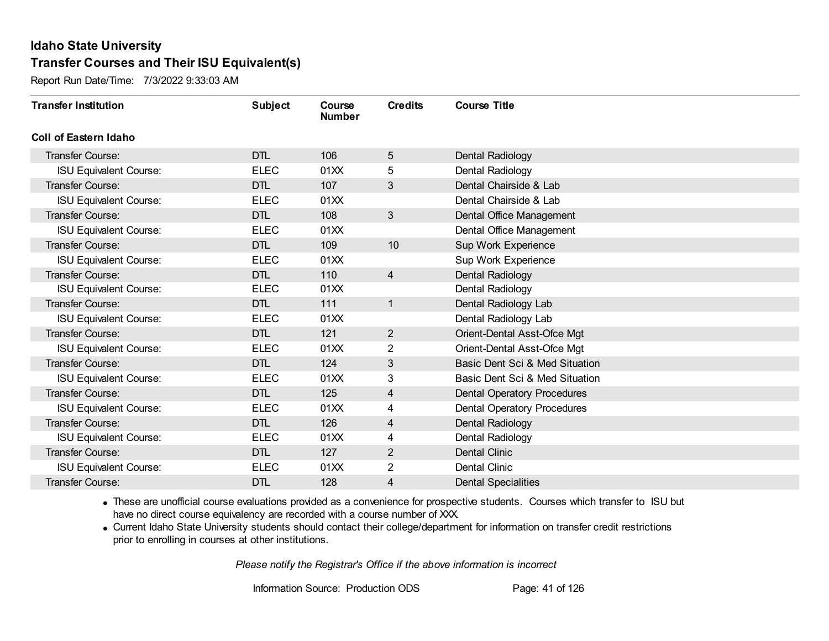Report Run Date/Time: 7/3/2022 9:33:03 AM

| <b>Transfer Institution</b>   | <b>Subject</b> | Course<br><b>Number</b> | <b>Credits</b>          | <b>Course Title</b>                |
|-------------------------------|----------------|-------------------------|-------------------------|------------------------------------|
| Coll of Eastern Idaho         |                |                         |                         |                                    |
| Transfer Course:              | <b>DTL</b>     | 106                     | 5                       | Dental Radiology                   |
| <b>ISU Equivalent Course:</b> | <b>ELEC</b>    | 01XX                    | 5                       | Dental Radiology                   |
| Transfer Course:              | <b>DTL</b>     | 107                     | 3                       | Dental Chairside & Lab             |
| <b>ISU Equivalent Course:</b> | <b>ELEC</b>    | 01XX                    |                         | Dental Chairside & Lab             |
| <b>Transfer Course:</b>       | <b>DTL</b>     | 108                     | $\mathbf{3}$            | Dental Office Management           |
| <b>ISU Equivalent Course:</b> | <b>ELEC</b>    | 01XX                    |                         | Dental Office Management           |
| Transfer Course:              | <b>DTL</b>     | 109                     | 10                      | Sup Work Experience                |
| <b>ISU Equivalent Course:</b> | <b>ELEC</b>    | 01XX                    |                         | Sup Work Experience                |
| <b>Transfer Course:</b>       | <b>DTL</b>     | 110                     | $\overline{4}$          | Dental Radiology                   |
| <b>ISU Equivalent Course:</b> | <b>ELEC</b>    | 01XX                    |                         | Dental Radiology                   |
| <b>Transfer Course:</b>       | <b>DTL</b>     | 111                     | $\mathbf{1}$            | Dental Radiology Lab               |
| <b>ISU Equivalent Course:</b> | <b>ELEC</b>    | 01XX                    |                         | Dental Radiology Lab               |
| Transfer Course:              | <b>DTL</b>     | 121                     | 2                       | Orient-Dental Asst-Ofce Mgt        |
| <b>ISU Equivalent Course:</b> | <b>ELEC</b>    | 01XX                    | $\overline{2}$          | Orient-Dental Asst-Ofce Mgt        |
| Transfer Course:              | <b>DTL</b>     | 124                     | 3                       | Basic Dent Sci & Med Situation     |
| <b>ISU Equivalent Course:</b> | <b>ELEC</b>    | 01XX                    | 3                       | Basic Dent Sci & Med Situation     |
| Transfer Course:              | <b>DTL</b>     | 125                     | $\overline{\mathbf{4}}$ | <b>Dental Operatory Procedures</b> |
| <b>ISU Equivalent Course:</b> | <b>ELEC</b>    | 01XX                    | 4                       | <b>Dental Operatory Procedures</b> |
| Transfer Course:              | <b>DTL</b>     | 126                     | 4                       | Dental Radiology                   |
| <b>ISU Equivalent Course:</b> | <b>ELEC</b>    | 01XX                    | 4                       | Dental Radiology                   |
| Transfer Course:              | <b>DTL</b>     | 127                     | $\overline{2}$          | <b>Dental Clinic</b>               |
| <b>ISU Equivalent Course:</b> | <b>ELEC</b>    | 01XX                    | $\overline{2}$          | Dental Clinic                      |
| Transfer Course:              | <b>DTL</b>     | 128                     | 4                       | <b>Dental Specialities</b>         |

· These are unofficial course evaluations provided as a convenience for prospective students. Courses which transfer to ISU but have no direct course equivalency are recorded with a course number of XXX.

· Current Idaho State University students should contact their college/department for information on transfer credit restrictions prior to enrolling in courses at other institutions.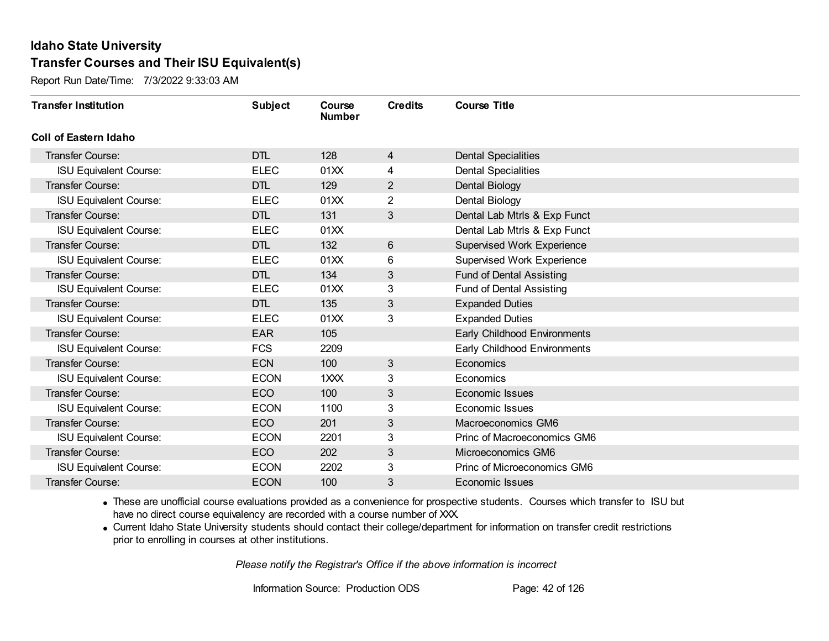Report Run Date/Time: 7/3/2022 9:33:03 AM

| <b>Transfer Institution</b>   | <b>Subject</b> | Course<br><b>Number</b> | <b>Credits</b> | <b>Course Title</b>               |
|-------------------------------|----------------|-------------------------|----------------|-----------------------------------|
| Coll of Eastern Idaho         |                |                         |                |                                   |
| Transfer Course:              | <b>DTL</b>     | 128                     | 4              | <b>Dental Specialities</b>        |
| <b>ISU Equivalent Course:</b> | <b>ELEC</b>    | 01XX                    | 4              | <b>Dental Specialities</b>        |
| Transfer Course:              | <b>DTL</b>     | 129                     | $\overline{2}$ | Dental Biology                    |
| <b>ISU Equivalent Course:</b> | <b>ELEC</b>    | 01XX                    | $\overline{2}$ | Dental Biology                    |
| <b>Transfer Course:</b>       | <b>DTL</b>     | 131                     | $\mathfrak{S}$ | Dental Lab Mtrls & Exp Funct      |
| <b>ISU Equivalent Course:</b> | <b>ELEC</b>    | 01XX                    |                | Dental Lab Mtrls & Exp Funct      |
| <b>Transfer Course:</b>       | <b>DTL</b>     | 132                     | 6              | <b>Supervised Work Experience</b> |
| <b>ISU Equivalent Course:</b> | <b>ELEC</b>    | 01XX                    | 6              | <b>Supervised Work Experience</b> |
| <b>Transfer Course:</b>       | <b>DTL</b>     | 134                     | 3              | <b>Fund of Dental Assisting</b>   |
| <b>ISU Equivalent Course:</b> | <b>ELEC</b>    | 01XX                    | 3              | Fund of Dental Assisting          |
| <b>Transfer Course:</b>       | <b>DTL</b>     | 135                     | 3              | <b>Expanded Duties</b>            |
| <b>ISU Equivalent Course:</b> | <b>ELEC</b>    | 01XX                    | 3              | <b>Expanded Duties</b>            |
| Transfer Course:              | <b>EAR</b>     | 105                     |                | Early Childhood Environments      |
| <b>ISU Equivalent Course:</b> | <b>FCS</b>     | 2209                    |                | Early Childhood Environments      |
| Transfer Course:              | <b>ECN</b>     | 100                     | $\mathfrak{S}$ | Economics                         |
| <b>ISU Equivalent Course:</b> | <b>ECON</b>    | 1XXX                    | 3              | Economics                         |
| Transfer Course:              | ECO            | 100                     | $\mathfrak{S}$ | Economic Issues                   |
| <b>ISU Equivalent Course:</b> | <b>ECON</b>    | 1100                    | 3              | Economic Issues                   |
| Transfer Course:              | ECO            | 201                     | $\sqrt{3}$     | Macroeconomics GM6                |
| <b>ISU Equivalent Course:</b> | <b>ECON</b>    | 2201                    | 3              | Princ of Macroeconomics GM6       |
| <b>Transfer Course:</b>       | ECO            | 202                     | $\sqrt{3}$     | Microeconomics GM6                |
| <b>ISU Equivalent Course:</b> | <b>ECON</b>    | 2202                    | 3              | Princ of Microeconomics GM6       |
| Transfer Course:              | <b>ECON</b>    | 100                     | 3              | Economic Issues                   |

· These are unofficial course evaluations provided as a convenience for prospective students. Courses which transfer to ISU but have no direct course equivalency are recorded with a course number of XXX.

· Current Idaho State University students should contact their college/department for information on transfer credit restrictions prior to enrolling in courses at other institutions.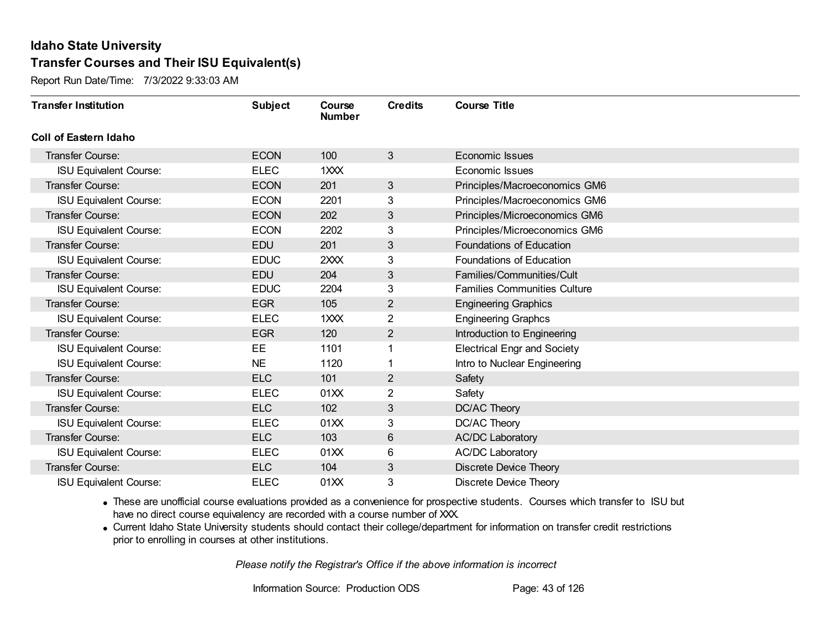Report Run Date/Time: 7/3/2022 9:33:03 AM

| <b>Transfer Institution</b>   | <b>Subject</b> | Course<br><b>Number</b> | <b>Credits</b> | <b>Course Title</b>                 |
|-------------------------------|----------------|-------------------------|----------------|-------------------------------------|
| <b>Coll of Eastern Idaho</b>  |                |                         |                |                                     |
| Transfer Course:              | <b>ECON</b>    | 100                     | $\mathbf{3}$   | Economic Issues                     |
| <b>ISU Equivalent Course:</b> | <b>ELEC</b>    | 1XXX                    |                | Economic Issues                     |
| <b>Transfer Course:</b>       | <b>ECON</b>    | 201                     | $\mathbf{3}$   | Principles/Macroeconomics GM6       |
| <b>ISU Equivalent Course:</b> | <b>ECON</b>    | 2201                    | 3              | Principles/Macroeconomics GM6       |
| <b>Transfer Course:</b>       | <b>ECON</b>    | 202                     | $\mathfrak{S}$ | Principles/Microeconomics GM6       |
| <b>ISU Equivalent Course:</b> | <b>ECON</b>    | 2202                    | 3              | Principles/Microeconomics GM6       |
| <b>Transfer Course:</b>       | <b>EDU</b>     | 201                     | 3              | Foundations of Education            |
| <b>ISU Equivalent Course:</b> | <b>EDUC</b>    | 2XXX                    | 3              | Foundations of Education            |
| <b>Transfer Course:</b>       | EDU            | 204                     | 3              | Families/Communities/Cult           |
| <b>ISU Equivalent Course:</b> | <b>EDUC</b>    | 2204                    | 3              | <b>Families Communities Culture</b> |
| <b>Transfer Course:</b>       | <b>EGR</b>     | 105                     | $\overline{2}$ | <b>Engineering Graphics</b>         |
| <b>ISU Equivalent Course:</b> | <b>ELEC</b>    | 1XXX                    | $\overline{2}$ | <b>Engineering Graphcs</b>          |
| Transfer Course:              | <b>EGR</b>     | 120                     | $\overline{2}$ | Introduction to Engineering         |
| <b>ISU Equivalent Course:</b> | EE             | 1101                    |                | <b>Electrical Engr and Society</b>  |
| <b>ISU Equivalent Course:</b> | <b>NE</b>      | 1120                    |                | Intro to Nuclear Engineering        |
| <b>Transfer Course:</b>       | <b>ELC</b>     | 101                     | $\mathbf{2}$   | Safety                              |
| <b>ISU Equivalent Course:</b> | <b>ELEC</b>    | 01XX                    | $\overline{2}$ | Safety                              |
| <b>Transfer Course:</b>       | <b>ELC</b>     | 102                     | 3              | DC/AC Theory                        |
| <b>ISU Equivalent Course:</b> | <b>ELEC</b>    | 01XX                    | 3              | DC/AC Theory                        |
| <b>Transfer Course:</b>       | <b>ELC</b>     | 103                     | 6              | <b>AC/DC Laboratory</b>             |
| <b>ISU Equivalent Course:</b> | <b>ELEC</b>    | 01XX                    | 6              | <b>AC/DC Laboratory</b>             |
| Transfer Course:              | <b>ELC</b>     | 104                     | $\mathfrak{S}$ | <b>Discrete Device Theory</b>       |
| <b>ISU Equivalent Course:</b> | <b>ELEC</b>    | 01XX                    | 3              | <b>Discrete Device Theory</b>       |

· These are unofficial course evaluations provided as a convenience for prospective students. Courses which transfer to ISU but have no direct course equivalency are recorded with a course number of XXX.

· Current Idaho State University students should contact their college/department for information on transfer credit restrictions prior to enrolling in courses at other institutions.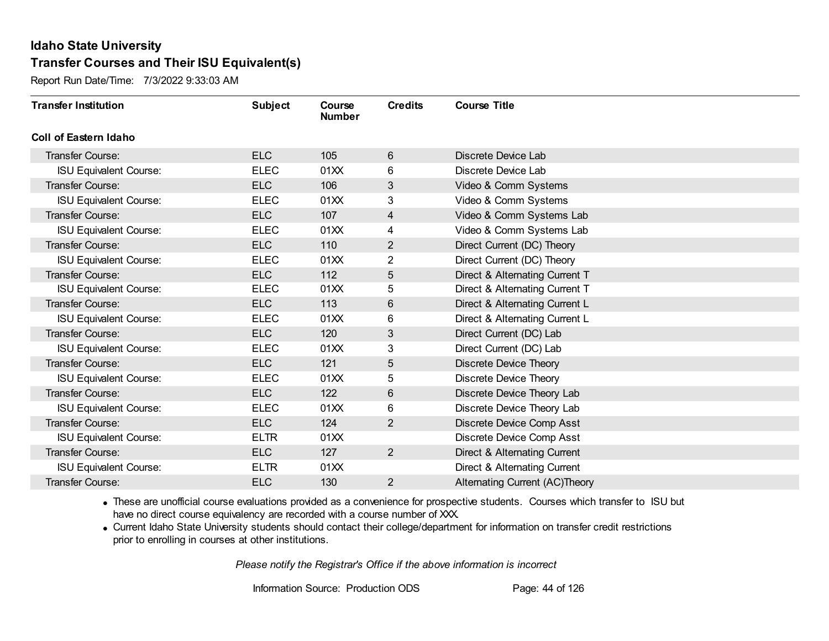Report Run Date/Time: 7/3/2022 9:33:03 AM

| <b>Transfer Institution</b>   | <b>Subject</b> | Course<br><b>Number</b> | <b>Credits</b>          | <b>Course Title</b>                   |
|-------------------------------|----------------|-------------------------|-------------------------|---------------------------------------|
| Coll of Eastern Idaho         |                |                         |                         |                                       |
| Transfer Course:              | <b>ELC</b>     | 105                     | 6                       | Discrete Device Lab                   |
| <b>ISU Equivalent Course:</b> | <b>ELEC</b>    | 01XX                    | 6                       | Discrete Device Lab                   |
| Transfer Course:              | <b>ELC</b>     | 106                     | 3                       | Video & Comm Systems                  |
| <b>ISU Equivalent Course:</b> | <b>ELEC</b>    | 01XX                    | 3                       | Video & Comm Systems                  |
| <b>Transfer Course:</b>       | <b>ELC</b>     | 107                     | $\overline{\mathbf{4}}$ | Video & Comm Systems Lab              |
| <b>ISU Equivalent Course:</b> | <b>ELEC</b>    | 01XX                    | 4                       | Video & Comm Systems Lab              |
| Transfer Course:              | <b>ELC</b>     | 110                     | $\overline{2}$          | Direct Current (DC) Theory            |
| <b>ISU Equivalent Course:</b> | <b>ELEC</b>    | 01XX                    | 2                       | Direct Current (DC) Theory            |
| Transfer Course:              | <b>ELC</b>     | 112                     | 5                       | Direct & Alternating Current T        |
| <b>ISU Equivalent Course:</b> | <b>ELEC</b>    | 01XX                    | 5                       | Direct & Alternating Current T        |
| Transfer Course:              | <b>ELC</b>     | 113                     | 6                       | Direct & Alternating Current L        |
| <b>ISU Equivalent Course:</b> | <b>ELEC</b>    | 01XX                    | 6                       | Direct & Alternating Current L        |
| Transfer Course:              | <b>ELC</b>     | 120                     | 3                       | Direct Current (DC) Lab               |
| <b>ISU Equivalent Course:</b> | <b>ELEC</b>    | 01XX                    | 3                       | Direct Current (DC) Lab               |
| Transfer Course:              | <b>ELC</b>     | 121                     | 5                       | <b>Discrete Device Theory</b>         |
| <b>ISU Equivalent Course:</b> | <b>ELEC</b>    | 01XX                    | 5                       | <b>Discrete Device Theory</b>         |
| Transfer Course:              | <b>ELC</b>     | 122                     | 6                       | Discrete Device Theory Lab            |
| <b>ISU Equivalent Course:</b> | <b>ELEC</b>    | 01XX                    | 6                       | Discrete Device Theory Lab            |
| Transfer Course:              | <b>ELC</b>     | 124                     | $\overline{2}$          | Discrete Device Comp Asst             |
| <b>ISU Equivalent Course:</b> | <b>ELTR</b>    | 01 <sub>XX</sub>        |                         | Discrete Device Comp Asst             |
| Transfer Course:              | <b>ELC</b>     | 127                     | $\overline{2}$          | Direct & Alternating Current          |
| <b>ISU Equivalent Course:</b> | <b>ELTR</b>    | 01XX                    |                         | Direct & Alternating Current          |
| Transfer Course:              | <b>ELC</b>     | 130                     | $\overline{2}$          | <b>Alternating Current (AC)Theory</b> |

· These are unofficial course evaluations provided as a convenience for prospective students. Courses which transfer to ISU but have no direct course equivalency are recorded with a course number of XXX.

· Current Idaho State University students should contact their college/department for information on transfer credit restrictions prior to enrolling in courses at other institutions.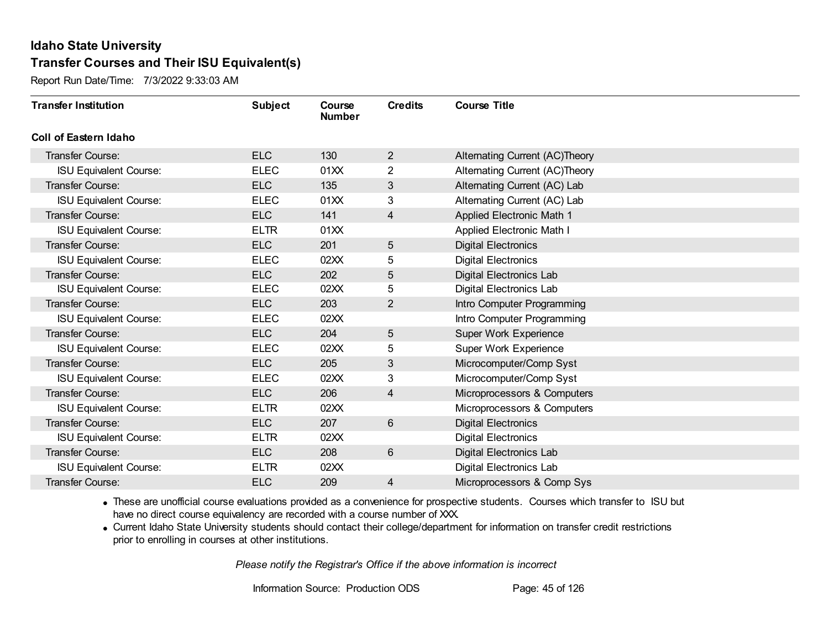Report Run Date/Time: 7/3/2022 9:33:03 AM

| <b>Transfer Institution</b>   | <b>Subject</b> | Course<br><b>Number</b> | <b>Credits</b> | <b>Course Title</b>            |
|-------------------------------|----------------|-------------------------|----------------|--------------------------------|
| Coll of Eastern Idaho         |                |                         |                |                                |
| Transfer Course:              | <b>ELC</b>     | 130                     | $\overline{2}$ | Alternating Current (AC)Theory |
| <b>ISU Equivalent Course:</b> | <b>ELEC</b>    | 01XX                    | $\overline{2}$ | Alternating Current (AC)Theory |
| Transfer Course:              | <b>ELC</b>     | 135                     | 3              | Alternating Current (AC) Lab   |
| <b>ISU Equivalent Course:</b> | <b>ELEC</b>    | 01XX                    | 3              | Alternating Current (AC) Lab   |
| <b>Transfer Course:</b>       | <b>ELC</b>     | 141                     | 4              | Applied Electronic Math 1      |
| <b>ISU Equivalent Course:</b> | <b>ELTR</b>    | 01XX                    |                | Applied Electronic Math I      |
| Transfer Course:              | <b>ELC</b>     | 201                     | 5              | <b>Digital Electronics</b>     |
| <b>ISU Equivalent Course:</b> | <b>ELEC</b>    | 02XX                    | 5              | <b>Digital Electronics</b>     |
| Transfer Course:              | <b>ELC</b>     | 202                     | 5              | Digital Electronics Lab        |
| <b>ISU Equivalent Course:</b> | <b>ELEC</b>    | 02XX                    | 5              | Digital Electronics Lab        |
| <b>Transfer Course:</b>       | <b>ELC</b>     | 203                     | $\overline{2}$ | Intro Computer Programming     |
| <b>ISU Equivalent Course:</b> | <b>ELEC</b>    | 02XX                    |                | Intro Computer Programming     |
| Transfer Course:              | <b>ELC</b>     | 204                     | 5              | Super Work Experience          |
| <b>ISU Equivalent Course:</b> | <b>ELEC</b>    | 02XX                    | 5              | Super Work Experience          |
| Transfer Course:              | <b>ELC</b>     | 205                     | 3              | Microcomputer/Comp Syst        |
| <b>ISU Equivalent Course:</b> | <b>ELEC</b>    | 02XX                    | 3              | Microcomputer/Comp Syst        |
| Transfer Course:              | <b>ELC</b>     | 206                     | 4              | Microprocessors & Computers    |
| <b>ISU Equivalent Course:</b> | <b>ELTR</b>    | 02XX                    |                | Microprocessors & Computers    |
| Transfer Course:              | <b>ELC</b>     | 207                     | $6\phantom{1}$ | <b>Digital Electronics</b>     |
| <b>ISU Equivalent Course:</b> | <b>ELTR</b>    | 02XX                    |                | <b>Digital Electronics</b>     |
| Transfer Course:              | <b>ELC</b>     | 208                     | 6              | Digital Electronics Lab        |
| <b>ISU Equivalent Course:</b> | <b>ELTR</b>    | 02XX                    |                | Digital Electronics Lab        |
| Transfer Course:              | <b>ELC</b>     | 209                     | 4              | Microprocessors & Comp Sys     |

· These are unofficial course evaluations provided as a convenience for prospective students. Courses which transfer to ISU but have no direct course equivalency are recorded with a course number of XXX.

· Current Idaho State University students should contact their college/department for information on transfer credit restrictions prior to enrolling in courses at other institutions.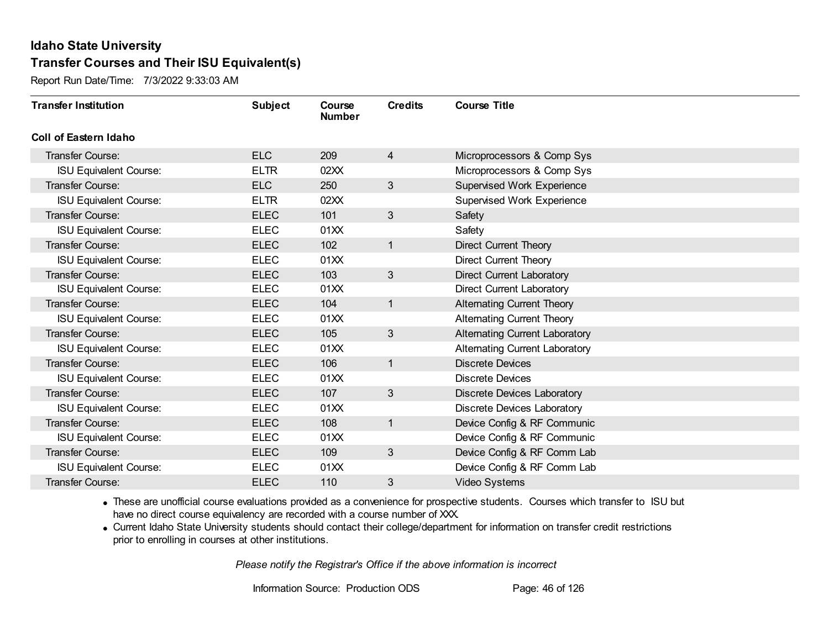Report Run Date/Time: 7/3/2022 9:33:03 AM

| <b>Transfer Institution</b>   | <b>Subject</b> | Course<br><b>Number</b> | <b>Credits</b> | <b>Course Title</b>                   |
|-------------------------------|----------------|-------------------------|----------------|---------------------------------------|
| <b>Coll of Eastern Idaho</b>  |                |                         |                |                                       |
| Transfer Course:              | <b>ELC</b>     | 209                     | $\overline{4}$ | Microprocessors & Comp Sys            |
| <b>ISU Equivalent Course:</b> | <b>ELTR</b>    | 02XX                    |                | Microprocessors & Comp Sys            |
| Transfer Course:              | <b>ELC</b>     | 250                     | 3              | <b>Supervised Work Experience</b>     |
| <b>ISU Equivalent Course:</b> | <b>ELTR</b>    | 02XX                    |                | <b>Supervised Work Experience</b>     |
| <b>Transfer Course:</b>       | <b>ELEC</b>    | 101                     | 3              | Safety                                |
| <b>ISU Equivalent Course:</b> | <b>ELEC</b>    | 01XX                    |                | Safety                                |
| <b>Transfer Course:</b>       | <b>ELEC</b>    | 102                     | $\mathbf{1}$   | <b>Direct Current Theory</b>          |
| <b>ISU Equivalent Course:</b> | <b>ELEC</b>    | 01XX                    |                | <b>Direct Current Theory</b>          |
| Transfer Course:              | <b>ELEC</b>    | 103                     | 3              | <b>Direct Current Laboratory</b>      |
| <b>ISU Equivalent Course:</b> | <b>ELEC</b>    | 01XX                    |                | <b>Direct Current Laboratory</b>      |
| <b>Transfer Course:</b>       | <b>ELEC</b>    | 104                     | $\mathbf{1}$   | <b>Alternating Current Theory</b>     |
| <b>ISU Equivalent Course:</b> | <b>ELEC</b>    | 01XX                    |                | <b>Alternating Current Theory</b>     |
| Transfer Course:              | <b>ELEC</b>    | 105                     | 3              | <b>Alternating Current Laboratory</b> |
| <b>ISU Equivalent Course:</b> | <b>ELEC</b>    | 01XX                    |                | Alternating Current Laboratory        |
| Transfer Course:              | <b>ELEC</b>    | 106                     | $\mathbf{1}$   | <b>Discrete Devices</b>               |
| <b>ISU Equivalent Course:</b> | <b>ELEC</b>    | 01XX                    |                | <b>Discrete Devices</b>               |
| Transfer Course:              | <b>ELEC</b>    | 107                     | 3              | <b>Discrete Devices Laboratory</b>    |
| <b>ISU Equivalent Course:</b> | <b>ELEC</b>    | 01XX                    |                | <b>Discrete Devices Laboratory</b>    |
| Transfer Course:              | <b>ELEC</b>    | 108                     | $\mathbf{1}$   | Device Config & RF Communic           |
| <b>ISU Equivalent Course:</b> | <b>ELEC</b>    | 01XX                    |                | Device Config & RF Communic           |
| Transfer Course:              | <b>ELEC</b>    | 109                     | 3              | Device Config & RF Comm Lab           |
| <b>ISU Equivalent Course:</b> | <b>ELEC</b>    | 01XX                    |                | Device Config & RF Comm Lab           |
| Transfer Course:              | <b>ELEC</b>    | 110                     | 3              | <b>Video Systems</b>                  |

· These are unofficial course evaluations provided as a convenience for prospective students. Courses which transfer to ISU but have no direct course equivalency are recorded with a course number of XXX.

· Current Idaho State University students should contact their college/department for information on transfer credit restrictions prior to enrolling in courses at other institutions.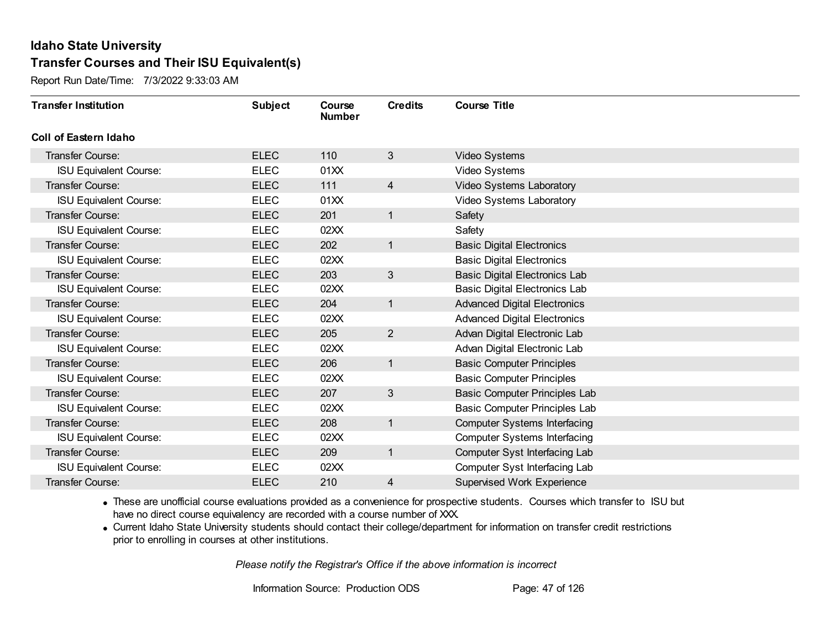Report Run Date/Time: 7/3/2022 9:33:03 AM

| <b>Transfer Institution</b>   | <b>Subject</b> | Course<br><b>Number</b> | <b>Credits</b>  | <b>Course Title</b>                  |
|-------------------------------|----------------|-------------------------|-----------------|--------------------------------------|
| Coll of Eastern Idaho         |                |                         |                 |                                      |
| Transfer Course:              | <b>ELEC</b>    | 110                     | $3\overline{3}$ | Video Systems                        |
| <b>ISU Equivalent Course:</b> | <b>ELEC</b>    | 01XX                    |                 | Video Systems                        |
| Transfer Course:              | <b>ELEC</b>    | 111                     | $\overline{4}$  | Video Systems Laboratory             |
| <b>ISU Equivalent Course:</b> | <b>ELEC</b>    | 01XX                    |                 | Video Systems Laboratory             |
| <b>Transfer Course:</b>       | <b>ELEC</b>    | 201                     | $\mathbf{1}$    | Safety                               |
| <b>ISU Equivalent Course:</b> | <b>ELEC</b>    | 02XX                    |                 | Safety                               |
| Transfer Course:              | <b>ELEC</b>    | 202                     | $\mathbf{1}$    | <b>Basic Digital Electronics</b>     |
| <b>ISU Equivalent Course:</b> | <b>ELEC</b>    | 02XX                    |                 | <b>Basic Digital Electronics</b>     |
| Transfer Course:              | <b>ELEC</b>    | 203                     | 3               | <b>Basic Digital Electronics Lab</b> |
| <b>ISU Equivalent Course:</b> | <b>ELEC</b>    | 02XX                    |                 | <b>Basic Digital Electronics Lab</b> |
| <b>Transfer Course:</b>       | <b>ELEC</b>    | 204                     | $\mathbf{1}$    | <b>Advanced Digital Electronics</b>  |
| <b>ISU Equivalent Course:</b> | <b>ELEC</b>    | 02XX                    |                 | <b>Advanced Digital Electronics</b>  |
| Transfer Course:              | <b>ELEC</b>    | 205                     | $\overline{2}$  | Advan Digital Electronic Lab         |
| <b>ISU Equivalent Course:</b> | <b>ELEC</b>    | 02XX                    |                 | Advan Digital Electronic Lab         |
| Transfer Course:              | <b>ELEC</b>    | 206                     | $\mathbf{1}$    | <b>Basic Computer Principles</b>     |
| <b>ISU Equivalent Course:</b> | <b>ELEC</b>    | 02XX                    |                 | <b>Basic Computer Principles</b>     |
| Transfer Course:              | <b>ELEC</b>    | 207                     | $\mathbf{3}$    | Basic Computer Principles Lab        |
| <b>ISU Equivalent Course:</b> | <b>ELEC</b>    | 02XX                    |                 | Basic Computer Principles Lab        |
| Transfer Course:              | <b>ELEC</b>    | 208                     | $\mathbf{1}$    | <b>Computer Systems Interfacing</b>  |
| <b>ISU Equivalent Course:</b> | <b>ELEC</b>    | 02XX                    |                 | <b>Computer Systems Interfacing</b>  |
| Transfer Course:              | <b>ELEC</b>    | 209                     | $\mathbf{1}$    | Computer Syst Interfacing Lab        |
| <b>ISU Equivalent Course:</b> | <b>ELEC</b>    | 02XX                    |                 | Computer Syst Interfacing Lab        |
| Transfer Course:              | <b>ELEC</b>    | 210                     | 4               | <b>Supervised Work Experience</b>    |

· These are unofficial course evaluations provided as a convenience for prospective students. Courses which transfer to ISU but have no direct course equivalency are recorded with a course number of XXX.

· Current Idaho State University students should contact their college/department for information on transfer credit restrictions prior to enrolling in courses at other institutions.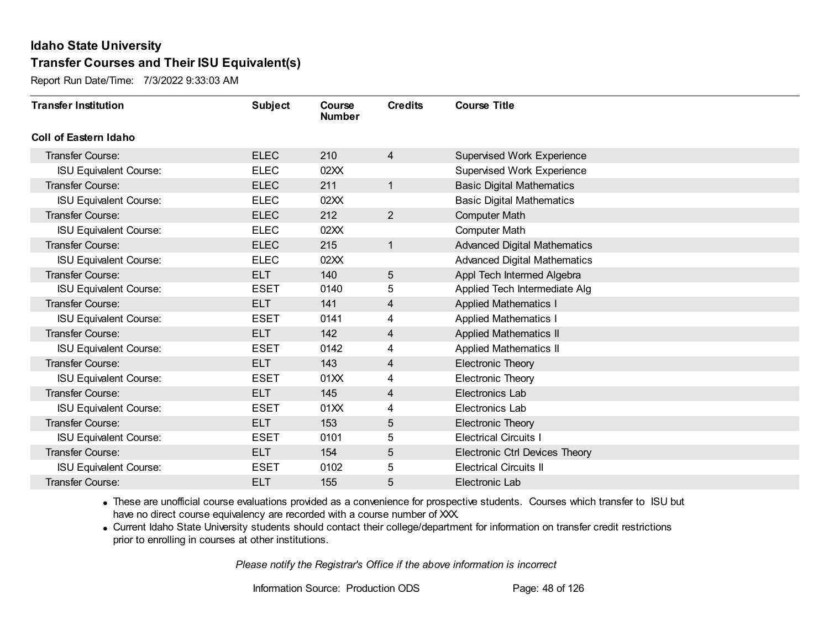Report Run Date/Time: 7/3/2022 9:33:03 AM

| <b>Transfer Institution</b>   | <b>Subject</b> | Course<br><b>Number</b> | <b>Credits</b> | <b>Course Title</b>                   |
|-------------------------------|----------------|-------------------------|----------------|---------------------------------------|
| <b>Coll of Eastern Idaho</b>  |                |                         |                |                                       |
| Transfer Course:              | <b>ELEC</b>    | 210                     | $\overline{4}$ | Supervised Work Experience            |
| <b>ISU Equivalent Course:</b> | <b>ELEC</b>    | 02XX                    |                | <b>Supervised Work Experience</b>     |
| Transfer Course:              | <b>ELEC</b>    | 211                     | 1              | <b>Basic Digital Mathematics</b>      |
| <b>ISU Equivalent Course:</b> | <b>ELEC</b>    | 02XX                    |                | <b>Basic Digital Mathematics</b>      |
| Transfer Course:              | <b>ELEC</b>    | 212                     | $\overline{2}$ | <b>Computer Math</b>                  |
| <b>ISU Equivalent Course:</b> | <b>ELEC</b>    | 02XX                    |                | <b>Computer Math</b>                  |
| Transfer Course:              | <b>ELEC</b>    | 215                     | 1              | <b>Advanced Digital Mathematics</b>   |
| <b>ISU Equivalent Course:</b> | <b>ELEC</b>    | 02XX                    |                | <b>Advanced Digital Mathematics</b>   |
| Transfer Course:              | <b>ELT</b>     | 140                     | 5              | Appl Tech Intermed Algebra            |
| <b>ISU Equivalent Course:</b> | <b>ESET</b>    | 0140                    | 5              | Applied Tech Intermediate Alg         |
| Transfer Course:              | <b>ELT</b>     | 141                     | $\overline{4}$ | <b>Applied Mathematics I</b>          |
| <b>ISU Equivalent Course:</b> | <b>ESET</b>    | 0141                    | 4              | <b>Applied Mathematics I</b>          |
| Transfer Course:              | <b>ELT</b>     | 142                     | 4              | <b>Applied Mathematics II</b>         |
| <b>ISU Equivalent Course:</b> | <b>ESET</b>    | 0142                    | 4              | <b>Applied Mathematics II</b>         |
| Transfer Course:              | <b>ELT</b>     | 143                     | 4              | <b>Electronic Theory</b>              |
| <b>ISU Equivalent Course:</b> | <b>ESET</b>    | 01XX                    | 4              | <b>Electronic Theory</b>              |
| Transfer Course:              | <b>ELT</b>     | 145                     | 4              | Electronics Lab                       |
| <b>ISU Equivalent Course:</b> | <b>ESET</b>    | 01XX                    | 4              | Electronics Lab                       |
| Transfer Course:              | <b>ELT</b>     | 153                     | 5              | <b>Electronic Theory</b>              |
| <b>ISU Equivalent Course:</b> | <b>ESET</b>    | 0101                    | 5              | <b>Electrical Circuits I</b>          |
| Transfer Course:              | <b>ELT</b>     | 154                     | 5              | <b>Electronic Ctrl Devices Theory</b> |
| <b>ISU Equivalent Course:</b> | <b>ESET</b>    | 0102                    | 5              | <b>Electrical Circuits II</b>         |
| <b>Transfer Course:</b>       | <b>ELT</b>     | 155                     | 5              | Electronic Lab                        |

· These are unofficial course evaluations provided as a convenience for prospective students. Courses which transfer to ISU but have no direct course equivalency are recorded with a course number of XXX.

· Current Idaho State University students should contact their college/department for information on transfer credit restrictions prior to enrolling in courses at other institutions.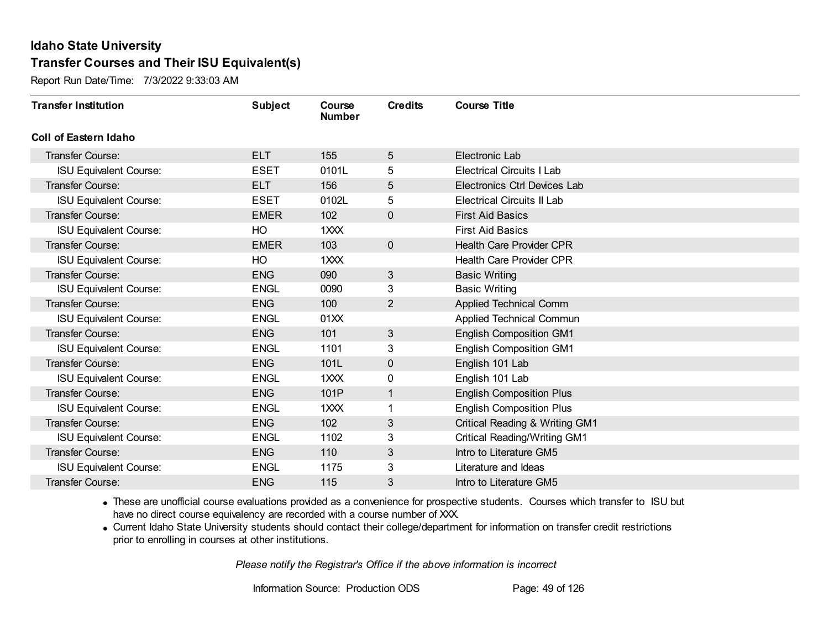Report Run Date/Time: 7/3/2022 9:33:03 AM

| <b>Transfer Institution</b>   | <b>Subject</b> | Course<br><b>Number</b> | <b>Credits</b> | <b>Course Title</b>                       |
|-------------------------------|----------------|-------------------------|----------------|-------------------------------------------|
| <b>Coll of Eastern Idaho</b>  |                |                         |                |                                           |
| Transfer Course:              | <b>ELT</b>     | 155                     | 5              | Electronic Lab                            |
| <b>ISU Equivalent Course:</b> | <b>ESET</b>    | 0101L                   | 5              | <b>Electrical Circuits I Lab</b>          |
| <b>Transfer Course:</b>       | <b>ELT</b>     | 156                     | 5              | <b>Electronics Ctrl Devices Lab</b>       |
| <b>ISU Equivalent Course:</b> | <b>ESET</b>    | 0102L                   | 5              | <b>Electrical Circuits II Lab</b>         |
| <b>Transfer Course:</b>       | <b>EMER</b>    | 102                     | $\mathbf 0$    | <b>First Aid Basics</b>                   |
| <b>ISU Equivalent Course:</b> | HO             | 1XXX                    |                | <b>First Aid Basics</b>                   |
| <b>Transfer Course:</b>       | <b>EMER</b>    | 103                     | $\mathbf 0$    | <b>Health Care Provider CPR</b>           |
| <b>ISU Equivalent Course:</b> | HO             | 1XXX                    |                | <b>Health Care Provider CPR</b>           |
| <b>Transfer Course:</b>       | <b>ENG</b>     | 090                     | $\mathfrak{S}$ | <b>Basic Writing</b>                      |
| <b>ISU Equivalent Course:</b> | <b>ENGL</b>    | 0090                    | 3              | <b>Basic Writing</b>                      |
| <b>Transfer Course:</b>       | <b>ENG</b>     | 100                     | $\overline{2}$ | Applied Technical Comm                    |
| <b>ISU Equivalent Course:</b> | <b>ENGL</b>    | 01XX                    |                | Applied Technical Commun                  |
| <b>Transfer Course:</b>       | <b>ENG</b>     | 101                     | 3              | <b>English Composition GM1</b>            |
| <b>ISU Equivalent Course:</b> | <b>ENGL</b>    | 1101                    | 3              | <b>English Composition GM1</b>            |
| Transfer Course:              | <b>ENG</b>     | 101L                    | 0              | English 101 Lab                           |
| <b>ISU Equivalent Course:</b> | <b>ENGL</b>    | 1XXX                    | $\pmb{0}$      | English 101 Lab                           |
| <b>Transfer Course:</b>       | <b>ENG</b>     | 101P                    | $\mathbf{1}$   | <b>English Composition Plus</b>           |
| <b>ISU Equivalent Course:</b> | <b>ENGL</b>    | 1XXX                    |                | <b>English Composition Plus</b>           |
| Transfer Course:              | <b>ENG</b>     | 102                     | 3              | <b>Critical Reading &amp; Writing GM1</b> |
| <b>ISU Equivalent Course:</b> | <b>ENGL</b>    | 1102                    | 3              | <b>Critical Reading/Writing GM1</b>       |
| <b>Transfer Course:</b>       | <b>ENG</b>     | 110                     | $\mathfrak{S}$ | Intro to Literature GM5                   |
| <b>ISU Equivalent Course:</b> | <b>ENGL</b>    | 1175                    | 3              | Literature and Ideas                      |
| Transfer Course:              | <b>ENG</b>     | 115                     | 3              | Intro to Literature GM5                   |

· These are unofficial course evaluations provided as a convenience for prospective students. Courses which transfer to ISU but have no direct course equivalency are recorded with a course number of XXX.

· Current Idaho State University students should contact their college/department for information on transfer credit restrictions prior to enrolling in courses at other institutions.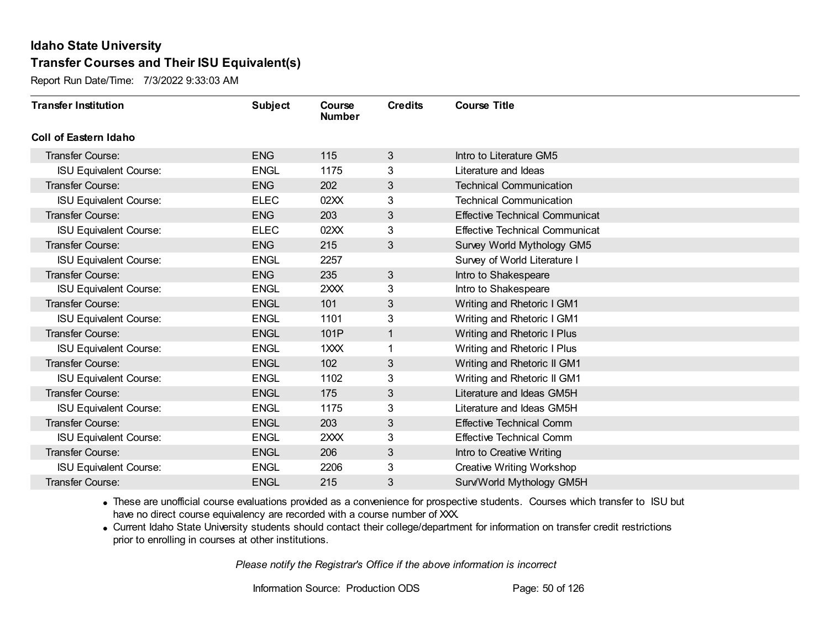Report Run Date/Time: 7/3/2022 9:33:03 AM

| <b>Transfer Institution</b>   | <b>Subject</b> | Course<br><b>Number</b> | <b>Credits</b> | <b>Course Title</b>                   |
|-------------------------------|----------------|-------------------------|----------------|---------------------------------------|
| <b>Coll of Eastern Idaho</b>  |                |                         |                |                                       |
| Transfer Course:              | <b>ENG</b>     | 115                     | $\mathbf{3}$   | Intro to Literature GM5               |
| <b>ISU Equivalent Course:</b> | <b>ENGL</b>    | 1175                    | 3              | Literature and Ideas                  |
| Transfer Course:              | <b>ENG</b>     | 202                     | 3              | <b>Technical Communication</b>        |
| <b>ISU Equivalent Course:</b> | <b>ELEC</b>    | 02XX                    | 3              | <b>Technical Communication</b>        |
| <b>Transfer Course:</b>       | <b>ENG</b>     | 203                     | 3              | <b>Effective Technical Communicat</b> |
| <b>ISU Equivalent Course:</b> | <b>ELEC</b>    | 02XX                    | 3              | <b>Effective Technical Communicat</b> |
| Transfer Course:              | <b>ENG</b>     | 215                     | $\mathfrak{S}$ | Survey World Mythology GM5            |
| <b>ISU Equivalent Course:</b> | <b>ENGL</b>    | 2257                    |                | Survey of World Literature I          |
| Transfer Course:              | <b>ENG</b>     | 235                     | 3              | Intro to Shakespeare                  |
| <b>ISU Equivalent Course:</b> | <b>ENGL</b>    | 2XXX                    | 3              | Intro to Shakespeare                  |
| Transfer Course:              | <b>ENGL</b>    | 101                     | 3              | Writing and Rhetoric I GM1            |
| <b>ISU Equivalent Course:</b> | <b>ENGL</b>    | 1101                    | 3              | Writing and Rhetoric I GM1            |
| Transfer Course:              | <b>ENGL</b>    | 101P                    | 1              | Writing and Rhetoric I Plus           |
| <b>ISU Equivalent Course:</b> | <b>ENGL</b>    | 1XXX                    | 1              | Writing and Rhetoric I Plus           |
| Transfer Course:              | <b>ENGL</b>    | 102                     | 3              | Writing and Rhetoric II GM1           |
| <b>ISU Equivalent Course:</b> | <b>ENGL</b>    | 1102                    | 3              | Writing and Rhetoric II GM1           |
| Transfer Course:              | <b>ENGL</b>    | 175                     | 3              | Literature and Ideas GM5H             |
| <b>ISU Equivalent Course:</b> | <b>ENGL</b>    | 1175                    | 3              | Literature and Ideas GM5H             |
| Transfer Course:              | <b>ENGL</b>    | 203                     | 3              | <b>Effective Technical Comm</b>       |
| <b>ISU Equivalent Course:</b> | <b>ENGL</b>    | 2XXX                    | 3              | <b>Effective Technical Comm</b>       |
| Transfer Course:              | <b>ENGL</b>    | 206                     | 3              | Intro to Creative Writing             |
| <b>ISU Equivalent Course:</b> | <b>ENGL</b>    | 2206                    | 3              | <b>Creative Writing Workshop</b>      |
| Transfer Course:              | <b>ENGL</b>    | 215                     | 3              | Surv/World Mythology GM5H             |

· These are unofficial course evaluations provided as a convenience for prospective students. Courses which transfer to ISU but have no direct course equivalency are recorded with a course number of XXX.

· Current Idaho State University students should contact their college/department for information on transfer credit restrictions prior to enrolling in courses at other institutions.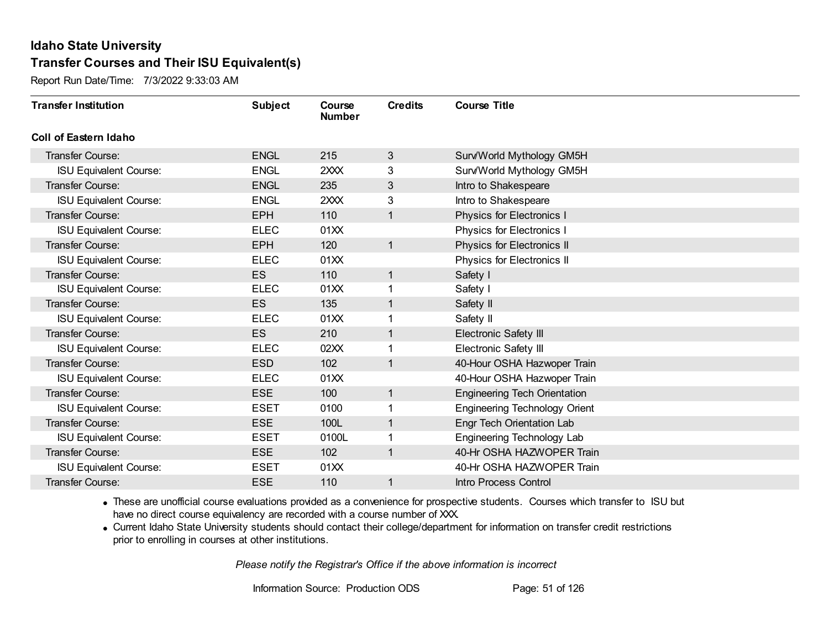Report Run Date/Time: 7/3/2022 9:33:03 AM

| <b>Transfer Institution</b>   | <b>Subject</b> | Course<br><b>Number</b> | <b>Credits</b> | <b>Course Title</b>                  |
|-------------------------------|----------------|-------------------------|----------------|--------------------------------------|
| Coll of Eastern Idaho         |                |                         |                |                                      |
| Transfer Course:              | <b>ENGL</b>    | 215                     | 3              | Surv/World Mythology GM5H            |
| <b>ISU Equivalent Course:</b> | <b>ENGL</b>    | 2XXX                    | 3              | Surv/World Mythology GM5H            |
| Transfer Course:              | <b>ENGL</b>    | 235                     | 3              | Intro to Shakespeare                 |
| <b>ISU Equivalent Course:</b> | <b>ENGL</b>    | 2XXX                    | 3              | Intro to Shakespeare                 |
| <b>Transfer Course:</b>       | <b>EPH</b>     | 110                     | $\mathbf{1}$   | Physics for Electronics I            |
| <b>ISU Equivalent Course:</b> | <b>ELEC</b>    | 01XX                    |                | Physics for Electronics I            |
| <b>Transfer Course:</b>       | <b>EPH</b>     | 120                     | $\mathbf{1}$   | Physics for Electronics II           |
| <b>ISU Equivalent Course:</b> | <b>ELEC</b>    | 01XX                    |                | Physics for Electronics II           |
| <b>Transfer Course:</b>       | <b>ES</b>      | 110                     | $\mathbf{1}$   | Safety I                             |
| <b>ISU Equivalent Course:</b> | <b>ELEC</b>    | 01XX                    | 1              | Safety I                             |
| <b>Transfer Course:</b>       | <b>ES</b>      | 135                     | $\mathbf{1}$   | Safety II                            |
| <b>ISU Equivalent Course:</b> | <b>ELEC</b>    | 01XX                    | 1              | Safety II                            |
| Transfer Course:              | <b>ES</b>      | 210                     | 1              | Electronic Safety III                |
| <b>ISU Equivalent Course:</b> | <b>ELEC</b>    | 02XX                    | 1              | <b>Electronic Safety III</b>         |
| Transfer Course:              | <b>ESD</b>     | 102                     | $\mathbf{1}$   | 40-Hour OSHA Hazwoper Train          |
| <b>ISU Equivalent Course:</b> | <b>ELEC</b>    | 01XX                    |                | 40-Hour OSHA Hazwoper Train          |
| Transfer Course:              | <b>ESE</b>     | 100                     | $\mathbf{1}$   | <b>Engineering Tech Orientation</b>  |
| <b>ISU Equivalent Course:</b> | <b>ESET</b>    | 0100                    | 1              | <b>Engineering Technology Orient</b> |
| Transfer Course:              | <b>ESE</b>     | 100L                    | $\mathbf{1}$   | Engr Tech Orientation Lab            |
| <b>ISU Equivalent Course:</b> | <b>ESET</b>    | 0100L                   |                | Engineering Technology Lab           |
| <b>Transfer Course:</b>       | <b>ESE</b>     | 102                     | $\mathbf{1}$   | 40-Hr OSHA HAZWOPER Train            |
| <b>ISU Equivalent Course:</b> | <b>ESET</b>    | 01XX                    |                | 40-Hr OSHA HAZWOPER Train            |
| Transfer Course:              | <b>ESE</b>     | 110                     | 1              | Intro Process Control                |

· These are unofficial course evaluations provided as a convenience for prospective students. Courses which transfer to ISU but have no direct course equivalency are recorded with a course number of XXX.

· Current Idaho State University students should contact their college/department for information on transfer credit restrictions prior to enrolling in courses at other institutions.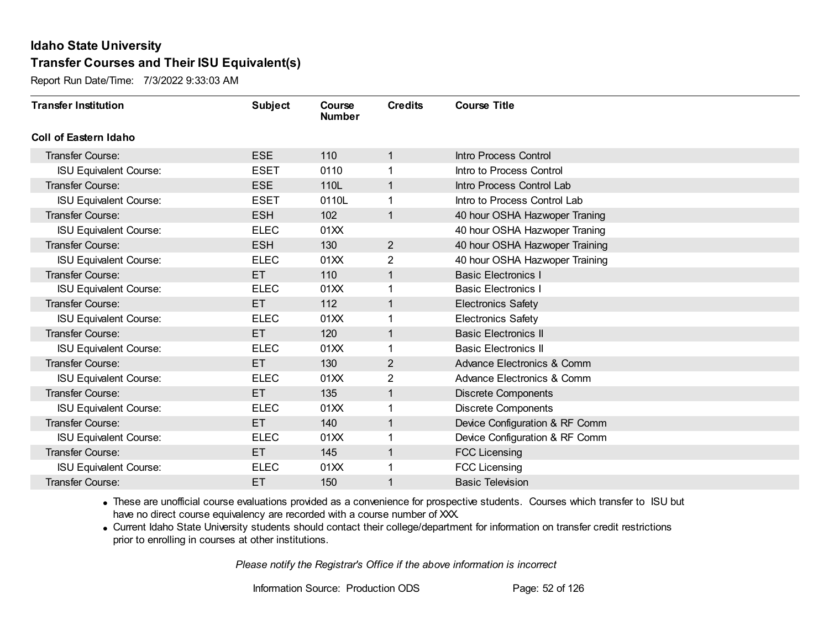Report Run Date/Time: 7/3/2022 9:33:03 AM

| <b>Transfer Institution</b>   | <b>Subject</b> | Course<br><b>Number</b> | <b>Credits</b> | <b>Course Title</b>            |
|-------------------------------|----------------|-------------------------|----------------|--------------------------------|
| <b>Coll of Eastern Idaho</b>  |                |                         |                |                                |
| Transfer Course:              | <b>ESE</b>     | 110                     | $\mathbf{1}$   | Intro Process Control          |
| <b>ISU Equivalent Course:</b> | <b>ESET</b>    | 0110                    |                | Intro to Process Control       |
| <b>Transfer Course:</b>       | <b>ESE</b>     | 110L                    |                | Intro Process Control Lab      |
| <b>ISU Equivalent Course:</b> | <b>ESET</b>    | 0110L                   |                | Intro to Process Control Lab   |
| Transfer Course:              | <b>ESH</b>     | 102                     | $\mathbf{1}$   | 40 hour OSHA Hazwoper Traning  |
| <b>ISU Equivalent Course:</b> | <b>ELEC</b>    | 01XX                    |                | 40 hour OSHA Hazwoper Traning  |
| <b>Transfer Course:</b>       | <b>ESH</b>     | 130                     | $\overline{2}$ | 40 hour OSHA Hazwoper Training |
| <b>ISU Equivalent Course:</b> | <b>ELEC</b>    | 01XX                    | 2              | 40 hour OSHA Hazwoper Training |
| <b>Transfer Course:</b>       | ET.            | 110                     | 1              | <b>Basic Electronics I</b>     |
| <b>ISU Equivalent Course:</b> | <b>ELEC</b>    | 01XX                    |                | <b>Basic Electronics I</b>     |
| <b>Transfer Course:</b>       | ET.            | 112                     | $\mathbf{1}$   | <b>Electronics Safety</b>      |
| <b>ISU Equivalent Course:</b> | <b>ELEC</b>    | 01XX                    |                | <b>Electronics Safety</b>      |
| Transfer Course:              | ET.            | 120                     | 1              | <b>Basic Electronics II</b>    |
| <b>ISU Equivalent Course:</b> | <b>ELEC</b>    | 01XX                    |                | <b>Basic Electronics II</b>    |
| Transfer Course:              | ET.            | 130                     | $\overline{2}$ | Advance Electronics & Comm     |
| <b>ISU Equivalent Course:</b> | <b>ELEC</b>    | 01XX                    | $\overline{2}$ | Advance Electronics & Comm     |
| <b>Transfer Course:</b>       | ET.            | 135                     | $\mathbf{1}$   | <b>Discrete Components</b>     |
| <b>ISU Equivalent Course:</b> | <b>ELEC</b>    | 01XX                    |                | <b>Discrete Components</b>     |
| <b>Transfer Course:</b>       | ET.            | 140                     | $\mathbf{1}$   | Device Configuration & RF Comm |
| <b>ISU Equivalent Course:</b> | <b>ELEC</b>    | 01XX                    |                | Device Configuration & RF Comm |
| <b>Transfer Course:</b>       | ET.            | 145                     | $\overline{1}$ | <b>FCC Licensing</b>           |
| <b>ISU Equivalent Course:</b> | <b>ELEC</b>    | 01XX                    |                | <b>FCC Licensing</b>           |
| Transfer Course:              | ET             | 150                     |                | <b>Basic Television</b>        |

· These are unofficial course evaluations provided as a convenience for prospective students. Courses which transfer to ISU but have no direct course equivalency are recorded with a course number of XXX.

· Current Idaho State University students should contact their college/department for information on transfer credit restrictions prior to enrolling in courses at other institutions.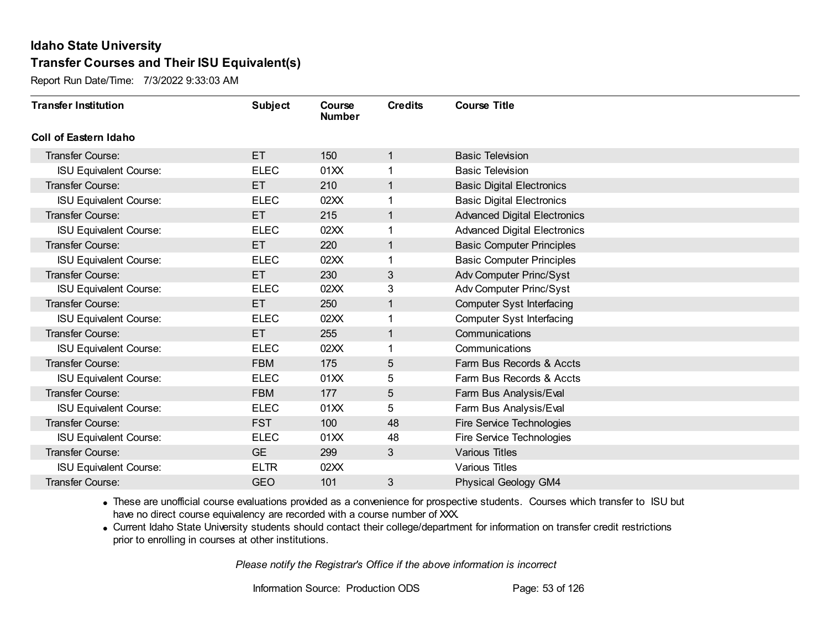Report Run Date/Time: 7/3/2022 9:33:03 AM

| <b>Transfer Institution</b>   | <b>Subject</b> | Course<br><b>Number</b> | <b>Credits</b> | <b>Course Title</b>                 |
|-------------------------------|----------------|-------------------------|----------------|-------------------------------------|
| Coll of Eastern Idaho         |                |                         |                |                                     |
| Transfer Course:              | ET             | 150                     | 1              | <b>Basic Television</b>             |
| <b>ISU Equivalent Course:</b> | <b>ELEC</b>    | 01XX                    | 1              | <b>Basic Television</b>             |
| Transfer Course:              | ET.            | 210                     | 1              | <b>Basic Digital Electronics</b>    |
| <b>ISU Equivalent Course:</b> | <b>ELEC</b>    | 02XX                    | 1              | <b>Basic Digital Electronics</b>    |
| <b>Transfer Course:</b>       | ET             | 215                     | 1              | <b>Advanced Digital Electronics</b> |
| <b>ISU Equivalent Course:</b> | <b>ELEC</b>    | 02XX                    |                | <b>Advanced Digital Electronics</b> |
| Transfer Course:              | ET.            | 220                     | $\mathbf 1$    | <b>Basic Computer Principles</b>    |
| <b>ISU Equivalent Course:</b> | <b>ELEC</b>    | 02XX                    |                | <b>Basic Computer Principles</b>    |
| Transfer Course:              | ET             | 230                     | 3              | Adv Computer Princ/Syst             |
| <b>ISU Equivalent Course:</b> | <b>ELEC</b>    | 02XX                    | 3              | Adv Computer Princ/Syst             |
| <b>Transfer Course:</b>       | ET.            | 250                     | 1              | <b>Computer Syst Interfacing</b>    |
| <b>ISU Equivalent Course:</b> | <b>ELEC</b>    | 02XX                    |                | <b>Computer Syst Interfacing</b>    |
| Transfer Course:              | ET.            | 255                     | 1              | Communications                      |
| <b>ISU Equivalent Course:</b> | <b>ELEC</b>    | 02XX                    | 1              | Communications                      |
| Transfer Course:              | <b>FBM</b>     | 175                     | 5              | Farm Bus Records & Accts            |
| <b>ISU Equivalent Course:</b> | <b>ELEC</b>    | 01XX                    | 5              | Farm Bus Records & Accts            |
| Transfer Course:              | <b>FBM</b>     | 177                     | 5              | Farm Bus Analysis/Eval              |
| <b>ISU Equivalent Course:</b> | <b>ELEC</b>    | 01XX                    | 5              | Farm Bus Analysis/Eval              |
| <b>Transfer Course:</b>       | <b>FST</b>     | 100                     | 48             | Fire Service Technologies           |
| <b>ISU Equivalent Course:</b> | <b>ELEC</b>    | 01XX                    | 48             | Fire Service Technologies           |
| Transfer Course:              | <b>GE</b>      | 299                     | 3              | <b>Various Titles</b>               |
| <b>ISU Equivalent Course:</b> | <b>ELTR</b>    | 02XX                    |                | <b>Various Titles</b>               |
| Transfer Course:              | <b>GEO</b>     | 101                     | 3              | <b>Physical Geology GM4</b>         |

· These are unofficial course evaluations provided as a convenience for prospective students. Courses which transfer to ISU but have no direct course equivalency are recorded with a course number of XXX.

· Current Idaho State University students should contact their college/department for information on transfer credit restrictions prior to enrolling in courses at other institutions.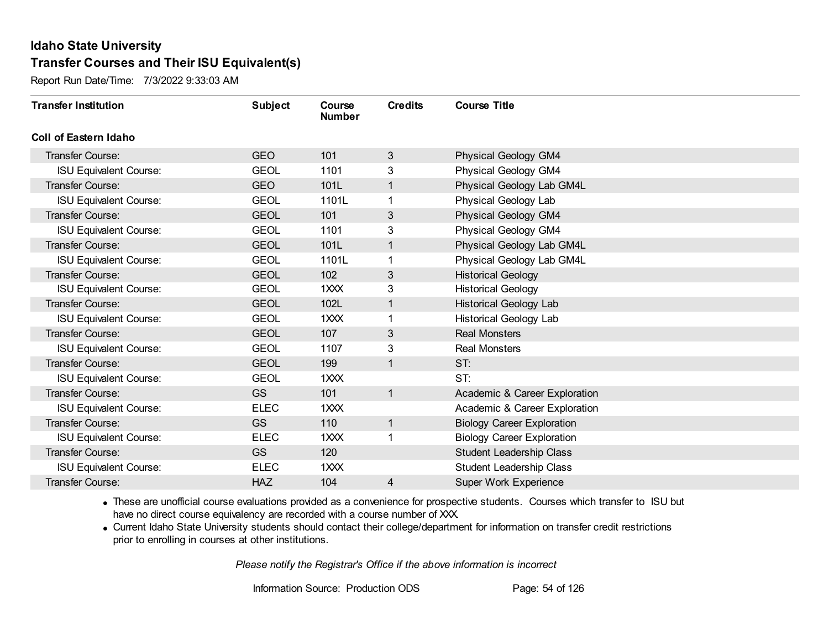Report Run Date/Time: 7/3/2022 9:33:03 AM

| <b>Transfer Institution</b>   | <b>Subject</b> | Course<br><b>Number</b> | <b>Credits</b> | <b>Course Title</b>               |
|-------------------------------|----------------|-------------------------|----------------|-----------------------------------|
| Coll of Eastern Idaho         |                |                         |                |                                   |
| Transfer Course:              | <b>GEO</b>     | 101                     | 3              | <b>Physical Geology GM4</b>       |
| <b>ISU Equivalent Course:</b> | <b>GEOL</b>    | 1101                    | 3              | <b>Physical Geology GM4</b>       |
| Transfer Course:              | <b>GEO</b>     | 101L                    | 1              | Physical Geology Lab GM4L         |
| <b>ISU Equivalent Course:</b> | <b>GEOL</b>    | 1101L                   |                | Physical Geology Lab              |
| <b>Transfer Course:</b>       | <b>GEOL</b>    | 101                     | $\mathfrak{S}$ | <b>Physical Geology GM4</b>       |
| <b>ISU Equivalent Course:</b> | <b>GEOL</b>    | 1101                    | 3              | Physical Geology GM4              |
| <b>Transfer Course:</b>       | <b>GEOL</b>    | 101L                    | 1              | Physical Geology Lab GM4L         |
| <b>ISU Equivalent Course:</b> | <b>GEOL</b>    | 1101L                   |                | Physical Geology Lab GM4L         |
| Transfer Course:              | <b>GEOL</b>    | 102                     | 3              | <b>Historical Geology</b>         |
| <b>ISU Equivalent Course:</b> | <b>GEOL</b>    | 1XXX                    | 3              | <b>Historical Geology</b>         |
| Transfer Course:              | <b>GEOL</b>    | 102L                    | $\mathbf{1}$   | <b>Historical Geology Lab</b>     |
| <b>ISU Equivalent Course:</b> | <b>GEOL</b>    | 1XXX                    |                | <b>Historical Geology Lab</b>     |
| Transfer Course:              | <b>GEOL</b>    | 107                     | 3              | <b>Real Monsters</b>              |
| <b>ISU Equivalent Course:</b> | <b>GEOL</b>    | 1107                    | 3              | <b>Real Monsters</b>              |
| Transfer Course:              | <b>GEOL</b>    | 199                     | $\mathbf{1}$   | ST:                               |
| <b>ISU Equivalent Course:</b> | <b>GEOL</b>    | 1XXX                    |                | ST:                               |
| Transfer Course:              | <b>GS</b>      | 101                     | $\mathbf{1}$   | Academic & Career Exploration     |
| <b>ISU Equivalent Course:</b> | <b>ELEC</b>    | 1XXX                    |                | Academic & Career Exploration     |
| <b>Transfer Course:</b>       | <b>GS</b>      | 110                     | $\mathbf{1}$   | <b>Biology Career Exploration</b> |
| <b>ISU Equivalent Course:</b> | <b>ELEC</b>    | 1XXX                    |                | <b>Biology Career Exploration</b> |
| Transfer Course:              | <b>GS</b>      | 120                     |                | <b>Student Leadership Class</b>   |
| <b>ISU Equivalent Course:</b> | <b>ELEC</b>    | 1XXX                    |                | <b>Student Leadership Class</b>   |
| Transfer Course:              | <b>HAZ</b>     | 104                     | 4              | <b>Super Work Experience</b>      |

· These are unofficial course evaluations provided as a convenience for prospective students. Courses which transfer to ISU but have no direct course equivalency are recorded with a course number of XXX.

· Current Idaho State University students should contact their college/department for information on transfer credit restrictions prior to enrolling in courses at other institutions.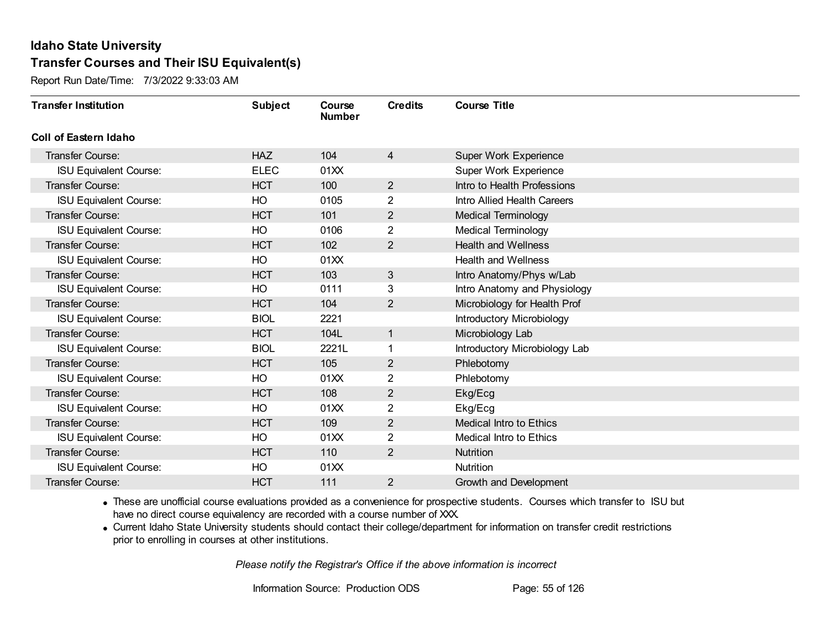Report Run Date/Time: 7/3/2022 9:33:03 AM

| <b>Transfer Institution</b>   | <b>Subject</b> | Course<br><b>Number</b> | <b>Credits</b> | <b>Course Title</b>            |
|-------------------------------|----------------|-------------------------|----------------|--------------------------------|
| Coll of Eastern Idaho         |                |                         |                |                                |
| Transfer Course:              | <b>HAZ</b>     | 104                     | $\overline{4}$ | Super Work Experience          |
| <b>ISU Equivalent Course:</b> | <b>ELEC</b>    | 01XX                    |                | Super Work Experience          |
| Transfer Course:              | <b>HCT</b>     | 100                     | $\overline{2}$ | Intro to Health Professions    |
| <b>ISU Equivalent Course:</b> | HO             | 0105                    | $\overline{2}$ | Intro Allied Health Careers    |
| <b>Transfer Course:</b>       | <b>HCT</b>     | 101                     | $\overline{2}$ | <b>Medical Terminology</b>     |
| <b>ISU Equivalent Course:</b> | HO             | 0106                    | $\overline{2}$ | Medical Terminology            |
| <b>Transfer Course:</b>       | <b>HCT</b>     | 102                     | $\overline{2}$ | <b>Health and Wellness</b>     |
| <b>ISU Equivalent Course:</b> | HO             | 01XX                    |                | <b>Health and Wellness</b>     |
| <b>Transfer Course:</b>       | <b>HCT</b>     | 103                     | $\mathbf{3}$   | Intro Anatomy/Phys w/Lab       |
| <b>ISU Equivalent Course:</b> | HO             | 0111                    | 3              | Intro Anatomy and Physiology   |
| <b>Transfer Course:</b>       | <b>HCT</b>     | 104                     | 2              | Microbiology for Health Prof   |
| <b>ISU Equivalent Course:</b> | <b>BIOL</b>    | 2221                    |                | Introductory Microbiology      |
| Transfer Course:              | <b>HCT</b>     | 104L                    | $\mathbf{1}$   | Microbiology Lab               |
| <b>ISU Equivalent Course:</b> | <b>BIOL</b>    | 2221L                   | 1              | Introductory Microbiology Lab  |
| Transfer Course:              | <b>HCT</b>     | 105                     | 2              | Phlebotomy                     |
| <b>ISU Equivalent Course:</b> | HO             | 01XX                    | $\overline{2}$ | Phlebotomy                     |
| Transfer Course:              | <b>HCT</b>     | 108                     | $\overline{2}$ | Ekg/Ecg                        |
| <b>ISU Equivalent Course:</b> | HO             | 01XX                    | 2              | Ekg/Ecg                        |
| Transfer Course:              | <b>HCT</b>     | 109                     | $\overline{2}$ | <b>Medical Intro to Ethics</b> |
| <b>ISU Equivalent Course:</b> | HO             | 01XX                    | $\overline{2}$ | Medical Intro to Ethics        |
| <b>Transfer Course:</b>       | <b>HCT</b>     | 110                     | $\overline{2}$ | Nutrition                      |
| <b>ISU Equivalent Course:</b> | HO             | 01XX                    |                | Nutrition                      |
| Transfer Course:              | <b>HCT</b>     | 111                     | 2              | Growth and Development         |

· These are unofficial course evaluations provided as a convenience for prospective students. Courses which transfer to ISU but have no direct course equivalency are recorded with a course number of XXX.

· Current Idaho State University students should contact their college/department for information on transfer credit restrictions prior to enrolling in courses at other institutions.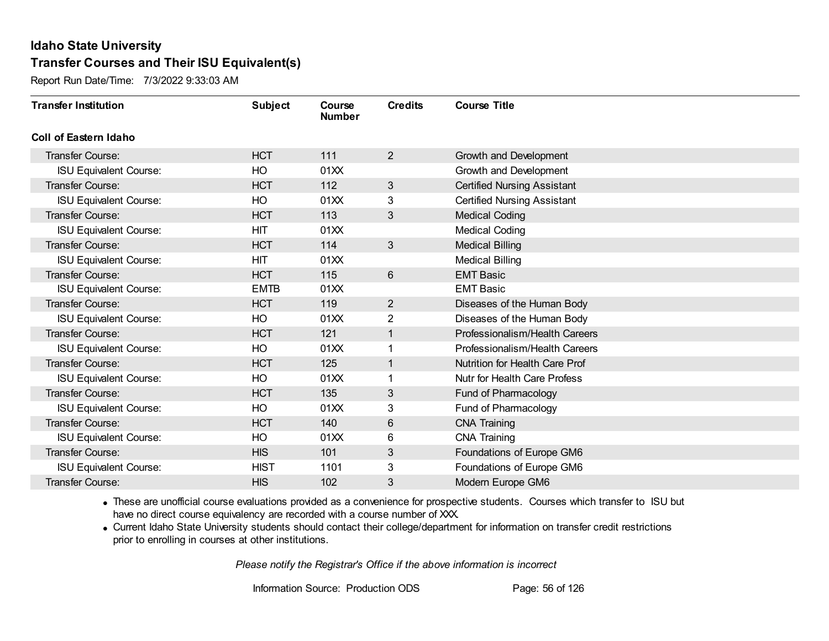Report Run Date/Time: 7/3/2022 9:33:03 AM

| <b>Transfer Institution</b>   | <b>Subject</b> | Course<br><b>Number</b> | <b>Credits</b> | <b>Course Title</b>                   |
|-------------------------------|----------------|-------------------------|----------------|---------------------------------------|
| Coll of Eastern Idaho         |                |                         |                |                                       |
| Transfer Course:              | <b>HCT</b>     | 111                     | $\overline{2}$ | Growth and Development                |
| <b>ISU Equivalent Course:</b> | HO             | 01XX                    |                | Growth and Development                |
| Transfer Course:              | <b>HCT</b>     | 112                     | 3              | <b>Certified Nursing Assistant</b>    |
| <b>ISU Equivalent Course:</b> | HO             | 01XX                    | 3              | <b>Certified Nursing Assistant</b>    |
| <b>Transfer Course:</b>       | <b>HCT</b>     | 113                     | 3              | <b>Medical Coding</b>                 |
| <b>ISU Equivalent Course:</b> | <b>HIT</b>     | 01XX                    |                | <b>Medical Coding</b>                 |
| Transfer Course:              | <b>HCT</b>     | 114                     | $\mathfrak{S}$ | <b>Medical Billing</b>                |
| <b>ISU Equivalent Course:</b> | <b>HIT</b>     | 01XX                    |                | <b>Medical Billing</b>                |
| <b>Transfer Course:</b>       | <b>HCT</b>     | 115                     | 6              | <b>EMT Basic</b>                      |
| <b>ISU Equivalent Course:</b> | <b>EMTB</b>    | 01XX                    |                | <b>EMT Basic</b>                      |
| Transfer Course:              | <b>HCT</b>     | 119                     | $\overline{2}$ | Diseases of the Human Body            |
| <b>ISU Equivalent Course:</b> | HO             | 01XX                    | 2              | Diseases of the Human Body            |
| Transfer Course:              | <b>HCT</b>     | 121                     | 1              | Professionalism/Health Careers        |
| <b>ISU Equivalent Course:</b> | HO             | 01XX                    |                | Professionalism/Health Careers        |
| Transfer Course:              | <b>HCT</b>     | 125                     | 1              | <b>Nutrition for Health Care Prof</b> |
| <b>ISU Equivalent Course:</b> | HO             | 01XX                    |                | Nutr for Health Care Profess          |
| Transfer Course:              | <b>HCT</b>     | 135                     | 3              | Fund of Pharmacology                  |
| <b>ISU Equivalent Course:</b> | HO             | 01XX                    | 3              | Fund of Pharmacology                  |
| Transfer Course:              | <b>HCT</b>     | 140                     | 6              | <b>CNA Training</b>                   |
| <b>ISU Equivalent Course:</b> | HO             | 01 <sub>XX</sub>        | 6              | <b>CNA Training</b>                   |
| Transfer Course:              | <b>HIS</b>     | 101                     | $\sqrt{3}$     | Foundations of Europe GM6             |
| <b>ISU Equivalent Course:</b> | <b>HIST</b>    | 1101                    | 3              | Foundations of Europe GM6             |
| Transfer Course:              | <b>HIS</b>     | 102                     | 3              | Modern Europe GM6                     |

· These are unofficial course evaluations provided as a convenience for prospective students. Courses which transfer to ISU but have no direct course equivalency are recorded with a course number of XXX.

· Current Idaho State University students should contact their college/department for information on transfer credit restrictions prior to enrolling in courses at other institutions.

*Please notify the Registrar's Office if the above information is incorrect*

Information Source: Production ODS Page: 56 of 126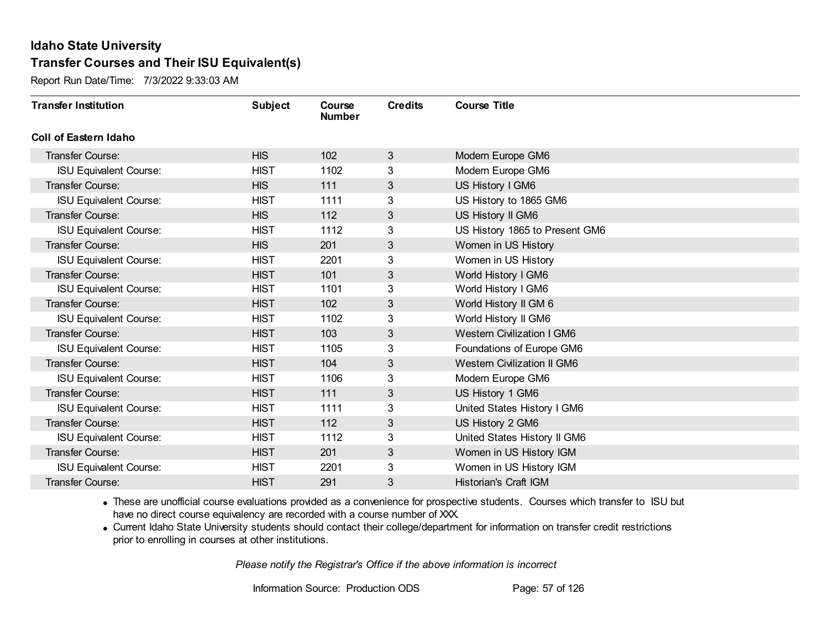Report Run Date/Time: 7/3/2022 9:33:03 AM

| <b>Transfer Institution</b>   | <b>Subject</b> | Course<br><b>Number</b> | <b>Credits</b> | <b>Course Title</b>                |
|-------------------------------|----------------|-------------------------|----------------|------------------------------------|
| Coll of Eastern Idaho         |                |                         |                |                                    |
| Transfer Course:              | <b>HIS</b>     | 102                     | 3              | Modern Europe GM6                  |
| <b>ISU Equivalent Course:</b> | <b>HIST</b>    | 1102                    | 3              | Modern Europe GM6                  |
| Transfer Course:              | <b>HIS</b>     | 111                     | 3              | US History I GM6                   |
| <b>ISU Equivalent Course:</b> | <b>HIST</b>    | 1111                    | 3              | US History to 1865 GM6             |
| <b>Transfer Course:</b>       | <b>HIS</b>     | 112                     | 3              | US History II GM6                  |
| <b>ISU Equivalent Course:</b> | <b>HIST</b>    | 1112                    | 3              | US History 1865 to Present GM6     |
| Transfer Course:              | <b>HIS</b>     | 201                     | 3              | Women in US History                |
| <b>ISU Equivalent Course:</b> | <b>HIST</b>    | 2201                    | 3              | Women in US History                |
| <b>Transfer Course:</b>       | <b>HIST</b>    | 101                     | 3              | World History I GM6                |
| <b>ISU Equivalent Course:</b> | <b>HIST</b>    | 1101                    | 3              | World History I GM6                |
| Transfer Course:              | <b>HIST</b>    | 102                     | 3              | World History II GM 6              |
| <b>ISU Equivalent Course:</b> | <b>HIST</b>    | 1102                    | 3              | World History II GM6               |
| Transfer Course:              | <b>HIST</b>    | 103                     | 3              | <b>Western Civilization I GM6</b>  |
| <b>ISU Equivalent Course:</b> | <b>HIST</b>    | 1105                    | 3              | Foundations of Europe GM6          |
| Transfer Course:              | <b>HIST</b>    | 104                     | 3              | <b>Western Civilization II GM6</b> |
| <b>ISU Equivalent Course:</b> | <b>HIST</b>    | 1106                    | 3              | Modern Europe GM6                  |
| Transfer Course:              | <b>HIST</b>    | 111                     | 3              | US History 1 GM6                   |
| <b>ISU Equivalent Course:</b> | <b>HIST</b>    | 1111                    | 3              | United States History I GM6        |
| Transfer Course:              | <b>HIST</b>    | 112                     | 3              | US History 2 GM6                   |
| <b>ISU Equivalent Course:</b> | <b>HIST</b>    | 1112                    | 3              | United States History II GM6       |
| <b>Transfer Course:</b>       | <b>HIST</b>    | 201                     | 3              | Women in US History IGM            |
| <b>ISU Equivalent Course:</b> | <b>HIST</b>    | 2201                    | 3              | Women in US History IGM            |
| <b>Transfer Course:</b>       | <b>HIST</b>    | 291                     | 3              | Historian's Craft IGM              |

· These are unofficial course evaluations provided as a convenience for prospective students. Courses which transfer to ISU but have no direct course equivalency are recorded with a course number of XXX.

· Current Idaho State University students should contact their college/department for information on transfer credit restrictions prior to enrolling in courses at other institutions.

*Please notify the Registrar's Office if the above information is incorrect*

Information Source: Production ODS Page: 57 of 126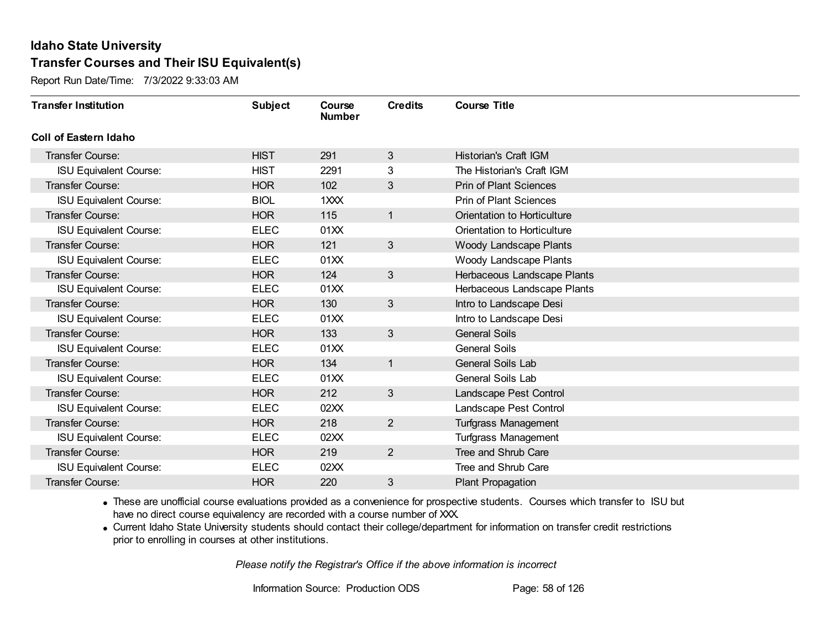Report Run Date/Time: 7/3/2022 9:33:03 AM

| <b>Transfer Institution</b>   | <b>Subject</b> | Course<br><b>Number</b> | <b>Credits</b> | <b>Course Title</b>           |
|-------------------------------|----------------|-------------------------|----------------|-------------------------------|
| Coll of Eastern Idaho         |                |                         |                |                               |
| Transfer Course:              | <b>HIST</b>    | 291                     | 3              | Historian's Craft IGM         |
| <b>ISU Equivalent Course:</b> | <b>HIST</b>    | 2291                    | 3              | The Historian's Craft IGM     |
| Transfer Course:              | <b>HOR</b>     | 102                     | 3              | <b>Prin of Plant Sciences</b> |
| <b>ISU Equivalent Course:</b> | <b>BIOL</b>    | 1XXX                    |                | <b>Prin of Plant Sciences</b> |
| <b>Transfer Course:</b>       | <b>HOR</b>     | 115                     | $\mathbf{1}$   | Orientation to Horticulture   |
| <b>ISU Equivalent Course:</b> | <b>ELEC</b>    | 01XX                    |                | Orientation to Horticulture   |
| <b>Transfer Course:</b>       | <b>HOR</b>     | 121                     | $\mathfrak{S}$ | Woody Landscape Plants        |
| <b>ISU Equivalent Course:</b> | <b>ELEC</b>    | 01XX                    |                | Woody Landscape Plants        |
| Transfer Course:              | <b>HOR</b>     | 124                     | $\mathfrak{S}$ | Herbaceous Landscape Plants   |
| <b>ISU Equivalent Course:</b> | <b>ELEC</b>    | 01XX                    |                | Herbaceous Landscape Plants   |
| <b>Transfer Course:</b>       | <b>HOR</b>     | 130                     | $\mathbf{3}$   | Intro to Landscape Desi       |
| <b>ISU Equivalent Course:</b> | <b>ELEC</b>    | 01XX                    |                | Intro to Landscape Desi       |
| Transfer Course:              | <b>HOR</b>     | 133                     | 3              | <b>General Soils</b>          |
| <b>ISU Equivalent Course:</b> | <b>ELEC</b>    | 01XX                    |                | <b>General Soils</b>          |
| Transfer Course:              | <b>HOR</b>     | 134                     | $\mathbf{1}$   | <b>General Soils Lab</b>      |
| <b>ISU Equivalent Course:</b> | <b>ELEC</b>    | 01XX                    |                | General Soils Lab             |
| Transfer Course:              | <b>HOR</b>     | 212                     | $\mathbf{3}$   | Landscape Pest Control        |
| <b>ISU Equivalent Course:</b> | <b>ELEC</b>    | 02XX                    |                | Landscape Pest Control        |
| Transfer Course:              | <b>HOR</b>     | 218                     | $\overline{2}$ | Turfgrass Management          |
| <b>ISU Equivalent Course:</b> | <b>ELEC</b>    | 02XX                    |                | <b>Turfgrass Management</b>   |
| <b>Transfer Course:</b>       | <b>HOR</b>     | 219                     | $\overline{2}$ | Tree and Shrub Care           |
| <b>ISU Equivalent Course:</b> | <b>ELEC</b>    | 02XX                    |                | Tree and Shrub Care           |
| Transfer Course:              | <b>HOR</b>     | 220                     | 3              | Plant Propagation             |

· These are unofficial course evaluations provided as a convenience for prospective students. Courses which transfer to ISU but have no direct course equivalency are recorded with a course number of XXX.

· Current Idaho State University students should contact their college/department for information on transfer credit restrictions prior to enrolling in courses at other institutions.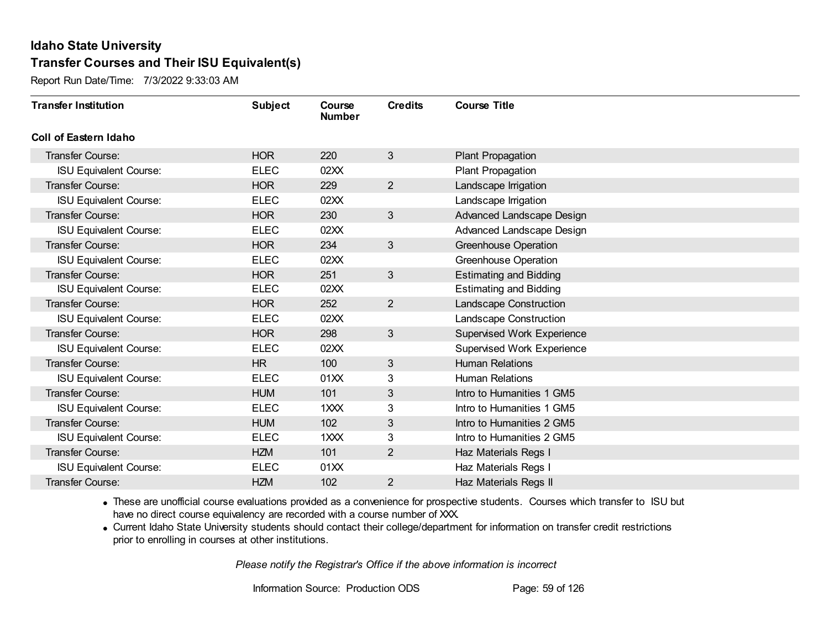Report Run Date/Time: 7/3/2022 9:33:03 AM

| <b>Transfer Institution</b>   | <b>Subject</b> | Course<br><b>Number</b> | <b>Credits</b>  | <b>Course Title</b>           |
|-------------------------------|----------------|-------------------------|-----------------|-------------------------------|
| Coll of Eastern Idaho         |                |                         |                 |                               |
| Transfer Course:              | <b>HOR</b>     | 220                     | $3\overline{3}$ | Plant Propagation             |
| <b>ISU Equivalent Course:</b> | <b>ELEC</b>    | 02XX                    |                 | Plant Propagation             |
| Transfer Course:              | <b>HOR</b>     | 229                     | $\overline{2}$  | Landscape Irrigation          |
| <b>ISU Equivalent Course:</b> | <b>ELEC</b>    | 02XX                    |                 | Landscape Irrigation          |
| <b>Transfer Course:</b>       | <b>HOR</b>     | 230                     | $\mathbf{3}$    | Advanced Landscape Design     |
| <b>ISU Equivalent Course:</b> | <b>ELEC</b>    | 02XX                    |                 | Advanced Landscape Design     |
| <b>Transfer Course:</b>       | <b>HOR</b>     | 234                     | $\mathfrak{S}$  | <b>Greenhouse Operation</b>   |
| <b>ISU Equivalent Course:</b> | <b>ELEC</b>    | 02XX                    |                 | <b>Greenhouse Operation</b>   |
| Transfer Course:              | <b>HOR</b>     | 251                     | 3               | <b>Estimating and Bidding</b> |
| <b>ISU Equivalent Course:</b> | <b>ELEC</b>    | 02XX                    |                 | <b>Estimating and Bidding</b> |
| <b>Transfer Course:</b>       | <b>HOR</b>     | 252                     | $\overline{2}$  | Landscape Construction        |
| <b>ISU Equivalent Course:</b> | <b>ELEC</b>    | 02XX                    |                 | <b>Landscape Construction</b> |
| Transfer Course:              | <b>HOR</b>     | 298                     | $3\phantom{.}$  | Supervised Work Experience    |
| <b>ISU Equivalent Course:</b> | <b>ELEC</b>    | 02XX                    |                 | Supervised Work Experience    |
| Transfer Course:              | <b>HR</b>      | 100                     | 3               | <b>Human Relations</b>        |
| <b>ISU Equivalent Course:</b> | <b>ELEC</b>    | 01XX                    | 3               | <b>Human Relations</b>        |
| Transfer Course:              | <b>HUM</b>     | 101                     | 3               | Intro to Humanities 1 GM5     |
| <b>ISU Equivalent Course:</b> | <b>ELEC</b>    | 1XXX                    | 3               | Intro to Humanities 1 GM5     |
| Transfer Course:              | <b>HUM</b>     | 102                     | 3               | Intro to Humanities 2 GM5     |
| <b>ISU Equivalent Course:</b> | <b>ELEC</b>    | 1XXX                    | 3               | Intro to Humanities 2 GM5     |
| Transfer Course:              | <b>HZM</b>     | 101                     | $\overline{2}$  | Haz Materials Regs I          |
| <b>ISU Equivalent Course:</b> | <b>ELEC</b>    | 01XX                    |                 | Haz Materials Regs I          |
| Transfer Course:              | <b>HZM</b>     | 102                     | $\overline{2}$  | Haz Materials Regs II         |

· These are unofficial course evaluations provided as a convenience for prospective students. Courses which transfer to ISU but have no direct course equivalency are recorded with a course number of XXX.

· Current Idaho State University students should contact their college/department for information on transfer credit restrictions prior to enrolling in courses at other institutions.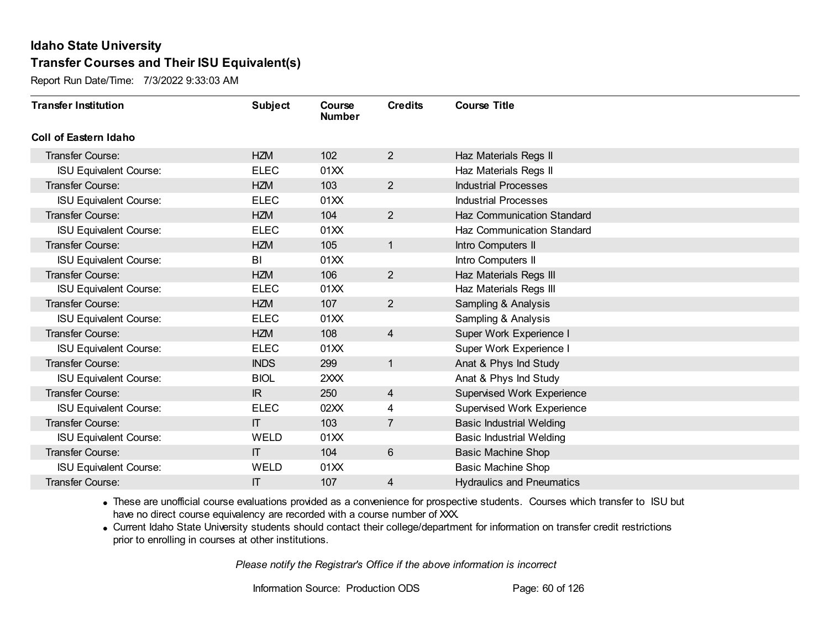Report Run Date/Time: 7/3/2022 9:33:03 AM

| <b>Transfer Institution</b>   | <b>Subject</b> | Course<br><b>Number</b> | <b>Credits</b> | <b>Course Title</b>               |
|-------------------------------|----------------|-------------------------|----------------|-----------------------------------|
| <b>Coll of Eastern Idaho</b>  |                |                         |                |                                   |
| Transfer Course:              | <b>HZM</b>     | 102                     | $\overline{2}$ | Haz Materials Regs II             |
| <b>ISU Equivalent Course:</b> | <b>ELEC</b>    | 01XX                    |                | Haz Materials Regs II             |
| <b>Transfer Course:</b>       | <b>HZM</b>     | 103                     | $\overline{2}$ | <b>Industrial Processes</b>       |
| <b>ISU Equivalent Course:</b> | <b>ELEC</b>    | 01XX                    |                | <b>Industrial Processes</b>       |
| <b>Transfer Course:</b>       | <b>HZM</b>     | 104                     | $\overline{2}$ | Haz Communication Standard        |
| <b>ISU Equivalent Course:</b> | <b>ELEC</b>    | 01XX                    |                | Haz Communication Standard        |
| <b>Transfer Course:</b>       | <b>HZM</b>     | 105                     | $\mathbf{1}$   | Intro Computers II                |
| <b>ISU Equivalent Course:</b> | BI             | 01XX                    |                | Intro Computers II                |
| <b>Transfer Course:</b>       | <b>HZM</b>     | 106                     | $\overline{2}$ | Haz Materials Regs III            |
| <b>ISU Equivalent Course:</b> | <b>ELEC</b>    | 01XX                    |                | Haz Materials Regs III            |
| <b>Transfer Course:</b>       | <b>HZM</b>     | 107                     | $\overline{2}$ | Sampling & Analysis               |
| <b>ISU Equivalent Course:</b> | <b>ELEC</b>    | 01XX                    |                | Sampling & Analysis               |
| Transfer Course:              | <b>HZM</b>     | 108                     | 4              | Super Work Experience I           |
| <b>ISU Equivalent Course:</b> | <b>ELEC</b>    | 01XX                    |                | Super Work Experience I           |
| Transfer Course:              | <b>INDS</b>    | 299                     | $\mathbf{1}$   | Anat & Phys Ind Study             |
| <b>ISU Equivalent Course:</b> | <b>BIOL</b>    | 2XXX                    |                | Anat & Phys Ind Study             |
| <b>Transfer Course:</b>       | IR             | 250                     | $\overline{4}$ | Supervised Work Experience        |
| <b>ISU Equivalent Course:</b> | <b>ELEC</b>    | 02XX                    | 4              | <b>Supervised Work Experience</b> |
| <b>Transfer Course:</b>       | $\mathsf{I}$   | 103                     | $\overline{7}$ | <b>Basic Industrial Welding</b>   |
| <b>ISU Equivalent Course:</b> | <b>WELD</b>    | 01XX                    |                | <b>Basic Industrial Welding</b>   |
| <b>Transfer Course:</b>       | $\Pi$          | 104                     | 6              | <b>Basic Machine Shop</b>         |
| <b>ISU Equivalent Course:</b> | WELD           | 01XX                    |                | <b>Basic Machine Shop</b>         |
| Transfer Course:              | IT             | 107                     | 4              | <b>Hydraulics and Pneumatics</b>  |

· These are unofficial course evaluations provided as a convenience for prospective students. Courses which transfer to ISU but have no direct course equivalency are recorded with a course number of XXX.

· Current Idaho State University students should contact their college/department for information on transfer credit restrictions prior to enrolling in courses at other institutions.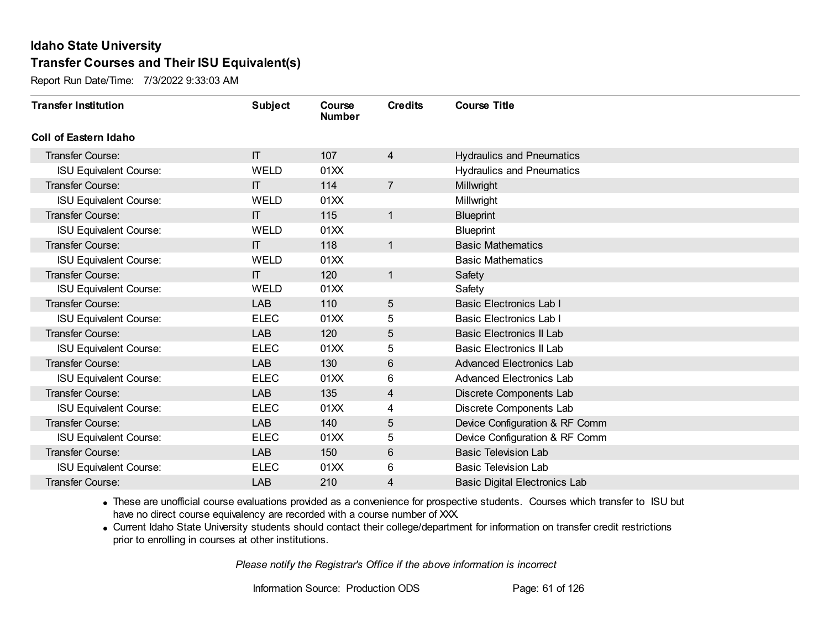Report Run Date/Time: 7/3/2022 9:33:03 AM

| <b>Transfer Institution</b>   | <b>Subject</b> | Course<br><b>Number</b> | <b>Credits</b> | <b>Course Title</b>                  |
|-------------------------------|----------------|-------------------------|----------------|--------------------------------------|
| <b>Coll of Eastern Idaho</b>  |                |                         |                |                                      |
| Transfer Course:              | $\Pi$          | 107                     | $\overline{4}$ | <b>Hydraulics and Pneumatics</b>     |
| <b>ISU Equivalent Course:</b> | <b>WELD</b>    | 01XX                    |                | <b>Hydraulics and Pneumatics</b>     |
| <b>Transfer Course:</b>       | $\Pi$          | 114                     | $\overline{7}$ | Millwright                           |
| <b>ISU Equivalent Course:</b> | <b>WELD</b>    | 01XX                    |                | Millwright                           |
| <b>Transfer Course:</b>       | $\Pi$          | 115                     | $\mathbf{1}$   | <b>Blueprint</b>                     |
| <b>ISU Equivalent Course:</b> | <b>WELD</b>    | 01XX                    |                | <b>Blueprint</b>                     |
| <b>Transfer Course:</b>       | $\Pi$          | 118                     | $\mathbf{1}$   | <b>Basic Mathematics</b>             |
| <b>ISU Equivalent Course:</b> | <b>WELD</b>    | 01XX                    |                | <b>Basic Mathematics</b>             |
| <b>Transfer Course:</b>       | $\Pi$          | 120                     | $\mathbf{1}$   | Safety                               |
| <b>ISU Equivalent Course:</b> | <b>WELD</b>    | 01XX                    |                | Safety                               |
| <b>Transfer Course:</b>       | <b>LAB</b>     | 110                     | 5              | <b>Basic Electronics Lab I</b>       |
| <b>ISU Equivalent Course:</b> | <b>ELEC</b>    | 01XX                    | 5              | <b>Basic Electronics Lab I</b>       |
| <b>Transfer Course:</b>       | <b>LAB</b>     | 120                     | 5              | <b>Basic Electronics II Lab</b>      |
| <b>ISU Equivalent Course:</b> | <b>ELEC</b>    | 01XX                    | 5              | Basic Electronics II Lab             |
| Transfer Course:              | <b>LAB</b>     | 130                     | 6              | <b>Advanced Electronics Lab</b>      |
| <b>ISU Equivalent Course:</b> | <b>ELEC</b>    | 01XX                    | $6\phantom{1}$ | <b>Advanced Electronics Lab</b>      |
| <b>Transfer Course:</b>       | <b>LAB</b>     | 135                     | 4              | Discrete Components Lab              |
| <b>ISU Equivalent Course:</b> | <b>ELEC</b>    | 01XX                    | 4              | Discrete Components Lab              |
| Transfer Course:              | <b>LAB</b>     | 140                     | 5              | Device Configuration & RF Comm       |
| <b>ISU Equivalent Course:</b> | <b>ELEC</b>    | 01XX                    | 5              | Device Configuration & RF Comm       |
| <b>Transfer Course:</b>       | LAB            | 150                     | $6\phantom{1}$ | <b>Basic Television Lab</b>          |
| <b>ISU Equivalent Course:</b> | <b>ELEC</b>    | 01XX                    | 6              | <b>Basic Television Lab</b>          |
| Transfer Course:              | <b>LAB</b>     | 210                     | 4              | <b>Basic Digital Electronics Lab</b> |

· These are unofficial course evaluations provided as a convenience for prospective students. Courses which transfer to ISU but have no direct course equivalency are recorded with a course number of XXX.

· Current Idaho State University students should contact their college/department for information on transfer credit restrictions prior to enrolling in courses at other institutions.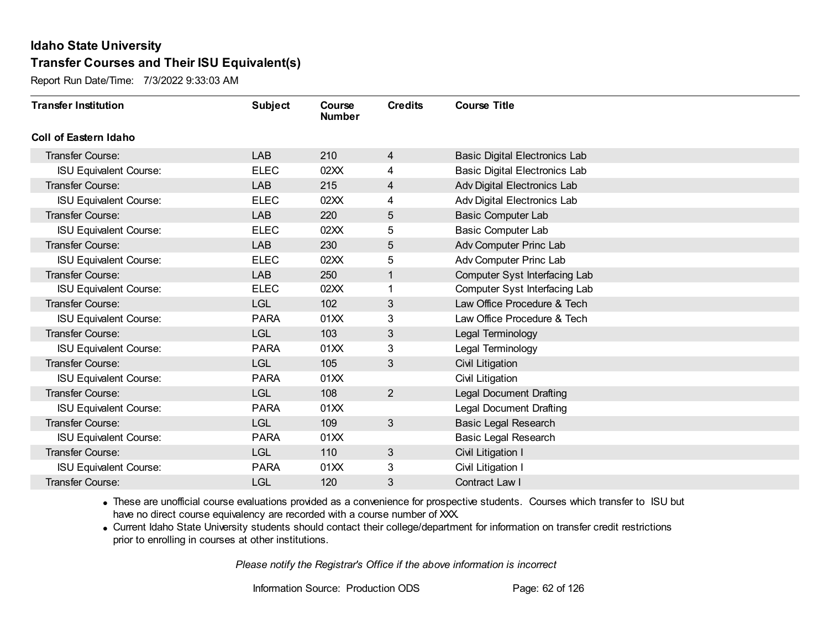Report Run Date/Time: 7/3/2022 9:33:03 AM

| <b>Transfer Institution</b>   | <b>Subject</b> | Course<br><b>Number</b> | <b>Credits</b> | <b>Course Title</b>                  |
|-------------------------------|----------------|-------------------------|----------------|--------------------------------------|
| Coll of Eastern Idaho         |                |                         |                |                                      |
| Transfer Course:              | <b>LAB</b>     | 210                     | $\overline{4}$ | <b>Basic Digital Electronics Lab</b> |
| <b>ISU Equivalent Course:</b> | <b>ELEC</b>    | 02XX                    | 4              | <b>Basic Digital Electronics Lab</b> |
| Transfer Course:              | LAB            | 215                     | 4              | Adv Digital Electronics Lab          |
| <b>ISU Equivalent Course:</b> | <b>ELEC</b>    | 02XX                    | 4              | Adv Digital Electronics Lab          |
| <b>Transfer Course:</b>       | <b>LAB</b>     | 220                     | 5              | <b>Basic Computer Lab</b>            |
| <b>ISU Equivalent Course:</b> | <b>ELEC</b>    | 02XX                    | 5              | <b>Basic Computer Lab</b>            |
| Transfer Course:              | <b>LAB</b>     | 230                     | 5              | Adv Computer Princ Lab               |
| <b>ISU Equivalent Course:</b> | <b>ELEC</b>    | 02XX                    | 5              | Adv Computer Princ Lab               |
| Transfer Course:              | <b>LAB</b>     | 250                     | 1              | Computer Syst Interfacing Lab        |
| <b>ISU Equivalent Course:</b> | <b>ELEC</b>    | 02XX                    |                | Computer Syst Interfacing Lab        |
| Transfer Course:              | <b>LGL</b>     | 102                     | 3              | Law Office Procedure & Tech          |
| <b>ISU Equivalent Course:</b> | <b>PARA</b>    | 01XX                    | 3              | Law Office Procedure & Tech          |
| Transfer Course:              | <b>LGL</b>     | 103                     | 3              | Legal Terminology                    |
| <b>ISU Equivalent Course:</b> | <b>PARA</b>    | 01XX                    | 3              | Legal Terminology                    |
| Transfer Course:              | <b>LGL</b>     | 105                     | 3              | Civil Litigation                     |
| <b>ISU Equivalent Course:</b> | <b>PARA</b>    | 01XX                    |                | Civil Litigation                     |
| Transfer Course:              | <b>LGL</b>     | 108                     | $\overline{2}$ | <b>Legal Document Drafting</b>       |
| <b>ISU Equivalent Course:</b> | <b>PARA</b>    | 01XX                    |                | <b>Legal Document Drafting</b>       |
| Transfer Course:              | <b>LGL</b>     | 109                     | 3              | <b>Basic Legal Research</b>          |
| <b>ISU Equivalent Course:</b> | <b>PARA</b>    | 01XX                    |                | <b>Basic Legal Research</b>          |
| Transfer Course:              | <b>LGL</b>     | 110                     | $\mathfrak{S}$ | Civil Litigation I                   |
| <b>ISU Equivalent Course:</b> | <b>PARA</b>    | 01XX                    | 3              | Civil Litigation I                   |
| Transfer Course:              | LGL            | 120                     | 3              | Contract Law I                       |

· These are unofficial course evaluations provided as a convenience for prospective students. Courses which transfer to ISU but have no direct course equivalency are recorded with a course number of XXX.

· Current Idaho State University students should contact their college/department for information on transfer credit restrictions prior to enrolling in courses at other institutions.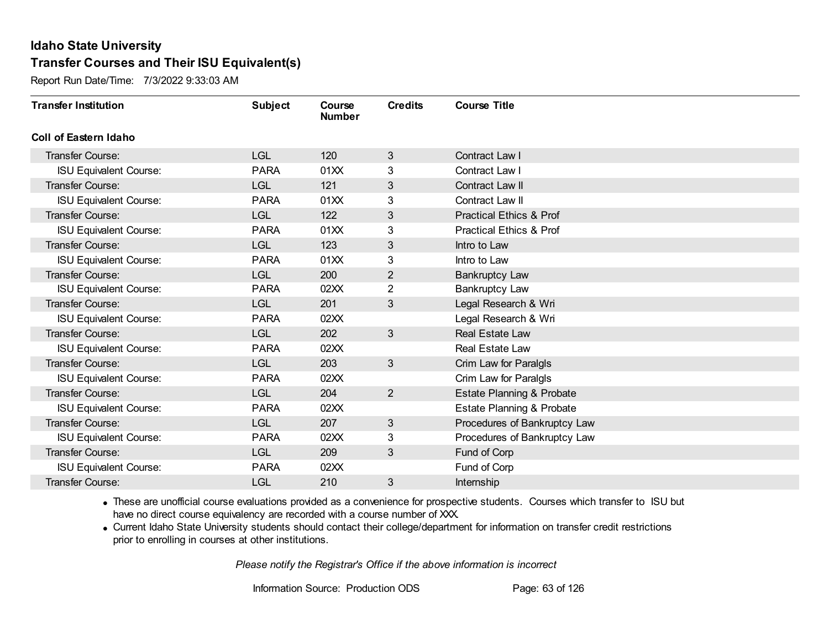Report Run Date/Time: 7/3/2022 9:33:03 AM

| <b>Transfer Institution</b>   | <b>Subject</b> | Course<br><b>Number</b> | <b>Credits</b> | <b>Course Title</b>                  |
|-------------------------------|----------------|-------------------------|----------------|--------------------------------------|
| Coll of Eastern Idaho         |                |                         |                |                                      |
| <b>Transfer Course:</b>       | <b>LGL</b>     | 120                     | 3              | Contract Law I                       |
| <b>ISU Equivalent Course:</b> | <b>PARA</b>    | 01XX                    | 3              | Contract Law I                       |
| Transfer Course:              | <b>LGL</b>     | 121                     | 3              | Contract Law II                      |
| <b>ISU Equivalent Course:</b> | <b>PARA</b>    | 01XX                    | 3              | Contract Law II                      |
| <b>Transfer Course:</b>       | <b>LGL</b>     | 122                     | 3              | <b>Practical Ethics &amp; Prof</b>   |
| <b>ISU Equivalent Course:</b> | <b>PARA</b>    | 01XX                    | 3              | <b>Practical Ethics &amp; Prof</b>   |
| <b>Transfer Course:</b>       | <b>LGL</b>     | 123                     | 3              | Intro to Law                         |
| <b>ISU Equivalent Course:</b> | <b>PARA</b>    | 01XX                    | 3              | Intro to Law                         |
| <b>Transfer Course:</b>       | <b>LGL</b>     | 200                     | $\overline{2}$ | <b>Bankruptcy Law</b>                |
| <b>ISU Equivalent Course:</b> | <b>PARA</b>    | 02XX                    | $\overline{2}$ | <b>Bankruptcy Law</b>                |
| <b>Transfer Course:</b>       | <b>LGL</b>     | 201                     | 3              | Legal Research & Wri                 |
| <b>ISU Equivalent Course:</b> | <b>PARA</b>    | 02XX                    |                | Legal Research & Wri                 |
| Transfer Course:              | <b>LGL</b>     | 202                     | 3              | Real Estate Law                      |
| <b>ISU Equivalent Course:</b> | <b>PARA</b>    | 02XX                    |                | Real Estate Law                      |
| Transfer Course:              | <b>LGL</b>     | 203                     | 3              | Crim Law for Paralgls                |
| <b>ISU Equivalent Course:</b> | <b>PARA</b>    | 02XX                    |                | Crim Law for Paralgls                |
| Transfer Course:              | <b>LGL</b>     | 204                     | $\overline{2}$ | <b>Estate Planning &amp; Probate</b> |
| <b>ISU Equivalent Course:</b> | <b>PARA</b>    | 02XX                    |                | <b>Estate Planning &amp; Probate</b> |
| Transfer Course:              | <b>LGL</b>     | 207                     | 3              | Procedures of Bankruptcy Law         |
| <b>ISU Equivalent Course:</b> | <b>PARA</b>    | 02XX                    | 3              | Procedures of Bankruptcy Law         |
| <b>Transfer Course:</b>       | <b>LGL</b>     | 209                     | 3              | Fund of Corp                         |
| <b>ISU Equivalent Course:</b> | <b>PARA</b>    | 02XX                    |                | Fund of Corp                         |
| Transfer Course:              | LGL            | 210                     | 3              | Internship                           |

· These are unofficial course evaluations provided as a convenience for prospective students. Courses which transfer to ISU but have no direct course equivalency are recorded with a course number of XXX.

· Current Idaho State University students should contact their college/department for information on transfer credit restrictions prior to enrolling in courses at other institutions.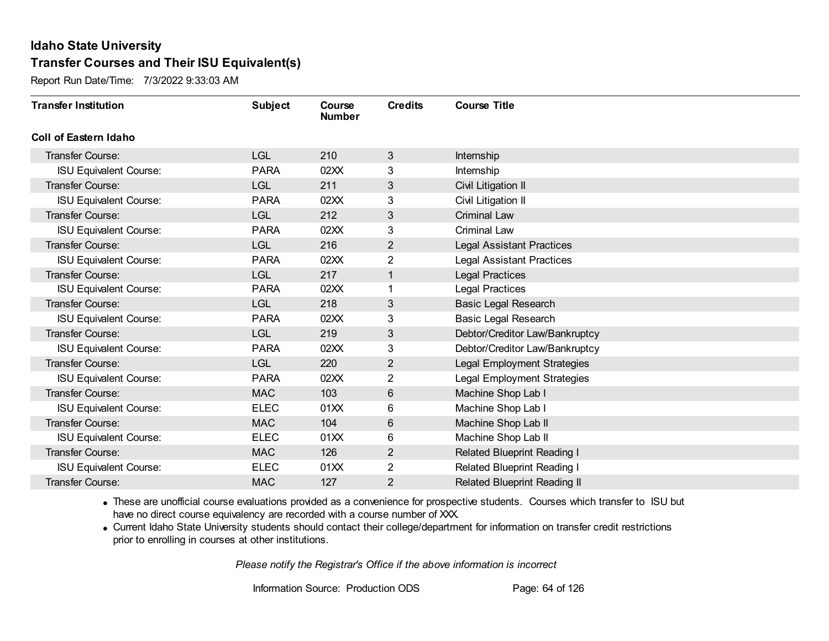Report Run Date/Time: 7/3/2022 9:33:03 AM

| <b>Transfer Institution</b>   | <b>Subject</b> | Course<br><b>Number</b> | <b>Credits</b> | <b>Course Title</b>                 |
|-------------------------------|----------------|-------------------------|----------------|-------------------------------------|
| Coll of Eastern Idaho         |                |                         |                |                                     |
| Transfer Course:              | <b>LGL</b>     | 210                     | 3              | Internship                          |
| <b>ISU Equivalent Course:</b> | <b>PARA</b>    | 02XX                    | 3              | Internship                          |
| Transfer Course:              | <b>LGL</b>     | 211                     | 3              | Civil Litigation II                 |
| <b>ISU Equivalent Course:</b> | <b>PARA</b>    | 02XX                    | 3              | Civil Litigation II                 |
| Transfer Course:              | <b>LGL</b>     | 212                     | 3              | <b>Criminal Law</b>                 |
| <b>ISU Equivalent Course:</b> | <b>PARA</b>    | 02XX                    | 3              | Criminal Law                        |
| Transfer Course:              | <b>LGL</b>     | 216                     | $\overline{2}$ | <b>Legal Assistant Practices</b>    |
| <b>ISU Equivalent Course:</b> | <b>PARA</b>    | 02XX                    | 2              | <b>Legal Assistant Practices</b>    |
| <b>Transfer Course:</b>       | <b>LGL</b>     | 217                     | 1              | <b>Legal Practices</b>              |
| <b>ISU Equivalent Course:</b> | <b>PARA</b>    | 02XX                    | 1              | <b>Legal Practices</b>              |
| Transfer Course:              | <b>LGL</b>     | 218                     | 3              | <b>Basic Legal Research</b>         |
| <b>ISU Equivalent Course:</b> | <b>PARA</b>    | 02XX                    | 3              | <b>Basic Legal Research</b>         |
| Transfer Course:              | <b>LGL</b>     | 219                     | 3              | Debtor/Creditor Law/Bankruptcy      |
| <b>ISU Equivalent Course:</b> | <b>PARA</b>    | 02XX                    | 3              | Debtor/Creditor Law/Bankruptcy      |
| Transfer Course:              | <b>LGL</b>     | 220                     | $\overline{2}$ | Legal Employment Strategies         |
| <b>ISU Equivalent Course:</b> | <b>PARA</b>    | 02XX                    | $\overline{2}$ | <b>Legal Employment Strategies</b>  |
| Transfer Course:              | <b>MAC</b>     | 103                     | 6              | Machine Shop Lab I                  |
| <b>ISU Equivalent Course:</b> | <b>ELEC</b>    | 01XX                    | 6              | Machine Shop Lab I                  |
| Transfer Course:              | <b>MAC</b>     | 104                     | $6\,$          | Machine Shop Lab II                 |
| <b>ISU Equivalent Course:</b> | <b>ELEC</b>    | 01XX                    | 6              | Machine Shop Lab II                 |
| <b>Transfer Course:</b>       | <b>MAC</b>     | 126                     | $\overline{2}$ | Related Blueprint Reading I         |
| <b>ISU Equivalent Course:</b> | <b>ELEC</b>    | 01XX                    | $\overline{2}$ | Related Blueprint Reading I         |
| Transfer Course:              | <b>MAC</b>     | 127                     | 2              | <b>Related Blueprint Reading II</b> |

· These are unofficial course evaluations provided as a convenience for prospective students. Courses which transfer to ISU but have no direct course equivalency are recorded with a course number of XXX.

· Current Idaho State University students should contact their college/department for information on transfer credit restrictions prior to enrolling in courses at other institutions.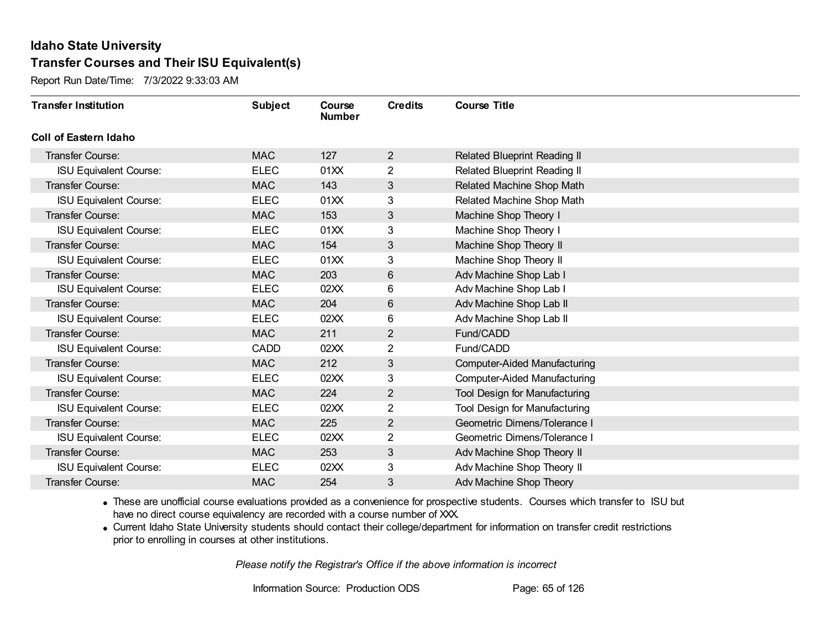Report Run Date/Time: 7/3/2022 9:33:03 AM

| <b>Transfer Institution</b>   | <b>Subject</b> | Course<br><b>Number</b> | <b>Credits</b> | <b>Course Title</b>                 |
|-------------------------------|----------------|-------------------------|----------------|-------------------------------------|
| Coll of Eastern Idaho         |                |                         |                |                                     |
| Transfer Course:              | <b>MAC</b>     | 127                     | $\overline{2}$ | Related Blueprint Reading II        |
| <b>ISU Equivalent Course:</b> | <b>ELEC</b>    | 01XX                    | 2              | Related Blueprint Reading II        |
| Transfer Course:              | <b>MAC</b>     | 143                     | 3              | Related Machine Shop Math           |
| <b>ISU Equivalent Course:</b> | <b>ELEC</b>    | 01XX                    | 3              | Related Machine Shop Math           |
| Transfer Course:              | <b>MAC</b>     | 153                     | $\mathfrak{S}$ | Machine Shop Theory I               |
| <b>ISU Equivalent Course:</b> | <b>ELEC</b>    | 01XX                    | 3              | Machine Shop Theory I               |
| Transfer Course:              | <b>MAC</b>     | 154                     | 3              | Machine Shop Theory II              |
| <b>ISU Equivalent Course:</b> | <b>ELEC</b>    | 01XX                    | 3              | Machine Shop Theory II              |
| <b>Transfer Course:</b>       | <b>MAC</b>     | 203                     | 6              | Adv Machine Shop Lab I              |
| <b>ISU Equivalent Course:</b> | <b>ELEC</b>    | 02XX                    | 6              | Adv Machine Shop Lab I              |
| <b>Transfer Course:</b>       | <b>MAC</b>     | 204                     | 6              | Adv Machine Shop Lab II             |
| <b>ISU Equivalent Course:</b> | <b>ELEC</b>    | 02XX                    | 6              | Adv Machine Shop Lab II             |
| Transfer Course:              | <b>MAC</b>     | 211                     | $\overline{2}$ | Fund/CADD                           |
| <b>ISU Equivalent Course:</b> | <b>CADD</b>    | 02XX                    | 2              | Fund/CADD                           |
| Transfer Course:              | <b>MAC</b>     | 212                     | 3              | <b>Computer-Aided Manufacturing</b> |
| <b>ISU Equivalent Course:</b> | <b>ELEC</b>    | 02XX                    | 3              | <b>Computer-Aided Manufacturing</b> |
| Transfer Course:              | <b>MAC</b>     | 224                     | $\overline{2}$ | Tool Design for Manufacturing       |
| <b>ISU Equivalent Course:</b> | <b>ELEC</b>    | 02XX                    | 2              | Tool Design for Manufacturing       |
| Transfer Course:              | <b>MAC</b>     | 225                     | $\overline{2}$ | Geometric Dimens/Tolerance I        |
| <b>ISU Equivalent Course:</b> | <b>ELEC</b>    | 02XX                    | 2              | Geometric Dimens/Tolerance I        |
| Transfer Course:              | <b>MAC</b>     | 253                     | $\sqrt{3}$     | Adv Machine Shop Theory II          |
| <b>ISU Equivalent Course:</b> | <b>ELEC</b>    | 02XX                    | 3              | Adv Machine Shop Theory II          |
| Transfer Course:              | <b>MAC</b>     | 254                     | 3              | Adv Machine Shop Theory             |

· These are unofficial course evaluations provided as a convenience for prospective students. Courses which transfer to ISU but have no direct course equivalency are recorded with a course number of XXX.

· Current Idaho State University students should contact their college/department for information on transfer credit restrictions prior to enrolling in courses at other institutions.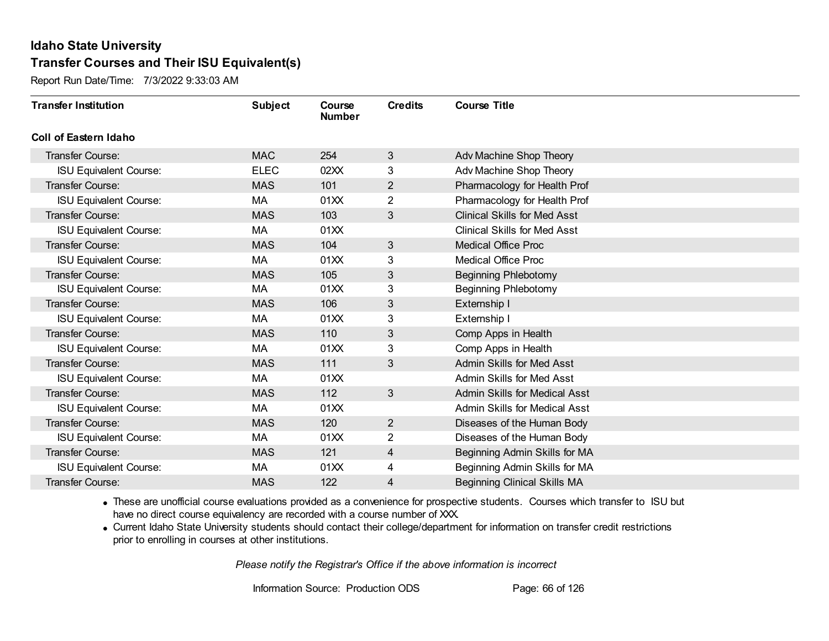Report Run Date/Time: 7/3/2022 9:33:03 AM

| <b>Transfer Institution</b>   | <b>Subject</b> | Course<br><b>Number</b> | <b>Credits</b> | <b>Course Title</b>                  |
|-------------------------------|----------------|-------------------------|----------------|--------------------------------------|
| Coll of Eastern Idaho         |                |                         |                |                                      |
| Transfer Course:              | <b>MAC</b>     | 254                     | 3              | Adv Machine Shop Theory              |
| <b>ISU Equivalent Course:</b> | <b>ELEC</b>    | 02XX                    | 3              | Adv Machine Shop Theory              |
| Transfer Course:              | <b>MAS</b>     | 101                     | $\overline{2}$ | Pharmacology for Health Prof         |
| <b>ISU Equivalent Course:</b> | МA             | 01XX                    | $\overline{2}$ | Pharmacology for Health Prof         |
| <b>Transfer Course:</b>       | <b>MAS</b>     | 103                     | 3              | <b>Clinical Skills for Med Asst</b>  |
| <b>ISU Equivalent Course:</b> | МA             | 01XX                    |                | <b>Clinical Skills for Med Asst</b>  |
| Transfer Course:              | <b>MAS</b>     | 104                     | 3              | <b>Medical Office Proc</b>           |
| <b>ISU Equivalent Course:</b> | МA             | 01XX                    | 3              | <b>Medical Office Proc</b>           |
| <b>Transfer Course:</b>       | <b>MAS</b>     | 105                     | 3              | <b>Beginning Phlebotomy</b>          |
| <b>ISU Equivalent Course:</b> | MA             | 01XX                    | 3              | <b>Beginning Phlebotomy</b>          |
| <b>Transfer Course:</b>       | <b>MAS</b>     | 106                     | 3              | Externship I                         |
| <b>ISU Equivalent Course:</b> | MA             | 01XX                    | 3              | Externship I                         |
| Transfer Course:              | <b>MAS</b>     | 110                     | 3              | Comp Apps in Health                  |
| <b>ISU Equivalent Course:</b> | МA             | 01XX                    | 3              | Comp Apps in Health                  |
| Transfer Course:              | <b>MAS</b>     | 111                     | 3              | Admin Skills for Med Asst            |
| <b>ISU Equivalent Course:</b> | МA             | 01XX                    |                | Admin Skills for Med Asst            |
| Transfer Course:              | <b>MAS</b>     | 112                     | $\mathbf{3}$   | <b>Admin Skills for Medical Asst</b> |
| <b>ISU Equivalent Course:</b> | МA             | 01XX                    |                | <b>Admin Skills for Medical Asst</b> |
| Transfer Course:              | <b>MAS</b>     | 120                     | $\overline{2}$ | Diseases of the Human Body           |
| <b>ISU Equivalent Course:</b> | МA             | 01XX                    | $\overline{2}$ | Diseases of the Human Body           |
| Transfer Course:              | <b>MAS</b>     | 121                     | 4              | Beginning Admin Skills for MA        |
| <b>ISU Equivalent Course:</b> | МA             | 01XX                    | 4              | Beginning Admin Skills for MA        |
| Transfer Course:              | <b>MAS</b>     | 122                     | 4              | <b>Beginning Clinical Skills MA</b>  |

· These are unofficial course evaluations provided as a convenience for prospective students. Courses which transfer to ISU but have no direct course equivalency are recorded with a course number of XXX.

· Current Idaho State University students should contact their college/department for information on transfer credit restrictions prior to enrolling in courses at other institutions.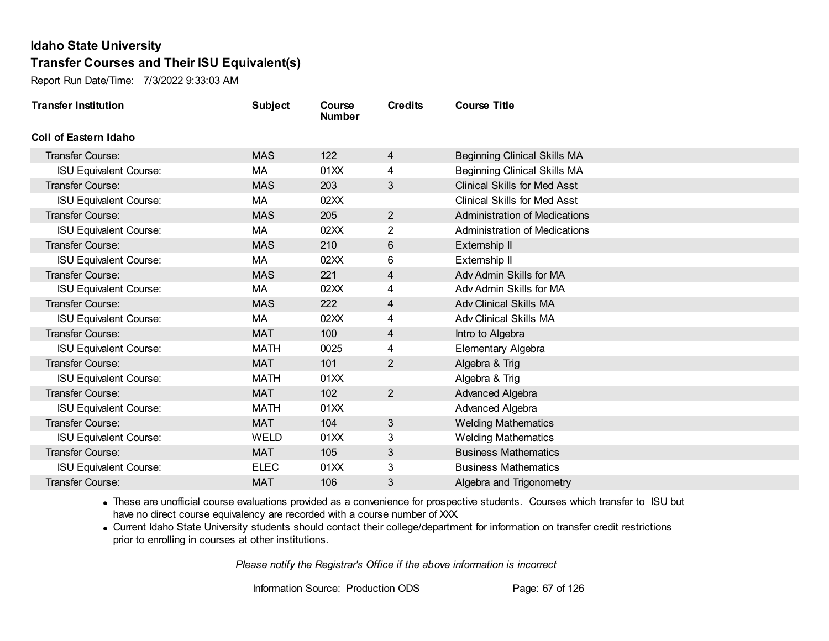Report Run Date/Time: 7/3/2022 9:33:03 AM

| <b>Transfer Institution</b>   | <b>Subject</b> | Course<br><b>Number</b> | <b>Credits</b> | <b>Course Title</b>                  |
|-------------------------------|----------------|-------------------------|----------------|--------------------------------------|
| Coll of Eastern Idaho         |                |                         |                |                                      |
| Transfer Course:              | <b>MAS</b>     | 122                     | 4              | <b>Beginning Clinical Skills MA</b>  |
| <b>ISU Equivalent Course:</b> | МA             | 01XX                    | 4              | <b>Beginning Clinical Skills MA</b>  |
| Transfer Course:              | <b>MAS</b>     | 203                     | 3              | <b>Clinical Skills for Med Asst</b>  |
| <b>ISU Equivalent Course:</b> | МA             | 02XX                    |                | <b>Clinical Skills for Med Asst</b>  |
| <b>Transfer Course:</b>       | <b>MAS</b>     | 205                     | $\overline{2}$ | <b>Administration of Medications</b> |
| <b>ISU Equivalent Course:</b> | MA             | 02XX                    | 2              | <b>Administration of Medications</b> |
| Transfer Course:              | <b>MAS</b>     | 210                     | $6\,$          | Externship II                        |
| <b>ISU Equivalent Course:</b> | МA             | 02XX                    | 6              | Externship II                        |
| <b>Transfer Course:</b>       | <b>MAS</b>     | 221                     | 4              | Adv Admin Skills for MA              |
| <b>ISU Equivalent Course:</b> | МA             | 02XX                    | 4              | Adv Admin Skills for MA              |
| <b>Transfer Course:</b>       | <b>MAS</b>     | 222                     | 4              | <b>Adv Clinical Skills MA</b>        |
| <b>ISU Equivalent Course:</b> | MA             | 02XX                    | 4              | <b>Adv Clinical Skills MA</b>        |
| Transfer Course:              | <b>MAT</b>     | 100                     | 4              | Intro to Algebra                     |
| <b>ISU Equivalent Course:</b> | <b>MATH</b>    | 0025                    | 4              | Elementary Algebra                   |
| Transfer Course:              | <b>MAT</b>     | 101                     | 2              | Algebra & Trig                       |
| <b>ISU Equivalent Course:</b> | <b>MATH</b>    | 01XX                    |                | Algebra & Trig                       |
| Transfer Course:              | <b>MAT</b>     | 102                     | $\overline{2}$ | Advanced Algebra                     |
| <b>ISU Equivalent Course:</b> | <b>MATH</b>    | 01XX                    |                | Advanced Algebra                     |
| Transfer Course:              | <b>MAT</b>     | 104                     | 3              | <b>Welding Mathematics</b>           |
| <b>ISU Equivalent Course:</b> | <b>WELD</b>    | 01XX                    | 3              | <b>Welding Mathematics</b>           |
| Transfer Course:              | <b>MAT</b>     | 105                     | 3              | <b>Business Mathematics</b>          |
| <b>ISU Equivalent Course:</b> | <b>ELEC</b>    | 01XX                    | 3              | <b>Business Mathematics</b>          |
| Transfer Course:              | <b>MAT</b>     | 106                     | 3              | Algebra and Trigonometry             |

· These are unofficial course evaluations provided as a convenience for prospective students. Courses which transfer to ISU but have no direct course equivalency are recorded with a course number of XXX.

· Current Idaho State University students should contact their college/department for information on transfer credit restrictions prior to enrolling in courses at other institutions.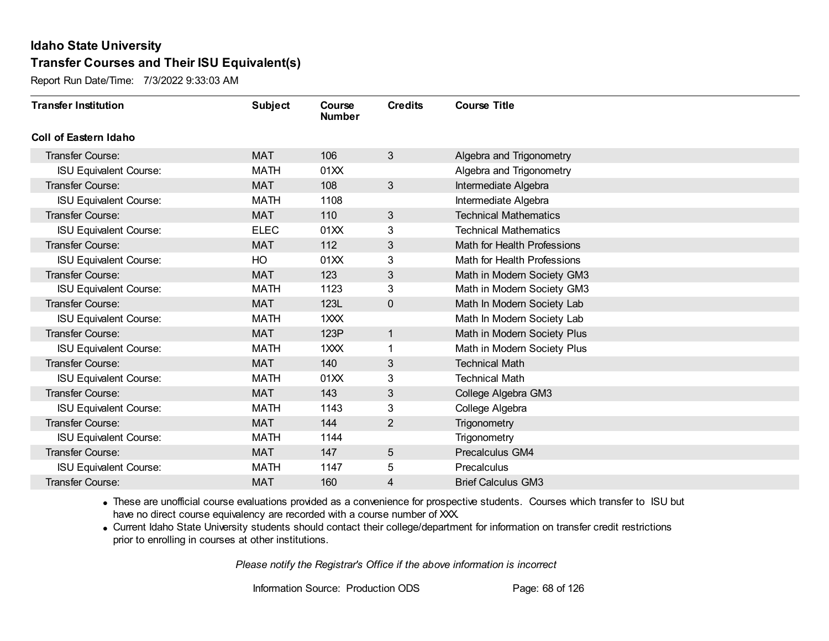Report Run Date/Time: 7/3/2022 9:33:03 AM

| <b>Transfer Institution</b>   | <b>Subject</b> | Course<br><b>Number</b> | <b>Credits</b> | <b>Course Title</b>          |
|-------------------------------|----------------|-------------------------|----------------|------------------------------|
| <b>Coll of Eastern Idaho</b>  |                |                         |                |                              |
| Transfer Course:              | <b>MAT</b>     | 106                     | 3              | Algebra and Trigonometry     |
| <b>ISU Equivalent Course:</b> | MATH           | 01XX                    |                | Algebra and Trigonometry     |
| <b>Transfer Course:</b>       | <b>MAT</b>     | 108                     | $\mathbf{3}$   | Intermediate Algebra         |
| <b>ISU Equivalent Course:</b> | MATH           | 1108                    |                | Intermediate Algebra         |
| <b>Transfer Course:</b>       | <b>MAT</b>     | 110                     | $\mathbf{3}$   | <b>Technical Mathematics</b> |
| <b>ISU Equivalent Course:</b> | <b>ELEC</b>    | 01XX                    | 3              | <b>Technical Mathematics</b> |
| <b>Transfer Course:</b>       | <b>MAT</b>     | 112                     | 3              | Math for Health Professions  |
| <b>ISU Equivalent Course:</b> | HO             | 01XX                    | 3              | Math for Health Professions  |
| <b>Transfer Course:</b>       | <b>MAT</b>     | 123                     | $\sqrt{3}$     | Math in Modern Society GM3   |
| <b>ISU Equivalent Course:</b> | <b>MATH</b>    | 1123                    | 3              | Math in Modern Society GM3   |
| <b>Transfer Course:</b>       | <b>MAT</b>     | 123L                    | $\mathbf{0}$   | Math In Modern Society Lab   |
| <b>ISU Equivalent Course:</b> | <b>MATH</b>    | 1XXX                    |                | Math In Modern Society Lab   |
| <b>Transfer Course:</b>       | <b>MAT</b>     | 123P                    | $\mathbf{1}$   | Math in Modern Society Plus  |
| <b>ISU Equivalent Course:</b> | MATH           | $1$ $\times$ $\times$   |                | Math in Modern Society Plus  |
| Transfer Course:              | <b>MAT</b>     | 140                     | $\mathfrak{B}$ | <b>Technical Math</b>        |
| <b>ISU Equivalent Course:</b> | MATH           | 01XX                    | 3              | <b>Technical Math</b>        |
| <b>Transfer Course:</b>       | <b>MAT</b>     | 143                     | 3              | College Algebra GM3          |
| <b>ISU Equivalent Course:</b> | <b>MATH</b>    | 1143                    | 3              | College Algebra              |
| <b>Transfer Course:</b>       | <b>MAT</b>     | 144                     | $\overline{2}$ | Trigonometry                 |
| <b>ISU Equivalent Course:</b> | MATH           | 1144                    |                | Trigonometry                 |
| <b>Transfer Course:</b>       | <b>MAT</b>     | 147                     | $\overline{5}$ | Precalculus GM4              |
| <b>ISU Equivalent Course:</b> | <b>MATH</b>    | 1147                    | 5              | Precalculus                  |
| Transfer Course:              | <b>MAT</b>     | 160                     | 4              | <b>Brief Calculus GM3</b>    |

· These are unofficial course evaluations provided as a convenience for prospective students. Courses which transfer to ISU but have no direct course equivalency are recorded with a course number of XXX.

· Current Idaho State University students should contact their college/department for information on transfer credit restrictions prior to enrolling in courses at other institutions.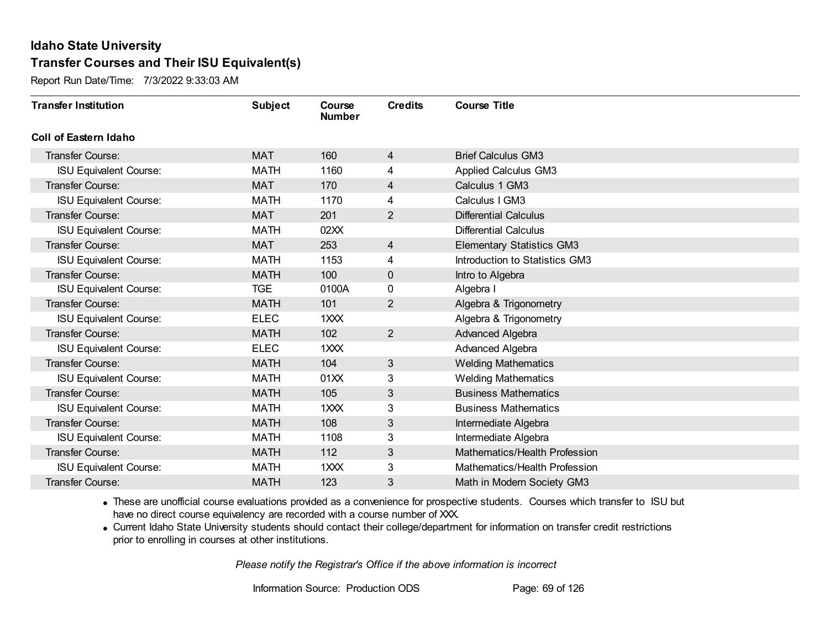Report Run Date/Time: 7/3/2022 9:33:03 AM

| <b>Transfer Institution</b>   | <b>Subject</b> | Course<br><b>Number</b> | <b>Credits</b> | <b>Course Title</b>              |
|-------------------------------|----------------|-------------------------|----------------|----------------------------------|
| <b>Coll of Eastern Idaho</b>  |                |                         |                |                                  |
| Transfer Course:              | <b>MAT</b>     | 160                     | 4              | <b>Brief Calculus GM3</b>        |
| <b>ISU Equivalent Course:</b> | <b>MATH</b>    | 1160                    | 4              | <b>Applied Calculus GM3</b>      |
| <b>Transfer Course:</b>       | <b>MAT</b>     | 170                     | 4              | Calculus 1 GM3                   |
| <b>ISU Equivalent Course:</b> | <b>MATH</b>    | 1170                    | 4              | Calculus I GM3                   |
| Transfer Course:              | <b>MAT</b>     | 201                     | $\overline{2}$ | <b>Differential Calculus</b>     |
| <b>ISU Equivalent Course:</b> | <b>MATH</b>    | 02XX                    |                | <b>Differential Calculus</b>     |
| <b>Transfer Course:</b>       | <b>MAT</b>     | 253                     | 4              | <b>Elementary Statistics GM3</b> |
| <b>ISU Equivalent Course:</b> | <b>MATH</b>    | 1153                    | 4              | Introduction to Statistics GM3   |
| <b>Transfer Course:</b>       | <b>MATH</b>    | 100                     | 0              | Intro to Algebra                 |
| <b>ISU Equivalent Course:</b> | <b>TGE</b>     | 0100A                   | 0              | Algebra I                        |
| <b>Transfer Course:</b>       | <b>MATH</b>    | 101                     | $\overline{2}$ | Algebra & Trigonometry           |
| <b>ISU Equivalent Course:</b> | <b>ELEC</b>    | 1XXX                    |                | Algebra & Trigonometry           |
| <b>Transfer Course:</b>       | <b>MATH</b>    | 102                     | $\overline{2}$ | Advanced Algebra                 |
| <b>ISU Equivalent Course:</b> | <b>ELEC</b>    | 1XXX                    |                | Advanced Algebra                 |
| <b>Transfer Course:</b>       | <b>MATH</b>    | 104                     | $\mathbf{3}$   | <b>Welding Mathematics</b>       |
| <b>ISU Equivalent Course:</b> | <b>MATH</b>    | 01XX                    | 3              | <b>Welding Mathematics</b>       |
| Transfer Course:              | <b>MATH</b>    | 105                     | 3              | <b>Business Mathematics</b>      |
| <b>ISU Equivalent Course:</b> | <b>MATH</b>    | 1XXX                    | 3              | <b>Business Mathematics</b>      |
| <b>Transfer Course:</b>       | <b>MATH</b>    | 108                     | 3              | Intermediate Algebra             |
| <b>ISU Equivalent Course:</b> | <b>MATH</b>    | 1108                    | 3              | Intermediate Algebra             |
| <b>Transfer Course:</b>       | <b>MATH</b>    | 112                     | 3              | Mathematics/Health Profession    |
| <b>ISU Equivalent Course:</b> | <b>MATH</b>    | 1XXX                    | 3              | Mathematics/Health Profession    |
| <b>Transfer Course:</b>       | <b>MATH</b>    | 123                     | 3              | Math in Modern Society GM3       |

· These are unofficial course evaluations provided as a convenience for prospective students. Courses which transfer to ISU but have no direct course equivalency are recorded with a course number of XXX.

· Current Idaho State University students should contact their college/department for information on transfer credit restrictions prior to enrolling in courses at other institutions.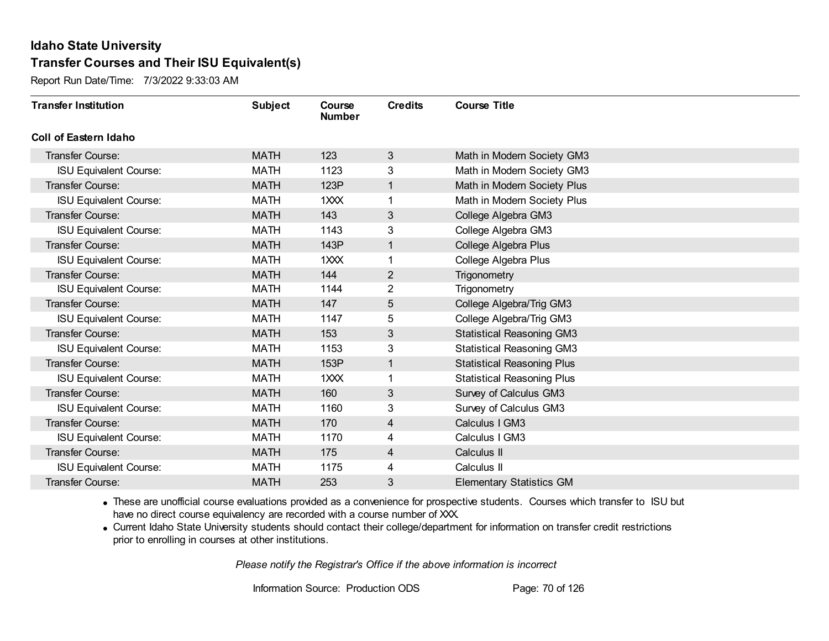Report Run Date/Time: 7/3/2022 9:33:03 AM

| <b>Transfer Institution</b>   | <b>Subject</b> | Course<br><b>Number</b> | <b>Credits</b> | <b>Course Title</b>               |
|-------------------------------|----------------|-------------------------|----------------|-----------------------------------|
| Coll of Eastern Idaho         |                |                         |                |                                   |
| Transfer Course:              | <b>MATH</b>    | 123                     | 3              | Math in Modern Society GM3        |
| <b>ISU Equivalent Course:</b> | <b>MATH</b>    | 1123                    | 3              | Math in Modern Society GM3        |
| Transfer Course:              | <b>MATH</b>    | 123P                    | 1              | Math in Modern Society Plus       |
| <b>ISU Equivalent Course:</b> | <b>MATH</b>    | 1XXX                    | 1              | Math in Modern Society Plus       |
| <b>Transfer Course:</b>       | <b>MATH</b>    | 143                     | 3              | College Algebra GM3               |
| <b>ISU Equivalent Course:</b> | <b>MATH</b>    | 1143                    | 3              | College Algebra GM3               |
| Transfer Course:              | <b>MATH</b>    | 143P                    | 1              | College Algebra Plus              |
| <b>ISU Equivalent Course:</b> | <b>MATH</b>    | 1XXX                    | 1              | College Algebra Plus              |
| Transfer Course:              | <b>MATH</b>    | 144                     | $\overline{2}$ | Trigonometry                      |
| <b>ISU Equivalent Course:</b> | <b>MATH</b>    | 1144                    | $\overline{2}$ | Trigonometry                      |
| <b>Transfer Course:</b>       | <b>MATH</b>    | 147                     | 5              | College Algebra/Trig GM3          |
| <b>ISU Equivalent Course:</b> | <b>MATH</b>    | 1147                    | 5              | College Algebra/Trig GM3          |
| Transfer Course:              | <b>MATH</b>    | 153                     | 3              | <b>Statistical Reasoning GM3</b>  |
| <b>ISU Equivalent Course:</b> | <b>MATH</b>    | 1153                    | 3              | <b>Statistical Reasoning GM3</b>  |
| Transfer Course:              | <b>MATH</b>    | 153P                    | 1              | <b>Statistical Reasoning Plus</b> |
| <b>ISU Equivalent Course:</b> | <b>MATH</b>    | 1XXX                    | 1              | <b>Statistical Reasoning Plus</b> |
| Transfer Course:              | <b>MATH</b>    | 160                     | 3              | Survey of Calculus GM3            |
| <b>ISU Equivalent Course:</b> | <b>MATH</b>    | 1160                    | 3              | Survey of Calculus GM3            |
| Transfer Course:              | <b>MATH</b>    | 170                     | 4              | Calculus I GM3                    |
| <b>ISU Equivalent Course:</b> | <b>MATH</b>    | 1170                    | 4              | Calculus I GM3                    |
| Transfer Course:              | <b>MATH</b>    | 175                     | 4              | Calculus II                       |
| <b>ISU Equivalent Course:</b> | <b>MATH</b>    | 1175                    | 4              | Calculus II                       |
| Transfer Course:              | <b>MATH</b>    | 253                     | 3              | <b>Elementary Statistics GM</b>   |

· These are unofficial course evaluations provided as a convenience for prospective students. Courses which transfer to ISU but have no direct course equivalency are recorded with a course number of XXX.

· Current Idaho State University students should contact their college/department for information on transfer credit restrictions prior to enrolling in courses at other institutions.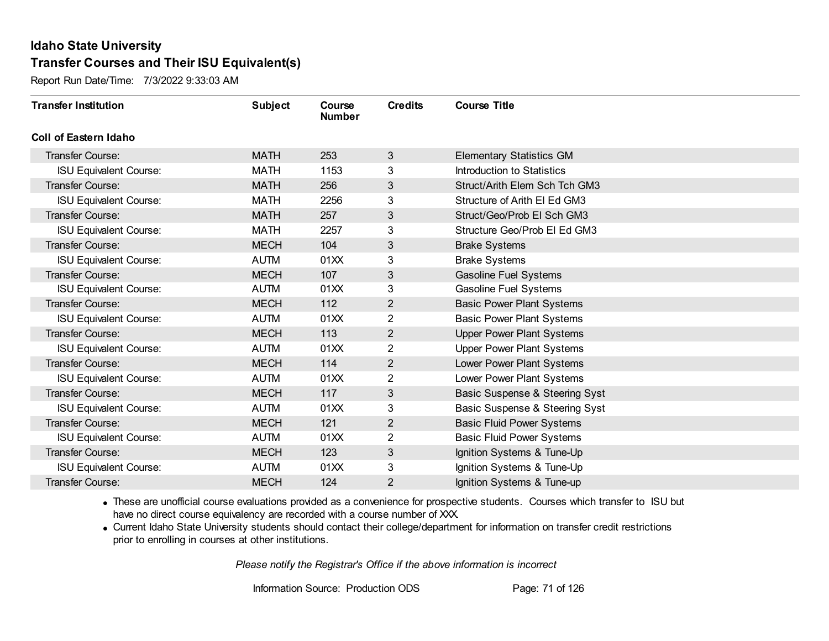Report Run Date/Time: 7/3/2022 9:33:03 AM

| <b>Transfer Institution</b>   | <b>Subject</b> | Course<br><b>Number</b> | <b>Credits</b> | <b>Course Title</b>              |
|-------------------------------|----------------|-------------------------|----------------|----------------------------------|
| <b>Coll of Eastern Idaho</b>  |                |                         |                |                                  |
| Transfer Course:              | <b>MATH</b>    | 253                     | 3              | <b>Elementary Statistics GM</b>  |
| <b>ISU Equivalent Course:</b> | <b>MATH</b>    | 1153                    | 3              | Introduction to Statistics       |
| <b>Transfer Course:</b>       | <b>MATH</b>    | 256                     | $\mathfrak{B}$ | Struct/Arith Elem Sch Tch GM3    |
| <b>ISU Equivalent Course:</b> | <b>MATH</b>    | 2256                    | 3              | Structure of Arith EI Ed GM3     |
| <b>Transfer Course:</b>       | <b>MATH</b>    | 257                     | $\mathfrak{B}$ | Struct/Geo/Prob El Sch GM3       |
| <b>ISU Equivalent Course:</b> | <b>MATH</b>    | 2257                    | 3              | Structure Geo/Prob El Ed GM3     |
| <b>Transfer Course:</b>       | <b>MECH</b>    | 104                     | 3              | <b>Brake Systems</b>             |
| <b>ISU Equivalent Course:</b> | <b>AUTM</b>    | 01XX                    | 3              | <b>Brake Systems</b>             |
| <b>Transfer Course:</b>       | <b>MECH</b>    | 107                     | $\sqrt{3}$     | <b>Gasoline Fuel Systems</b>     |
| <b>ISU Equivalent Course:</b> | <b>AUTM</b>    | 01XX                    | 3              | Gasoline Fuel Systems            |
| <b>Transfer Course:</b>       | <b>MECH</b>    | 112                     | $\overline{2}$ | <b>Basic Power Plant Systems</b> |
| <b>ISU Equivalent Course:</b> | <b>AUTM</b>    | 01XX                    | $\overline{2}$ | <b>Basic Power Plant Systems</b> |
| Transfer Course:              | <b>MECH</b>    | 113                     | $\overline{2}$ | <b>Upper Power Plant Systems</b> |
| <b>ISU Equivalent Course:</b> | <b>AUTM</b>    | 01XX                    | $\overline{2}$ | <b>Upper Power Plant Systems</b> |
| Transfer Course:              | <b>MECH</b>    | 114                     | $\overline{2}$ | Lower Power Plant Systems        |
| <b>ISU Equivalent Course:</b> | <b>AUTM</b>    | 01XX                    | $\overline{2}$ | Lower Power Plant Systems        |
| <b>Transfer Course:</b>       | <b>MECH</b>    | 117                     | 3              | Basic Suspense & Steering Syst   |
| <b>ISU Equivalent Course:</b> | <b>AUTM</b>    | 01XX                    | 3              | Basic Suspense & Steering Syst   |
| <b>Transfer Course:</b>       | <b>MECH</b>    | 121                     | $\overline{2}$ | <b>Basic Fluid Power Systems</b> |
| <b>ISU Equivalent Course:</b> | <b>AUTM</b>    | 01XX                    | $\overline{2}$ | <b>Basic Fluid Power Systems</b> |
| <b>Transfer Course:</b>       | <b>MECH</b>    | 123                     | $\mathfrak{B}$ | Ignition Systems & Tune-Up       |
| <b>ISU Equivalent Course:</b> | <b>AUTM</b>    | 01XX                    | 3              | Ignition Systems & Tune-Up       |
| Transfer Course:              | <b>MECH</b>    | 124                     | 2              | Ignition Systems & Tune-up       |

· These are unofficial course evaluations provided as a convenience for prospective students. Courses which transfer to ISU but have no direct course equivalency are recorded with a course number of XXX.

· Current Idaho State University students should contact their college/department for information on transfer credit restrictions prior to enrolling in courses at other institutions.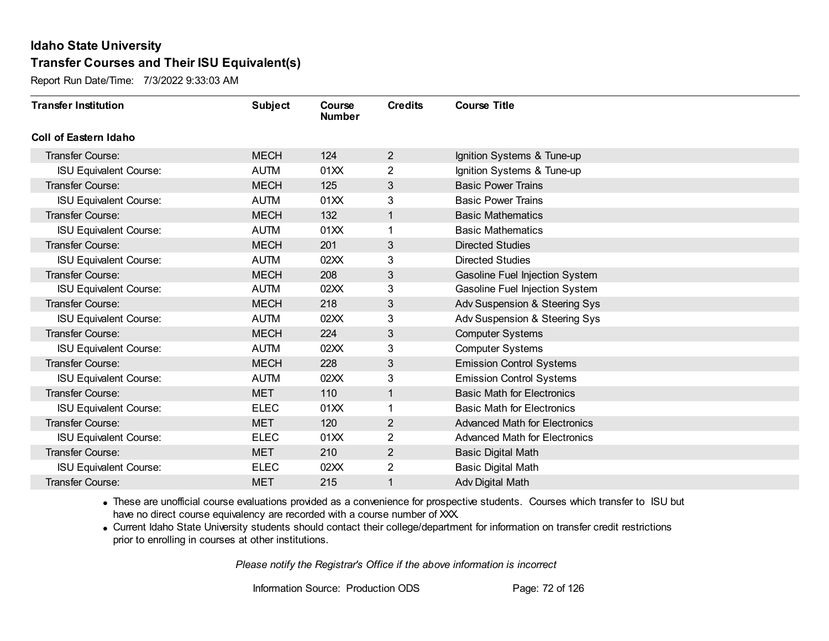Report Run Date/Time: 7/3/2022 9:33:03 AM

| <b>Transfer Institution</b>   | <b>Subject</b> | Course<br><b>Number</b> | <b>Credits</b> | <b>Course Title</b>                  |
|-------------------------------|----------------|-------------------------|----------------|--------------------------------------|
| Coll of Eastern Idaho         |                |                         |                |                                      |
| Transfer Course:              | <b>MECH</b>    | 124                     | $\overline{2}$ | Ignition Systems & Tune-up           |
| <b>ISU Equivalent Course:</b> | <b>AUTM</b>    | 01XX                    | $\overline{2}$ | Ignition Systems & Tune-up           |
| Transfer Course:              | <b>MECH</b>    | 125                     | $\mathfrak{B}$ | <b>Basic Power Trains</b>            |
| <b>ISU Equivalent Course:</b> | <b>AUTM</b>    | 01XX                    | 3              | <b>Basic Power Trains</b>            |
| <b>Transfer Course:</b>       | <b>MECH</b>    | 132                     | $\mathbf{1}$   | <b>Basic Mathematics</b>             |
| <b>ISU Equivalent Course:</b> | <b>AUTM</b>    | 01XX                    |                | <b>Basic Mathematics</b>             |
| Transfer Course:              | <b>MECH</b>    | 201                     | $\mathfrak{B}$ | <b>Directed Studies</b>              |
| <b>ISU Equivalent Course:</b> | <b>AUTM</b>    | 02XX                    | 3              | <b>Directed Studies</b>              |
| Transfer Course:              | <b>MECH</b>    | 208                     | $\mathfrak{B}$ | Gasoline Fuel Injection System       |
| <b>ISU Equivalent Course:</b> | <b>AUTM</b>    | 02XX                    | 3              | Gasoline Fuel Injection System       |
| <b>Transfer Course:</b>       | <b>MECH</b>    | 218                     | 3              | Adv Suspension & Steering Sys        |
| <b>ISU Equivalent Course:</b> | <b>AUTM</b>    | 02XX                    | 3              | Adv Suspension & Steering Sys        |
| Transfer Course:              | <b>MECH</b>    | 224                     | 3              | <b>Computer Systems</b>              |
| <b>ISU Equivalent Course:</b> | <b>AUTM</b>    | 02XX                    | 3              | <b>Computer Systems</b>              |
| Transfer Course:              | <b>MECH</b>    | 228                     | 3              | <b>Emission Control Systems</b>      |
| <b>ISU Equivalent Course:</b> | <b>AUTM</b>    | 02XX                    | 3              | <b>Emission Control Systems</b>      |
| Transfer Course:              | <b>MET</b>     | 110                     | $\mathbf{1}$   | <b>Basic Math for Electronics</b>    |
| <b>ISU Equivalent Course:</b> | <b>ELEC</b>    | 01XX                    |                | <b>Basic Math for Electronics</b>    |
| Transfer Course:              | <b>MET</b>     | 120                     | $\overline{2}$ | <b>Advanced Math for Electronics</b> |
| <b>ISU Equivalent Course:</b> | <b>ELEC</b>    | 01XX                    | 2              | <b>Advanced Math for Electronics</b> |
| Transfer Course:              | <b>MET</b>     | 210                     | $\overline{2}$ | <b>Basic Digital Math</b>            |
| <b>ISU Equivalent Course:</b> | <b>ELEC</b>    | 02XX                    | $\overline{2}$ | <b>Basic Digital Math</b>            |
| Transfer Course:              | <b>MET</b>     | 215                     |                | Adv Digital Math                     |

· These are unofficial course evaluations provided as a convenience for prospective students. Courses which transfer to ISU but have no direct course equivalency are recorded with a course number of XXX.

· Current Idaho State University students should contact their college/department for information on transfer credit restrictions prior to enrolling in courses at other institutions.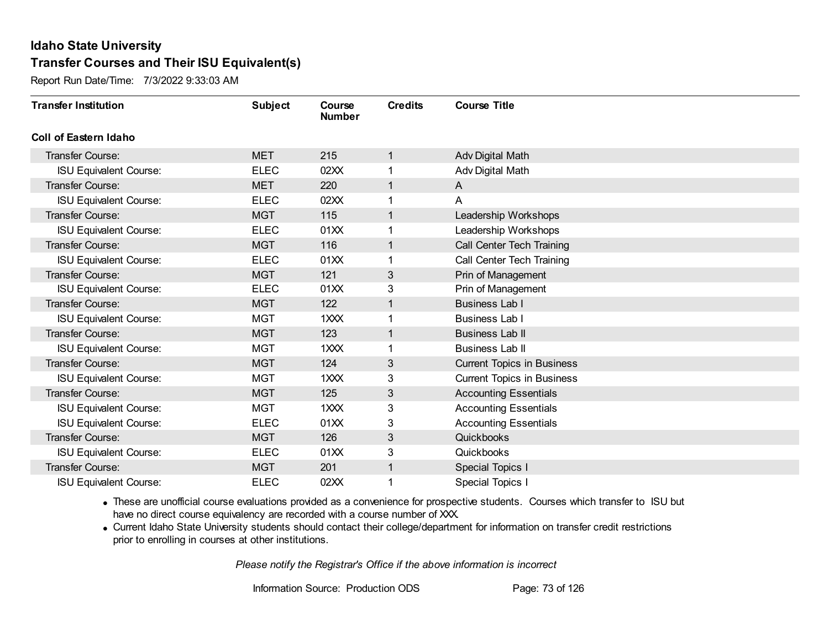Report Run Date/Time: 7/3/2022 9:33:03 AM

| <b>Transfer Institution</b>   | <b>Subject</b> | Course<br><b>Number</b> | <b>Credits</b> | <b>Course Title</b>               |
|-------------------------------|----------------|-------------------------|----------------|-----------------------------------|
| <b>Coll of Eastern Idaho</b>  |                |                         |                |                                   |
| <b>Transfer Course:</b>       | <b>MET</b>     | 215                     | $\mathbf{1}$   | Adv Digital Math                  |
| <b>ISU Equivalent Course:</b> | <b>ELEC</b>    | 02XX                    |                | Adv Digital Math                  |
| Transfer Course:              | <b>MET</b>     | 220                     | $\overline{1}$ | A                                 |
| <b>ISU Equivalent Course:</b> | <b>ELEC</b>    | 02XX                    |                | A                                 |
| <b>Transfer Course:</b>       | <b>MGT</b>     | 115                     | $\mathbf{1}$   | Leadership Workshops              |
| <b>ISU Equivalent Course:</b> | <b>ELEC</b>    | 01XX                    |                | Leadership Workshops              |
| <b>Transfer Course:</b>       | <b>MGT</b>     | 116                     | $\mathbf{1}$   | Call Center Tech Training         |
| <b>ISU Equivalent Course:</b> | <b>ELEC</b>    | 01XX                    |                | Call Center Tech Training         |
| <b>Transfer Course:</b>       | <b>MGT</b>     | 121                     | 3              | Prin of Management                |
| <b>ISU Equivalent Course:</b> | <b>ELEC</b>    | 01XX                    | 3              | Prin of Management                |
| <b>Transfer Course:</b>       | <b>MGT</b>     | 122                     | $\mathbf{1}$   | <b>Business Lab I</b>             |
| <b>ISU Equivalent Course:</b> | <b>MGT</b>     | 1XXX                    |                | Business Lab I                    |
| Transfer Course:              | <b>MGT</b>     | 123                     | 1              | <b>Business Lab II</b>            |
| <b>ISU Equivalent Course:</b> | <b>MGT</b>     | 1XXX                    |                | Business Lab II                   |
| <b>Transfer Course:</b>       | <b>MGT</b>     | 124                     | 3              | <b>Current Topics in Business</b> |
| <b>ISU Equivalent Course:</b> | <b>MGT</b>     | 1XXX                    | 3              | <b>Current Topics in Business</b> |
| <b>Transfer Course:</b>       | <b>MGT</b>     | 125                     | 3              | <b>Accounting Essentials</b>      |
| <b>ISU Equivalent Course:</b> | <b>MGT</b>     | 1XXX                    | 3              | <b>Accounting Essentials</b>      |
| <b>ISU Equivalent Course:</b> | <b>ELEC</b>    | 01XX                    | 3              | <b>Accounting Essentials</b>      |
| <b>Transfer Course:</b>       | <b>MGT</b>     | 126                     | 3              | Quickbooks                        |
| <b>ISU Equivalent Course:</b> | <b>ELEC</b>    | 01XX                    | 3              | Quickbooks                        |
| Transfer Course:              | <b>MGT</b>     | 201                     |                | Special Topics I                  |
| <b>ISU Equivalent Course:</b> | <b>ELEC</b>    | 02XX                    |                | Special Topics I                  |

· These are unofficial course evaluations provided as a convenience for prospective students. Courses which transfer to ISU but have no direct course equivalency are recorded with a course number of XXX.

· Current Idaho State University students should contact their college/department for information on transfer credit restrictions prior to enrolling in courses at other institutions.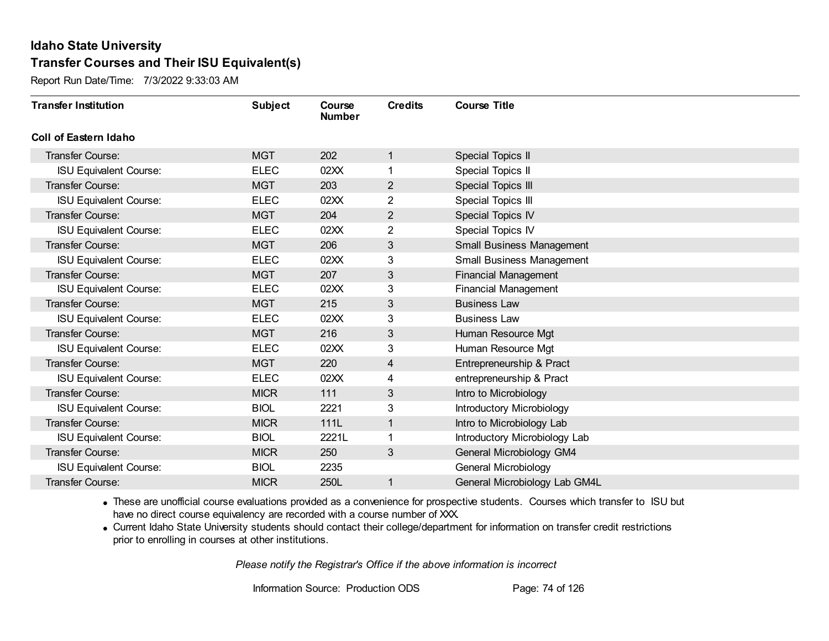Report Run Date/Time: 7/3/2022 9:33:03 AM

| <b>Transfer Institution</b>   | <b>Subject</b> | Course<br><b>Number</b> | <b>Credits</b> | <b>Course Title</b>              |
|-------------------------------|----------------|-------------------------|----------------|----------------------------------|
| Coll of Eastern Idaho         |                |                         |                |                                  |
| Transfer Course:              | <b>MGT</b>     | 202                     | 1              | Special Topics II                |
| <b>ISU Equivalent Course:</b> | <b>ELEC</b>    | 02XX                    | 1              | Special Topics II                |
| Transfer Course:              | <b>MGT</b>     | 203                     | $\overline{c}$ | Special Topics III               |
| <b>ISU Equivalent Course:</b> | <b>ELEC</b>    | 02XX                    | $\overline{2}$ | Special Topics III               |
| Transfer Course:              | <b>MGT</b>     | 204                     | $\overline{2}$ | Special Topics IV                |
| <b>ISU Equivalent Course:</b> | <b>ELEC</b>    | 02XX                    | $\overline{2}$ | Special Topics IV                |
| Transfer Course:              | <b>MGT</b>     | 206                     | 3              | <b>Small Business Management</b> |
| <b>ISU Equivalent Course:</b> | <b>ELEC</b>    | 02XX                    | 3              | Small Business Management        |
| <b>Transfer Course:</b>       | <b>MGT</b>     | 207                     | 3              | <b>Financial Management</b>      |
| <b>ISU Equivalent Course:</b> | <b>ELEC</b>    | 02XX                    | 3              | <b>Financial Management</b>      |
| Transfer Course:              | <b>MGT</b>     | 215                     | 3              | <b>Business Law</b>              |
| <b>ISU Equivalent Course:</b> | <b>ELEC</b>    | 02XX                    | 3              | <b>Business Law</b>              |
| Transfer Course:              | <b>MGT</b>     | 216                     | 3              | Human Resource Mgt               |
| <b>ISU Equivalent Course:</b> | <b>ELEC</b>    | 02XX                    | 3              | Human Resource Mgt               |
| Transfer Course:              | <b>MGT</b>     | 220                     | 4              | Entrepreneurship & Pract         |
| <b>ISU Equivalent Course:</b> | <b>ELEC</b>    | 02XX                    | 4              | entrepreneurship & Pract         |
| Transfer Course:              | <b>MICR</b>    | 111                     | 3              | Intro to Microbiology            |
| <b>ISU Equivalent Course:</b> | <b>BIOL</b>    | 2221                    | 3              | Introductory Microbiology        |
| Transfer Course:              | <b>MICR</b>    | 111L                    | 1              | Intro to Microbiology Lab        |
| <b>ISU Equivalent Course:</b> | <b>BIOL</b>    | 2221L                   |                | Introductory Microbiology Lab    |
| Transfer Course:              | <b>MICR</b>    | 250                     | 3              | General Microbiology GM4         |
| <b>ISU Equivalent Course:</b> | <b>BIOL</b>    | 2235                    |                | General Microbiology             |
| Transfer Course:              | <b>MICR</b>    | 250L                    | 1              | General Microbiology Lab GM4L    |

· These are unofficial course evaluations provided as a convenience for prospective students. Courses which transfer to ISU but have no direct course equivalency are recorded with a course number of XXX.

· Current Idaho State University students should contact their college/department for information on transfer credit restrictions prior to enrolling in courses at other institutions.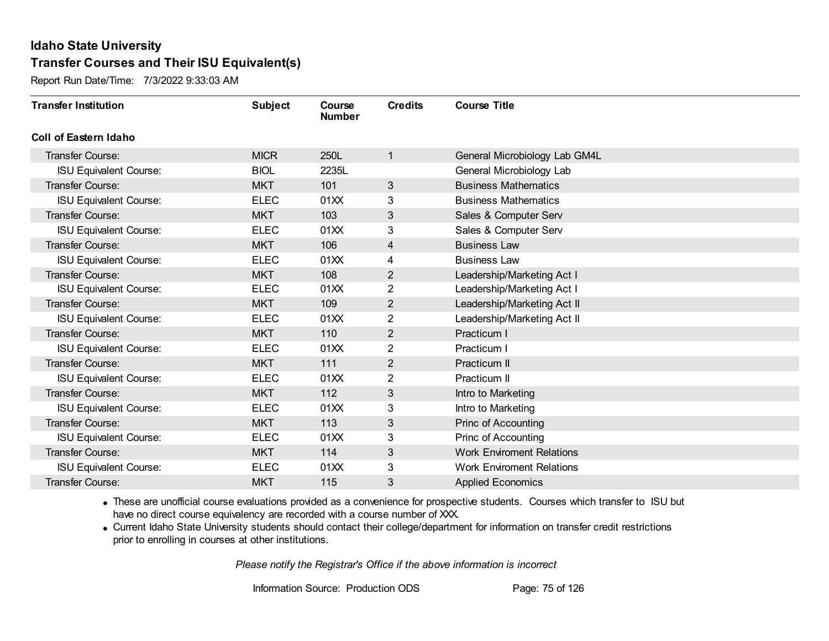Report Run Date/Time: 7/3/2022 9:33:03 AM

| <b>Transfer Institution</b>   | <b>Subject</b> | Course<br><b>Number</b> | <b>Credits</b> | <b>Course Title</b>              |
|-------------------------------|----------------|-------------------------|----------------|----------------------------------|
| <b>Coll of Eastern Idaho</b>  |                |                         |                |                                  |
| Transfer Course:              | <b>MICR</b>    | 250L                    | 1              | General Microbiology Lab GM4L    |
| <b>ISU Equivalent Course:</b> | <b>BIOL</b>    | 2235L                   |                | General Microbiology Lab         |
| <b>Transfer Course:</b>       | <b>MKT</b>     | 101                     | 3              | <b>Business Mathematics</b>      |
| <b>ISU Equivalent Course:</b> | <b>ELEC</b>    | 01XX                    | 3              | <b>Business Mathematics</b>      |
| <b>Transfer Course:</b>       | <b>MKT</b>     | 103                     | 3              | Sales & Computer Serv            |
| <b>ISU Equivalent Course:</b> | <b>ELEC</b>    | 01XX                    | 3              | Sales & Computer Serv            |
| <b>Transfer Course:</b>       | <b>MKT</b>     | 106                     | 4              | <b>Business Law</b>              |
| <b>ISU Equivalent Course:</b> | <b>ELEC</b>    | 01XX                    | 4              | <b>Business Law</b>              |
| <b>Transfer Course:</b>       | <b>MKT</b>     | 108                     | $\overline{2}$ | Leadership/Marketing Act I       |
| <b>ISU Equivalent Course:</b> | <b>ELEC</b>    | 01XX                    | $\overline{2}$ | Leadership/Marketing Act I       |
| <b>Transfer Course:</b>       | <b>MKT</b>     | 109                     | 2              | Leadership/Marketing Act II      |
| <b>ISU Equivalent Course:</b> | <b>ELEC</b>    | 01XX                    | $\overline{2}$ | Leadership/Marketing Act II      |
| <b>Transfer Course:</b>       | <b>MKT</b>     | 110                     | $\overline{2}$ | Practicum I                      |
| <b>ISU Equivalent Course:</b> | <b>ELEC</b>    | 01XX                    | $\overline{2}$ | Practicum I                      |
| <b>Transfer Course:</b>       | <b>MKT</b>     | 111                     | $\overline{2}$ | Practicum II                     |
| <b>ISU Equivalent Course:</b> | <b>ELEC</b>    | 01XX                    | $\overline{2}$ | Practicum II                     |
| <b>Transfer Course:</b>       | <b>MKT</b>     | 112                     | 3              | Intro to Marketing               |
| <b>ISU Equivalent Course:</b> | <b>ELEC</b>    | 01XX                    | 3              | Intro to Marketing               |
| <b>Transfer Course:</b>       | <b>MKT</b>     | 113                     | 3              | Princ of Accounting              |
| <b>ISU Equivalent Course:</b> | <b>ELEC</b>    | 01XX                    | 3              | Princ of Accounting              |
| <b>Transfer Course:</b>       | <b>MKT</b>     | 114                     | 3              | <b>Work Enviroment Relations</b> |
| <b>ISU Equivalent Course:</b> | <b>ELEC</b>    | 01XX                    | 3              | <b>Work Enviroment Relations</b> |
| Transfer Course:              | <b>MKT</b>     | 115                     | 3              | <b>Applied Economics</b>         |

· These are unofficial course evaluations provided as a convenience for prospective students. Courses which transfer to ISU but have no direct course equivalency are recorded with a course number of XXX.

· Current Idaho State University students should contact their college/department for information on transfer credit restrictions prior to enrolling in courses at other institutions.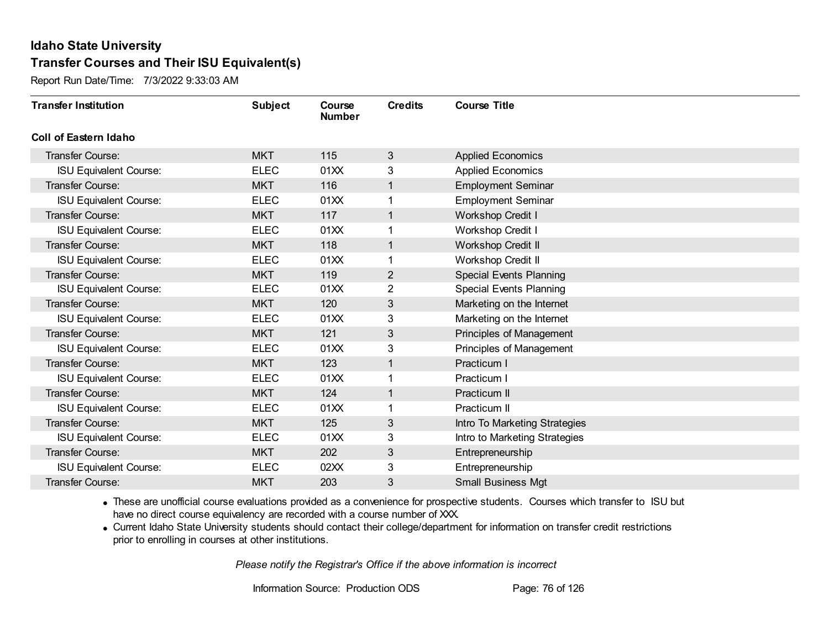Report Run Date/Time: 7/3/2022 9:33:03 AM

| <b>Transfer Institution</b>   | <b>Subject</b> | Course<br><b>Number</b> | <b>Credits</b> | <b>Course Title</b>            |
|-------------------------------|----------------|-------------------------|----------------|--------------------------------|
| <b>Coll of Eastern Idaho</b>  |                |                         |                |                                |
| Transfer Course:              | <b>MKT</b>     | 115                     | 3              | <b>Applied Economics</b>       |
| <b>ISU Equivalent Course:</b> | <b>ELEC</b>    | 01XX                    | 3              | <b>Applied Economics</b>       |
| <b>Transfer Course:</b>       | <b>MKT</b>     | 116                     |                | <b>Employment Seminar</b>      |
| <b>ISU Equivalent Course:</b> | <b>ELEC</b>    | 01XX                    |                | <b>Employment Seminar</b>      |
| <b>Transfer Course:</b>       | <b>MKT</b>     | 117                     | $\mathbf{1}$   | <b>Workshop Credit I</b>       |
| <b>ISU Equivalent Course:</b> | <b>ELEC</b>    | 01XX                    |                | <b>Workshop Credit I</b>       |
| Transfer Course:              | <b>MKT</b>     | 118                     | $\overline{1}$ | Workshop Credit II             |
| <b>ISU Equivalent Course:</b> | <b>ELEC</b>    | 01XX                    |                | Workshop Credit II             |
| <b>Transfer Course:</b>       | <b>MKT</b>     | 119                     | $\overline{2}$ | <b>Special Events Planning</b> |
| <b>ISU Equivalent Course:</b> | <b>ELEC</b>    | 01XX                    | $\overline{2}$ | <b>Special Events Planning</b> |
| <b>Transfer Course:</b>       | <b>MKT</b>     | 120                     | 3              | Marketing on the Internet      |
| <b>ISU Equivalent Course:</b> | <b>ELEC</b>    | 01XX                    | 3              | Marketing on the Internet      |
| <b>Transfer Course:</b>       | <b>MKT</b>     | 121                     | 3              | Principles of Management       |
| <b>ISU Equivalent Course:</b> | <b>ELEC</b>    | 01XX                    | 3              | Principles of Management       |
| <b>Transfer Course:</b>       | <b>MKT</b>     | 123                     |                | Practicum I                    |
| <b>ISU Equivalent Course:</b> | <b>ELEC</b>    | 01XX                    |                | Practicum I                    |
| Transfer Course:              | <b>MKT</b>     | 124                     | $\mathbf{1}$   | Practicum II                   |
| <b>ISU Equivalent Course:</b> | <b>ELEC</b>    | 01XX                    |                | Practicum II                   |
| Transfer Course:              | <b>MKT</b>     | 125                     | 3              | Intro To Marketing Strategies  |
| <b>ISU Equivalent Course:</b> | <b>ELEC</b>    | 01XX                    | 3              | Intro to Marketing Strategies  |
| <b>Transfer Course:</b>       | <b>MKT</b>     | 202                     | $\sqrt{3}$     | Entrepreneurship               |
| <b>ISU Equivalent Course:</b> | <b>ELEC</b>    | 02XX                    | 3              | Entrepreneurship               |
| Transfer Course:              | <b>MKT</b>     | 203                     | 3              | <b>Small Business Mgt</b>      |

· These are unofficial course evaluations provided as a convenience for prospective students. Courses which transfer to ISU but have no direct course equivalency are recorded with a course number of XXX.

· Current Idaho State University students should contact their college/department for information on transfer credit restrictions prior to enrolling in courses at other institutions.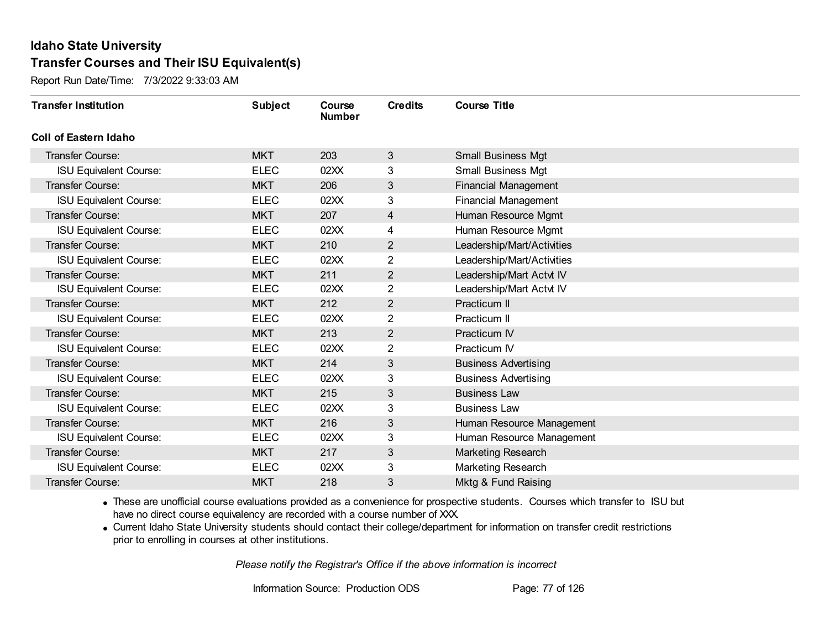Report Run Date/Time: 7/3/2022 9:33:03 AM

| <b>Transfer Institution</b>   | <b>Subject</b> | Course<br><b>Number</b> | <b>Credits</b> | <b>Course Title</b>         |
|-------------------------------|----------------|-------------------------|----------------|-----------------------------|
| <b>Coll of Eastern Idaho</b>  |                |                         |                |                             |
| Transfer Course:              | <b>MKT</b>     | 203                     | 3              | <b>Small Business Mgt</b>   |
| <b>ISU Equivalent Course:</b> | <b>ELEC</b>    | 02XX                    | 3              | <b>Small Business Mgt</b>   |
| <b>Transfer Course:</b>       | <b>MKT</b>     | 206                     | $\mathfrak{S}$ | <b>Financial Management</b> |
| <b>ISU Equivalent Course:</b> | <b>ELEC</b>    | 02XX                    | 3              | <b>Financial Management</b> |
| <b>Transfer Course:</b>       | <b>MKT</b>     | 207                     | 4              | Human Resource Mgmt         |
| <b>ISU Equivalent Course:</b> | <b>ELEC</b>    | 02XX                    | 4              | Human Resource Mgmt         |
| <b>Transfer Course:</b>       | <b>MKT</b>     | 210                     | $\overline{2}$ | Leadership/Mart/Activities  |
| <b>ISU Equivalent Course:</b> | <b>ELEC</b>    | 02XX                    | 2              | Leadership/Mart/Activities  |
| <b>Transfer Course:</b>       | <b>MKT</b>     | 211                     | $\mathbf{2}$   | Leadership/Mart Actvt IV    |
| <b>ISU Equivalent Course:</b> | <b>ELEC</b>    | 02XX                    | $\overline{2}$ | Leadership/Mart Actvt IV    |
| <b>Transfer Course:</b>       | <b>MKT</b>     | 212                     | $\overline{2}$ | Practicum II                |
| <b>ISU Equivalent Course:</b> | <b>ELEC</b>    | 02XX                    | 2              | Practicum II                |
| Transfer Course:              | <b>MKT</b>     | 213                     | $\overline{2}$ | Practicum IV                |
| <b>ISU Equivalent Course:</b> | <b>ELEC</b>    | 02XX                    | $\overline{2}$ | Practicum IV                |
| Transfer Course:              | <b>MKT</b>     | 214                     | $\mathfrak{S}$ | <b>Business Advertising</b> |
| <b>ISU Equivalent Course:</b> | <b>ELEC</b>    | 02XX                    | 3              | <b>Business Advertising</b> |
| <b>Transfer Course:</b>       | <b>MKT</b>     | 215                     | 3              | <b>Business Law</b>         |
| <b>ISU Equivalent Course:</b> | <b>ELEC</b>    | 02XX                    | 3              | <b>Business Law</b>         |
| <b>Transfer Course:</b>       | <b>MKT</b>     | 216                     | 3              | Human Resource Management   |
| <b>ISU Equivalent Course:</b> | <b>ELEC</b>    | 02XX                    | 3              | Human Resource Management   |
| <b>Transfer Course:</b>       | <b>MKT</b>     | 217                     | $\mathfrak{S}$ | Marketing Research          |
| <b>ISU Equivalent Course:</b> | <b>ELEC</b>    | 02XX                    | 3              | Marketing Research          |
| Transfer Course:              | <b>MKT</b>     | 218                     | 3              | Mktg & Fund Raising         |

· These are unofficial course evaluations provided as a convenience for prospective students. Courses which transfer to ISU but have no direct course equivalency are recorded with a course number of XXX.

· Current Idaho State University students should contact their college/department for information on transfer credit restrictions prior to enrolling in courses at other institutions.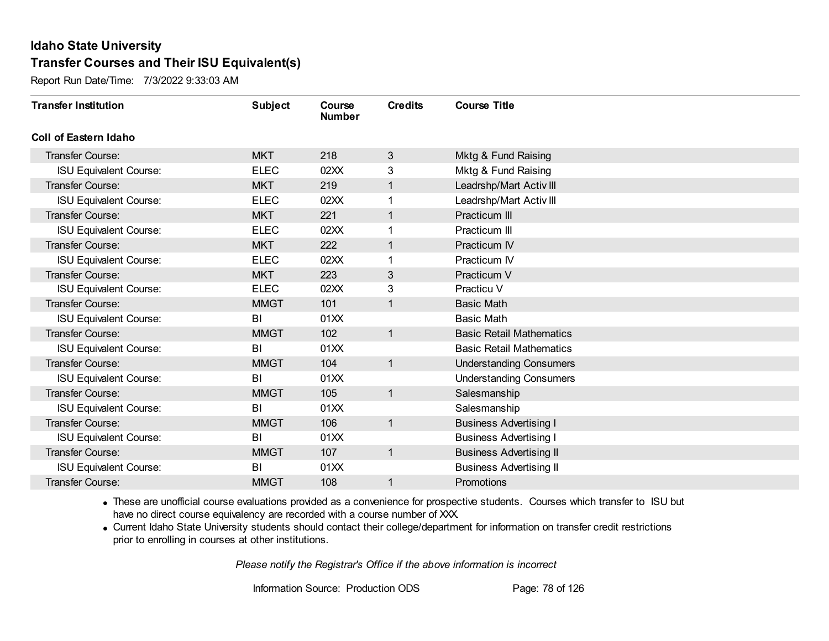Report Run Date/Time: 7/3/2022 9:33:03 AM

| <b>Transfer Institution</b>   | <b>Subject</b> | Course<br><b>Number</b> | <b>Credits</b> | <b>Course Title</b>             |
|-------------------------------|----------------|-------------------------|----------------|---------------------------------|
| <b>Coll of Eastern Idaho</b>  |                |                         |                |                                 |
| Transfer Course:              | <b>MKT</b>     | 218                     | 3              | Mktg & Fund Raising             |
| <b>ISU Equivalent Course:</b> | <b>ELEC</b>    | 02XX                    | 3              | Mktg & Fund Raising             |
| <b>Transfer Course:</b>       | <b>MKT</b>     | 219                     | 1              | Leadrshp/Mart Activ III         |
| <b>ISU Equivalent Course:</b> | <b>ELEC</b>    | 02XX                    |                | Leadrshp/Mart Activ III         |
| <b>Transfer Course:</b>       | <b>MKT</b>     | 221                     | $\mathbf{1}$   | Practicum III                   |
| <b>ISU Equivalent Course:</b> | <b>ELEC</b>    | 02XX                    | 1              | Practicum III                   |
| <b>Transfer Course:</b>       | <b>MKT</b>     | 222                     | $\mathbf 1$    | Practicum IV                    |
| <b>ISU Equivalent Course:</b> | <b>ELEC</b>    | 02XX                    |                | Practicum IV                    |
| <b>Transfer Course:</b>       | <b>MKT</b>     | 223                     | 3              | Practicum V                     |
| <b>ISU Equivalent Course:</b> | <b>ELEC</b>    | 02XX                    | 3              | Practicu V                      |
| <b>Transfer Course:</b>       | <b>MMGT</b>    | 101                     | $\mathbf{1}$   | <b>Basic Math</b>               |
| <b>ISU Equivalent Course:</b> | BI             | 01XX                    |                | <b>Basic Math</b>               |
| <b>Transfer Course:</b>       | <b>MMGT</b>    | 102                     | $\mathbf{1}$   | <b>Basic Retail Mathematics</b> |
| <b>ISU Equivalent Course:</b> | BI             | 01XX                    |                | <b>Basic Retail Mathematics</b> |
| <b>Transfer Course:</b>       | <b>MMGT</b>    | 104                     | 1              | <b>Understanding Consumers</b>  |
| <b>ISU Equivalent Course:</b> | BI             | 01XX                    |                | <b>Understanding Consumers</b>  |
| <b>Transfer Course:</b>       | <b>MMGT</b>    | 105                     | $\mathbf{1}$   | Salesmanship                    |
| <b>ISU Equivalent Course:</b> | BI             | 01XX                    |                | Salesmanship                    |
| <b>Transfer Course:</b>       | <b>MMGT</b>    | 106                     | $\mathbf{1}$   | <b>Business Advertising I</b>   |
| <b>ISU Equivalent Course:</b> | BI             | 01XX                    |                | <b>Business Advertising I</b>   |
| <b>Transfer Course:</b>       | <b>MMGT</b>    | 107                     | $\mathbf{1}$   | <b>Business Advertising II</b>  |
| <b>ISU Equivalent Course:</b> | BI             | 01XX                    |                | <b>Business Advertising II</b>  |
| Transfer Course:              | <b>MMGT</b>    | 108                     | 1              | Promotions                      |

· These are unofficial course evaluations provided as a convenience for prospective students. Courses which transfer to ISU but have no direct course equivalency are recorded with a course number of XXX.

· Current Idaho State University students should contact their college/department for information on transfer credit restrictions prior to enrolling in courses at other institutions.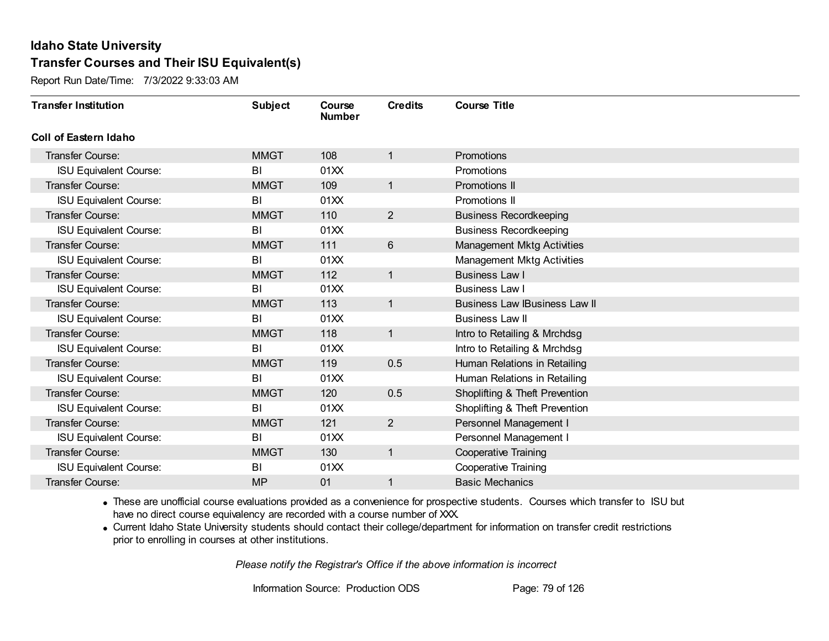Report Run Date/Time: 7/3/2022 9:33:03 AM

| <b>Transfer Institution</b>   | <b>Subject</b> | Course<br><b>Number</b> | <b>Credits</b> | <b>Course Title</b>                  |
|-------------------------------|----------------|-------------------------|----------------|--------------------------------------|
| <b>Coll of Eastern Idaho</b>  |                |                         |                |                                      |
| Transfer Course:              | <b>MMGT</b>    | 108                     | 1              | Promotions                           |
| <b>ISU Equivalent Course:</b> | BI             | 01XX                    |                | Promotions                           |
| <b>Transfer Course:</b>       | <b>MMGT</b>    | 109                     | $\mathbf{1}$   | <b>Promotions II</b>                 |
| <b>ISU Equivalent Course:</b> | BI             | 01XX                    |                | Promotions II                        |
| <b>Transfer Course:</b>       | <b>MMGT</b>    | 110                     | $\overline{2}$ | <b>Business Recordkeeping</b>        |
| <b>ISU Equivalent Course:</b> | BI             | 01XX                    |                | <b>Business Recordkeeping</b>        |
| <b>Transfer Course:</b>       | <b>MMGT</b>    | 111                     | 6              | <b>Management Mktg Activities</b>    |
| <b>ISU Equivalent Course:</b> | BI             | 01XX                    |                | <b>Management Mktg Activities</b>    |
| <b>Transfer Course:</b>       | <b>MMGT</b>    | 112                     | $\mathbf{1}$   | <b>Business Law I</b>                |
| <b>ISU Equivalent Course:</b> | BI             | 01XX                    |                | <b>Business Law I</b>                |
| <b>Transfer Course:</b>       | <b>MMGT</b>    | 113                     | $\mathbf{1}$   | <b>Business Law IBusiness Law II</b> |
| <b>ISU Equivalent Course:</b> | BI             | 01XX                    |                | <b>Business Law II</b>               |
| Transfer Course:              | <b>MMGT</b>    | 118                     | $\mathbf{1}$   | Intro to Retailing & Mrchdsg         |
| <b>ISU Equivalent Course:</b> | BI             | 01XX                    |                | Intro to Retailing & Mrchdsg         |
| Transfer Course:              | <b>MMGT</b>    | 119                     | 0.5            | Human Relations in Retailing         |
| <b>ISU Equivalent Course:</b> | BI             | 01XX                    |                | Human Relations in Retailing         |
| <b>Transfer Course:</b>       | <b>MMGT</b>    | 120                     | 0.5            | Shoplifting & Theft Prevention       |
| <b>ISU Equivalent Course:</b> | BI             | 01XX                    |                | Shoplifting & Theft Prevention       |
| <b>Transfer Course:</b>       | <b>MMGT</b>    | 121                     | $\overline{2}$ | Personnel Management I               |
| <b>ISU Equivalent Course:</b> | BI             | 01XX                    |                | Personnel Management I               |
| <b>Transfer Course:</b>       | <b>MMGT</b>    | 130                     | $\mathbf{1}$   | Cooperative Training                 |
| <b>ISU Equivalent Course:</b> | BI             | 01XX                    |                | <b>Cooperative Training</b>          |
| Transfer Course:              | <b>MP</b>      | 01                      | 1              | <b>Basic Mechanics</b>               |

· These are unofficial course evaluations provided as a convenience for prospective students. Courses which transfer to ISU but have no direct course equivalency are recorded with a course number of XXX.

· Current Idaho State University students should contact their college/department for information on transfer credit restrictions prior to enrolling in courses at other institutions.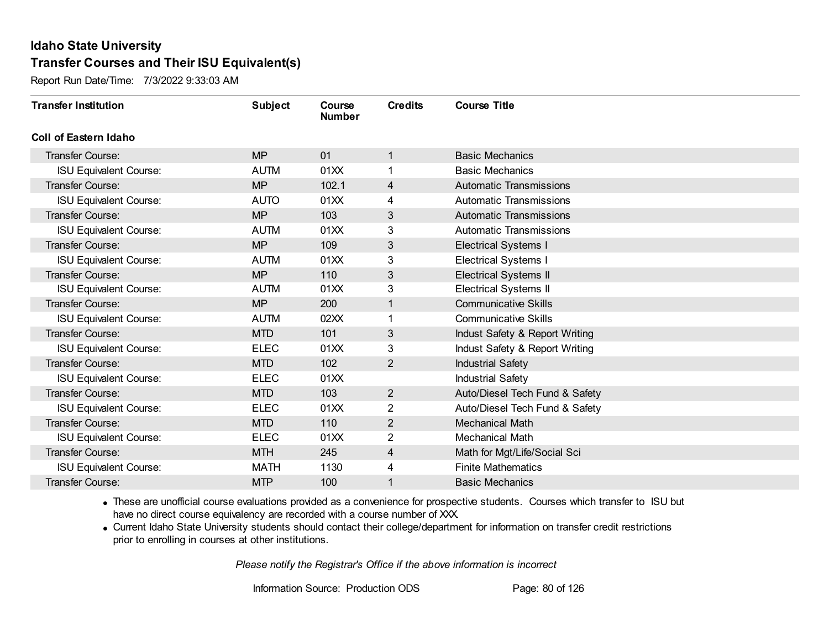Report Run Date/Time: 7/3/2022 9:33:03 AM

| <b>Transfer Institution</b>   | <b>Subject</b> | Course<br><b>Number</b> | <b>Credits</b> | <b>Course Title</b>            |
|-------------------------------|----------------|-------------------------|----------------|--------------------------------|
| Coll of Eastern Idaho         |                |                         |                |                                |
| Transfer Course:              | <b>MP</b>      | 01                      | 1              | <b>Basic Mechanics</b>         |
| <b>ISU Equivalent Course:</b> | <b>AUTM</b>    | 01XX                    |                | <b>Basic Mechanics</b>         |
| Transfer Course:              | <b>MP</b>      | 102.1                   | 4              | <b>Automatic Transmissions</b> |
| <b>ISU Equivalent Course:</b> | <b>AUTO</b>    | 01XX                    | 4              | <b>Automatic Transmissions</b> |
| <b>Transfer Course:</b>       | <b>MP</b>      | 103                     | 3              | <b>Automatic Transmissions</b> |
| <b>ISU Equivalent Course:</b> | <b>AUTM</b>    | 01XX                    | 3              | <b>Automatic Transmissions</b> |
| <b>Transfer Course:</b>       | <b>MP</b>      | 109                     | 3              | <b>Electrical Systems I</b>    |
| <b>ISU Equivalent Course:</b> | <b>AUTM</b>    | 01XX                    | 3              | <b>Electrical Systems I</b>    |
| <b>Transfer Course:</b>       | <b>MP</b>      | 110                     | 3              | <b>Electrical Systems II</b>   |
| <b>ISU Equivalent Course:</b> | <b>AUTM</b>    | 01XX                    | $\mathbf{3}$   | <b>Electrical Systems II</b>   |
| Transfer Course:              | <b>MP</b>      | 200                     | 1              | <b>Communicative Skills</b>    |
| <b>ISU Equivalent Course:</b> | <b>AUTM</b>    | 02XX                    | 1              | <b>Communicative Skills</b>    |
| Transfer Course:              | <b>MTD</b>     | 101                     | 3              | Indust Safety & Report Writing |
| <b>ISU Equivalent Course:</b> | <b>ELEC</b>    | 01XX                    | 3              | Indust Safety & Report Writing |
| Transfer Course:              | <b>MTD</b>     | 102                     | $\overline{2}$ | <b>Industrial Safety</b>       |
| <b>ISU Equivalent Course:</b> | <b>ELEC</b>    | 01XX                    |                | <b>Industrial Safety</b>       |
| Transfer Course:              | <b>MTD</b>     | 103                     | $\overline{2}$ | Auto/Diesel Tech Fund & Safety |
| <b>ISU Equivalent Course:</b> | <b>ELEC</b>    | 01XX                    | $\overline{2}$ | Auto/Diesel Tech Fund & Safety |
| Transfer Course:              | <b>MTD</b>     | 110                     | $\overline{2}$ | <b>Mechanical Math</b>         |
| <b>ISU Equivalent Course:</b> | <b>ELEC</b>    | 01XX                    | 2              | <b>Mechanical Math</b>         |
| <b>Transfer Course:</b>       | <b>MTH</b>     | 245                     | 4              | Math for Mgt/Life/Social Sci   |
| <b>ISU Equivalent Course:</b> | <b>MATH</b>    | 1130                    | 4              | <b>Finite Mathematics</b>      |
| Transfer Course:              | <b>MTP</b>     | 100                     | 1              | <b>Basic Mechanics</b>         |

· These are unofficial course evaluations provided as a convenience for prospective students. Courses which transfer to ISU but have no direct course equivalency are recorded with a course number of XXX.

· Current Idaho State University students should contact their college/department for information on transfer credit restrictions prior to enrolling in courses at other institutions.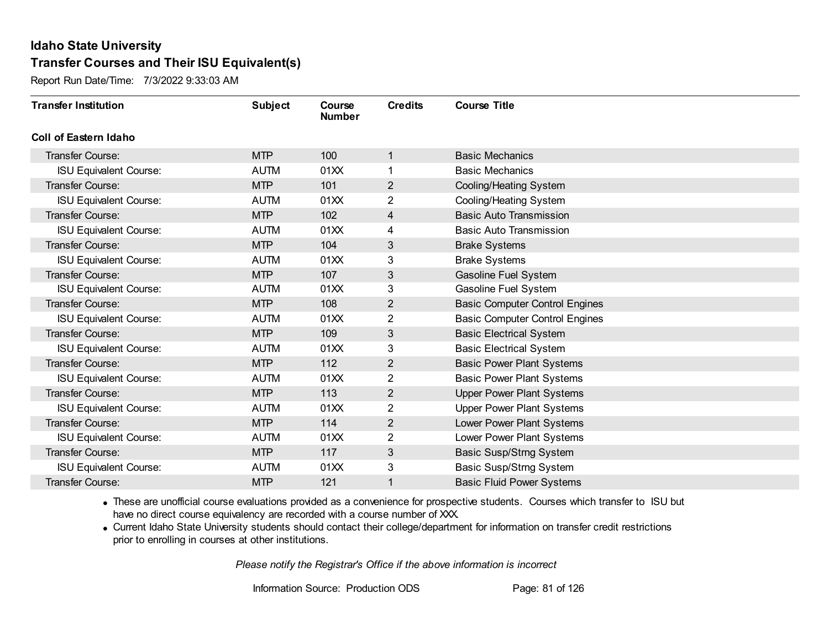Report Run Date/Time: 7/3/2022 9:33:03 AM

| <b>Transfer Institution</b>   | <b>Subject</b> | Course<br><b>Number</b> | <b>Credits</b> | <b>Course Title</b>                   |
|-------------------------------|----------------|-------------------------|----------------|---------------------------------------|
| Coll of Eastern Idaho         |                |                         |                |                                       |
| Transfer Course:              | <b>MTP</b>     | 100                     | 1              | <b>Basic Mechanics</b>                |
| <b>ISU Equivalent Course:</b> | <b>AUTM</b>    | 01XX                    | 1              | <b>Basic Mechanics</b>                |
| Transfer Course:              | <b>MTP</b>     | 101                     | $\overline{2}$ | Cooling/Heating System                |
| <b>ISU Equivalent Course:</b> | <b>AUTM</b>    | 01XX                    | $\overline{2}$ | Cooling/Heating System                |
| <b>Transfer Course:</b>       | <b>MTP</b>     | 102                     | 4              | <b>Basic Auto Transmission</b>        |
| <b>ISU Equivalent Course:</b> | <b>AUTM</b>    | 01XX                    | 4              | <b>Basic Auto Transmission</b>        |
| Transfer Course:              | <b>MTP</b>     | 104                     | 3              | <b>Brake Systems</b>                  |
| <b>ISU Equivalent Course:</b> | <b>AUTM</b>    | 01XX                    | 3              | <b>Brake Systems</b>                  |
| Transfer Course:              | <b>MTP</b>     | 107                     | 3              | Gasoline Fuel System                  |
| <b>ISU Equivalent Course:</b> | <b>AUTM</b>    | 01XX                    | 3              | Gasoline Fuel System                  |
| Transfer Course:              | <b>MTP</b>     | 108                     | 2              | <b>Basic Computer Control Engines</b> |
| <b>ISU Equivalent Course:</b> | <b>AUTM</b>    | 01XX                    | 2              | <b>Basic Computer Control Engines</b> |
| Transfer Course:              | <b>MTP</b>     | 109                     | 3              | <b>Basic Electrical System</b>        |
| <b>ISU Equivalent Course:</b> | <b>AUTM</b>    | 01XX                    | 3              | <b>Basic Electrical System</b>        |
| Transfer Course:              | <b>MTP</b>     | 112                     | $\overline{2}$ | <b>Basic Power Plant Systems</b>      |
| <b>ISU Equivalent Course:</b> | <b>AUTM</b>    | 01XX                    | $\overline{2}$ | <b>Basic Power Plant Systems</b>      |
| Transfer Course:              | <b>MTP</b>     | 113                     | $\overline{2}$ | <b>Upper Power Plant Systems</b>      |
| <b>ISU Equivalent Course:</b> | <b>AUTM</b>    | 01XX                    | 2              | <b>Upper Power Plant Systems</b>      |
| Transfer Course:              | <b>MTP</b>     | 114                     | $\overline{c}$ | Lower Power Plant Systems             |
| <b>ISU Equivalent Course:</b> | <b>AUTM</b>    | 01XX                    | $\overline{2}$ | Lower Power Plant Systems             |
| Transfer Course:              | <b>MTP</b>     | 117                     | 3              | Basic Susp/Strng System               |
| <b>ISU Equivalent Course:</b> | <b>AUTM</b>    | 01XX                    | 3              | Basic Susp/Strng System               |
| Transfer Course:              | <b>MTP</b>     | 121                     | 1              | <b>Basic Fluid Power Systems</b>      |

· These are unofficial course evaluations provided as a convenience for prospective students. Courses which transfer to ISU but have no direct course equivalency are recorded with a course number of XXX.

· Current Idaho State University students should contact their college/department for information on transfer credit restrictions prior to enrolling in courses at other institutions.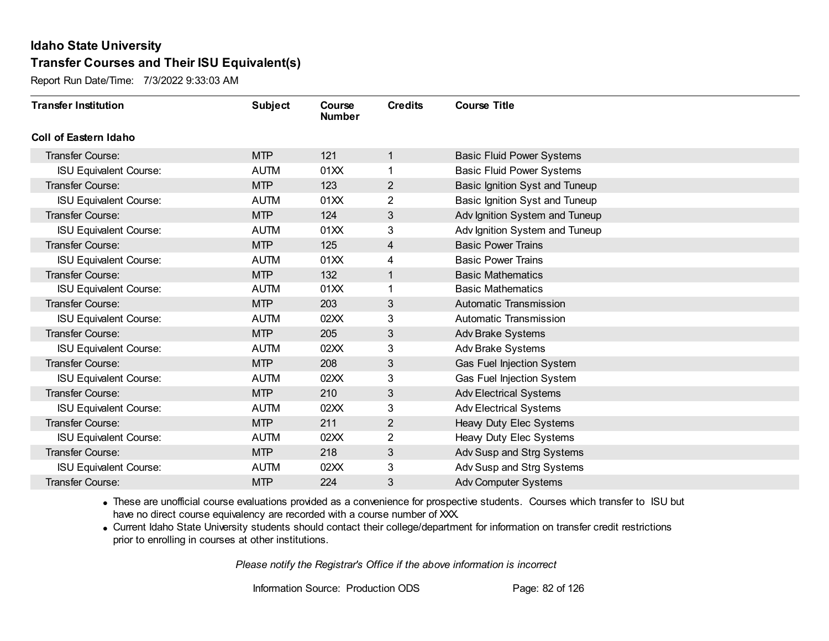Report Run Date/Time: 7/3/2022 9:33:03 AM

| <b>Transfer Institution</b>   | <b>Subject</b> | Course<br><b>Number</b> | <b>Credits</b> | <b>Course Title</b>              |
|-------------------------------|----------------|-------------------------|----------------|----------------------------------|
| Coll of Eastern Idaho         |                |                         |                |                                  |
| Transfer Course:              | <b>MTP</b>     | 121                     | 1              | <b>Basic Fluid Power Systems</b> |
| <b>ISU Equivalent Course:</b> | <b>AUTM</b>    | 01XX                    | 1              | <b>Basic Fluid Power Systems</b> |
| Transfer Course:              | <b>MTP</b>     | 123                     | $\overline{2}$ | Basic Ignition Syst and Tuneup   |
| <b>ISU Equivalent Course:</b> | <b>AUTM</b>    | 01XX                    | $\overline{2}$ | Basic Ignition Syst and Tuneup   |
| <b>Transfer Course:</b>       | <b>MTP</b>     | 124                     | 3              | Adv Ignition System and Tuneup   |
| <b>ISU Equivalent Course:</b> | <b>AUTM</b>    | 01XX                    | 3              | Adv Ignition System and Tuneup   |
| Transfer Course:              | <b>MTP</b>     | 125                     | 4              | <b>Basic Power Trains</b>        |
| <b>ISU Equivalent Course:</b> | <b>AUTM</b>    | 01XX                    | 4              | <b>Basic Power Trains</b>        |
| <b>Transfer Course:</b>       | <b>MTP</b>     | 132                     | 1              | <b>Basic Mathematics</b>         |
| <b>ISU Equivalent Course:</b> | <b>AUTM</b>    | 01XX                    | 1              | <b>Basic Mathematics</b>         |
| <b>Transfer Course:</b>       | <b>MTP</b>     | 203                     | 3              | Automatic Transmission           |
| <b>ISU Equivalent Course:</b> | <b>AUTM</b>    | 02XX                    | 3              | Automatic Transmission           |
| Transfer Course:              | <b>MTP</b>     | 205                     | 3              | <b>Adv Brake Systems</b>         |
| <b>ISU Equivalent Course:</b> | <b>AUTM</b>    | 02XX                    | 3              | <b>Adv Brake Systems</b>         |
| Transfer Course:              | <b>MTP</b>     | 208                     | 3              | Gas Fuel Injection System        |
| <b>ISU Equivalent Course:</b> | <b>AUTM</b>    | 02XX                    | 3              | Gas Fuel Injection System        |
| Transfer Course:              | <b>MTP</b>     | 210                     | 3              | <b>Adv Electrical Systems</b>    |
| <b>ISU Equivalent Course:</b> | <b>AUTM</b>    | 02XX                    | 3              | <b>Adv Electrical Systems</b>    |
| Transfer Course:              | <b>MTP</b>     | 211                     | $\overline{2}$ | Heavy Duty Elec Systems          |
| <b>ISU Equivalent Course:</b> | <b>AUTM</b>    | 02XX                    | $\overline{2}$ | Heavy Duty Elec Systems          |
| Transfer Course:              | <b>MTP</b>     | 218                     | 3              | Adv Susp and Strg Systems        |
| <b>ISU Equivalent Course:</b> | <b>AUTM</b>    | 02XX                    | 3              | Adv Susp and Strg Systems        |
| Transfer Course:              | <b>MTP</b>     | 224                     | 3              | <b>Adv Computer Systems</b>      |

· These are unofficial course evaluations provided as a convenience for prospective students. Courses which transfer to ISU but have no direct course equivalency are recorded with a course number of XXX.

· Current Idaho State University students should contact their college/department for information on transfer credit restrictions prior to enrolling in courses at other institutions.

*Please notify the Registrar's Office if the above information is incorrect*

Information Source: Production ODS Page: 82 of 126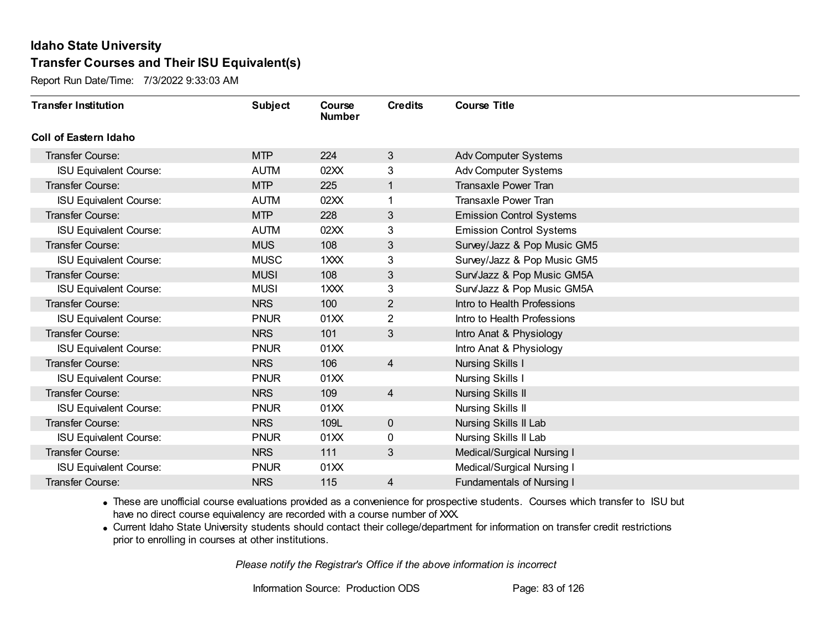Report Run Date/Time: 7/3/2022 9:33:03 AM

| <b>Transfer Institution</b>   | <b>Subject</b> | Course<br><b>Number</b> | <b>Credits</b> | <b>Course Title</b>              |
|-------------------------------|----------------|-------------------------|----------------|----------------------------------|
| <b>Coll of Eastern Idaho</b>  |                |                         |                |                                  |
| Transfer Course:              | <b>MTP</b>     | 224                     | 3              | Adv Computer Systems             |
| <b>ISU Equivalent Course:</b> | <b>AUTM</b>    | 02XX                    | 3              | <b>Adv Computer Systems</b>      |
| <b>Transfer Course:</b>       | <b>MTP</b>     | 225                     |                | <b>Transaxle Power Tran</b>      |
| <b>ISU Equivalent Course:</b> | <b>AUTM</b>    | 02XX                    |                | <b>Transaxle Power Tran</b>      |
| <b>Transfer Course:</b>       | <b>MTP</b>     | 228                     | $\mathfrak{S}$ | <b>Emission Control Systems</b>  |
| <b>ISU Equivalent Course:</b> | <b>AUTM</b>    | 02XX                    | 3              | <b>Emission Control Systems</b>  |
| <b>Transfer Course:</b>       | <b>MUS</b>     | 108                     | 3              | Survey/Jazz & Pop Music GM5      |
| <b>ISU Equivalent Course:</b> | <b>MUSC</b>    | 1 <sub>XX</sub>         | 3              | Survey/Jazz & Pop Music GM5      |
| <b>Transfer Course:</b>       | <b>MUSI</b>    | 108                     | $\sqrt{3}$     | Surv/Jazz & Pop Music GM5A       |
| <b>ISU Equivalent Course:</b> | <b>MUSI</b>    | $1 \times X$            | 3              | Surv/Jazz & Pop Music GM5A       |
| <b>Transfer Course:</b>       | <b>NRS</b>     | 100                     | $\overline{2}$ | Intro to Health Professions      |
| <b>ISU Equivalent Course:</b> | <b>PNUR</b>    | 01XX                    | $\overline{2}$ | Intro to Health Professions      |
| Transfer Course:              | <b>NRS</b>     | 101                     | 3              | Intro Anat & Physiology          |
| <b>ISU Equivalent Course:</b> | <b>PNUR</b>    | 01XX                    |                | Intro Anat & Physiology          |
| Transfer Course:              | <b>NRS</b>     | 106                     | $\overline{4}$ | <b>Nursing Skills I</b>          |
| <b>ISU Equivalent Course:</b> | <b>PNUR</b>    | 01XX                    |                | Nursing Skills I                 |
| <b>Transfer Course:</b>       | <b>NRS</b>     | 109                     | $\overline{4}$ | <b>Nursing Skills II</b>         |
| <b>ISU Equivalent Course:</b> | <b>PNUR</b>    | 01XX                    |                | <b>Nursing Skills II</b>         |
| <b>Transfer Course:</b>       | <b>NRS</b>     | 109L                    | $\mathbf 0$    | Nursing Skills II Lab            |
| <b>ISU Equivalent Course:</b> | <b>PNUR</b>    | 01XX                    | 0              | Nursing Skills II Lab            |
| <b>Transfer Course:</b>       | <b>NRS</b>     | 111                     | $\mathfrak{S}$ | Medical/Surgical Nursing I       |
| <b>ISU Equivalent Course:</b> | <b>PNUR</b>    | 01XX                    |                | Medical/Surgical Nursing I       |
| <b>Transfer Course:</b>       | <b>NRS</b>     | 115                     | 4              | <b>Fundamentals of Nursing I</b> |

· These are unofficial course evaluations provided as a convenience for prospective students. Courses which transfer to ISU but have no direct course equivalency are recorded with a course number of XXX.

· Current Idaho State University students should contact their college/department for information on transfer credit restrictions prior to enrolling in courses at other institutions.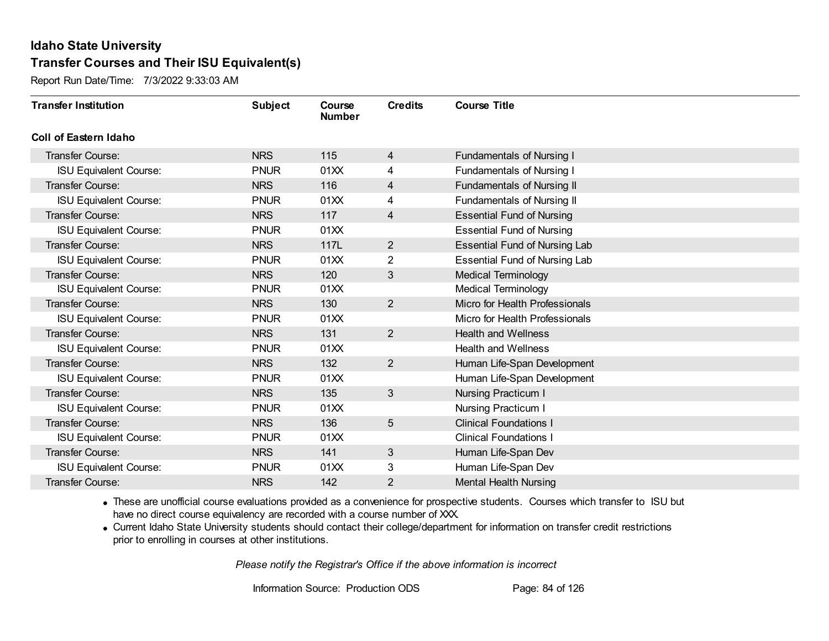Report Run Date/Time: 7/3/2022 9:33:03 AM

| <b>Transfer Institution</b>   | <b>Subject</b> | Course<br><b>Number</b> | <b>Credits</b> | <b>Course Title</b>                  |
|-------------------------------|----------------|-------------------------|----------------|--------------------------------------|
| <b>Coll of Eastern Idaho</b>  |                |                         |                |                                      |
| Transfer Course:              | <b>NRS</b>     | 115                     | 4              | <b>Fundamentals of Nursing I</b>     |
| <b>ISU Equivalent Course:</b> | <b>PNUR</b>    | 01XX                    | 4              | <b>Fundamentals of Nursing I</b>     |
| <b>Transfer Course:</b>       | <b>NRS</b>     | 116                     | 4              | <b>Fundamentals of Nursing II</b>    |
| <b>ISU Equivalent Course:</b> | <b>PNUR</b>    | 01XX                    | 4              | Fundamentals of Nursing II           |
| Transfer Course:              | <b>NRS</b>     | 117                     | 4              | <b>Essential Fund of Nursing</b>     |
| <b>ISU Equivalent Course:</b> | <b>PNUR</b>    | 01XX                    |                | <b>Essential Fund of Nursing</b>     |
| <b>Transfer Course:</b>       | <b>NRS</b>     | 117L                    | $\overline{2}$ | <b>Essential Fund of Nursing Lab</b> |
| <b>ISU Equivalent Course:</b> | <b>PNUR</b>    | 01XX                    | 2              | <b>Essential Fund of Nursing Lab</b> |
| <b>Transfer Course:</b>       | <b>NRS</b>     | 120                     | $\mathfrak{S}$ | <b>Medical Terminology</b>           |
| <b>ISU Equivalent Course:</b> | <b>PNUR</b>    | 01XX                    |                | <b>Medical Terminology</b>           |
| <b>Transfer Course:</b>       | <b>NRS</b>     | 130                     | $2^{\circ}$    | Micro for Health Professionals       |
| <b>ISU Equivalent Course:</b> | <b>PNUR</b>    | 01XX                    |                | Micro for Health Professionals       |
| Transfer Course:              | <b>NRS</b>     | 131                     | $\overline{2}$ | <b>Health and Wellness</b>           |
| <b>ISU Equivalent Course:</b> | <b>PNUR</b>    | 01XX                    |                | <b>Health and Wellness</b>           |
| Transfer Course:              | <b>NRS</b>     | 132                     | $\overline{2}$ | Human Life-Span Development          |
| <b>ISU Equivalent Course:</b> | <b>PNUR</b>    | 01XX                    |                | Human Life-Span Development          |
| <b>Transfer Course:</b>       | <b>NRS</b>     | 135                     | $\mathbf{3}$   | Nursing Practicum I                  |
| <b>ISU Equivalent Course:</b> | <b>PNUR</b>    | 01XX                    |                | Nursing Practicum I                  |
| <b>Transfer Course:</b>       | <b>NRS</b>     | 136                     | $\sqrt{5}$     | <b>Clinical Foundations I</b>        |
| <b>ISU Equivalent Course:</b> | <b>PNUR</b>    | 01XX                    |                | <b>Clinical Foundations I</b>        |
| <b>Transfer Course:</b>       | <b>NRS</b>     | 141                     | $\mathfrak{S}$ | Human Life-Span Dev                  |
| <b>ISU Equivalent Course:</b> | <b>PNUR</b>    | 01XX                    | 3              | Human Life-Span Dev                  |
| <b>Transfer Course:</b>       | <b>NRS</b>     | 142                     | 2              | <b>Mental Health Nursing</b>         |

· These are unofficial course evaluations provided as a convenience for prospective students. Courses which transfer to ISU but have no direct course equivalency are recorded with a course number of XXX.

· Current Idaho State University students should contact their college/department for information on transfer credit restrictions prior to enrolling in courses at other institutions.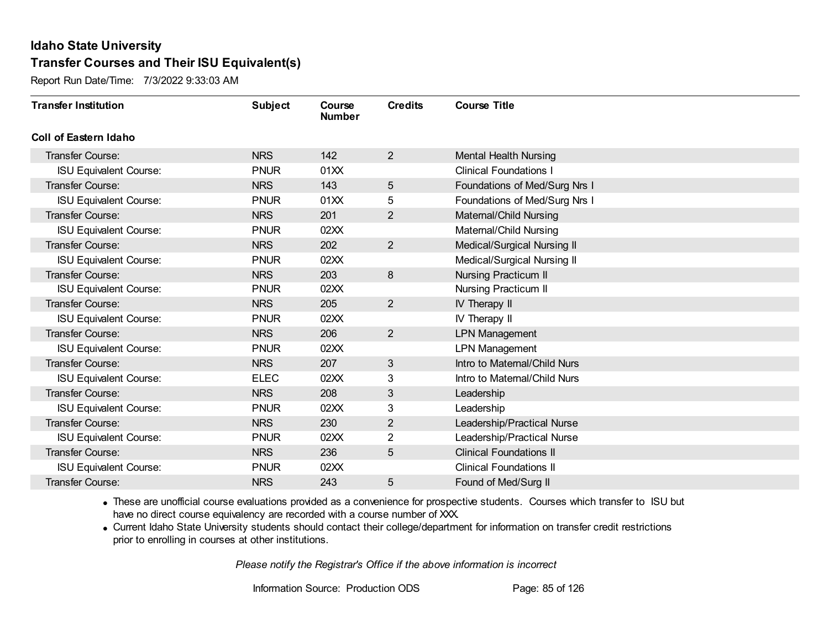Report Run Date/Time: 7/3/2022 9:33:03 AM

| <b>Transfer Institution</b>   | <b>Subject</b> | Course<br><b>Number</b> | <b>Credits</b> | <b>Course Title</b>            |
|-------------------------------|----------------|-------------------------|----------------|--------------------------------|
| Coll of Eastern Idaho         |                |                         |                |                                |
| Transfer Course:              | <b>NRS</b>     | 142                     | $\overline{2}$ | <b>Mental Health Nursing</b>   |
| <b>ISU Equivalent Course:</b> | <b>PNUR</b>    | 01XX                    |                | <b>Clinical Foundations I</b>  |
| Transfer Course:              | <b>NRS</b>     | 143                     | 5              | Foundations of Med/Surg Nrs I  |
| <b>ISU Equivalent Course:</b> | <b>PNUR</b>    | 01XX                    | 5              | Foundations of Med/Surg Nrs I  |
| <b>Transfer Course:</b>       | <b>NRS</b>     | 201                     | $\overline{2}$ | Maternal/Child Nursing         |
| <b>ISU Equivalent Course:</b> | <b>PNUR</b>    | 02XX                    |                | Maternal/Child Nursing         |
| <b>Transfer Course:</b>       | <b>NRS</b>     | 202                     | $\overline{2}$ | Medical/Surgical Nursing II    |
| <b>ISU Equivalent Course:</b> | <b>PNUR</b>    | 02XX                    |                | Medical/Surgical Nursing II    |
| Transfer Course:              | <b>NRS</b>     | 203                     | 8              | <b>Nursing Practicum II</b>    |
| <b>ISU Equivalent Course:</b> | <b>PNUR</b>    | 02XX                    |                | <b>Nursing Practicum II</b>    |
| Transfer Course:              | <b>NRS</b>     | 205                     | $\overline{2}$ | IV Therapy II                  |
| <b>ISU Equivalent Course:</b> | <b>PNUR</b>    | 02XX                    |                | IV Therapy II                  |
| Transfer Course:              | <b>NRS</b>     | 206                     | $\overline{2}$ | <b>LPN Management</b>          |
| <b>ISU Equivalent Course:</b> | <b>PNUR</b>    | 02XX                    |                | <b>LPN Management</b>          |
| Transfer Course:              | <b>NRS</b>     | 207                     | 3              | Intro to Maternal/Child Nurs   |
| <b>ISU Equivalent Course:</b> | <b>ELEC</b>    | 02XX                    | 3              | Intro to Maternal/Child Nurs   |
| Transfer Course:              | <b>NRS</b>     | 208                     | 3              | Leadership                     |
| <b>ISU Equivalent Course:</b> | <b>PNUR</b>    | 02XX                    | 3              | Leadership                     |
| <b>Transfer Course:</b>       | <b>NRS</b>     | 230                     | 2              | Leadership/Practical Nurse     |
| <b>ISU Equivalent Course:</b> | <b>PNUR</b>    | 02XX                    | $\overline{2}$ | Leadership/Practical Nurse     |
| Transfer Course:              | <b>NRS</b>     | 236                     | 5              | <b>Clinical Foundations II</b> |
| <b>ISU Equivalent Course:</b> | <b>PNUR</b>    | 02XX                    |                | <b>Clinical Foundations II</b> |
| Transfer Course:              | <b>NRS</b>     | 243                     | 5              | Found of Med/Surg II           |

· These are unofficial course evaluations provided as a convenience for prospective students. Courses which transfer to ISU but have no direct course equivalency are recorded with a course number of XXX.

· Current Idaho State University students should contact their college/department for information on transfer credit restrictions prior to enrolling in courses at other institutions.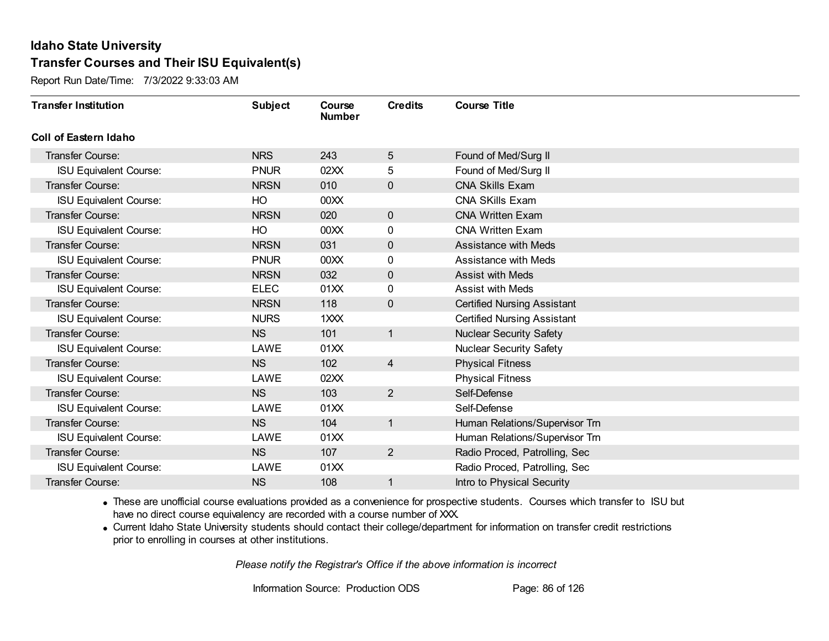Report Run Date/Time: 7/3/2022 9:33:03 AM

| <b>Transfer Institution</b>   | <b>Subject</b> | Course<br><b>Number</b> | <b>Credits</b> | <b>Course Title</b>                |
|-------------------------------|----------------|-------------------------|----------------|------------------------------------|
| Coll of Eastern Idaho         |                |                         |                |                                    |
| Transfer Course:              | <b>NRS</b>     | 243                     | 5              | Found of Med/Surg II               |
| <b>ISU Equivalent Course:</b> | <b>PNUR</b>    | 02XX                    | 5              | Found of Med/Surg II               |
| Transfer Course:              | <b>NRSN</b>    | 010                     | 0              | <b>CNA Skills Exam</b>             |
| <b>ISU Equivalent Course:</b> | HO             | 00 <sub>XX</sub>        |                | <b>CNA SKills Exam</b>             |
| <b>Transfer Course:</b>       | <b>NRSN</b>    | 020                     | $\mathbf 0$    | <b>CNA Written Exam</b>            |
| <b>ISU Equivalent Course:</b> | HO             | 00 <sub>XX</sub>        | 0              | <b>CNA Written Exam</b>            |
| Transfer Course:              | <b>NRSN</b>    | 031                     | $\mathbf 0$    | <b>Assistance with Meds</b>        |
| <b>ISU Equivalent Course:</b> | <b>PNUR</b>    | 00 <sub>XX</sub>        | 0              | Assistance with Meds               |
| <b>Transfer Course:</b>       | <b>NRSN</b>    | 032                     | 0              | <b>Assist with Meds</b>            |
| <b>ISU Equivalent Course:</b> | <b>ELEC</b>    | 01XX                    | 0              | <b>Assist with Meds</b>            |
| <b>Transfer Course:</b>       | <b>NRSN</b>    | 118                     | $\mathbf 0$    | <b>Certified Nursing Assistant</b> |
| <b>ISU Equivalent Course:</b> | <b>NURS</b>    | $1 \times X$            |                | <b>Certified Nursing Assistant</b> |
| Transfer Course:              | <b>NS</b>      | 101                     | 1              | <b>Nuclear Security Safety</b>     |
| <b>ISU Equivalent Course:</b> | LAWE           | 01XX                    |                | <b>Nuclear Security Safety</b>     |
| Transfer Course:              | <b>NS</b>      | 102                     | 4              | <b>Physical Fitness</b>            |
| <b>ISU Equivalent Course:</b> | LAWE           | 02XX                    |                | <b>Physical Fitness</b>            |
| Transfer Course:              | <b>NS</b>      | 103                     | $\overline{2}$ | Self-Defense                       |
| <b>ISU Equivalent Course:</b> | LAWE           | 01XX                    |                | Self-Defense                       |
| <b>Transfer Course:</b>       | <b>NS</b>      | 104                     | $\mathbf{1}$   | Human Relations/Supervisor Trn     |
| <b>ISU Equivalent Course:</b> | LAWE           | 01XX                    |                | Human Relations/Supervisor Trn     |
| Transfer Course:              | <b>NS</b>      | 107                     | $\overline{2}$ | Radio Proced, Patrolling, Sec      |
| <b>ISU Equivalent Course:</b> | LAWE           | 01XX                    |                | Radio Proced, Patrolling, Sec.     |
| Transfer Course:              | <b>NS</b>      | 108                     | 1              | Intro to Physical Security         |

· These are unofficial course evaluations provided as a convenience for prospective students. Courses which transfer to ISU but have no direct course equivalency are recorded with a course number of XXX.

· Current Idaho State University students should contact their college/department for information on transfer credit restrictions prior to enrolling in courses at other institutions.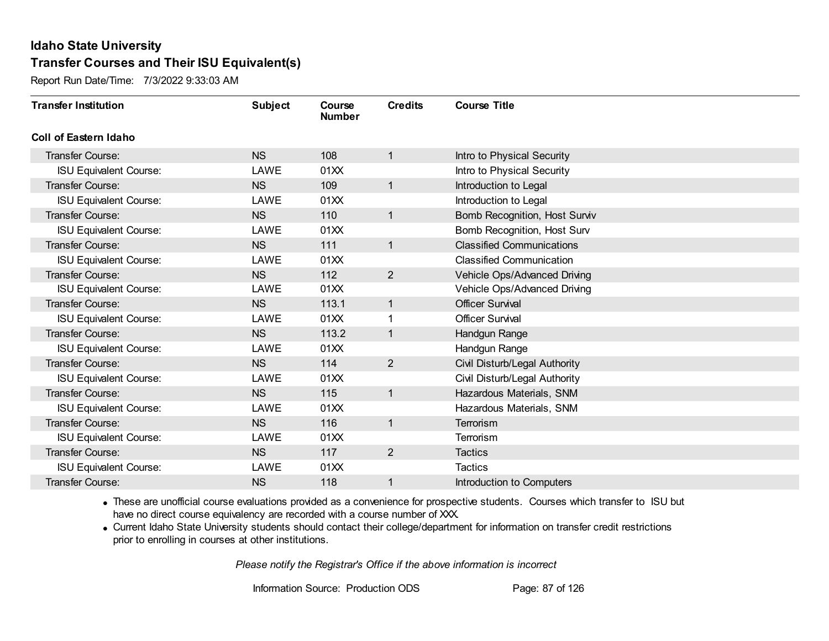Report Run Date/Time: 7/3/2022 9:33:03 AM

| <b>Transfer Institution</b>   | <b>Subject</b> | Course<br><b>Number</b> | <b>Credits</b> | <b>Course Title</b>              |
|-------------------------------|----------------|-------------------------|----------------|----------------------------------|
| Coll of Eastern Idaho         |                |                         |                |                                  |
| Transfer Course:              | <b>NS</b>      | 108                     | 1              | Intro to Physical Security       |
| <b>ISU Equivalent Course:</b> | LAWE           | 01XX                    |                | Intro to Physical Security       |
| Transfer Course:              | <b>NS</b>      | 109                     | $\mathbf{1}$   | Introduction to Legal            |
| <b>ISU Equivalent Course:</b> | LAWE           | 01XX                    |                | Introduction to Legal            |
| <b>Transfer Course:</b>       | <b>NS</b>      | 110                     | 1              | Bomb Recognition, Host Surviv    |
| <b>ISU Equivalent Course:</b> | LAWE           | 01XX                    |                | Bomb Recognition, Host Surv      |
| Transfer Course:              | <b>NS</b>      | 111                     | 1              | <b>Classified Communications</b> |
| <b>ISU Equivalent Course:</b> | LAWE           | 01XX                    |                | <b>Classified Communication</b>  |
| <b>Transfer Course:</b>       | <b>NS</b>      | 112                     | $\overline{2}$ | Vehicle Ops/Advanced Driving     |
| <b>ISU Equivalent Course:</b> | LAWE           | 01XX                    |                | Vehicle Ops/Advanced Driving     |
| <b>Transfer Course:</b>       | <b>NS</b>      | 113.1                   | 1              | <b>Officer Survival</b>          |
| <b>ISU Equivalent Course:</b> | LAWE           | 01XX                    | 1              | <b>Officer Survival</b>          |
| Transfer Course:              | <b>NS</b>      | 113.2                   | 1              | Handgun Range                    |
| <b>ISU Equivalent Course:</b> | LAWE           | 01XX                    |                | Handgun Range                    |
| Transfer Course:              | <b>NS</b>      | 114                     | $\overline{2}$ | Civil Disturb/Legal Authority    |
| <b>ISU Equivalent Course:</b> | LAWE           | 01XX                    |                | Civil Disturb/Legal Authority    |
| Transfer Course:              | <b>NS</b>      | 115                     | $\mathbf{1}$   | Hazardous Materials, SNM         |
| <b>ISU Equivalent Course:</b> | LAWE           | 01XX                    |                | Hazardous Materials, SNM         |
| Transfer Course:              | <b>NS</b>      | 116                     | 1              | Terrorism                        |
| <b>ISU Equivalent Course:</b> | LAWE           | 01XX                    |                | Terrorism                        |
| Transfer Course:              | <b>NS</b>      | 117                     | $\overline{2}$ | <b>Tactics</b>                   |
| <b>ISU Equivalent Course:</b> | LAWE           | 01XX                    |                | <b>Tactics</b>                   |
| Transfer Course:              | <b>NS</b>      | 118                     | 1              | Introduction to Computers        |

· These are unofficial course evaluations provided as a convenience for prospective students. Courses which transfer to ISU but have no direct course equivalency are recorded with a course number of XXX.

· Current Idaho State University students should contact their college/department for information on transfer credit restrictions prior to enrolling in courses at other institutions.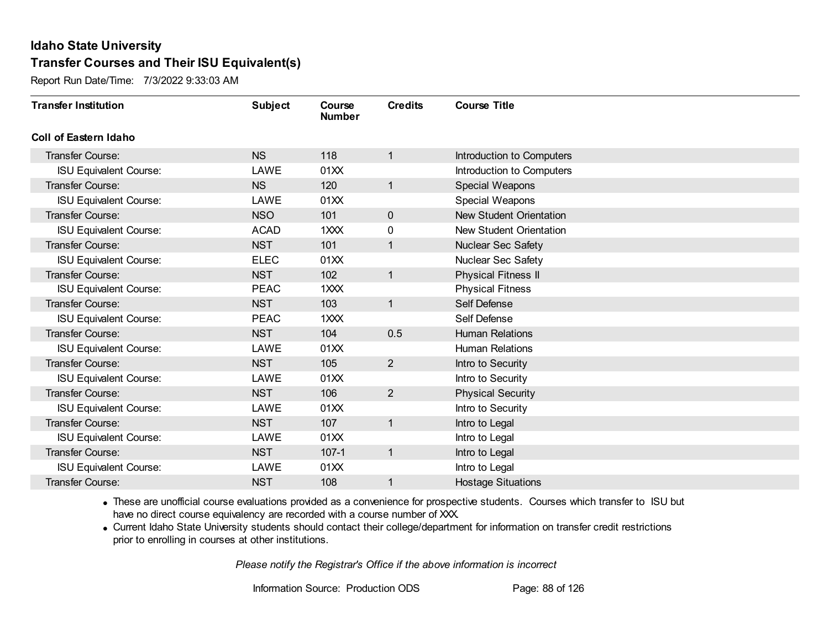Report Run Date/Time: 7/3/2022 9:33:03 AM

| <b>Transfer Institution</b>   | <b>Subject</b> | Course<br><b>Number</b> | <b>Credits</b> | <b>Course Title</b>            |
|-------------------------------|----------------|-------------------------|----------------|--------------------------------|
| <b>Coll of Eastern Idaho</b>  |                |                         |                |                                |
| Transfer Course:              | <b>NS</b>      | 118                     | 1              | Introduction to Computers      |
| <b>ISU Equivalent Course:</b> | LAWE           | 01XX                    |                | Introduction to Computers      |
| <b>Transfer Course:</b>       | <b>NS</b>      | 120                     | $\mathbf{1}$   | Special Weapons                |
| <b>ISU Equivalent Course:</b> | LAWE           | 01XX                    |                | Special Weapons                |
| <b>Transfer Course:</b>       | <b>NSO</b>     | 101                     | $\mathbf{0}$   | <b>New Student Orientation</b> |
| <b>ISU Equivalent Course:</b> | <b>ACAD</b>    | 1XXX                    | 0              | New Student Orientation        |
| <b>Transfer Course:</b>       | <b>NST</b>     | 101                     | 1              | Nuclear Sec Safety             |
| <b>ISU Equivalent Course:</b> | <b>ELEC</b>    | 01XX                    |                | Nuclear Sec Safety             |
| <b>Transfer Course:</b>       | <b>NST</b>     | 102                     | $\mathbf{1}$   | <b>Physical Fitness II</b>     |
| <b>ISU Equivalent Course:</b> | <b>PEAC</b>    | 1XXX                    |                | <b>Physical Fitness</b>        |
| <b>Transfer Course:</b>       | <b>NST</b>     | 103                     | $\mathbf{1}$   | Self Defense                   |
| <b>ISU Equivalent Course:</b> | <b>PEAC</b>    | 1XXX                    |                | Self Defense                   |
| Transfer Course:              | <b>NST</b>     | 104                     | 0.5            | <b>Human Relations</b>         |
| <b>ISU Equivalent Course:</b> | LAWE           | 01XX                    |                | <b>Human Relations</b>         |
| <b>Transfer Course:</b>       | <b>NST</b>     | 105                     | $\overline{2}$ | Intro to Security              |
| <b>ISU Equivalent Course:</b> | LAWE           | 01XX                    |                | Intro to Security              |
| <b>Transfer Course:</b>       | <b>NST</b>     | 106                     | $\overline{2}$ | <b>Physical Security</b>       |
| <b>ISU Equivalent Course:</b> | LAWE           | 01XX                    |                | Intro to Security              |
| Transfer Course:              | <b>NST</b>     | 107                     | $\mathbf{1}$   | Intro to Legal                 |
| <b>ISU Equivalent Course:</b> | LAWE           | 01XX                    |                | Intro to Legal                 |
| <b>Transfer Course:</b>       | <b>NST</b>     | $107 - 1$               | $\mathbf{1}$   | Intro to Legal                 |
| <b>ISU Equivalent Course:</b> | LAWE           | 01XX                    |                | Intro to Legal                 |
| Transfer Course:              | <b>NST</b>     | 108                     | 1              | <b>Hostage Situations</b>      |

· These are unofficial course evaluations provided as a convenience for prospective students. Courses which transfer to ISU but have no direct course equivalency are recorded with a course number of XXX.

· Current Idaho State University students should contact their college/department for information on transfer credit restrictions prior to enrolling in courses at other institutions.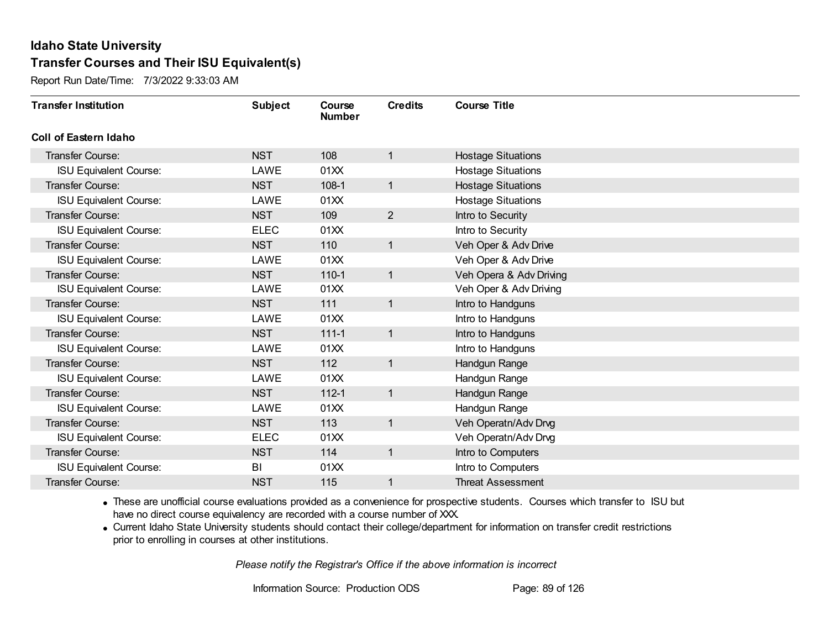Report Run Date/Time: 7/3/2022 9:33:03 AM

| <b>Transfer Institution</b>   | <b>Subject</b> | Course<br><b>Number</b> | <b>Credits</b> | <b>Course Title</b>       |
|-------------------------------|----------------|-------------------------|----------------|---------------------------|
| <b>Coll of Eastern Idaho</b>  |                |                         |                |                           |
| Transfer Course:              | <b>NST</b>     | 108                     | 1              | <b>Hostage Situations</b> |
| <b>ISU Equivalent Course:</b> | LAWE           | 01XX                    |                | <b>Hostage Situations</b> |
| Transfer Course:              | <b>NST</b>     | $108-1$                 | $\mathbf{1}$   | <b>Hostage Situations</b> |
| <b>ISU Equivalent Course:</b> | LAWE           | 01XX                    |                | <b>Hostage Situations</b> |
| Transfer Course:              | <b>NST</b>     | 109                     | $\overline{2}$ | Intro to Security         |
| <b>ISU Equivalent Course:</b> | <b>ELEC</b>    | 01XX                    |                | Intro to Security         |
| Transfer Course:              | <b>NST</b>     | 110                     | $\mathbf{1}$   | Veh Oper & Adv Drive      |
| <b>ISU Equivalent Course:</b> | LAWE           | 01XX                    |                | Veh Oper & Adv Drive      |
| <b>Transfer Course:</b>       | <b>NST</b>     | $110-1$                 | $\mathbf{1}$   | Veh Opera & Adv Driving   |
| <b>ISU Equivalent Course:</b> | LAWE           | 01XX                    |                | Veh Oper & Adv Driving    |
| <b>Transfer Course:</b>       | <b>NST</b>     | 111                     | $\mathbf{1}$   | Intro to Handguns         |
| <b>ISU Equivalent Course:</b> | LAWE           | 01XX                    |                | Intro to Handguns         |
| Transfer Course:              | <b>NST</b>     | $111 - 1$               | 1              | Intro to Handguns         |
| <b>ISU Equivalent Course:</b> | LAWE           | 01XX                    |                | Intro to Handguns         |
| Transfer Course:              | <b>NST</b>     | 112                     | 1              | Handgun Range             |
| <b>ISU Equivalent Course:</b> | LAWE           | 01XX                    |                | Handgun Range             |
| Transfer Course:              | <b>NST</b>     | $112 - 1$               | $\mathbf{1}$   | Handgun Range             |
| <b>ISU Equivalent Course:</b> | LAWE           | 01XX                    |                | Handgun Range             |
| Transfer Course:              | <b>NST</b>     | 113                     | $\mathbf{1}$   | Veh Operatn/Adv Drvg      |
| <b>ISU Equivalent Course:</b> | <b>ELEC</b>    | 01XX                    |                | Veh Operatn/Adv Drvg      |
| Transfer Course:              | <b>NST</b>     | 114                     | $\mathbf{1}$   | Intro to Computers        |
| <b>ISU Equivalent Course:</b> | BI             | 01XX                    |                | Intro to Computers        |
| Transfer Course:              | <b>NST</b>     | 115                     | 1              | <b>Threat Assessment</b>  |

· These are unofficial course evaluations provided as a convenience for prospective students. Courses which transfer to ISU but have no direct course equivalency are recorded with a course number of XXX.

· Current Idaho State University students should contact their college/department for information on transfer credit restrictions prior to enrolling in courses at other institutions.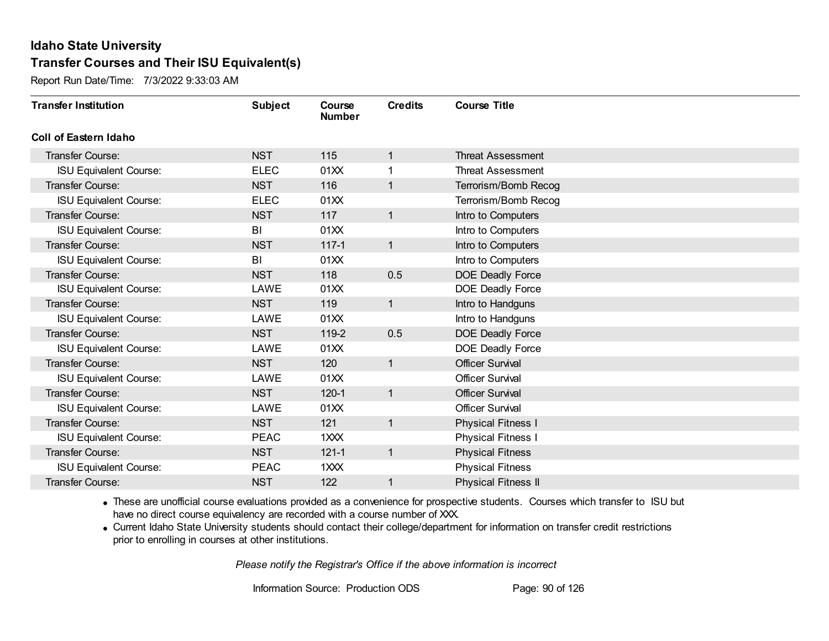Report Run Date/Time: 7/3/2022 9:33:03 AM

| <b>Transfer Institution</b>   | <b>Subject</b> | Course<br><b>Number</b> | <b>Credits</b> | <b>Course Title</b>        |
|-------------------------------|----------------|-------------------------|----------------|----------------------------|
| Coll of Eastern Idaho         |                |                         |                |                            |
| Transfer Course:              | <b>NST</b>     | 115                     | 1              | <b>Threat Assessment</b>   |
| <b>ISU Equivalent Course:</b> | <b>ELEC</b>    | 01XX                    | 1              | <b>Threat Assessment</b>   |
| Transfer Course:              | <b>NST</b>     | 116                     | 1              | Terrorism/Bomb Recog       |
| <b>ISU Equivalent Course:</b> | <b>ELEC</b>    | 01XX                    |                | Terrorism/Bomb Recog       |
| <b>Transfer Course:</b>       | <b>NST</b>     | 117                     | $\mathbf{1}$   | Intro to Computers         |
| <b>ISU Equivalent Course:</b> | BI             | 01XX                    |                | Intro to Computers         |
| Transfer Course:              | <b>NST</b>     | $117 - 1$               | $\mathbf{1}$   | Intro to Computers         |
| <b>ISU Equivalent Course:</b> | BI             | 01XX                    |                | Intro to Computers         |
| <b>Transfer Course:</b>       | <b>NST</b>     | 118                     | 0.5            | DOE Deadly Force           |
| <b>ISU Equivalent Course:</b> | LAWE           | 01XX                    |                | DOE Deadly Force           |
| <b>Transfer Course:</b>       | <b>NST</b>     | 119                     | $\mathbf{1}$   | Intro to Handguns          |
| <b>ISU Equivalent Course:</b> | LAWE           | 01XX                    |                | Intro to Handguns          |
| Transfer Course:              | <b>NST</b>     | 119-2                   | 0.5            | DOE Deadly Force           |
| <b>ISU Equivalent Course:</b> | LAWE           | 01XX                    |                | DOE Deadly Force           |
| Transfer Course:              | <b>NST</b>     | 120                     | $\mathbf{1}$   | <b>Officer Survival</b>    |
| <b>ISU Equivalent Course:</b> | LAWE           | 01XX                    |                | <b>Officer Survival</b>    |
| Transfer Course:              | <b>NST</b>     | $120 - 1$               | $\mathbf{1}$   | <b>Officer Survival</b>    |
| <b>ISU Equivalent Course:</b> | LAWE           | 01XX                    |                | <b>Officer Survival</b>    |
| Transfer Course:              | <b>NST</b>     | 121                     | $\mathbf{1}$   | <b>Physical Fitness I</b>  |
| <b>ISU Equivalent Course:</b> | <b>PEAC</b>    | 1XXX                    |                | <b>Physical Fitness I</b>  |
| Transfer Course:              | <b>NST</b>     | $121 - 1$               | $\mathbf{1}$   | <b>Physical Fitness</b>    |
| <b>ISU Equivalent Course:</b> | <b>PEAC</b>    | 1XXX                    |                | <b>Physical Fitness</b>    |
| Transfer Course:              | <b>NST</b>     | 122                     | 1              | <b>Physical Fitness II</b> |

· These are unofficial course evaluations provided as a convenience for prospective students. Courses which transfer to ISU but have no direct course equivalency are recorded with a course number of XXX.

· Current Idaho State University students should contact their college/department for information on transfer credit restrictions prior to enrolling in courses at other institutions.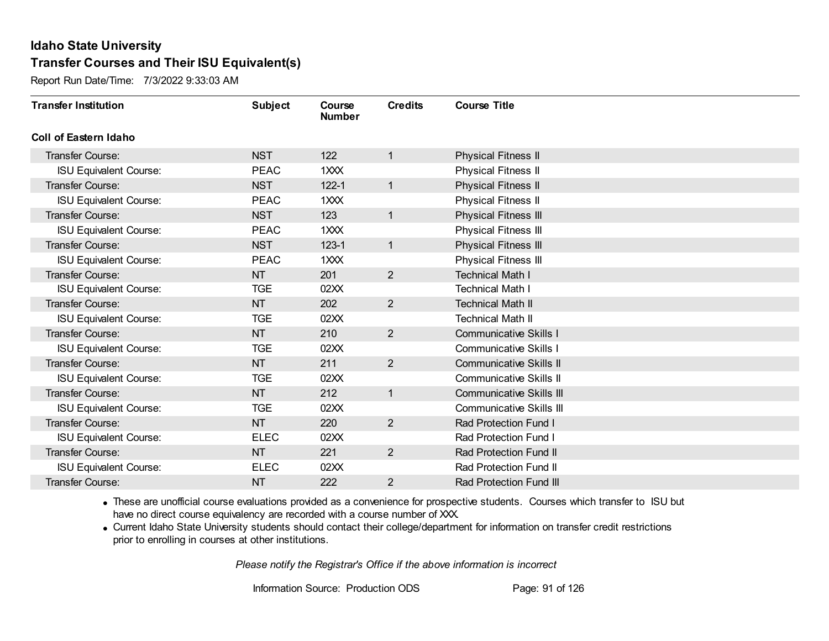Report Run Date/Time: 7/3/2022 9:33:03 AM

| <b>Transfer Institution</b>   | <b>Subject</b> | Course<br><b>Number</b> | <b>Credits</b> | <b>Course Title</b>             |
|-------------------------------|----------------|-------------------------|----------------|---------------------------------|
| <b>Coll of Eastern Idaho</b>  |                |                         |                |                                 |
| Transfer Course:              | <b>NST</b>     | 122                     | $\mathbf{1}$   | <b>Physical Fitness II</b>      |
| <b>ISU Equivalent Course:</b> | <b>PEAC</b>    | $1 \times X$            |                | <b>Physical Fitness II</b>      |
| <b>Transfer Course:</b>       | <b>NST</b>     | $122 - 1$               | $\mathbf{1}$   | <b>Physical Fitness II</b>      |
| <b>ISU Equivalent Course:</b> | <b>PEAC</b>    | 1XXX                    |                | Physical Fitness II             |
| <b>Transfer Course:</b>       | <b>NST</b>     | 123                     | $\mathbf{1}$   | Physical Fitness III            |
| <b>ISU Equivalent Course:</b> | <b>PEAC</b>    | 1XXX                    |                | Physical Fitness III            |
| <b>Transfer Course:</b>       | <b>NST</b>     | $123 - 1$               | $\mathbf{1}$   | Physical Fitness III            |
| <b>ISU Equivalent Course:</b> | <b>PEAC</b>    | 1XXX                    |                | Physical Fitness III            |
| <b>Transfer Course:</b>       | <b>NT</b>      | 201                     | $\overline{2}$ | <b>Technical Math I</b>         |
| <b>ISU Equivalent Course:</b> | <b>TGE</b>     | 02XX                    |                | <b>Technical Math I</b>         |
| <b>Transfer Course:</b>       | <b>NT</b>      | 202                     | $\overline{2}$ | <b>Technical Math II</b>        |
| <b>ISU Equivalent Course:</b> | <b>TGE</b>     | 02XX                    |                | <b>Technical Math II</b>        |
| Transfer Course:              | <b>NT</b>      | 210                     | $\overline{2}$ | <b>Communicative Skills I</b>   |
| <b>ISU Equivalent Course:</b> | <b>TGE</b>     | 02XX                    |                | <b>Communicative Skills I</b>   |
| Transfer Course:              | NT             | 211                     | $\overline{2}$ | <b>Communicative Skills II</b>  |
| <b>ISU Equivalent Course:</b> | <b>TGE</b>     | 02XX                    |                | <b>Communicative Skills II</b>  |
| <b>Transfer Course:</b>       | <b>NT</b>      | 212                     | $\mathbf{1}$   | <b>Communicative Skills III</b> |
| <b>ISU Equivalent Course:</b> | <b>TGE</b>     | 02XX                    |                | <b>Communicative Skills III</b> |
| Transfer Course:              | <b>NT</b>      | 220                     | $\overline{2}$ | Rad Protection Fund I           |
| <b>ISU Equivalent Course:</b> | <b>ELEC</b>    | 02XX                    |                | Rad Protection Fund I           |
| <b>Transfer Course:</b>       | <b>NT</b>      | 221                     | $2^{\circ}$    | Rad Protection Fund II          |
| <b>ISU Equivalent Course:</b> | <b>ELEC</b>    | 02XX                    |                | Rad Protection Fund II          |
| Transfer Course:              | <b>NT</b>      | 222                     | $\overline{2}$ | <b>Rad Protection Fund III</b>  |

· These are unofficial course evaluations provided as a convenience for prospective students. Courses which transfer to ISU but have no direct course equivalency are recorded with a course number of XXX.

· Current Idaho State University students should contact their college/department for information on transfer credit restrictions prior to enrolling in courses at other institutions.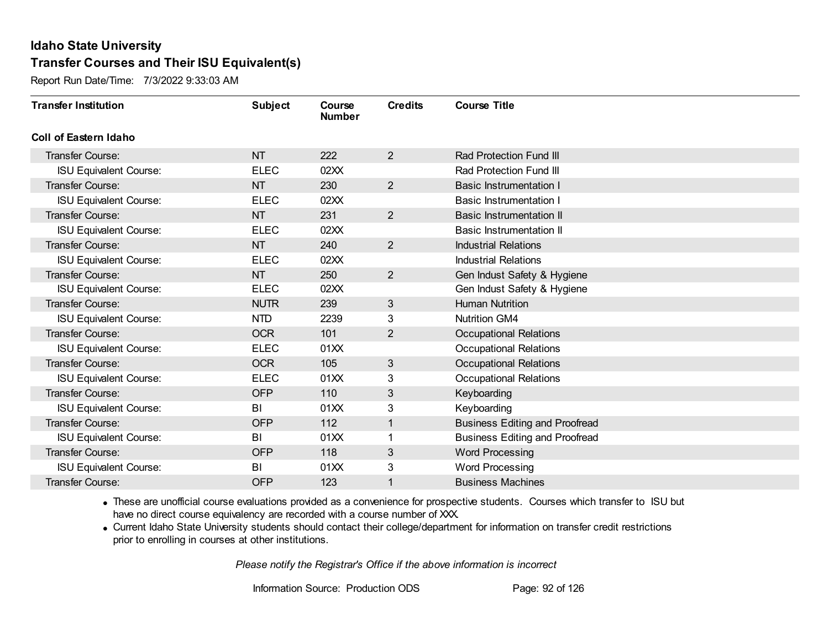Report Run Date/Time: 7/3/2022 9:33:03 AM

| <b>Transfer Institution</b>   | <b>Subject</b> | Course<br><b>Number</b> | <b>Credits</b> | <b>Course Title</b>                   |
|-------------------------------|----------------|-------------------------|----------------|---------------------------------------|
| Coll of Eastern Idaho         |                |                         |                |                                       |
| Transfer Course:              | <b>NT</b>      | 222                     | $\overline{2}$ | Rad Protection Fund III               |
| <b>ISU Equivalent Course:</b> | <b>ELEC</b>    | 02XX                    |                | Rad Protection Fund III               |
| Transfer Course:              | <b>NT</b>      | 230                     | $\overline{2}$ | <b>Basic Instrumentation I</b>        |
| <b>ISU Equivalent Course:</b> | <b>ELEC</b>    | 02XX                    |                | <b>Basic Instrumentation I</b>        |
| <b>Transfer Course:</b>       | <b>NT</b>      | 231                     | $\overline{2}$ | <b>Basic Instrumentation II</b>       |
| <b>ISU Equivalent Course:</b> | <b>ELEC</b>    | 02XX                    |                | Basic Instrumentation II              |
| Transfer Course:              | <b>NT</b>      | 240                     | $\overline{2}$ | <b>Industrial Relations</b>           |
| <b>ISU Equivalent Course:</b> | <b>ELEC</b>    | 02XX                    |                | <b>Industrial Relations</b>           |
| Transfer Course:              | <b>NT</b>      | 250                     | $\overline{2}$ | Gen Indust Safety & Hygiene           |
| <b>ISU Equivalent Course:</b> | <b>ELEC</b>    | 02XX                    |                | Gen Indust Safety & Hygiene           |
| <b>Transfer Course:</b>       | <b>NUTR</b>    | 239                     | 3              | <b>Human Nutrition</b>                |
| <b>ISU Equivalent Course:</b> | <b>NTD</b>     | 2239                    | 3              | <b>Nutrition GM4</b>                  |
| Transfer Course:              | <b>OCR</b>     | 101                     | $\overline{2}$ | <b>Occupational Relations</b>         |
| <b>ISU Equivalent Course:</b> | <b>ELEC</b>    | 01XX                    |                | <b>Occupational Relations</b>         |
| Transfer Course:              | <b>OCR</b>     | 105                     | $\mathfrak{S}$ | <b>Occupational Relations</b>         |
| <b>ISU Equivalent Course:</b> | <b>ELEC</b>    | 01XX                    | 3              | <b>Occupational Relations</b>         |
| Transfer Course:              | <b>OFP</b>     | 110                     | 3              | Keyboarding                           |
| <b>ISU Equivalent Course:</b> | BI             | 01XX                    | 3              | Keyboarding                           |
| Transfer Course:              | <b>OFP</b>     | 112                     | $\overline{1}$ | <b>Business Editing and Proofread</b> |
| <b>ISU Equivalent Course:</b> | BI             | 01XX                    |                | <b>Business Editing and Proofread</b> |
| Transfer Course:              | <b>OFP</b>     | 118                     | $\mathfrak{S}$ | <b>Word Processing</b>                |
| <b>ISU Equivalent Course:</b> | BI             | 01XX                    | 3              | Word Processing                       |
| Transfer Course:              | <b>OFP</b>     | 123                     | 1              | <b>Business Machines</b>              |

· These are unofficial course evaluations provided as a convenience for prospective students. Courses which transfer to ISU but have no direct course equivalency are recorded with a course number of XXX.

· Current Idaho State University students should contact their college/department for information on transfer credit restrictions prior to enrolling in courses at other institutions.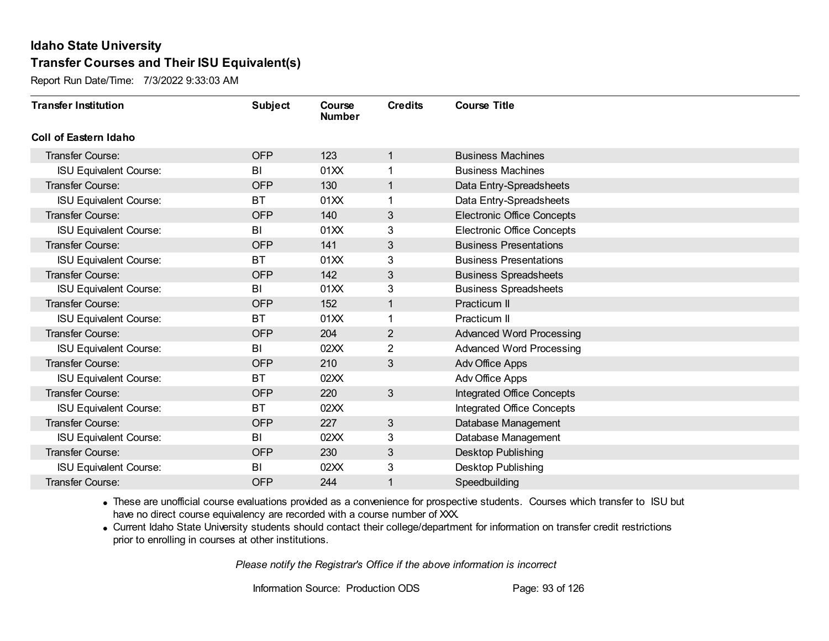Report Run Date/Time: 7/3/2022 9:33:03 AM

| <b>Transfer Institution</b>   | <b>Subject</b> | Course<br><b>Number</b> | <b>Credits</b> | <b>Course Title</b>               |
|-------------------------------|----------------|-------------------------|----------------|-----------------------------------|
| Coll of Eastern Idaho         |                |                         |                |                                   |
| Transfer Course:              | <b>OFP</b>     | 123                     | 1              | <b>Business Machines</b>          |
| <b>ISU Equivalent Course:</b> | BI             | 01XX                    | 1              | <b>Business Machines</b>          |
| Transfer Course:              | <b>OFP</b>     | 130                     | $\mathbf{1}$   | Data Entry-Spreadsheets           |
| <b>ISU Equivalent Course:</b> | <b>BT</b>      | 01XX                    | 1              | Data Entry-Spreadsheets           |
| <b>Transfer Course:</b>       | <b>OFP</b>     | 140                     | 3              | <b>Electronic Office Concepts</b> |
| <b>ISU Equivalent Course:</b> | BI             | 01XX                    | 3              | <b>Electronic Office Concepts</b> |
| Transfer Course:              | <b>OFP</b>     | 141                     | 3              | <b>Business Presentations</b>     |
| <b>ISU Equivalent Course:</b> | BT             | 01XX                    | 3              | <b>Business Presentations</b>     |
| <b>Transfer Course:</b>       | <b>OFP</b>     | 142                     | 3              | <b>Business Spreadsheets</b>      |
| <b>ISU Equivalent Course:</b> | BI             | 01XX                    | 3              | <b>Business Spreadsheets</b>      |
| <b>Transfer Course:</b>       | <b>OFP</b>     | 152                     | $\mathbf{1}$   | Practicum II                      |
| <b>ISU Equivalent Course:</b> | <b>BT</b>      | 01XX                    | 1              | Practicum II                      |
| Transfer Course:              | <b>OFP</b>     | 204                     | $\overline{2}$ | <b>Advanced Word Processing</b>   |
| <b>ISU Equivalent Course:</b> | BI             | 02XX                    | $\overline{2}$ | <b>Advanced Word Processing</b>   |
| Transfer Course:              | <b>OFP</b>     | 210                     | 3              | Adv Office Apps                   |
| <b>ISU Equivalent Course:</b> | <b>BT</b>      | 02XX                    |                | Adv Office Apps                   |
| Transfer Course:              | <b>OFP</b>     | 220                     | 3              | <b>Integrated Office Concepts</b> |
| <b>ISU Equivalent Course:</b> | <b>BT</b>      | 02XX                    |                | Integrated Office Concepts        |
| Transfer Course:              | <b>OFP</b>     | 227                     | 3              | Database Management               |
| <b>ISU Equivalent Course:</b> | BI             | 02XX                    | 3              | Database Management               |
| <b>Transfer Course:</b>       | <b>OFP</b>     | 230                     | 3              | Desktop Publishing                |
| <b>ISU Equivalent Course:</b> | BI             | 02XX                    | 3              | <b>Desktop Publishing</b>         |
| Transfer Course:              | <b>OFP</b>     | 244                     | 1              | Speedbuilding                     |

· These are unofficial course evaluations provided as a convenience for prospective students. Courses which transfer to ISU but have no direct course equivalency are recorded with a course number of XXX.

· Current Idaho State University students should contact their college/department for information on transfer credit restrictions prior to enrolling in courses at other institutions.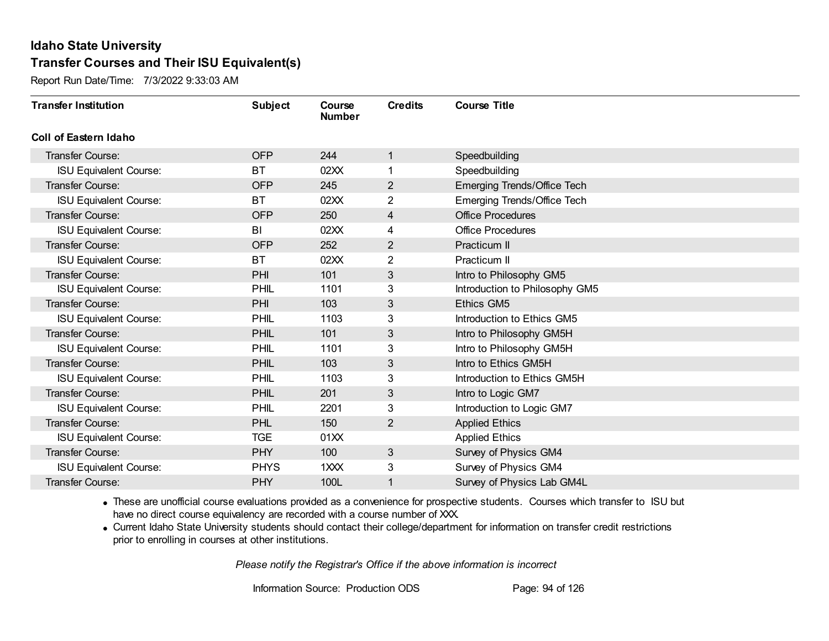Report Run Date/Time: 7/3/2022 9:33:03 AM

| <b>Transfer Institution</b>   | <b>Subject</b> | Course<br><b>Number</b> | <b>Credits</b> | <b>Course Title</b>            |
|-------------------------------|----------------|-------------------------|----------------|--------------------------------|
| <b>Coll of Eastern Idaho</b>  |                |                         |                |                                |
| <b>Transfer Course:</b>       | <b>OFP</b>     | 244                     | 1              | Speedbuilding                  |
| <b>ISU Equivalent Course:</b> | <b>BT</b>      | 02XX                    |                | Speedbuilding                  |
| <b>Transfer Course:</b>       | <b>OFP</b>     | 245                     | $\overline{2}$ | Emerging Trends/Office Tech    |
| <b>ISU Equivalent Course:</b> | <b>BT</b>      | 02XX                    | $\overline{2}$ | Emerging Trends/Office Tech    |
| <b>Transfer Course:</b>       | <b>OFP</b>     | 250                     | 4              | <b>Office Procedures</b>       |
| <b>ISU Equivalent Course:</b> | BI             | 02XX                    | 4              | <b>Office Procedures</b>       |
| <b>Transfer Course:</b>       | <b>OFP</b>     | 252                     | 2              | Practicum II                   |
| <b>ISU Equivalent Course:</b> | <b>BT</b>      | 02XX                    | $\overline{2}$ | Practicum II                   |
| <b>Transfer Course:</b>       | <b>PHI</b>     | 101                     | 3              | Intro to Philosophy GM5        |
| <b>ISU Equivalent Course:</b> | PHIL           | 1101                    | 3              | Introduction to Philosophy GM5 |
| <b>Transfer Course:</b>       | PHI            | 103                     | 3              | <b>Ethics GM5</b>              |
| <b>ISU Equivalent Course:</b> | PHIL           | 1103                    | 3              | Introduction to Ethics GM5     |
| <b>Transfer Course:</b>       | <b>PHIL</b>    | 101                     | 3              | Intro to Philosophy GM5H       |
| <b>ISU Equivalent Course:</b> | PHIL           | 1101                    | 3              | Intro to Philosophy GM5H       |
| Transfer Course:              | <b>PHIL</b>    | 103                     | 3              | Intro to Ethics GM5H           |
| <b>ISU Equivalent Course:</b> | PHIL           | 1103                    | 3              | Introduction to Ethics GM5H    |
| <b>Transfer Course:</b>       | <b>PHIL</b>    | 201                     | 3              | Intro to Logic GM7             |
| <b>ISU Equivalent Course:</b> | <b>PHIL</b>    | 2201                    | 3              | Introduction to Logic GM7      |
| Transfer Course:              | PHL            | 150                     | $\overline{2}$ | <b>Applied Ethics</b>          |
| <b>ISU Equivalent Course:</b> | <b>TGE</b>     | 01XX                    |                | <b>Applied Ethics</b>          |
| <b>Transfer Course:</b>       | <b>PHY</b>     | 100                     | 3              | Survey of Physics GM4          |
| <b>ISU Equivalent Course:</b> | <b>PHYS</b>    | 1 <sub>XX</sub>         | 3              | Survey of Physics GM4          |
| Transfer Course:              | <b>PHY</b>     | 100L                    | 1              | Survey of Physics Lab GM4L     |

· These are unofficial course evaluations provided as a convenience for prospective students. Courses which transfer to ISU but have no direct course equivalency are recorded with a course number of XXX.

· Current Idaho State University students should contact their college/department for information on transfer credit restrictions prior to enrolling in courses at other institutions.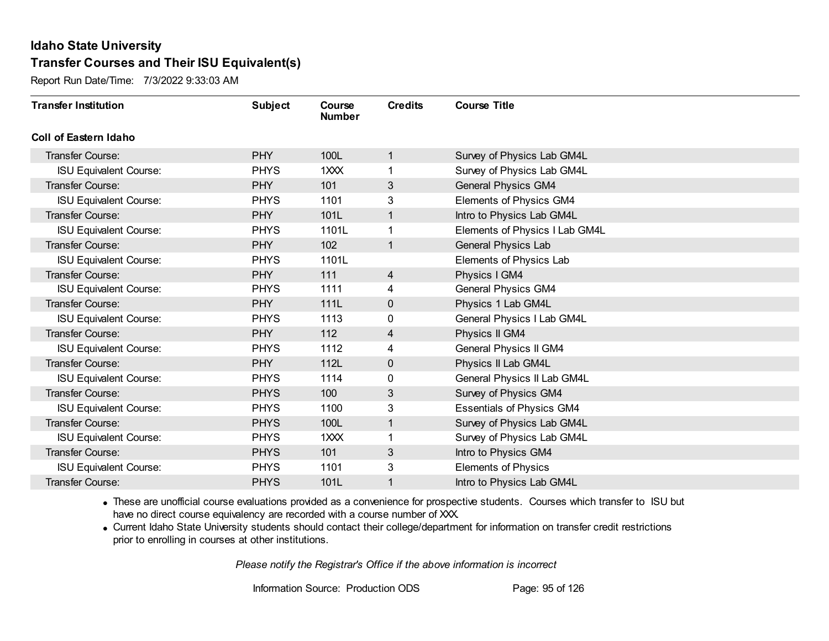Report Run Date/Time: 7/3/2022 9:33:03 AM

| <b>Transfer Institution</b>   | <b>Subject</b> | Course<br><b>Number</b> | <b>Credits</b> | <b>Course Title</b>              |
|-------------------------------|----------------|-------------------------|----------------|----------------------------------|
| Coll of Eastern Idaho         |                |                         |                |                                  |
| Transfer Course:              | <b>PHY</b>     | 100L                    | $\mathbf{1}$   | Survey of Physics Lab GM4L       |
| <b>ISU Equivalent Course:</b> | <b>PHYS</b>    | 1XXX                    | 1.             | Survey of Physics Lab GM4L       |
| Transfer Course:              | <b>PHY</b>     | 101                     | 3              | <b>General Physics GM4</b>       |
| <b>ISU Equivalent Course:</b> | <b>PHYS</b>    | 1101                    | 3              | Elements of Physics GM4          |
| <b>Transfer Course:</b>       | <b>PHY</b>     | 101L                    | $\mathbf{1}$   | Intro to Physics Lab GM4L        |
| <b>ISU Equivalent Course:</b> | <b>PHYS</b>    | 1101L                   | 1              | Elements of Physics I Lab GM4L   |
| Transfer Course:              | <b>PHY</b>     | 102                     | $\mathbf{1}$   | General Physics Lab              |
| <b>ISU Equivalent Course:</b> | <b>PHYS</b>    | 1101L                   |                | Elements of Physics Lab          |
| Transfer Course:              | <b>PHY</b>     | 111                     | $\overline{4}$ | Physics I GM4                    |
| <b>ISU Equivalent Course:</b> | <b>PHYS</b>    | 1111                    | 4              | General Physics GM4              |
| <b>Transfer Course:</b>       | <b>PHY</b>     | 111L                    | 0              | Physics 1 Lab GM4L               |
| <b>ISU Equivalent Course:</b> | <b>PHYS</b>    | 1113                    | 0              | General Physics I Lab GM4L       |
| Transfer Course:              | <b>PHY</b>     | 112                     | 4              | Physics II GM4                   |
| <b>ISU Equivalent Course:</b> | <b>PHYS</b>    | 1112                    | 4              | General Physics II GM4           |
| Transfer Course:              | <b>PHY</b>     | 112L                    | 0              | Physics II Lab GM4L              |
| <b>ISU Equivalent Course:</b> | <b>PHYS</b>    | 1114                    | 0              | General Physics II Lab GM4L      |
| Transfer Course:              | <b>PHYS</b>    | 100                     | 3              | Survey of Physics GM4            |
| <b>ISU Equivalent Course:</b> | <b>PHYS</b>    | 1100                    | 3              | <b>Essentials of Physics GM4</b> |
| Transfer Course:              | <b>PHYS</b>    | 100L                    | $\mathbf{1}$   | Survey of Physics Lab GM4L       |
| <b>ISU Equivalent Course:</b> | <b>PHYS</b>    | 1XXX                    | 1              | Survey of Physics Lab GM4L       |
| Transfer Course:              | <b>PHYS</b>    | 101                     | 3              | Intro to Physics GM4             |
| <b>ISU Equivalent Course:</b> | <b>PHYS</b>    | 1101                    | 3              | <b>Elements of Physics</b>       |
| Transfer Course:              | <b>PHYS</b>    | 101L                    | 1              | Intro to Physics Lab GM4L        |

· These are unofficial course evaluations provided as a convenience for prospective students. Courses which transfer to ISU but have no direct course equivalency are recorded with a course number of XXX.

· Current Idaho State University students should contact their college/department for information on transfer credit restrictions prior to enrolling in courses at other institutions.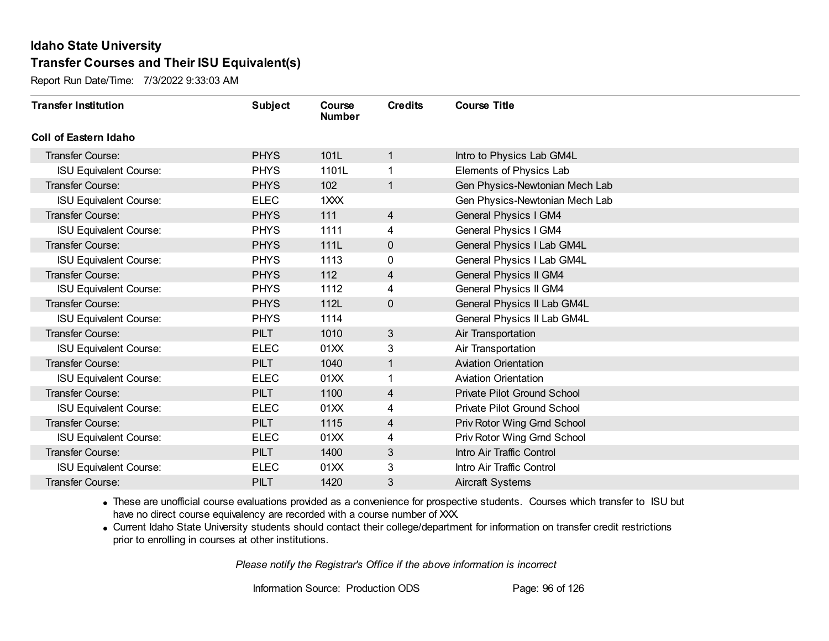Report Run Date/Time: 7/3/2022 9:33:03 AM

| <b>Transfer Institution</b>   | <b>Subject</b> | Course<br><b>Number</b> | <b>Credits</b> | <b>Course Title</b>                |
|-------------------------------|----------------|-------------------------|----------------|------------------------------------|
| <b>Coll of Eastern Idaho</b>  |                |                         |                |                                    |
| Transfer Course:              | <b>PHYS</b>    | 101L                    | 1              | Intro to Physics Lab GM4L          |
| <b>ISU Equivalent Course:</b> | <b>PHYS</b>    | 1101L                   | 1              | Elements of Physics Lab            |
| Transfer Course:              | <b>PHYS</b>    | 102                     | 1              | Gen Physics-Newtonian Mech Lab     |
| <b>ISU Equivalent Course:</b> | <b>ELEC</b>    | 1XXX                    |                | Gen Physics-Newtonian Mech Lab     |
| Transfer Course:              | <b>PHYS</b>    | 111                     | $\overline{4}$ | <b>General Physics I GM4</b>       |
| <b>ISU Equivalent Course:</b> | <b>PHYS</b>    | 1111                    | 4              | General Physics I GM4              |
| Transfer Course:              | <b>PHYS</b>    | 111L                    | $\mathbf 0$    | General Physics I Lab GM4L         |
| <b>ISU Equivalent Course:</b> | <b>PHYS</b>    | 1113                    | 0              | General Physics I Lab GM4L         |
| Transfer Course:              | <b>PHYS</b>    | 112                     | 4              | <b>General Physics II GM4</b>      |
| <b>ISU Equivalent Course:</b> | <b>PHYS</b>    | 1112                    | 4              | General Physics II GM4             |
| Transfer Course:              | <b>PHYS</b>    | 112L                    | $\mathbf 0$    | General Physics II Lab GM4L        |
| <b>ISU Equivalent Course:</b> | <b>PHYS</b>    | 1114                    |                | General Physics II Lab GM4L        |
| Transfer Course:              | <b>PILT</b>    | 1010                    | 3              | Air Transportation                 |
| <b>ISU Equivalent Course:</b> | <b>ELEC</b>    | 01XX                    | 3              | Air Transportation                 |
| Transfer Course:              | <b>PILT</b>    | 1040                    | 1              | <b>Aviation Orientation</b>        |
| <b>ISU Equivalent Course:</b> | <b>ELEC</b>    | 01XX                    | 1              | <b>Aviation Orientation</b>        |
| Transfer Course:              | <b>PILT</b>    | 1100                    | 4              | <b>Private Pilot Ground School</b> |
| <b>ISU Equivalent Course:</b> | <b>ELEC</b>    | 01XX                    | 4              | <b>Private Pilot Ground School</b> |
| Transfer Course:              | <b>PILT</b>    | 1115                    | 4              | Priv Rotor Wing Grnd School        |
| <b>ISU Equivalent Course:</b> | <b>ELEC</b>    | 01XX                    | 4              | Priv Rotor Wing Grnd School        |
| Transfer Course:              | <b>PILT</b>    | 1400                    | 3              | Intro Air Traffic Control          |
| <b>ISU Equivalent Course:</b> | <b>ELEC</b>    | 01XX                    | 3              | Intro Air Traffic Control          |
| <b>Transfer Course:</b>       | <b>PILT</b>    | 1420                    | 3              | <b>Aircraft Systems</b>            |

· These are unofficial course evaluations provided as a convenience for prospective students. Courses which transfer to ISU but have no direct course equivalency are recorded with a course number of XXX.

· Current Idaho State University students should contact their college/department for information on transfer credit restrictions prior to enrolling in courses at other institutions.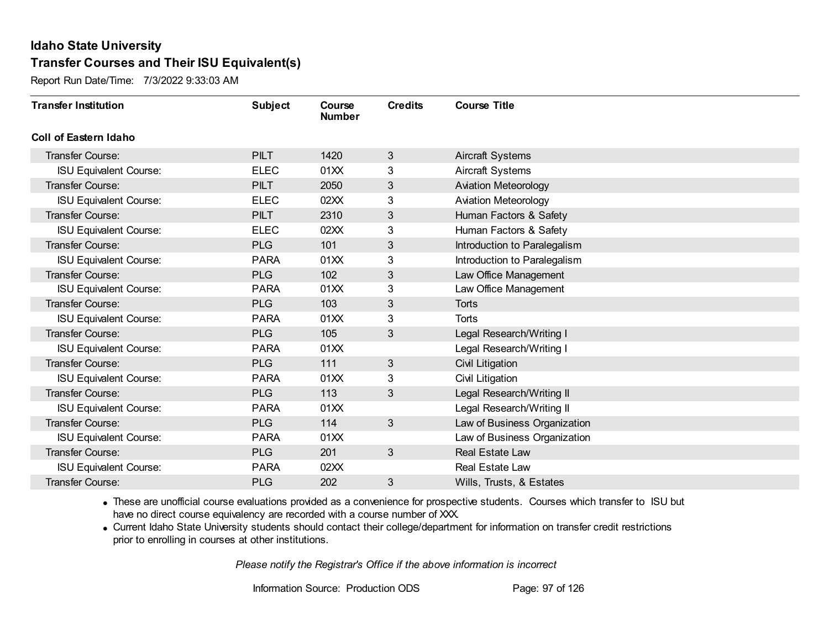Report Run Date/Time: 7/3/2022 9:33:03 AM

| <b>Transfer Institution</b>   | <b>Subject</b> | Course<br><b>Number</b> | <b>Credits</b> | <b>Course Title</b>          |
|-------------------------------|----------------|-------------------------|----------------|------------------------------|
| <b>Coll of Eastern Idaho</b>  |                |                         |                |                              |
| Transfer Course:              | <b>PILT</b>    | 1420                    | 3              | <b>Aircraft Systems</b>      |
| <b>ISU Equivalent Course:</b> | <b>ELEC</b>    | 01XX                    | 3              | <b>Aircraft Systems</b>      |
| <b>Transfer Course:</b>       | <b>PILT</b>    | 2050                    | $\sqrt{3}$     | <b>Aviation Meteorology</b>  |
| <b>ISU Equivalent Course:</b> | <b>ELEC</b>    | 02XX                    | 3              | <b>Aviation Meteorology</b>  |
| <b>Transfer Course:</b>       | <b>PILT</b>    | 2310                    | 3              | Human Factors & Safety       |
| <b>ISU Equivalent Course:</b> | <b>ELEC</b>    | 02XX                    | 3              | Human Factors & Safety       |
| <b>Transfer Course:</b>       | <b>PLG</b>     | 101                     | 3              | Introduction to Paralegalism |
| <b>ISU Equivalent Course:</b> | <b>PARA</b>    | 01XX                    | 3              | Introduction to Paralegalism |
| <b>Transfer Course:</b>       | <b>PLG</b>     | 102                     | 3              | Law Office Management        |
| <b>ISU Equivalent Course:</b> | <b>PARA</b>    | 01XX                    | 3              | Law Office Management        |
| <b>Transfer Course:</b>       | <b>PLG</b>     | 103                     | 3              | Torts                        |
| <b>ISU Equivalent Course:</b> | <b>PARA</b>    | 01XX                    | 3              | Torts                        |
| <b>Transfer Course:</b>       | <b>PLG</b>     | 105                     | 3              | Legal Research/Writing I     |
| <b>ISU Equivalent Course:</b> | <b>PARA</b>    | 01 <sub>XX</sub>        |                | Legal Research/Writing I     |
| <b>Transfer Course:</b>       | <b>PLG</b>     | 111                     | $\mathfrak{S}$ | Civil Litigation             |
| <b>ISU Equivalent Course:</b> | <b>PARA</b>    | 01XX                    | 3              | Civil Litigation             |
| <b>Transfer Course:</b>       | <b>PLG</b>     | 113                     | 3              | Legal Research/Writing II    |
| <b>ISU Equivalent Course:</b> | <b>PARA</b>    | 01XX                    |                | Legal Research/Writing II    |
| <b>Transfer Course:</b>       | <b>PLG</b>     | 114                     | $\mathbf{3}$   | Law of Business Organization |
| <b>ISU Equivalent Course:</b> | <b>PARA</b>    | 01XX                    |                | Law of Business Organization |
| <b>Transfer Course:</b>       | <b>PLG</b>     | 201                     | $\mathbf{3}$   | Real Estate Law              |
| <b>ISU Equivalent Course:</b> | <b>PARA</b>    | 02XX                    |                | Real Estate Law              |
| Transfer Course:              | <b>PLG</b>     | 202                     | 3              | Wills, Trusts, & Estates     |

· These are unofficial course evaluations provided as a convenience for prospective students. Courses which transfer to ISU but have no direct course equivalency are recorded with a course number of XXX.

· Current Idaho State University students should contact their college/department for information on transfer credit restrictions prior to enrolling in courses at other institutions.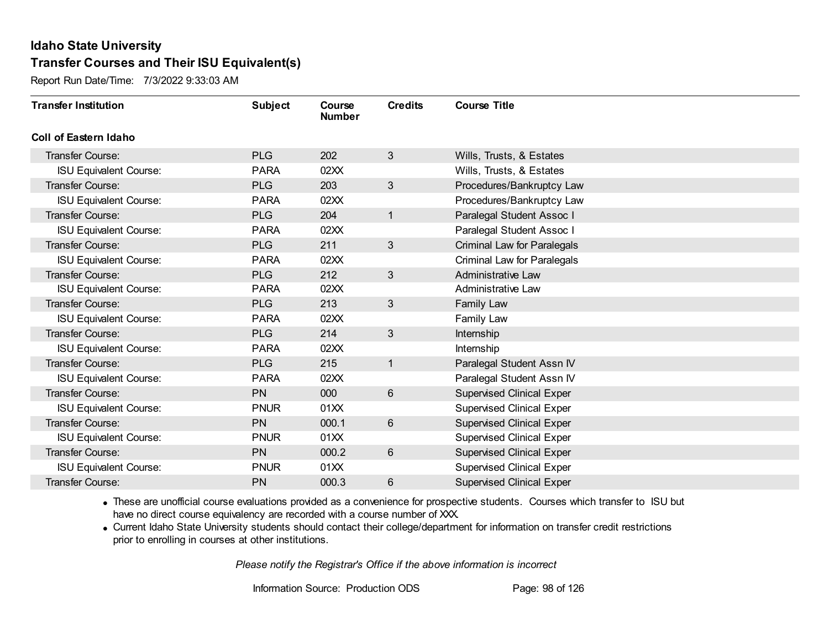Report Run Date/Time: 7/3/2022 9:33:03 AM

| <b>Transfer Institution</b>   | <b>Subject</b> | Course<br><b>Number</b> | <b>Credits</b> | <b>Course Title</b>                |
|-------------------------------|----------------|-------------------------|----------------|------------------------------------|
| Coll of Eastern Idaho         |                |                         |                |                                    |
| Transfer Course:              | <b>PLG</b>     | 202                     | 3              | Wills, Trusts, & Estates           |
| <b>ISU Equivalent Course:</b> | <b>PARA</b>    | 02XX                    |                | Wills, Trusts, & Estates           |
| Transfer Course:              | <b>PLG</b>     | 203                     | 3              | Procedures/Bankruptcy Law          |
| <b>ISU Equivalent Course:</b> | <b>PARA</b>    | 02XX                    |                | Procedures/Bankruptcy Law          |
| <b>Transfer Course:</b>       | <b>PLG</b>     | 204                     | $\mathbf{1}$   | Paralegal Student Assoc I          |
| <b>ISU Equivalent Course:</b> | <b>PARA</b>    | 02XX                    |                | Paralegal Student Assoc I          |
| Transfer Course:              | <b>PLG</b>     | 211                     | 3              | <b>Criminal Law for Paralegals</b> |
| <b>ISU Equivalent Course:</b> | <b>PARA</b>    | 02XX                    |                | <b>Criminal Law for Paralegals</b> |
| Transfer Course:              | <b>PLG</b>     | 212                     | 3              | <b>Administrative Law</b>          |
| <b>ISU Equivalent Course:</b> | <b>PARA</b>    | 02XX                    |                | <b>Administrative Law</b>          |
| <b>Transfer Course:</b>       | <b>PLG</b>     | 213                     | $\mathbf{3}$   | Family Law                         |
| <b>ISU Equivalent Course:</b> | <b>PARA</b>    | 02XX                    |                | Family Law                         |
| Transfer Course:              | <b>PLG</b>     | 214                     | 3              | Internship                         |
| <b>ISU Equivalent Course:</b> | <b>PARA</b>    | 02XX                    |                | Internship                         |
| Transfer Course:              | <b>PLG</b>     | 215                     | $\mathbf{1}$   | Paralegal Student Assn IV          |
| <b>ISU Equivalent Course:</b> | <b>PARA</b>    | 02XX                    |                | Paralegal Student Assn IV          |
| Transfer Course:              | <b>PN</b>      | 000                     | $6\phantom{1}$ | <b>Supervised Clinical Exper</b>   |
| <b>ISU Equivalent Course:</b> | <b>PNUR</b>    | 01XX                    |                | <b>Supervised Clinical Exper</b>   |
| <b>Transfer Course:</b>       | <b>PN</b>      | 000.1                   | $6\phantom{1}$ | <b>Supervised Clinical Exper</b>   |
| <b>ISU Equivalent Course:</b> | <b>PNUR</b>    | 01XX                    |                | <b>Supervised Clinical Exper</b>   |
| Transfer Course:              | <b>PN</b>      | 000.2                   | 6              | <b>Supervised Clinical Exper</b>   |
| <b>ISU Equivalent Course:</b> | <b>PNUR</b>    | 01XX                    |                | <b>Supervised Clinical Exper</b>   |
| Transfer Course:              | PN             | 000.3                   | 6              | <b>Supervised Clinical Exper</b>   |

· These are unofficial course evaluations provided as a convenience for prospective students. Courses which transfer to ISU but have no direct course equivalency are recorded with a course number of XXX.

· Current Idaho State University students should contact their college/department for information on transfer credit restrictions prior to enrolling in courses at other institutions.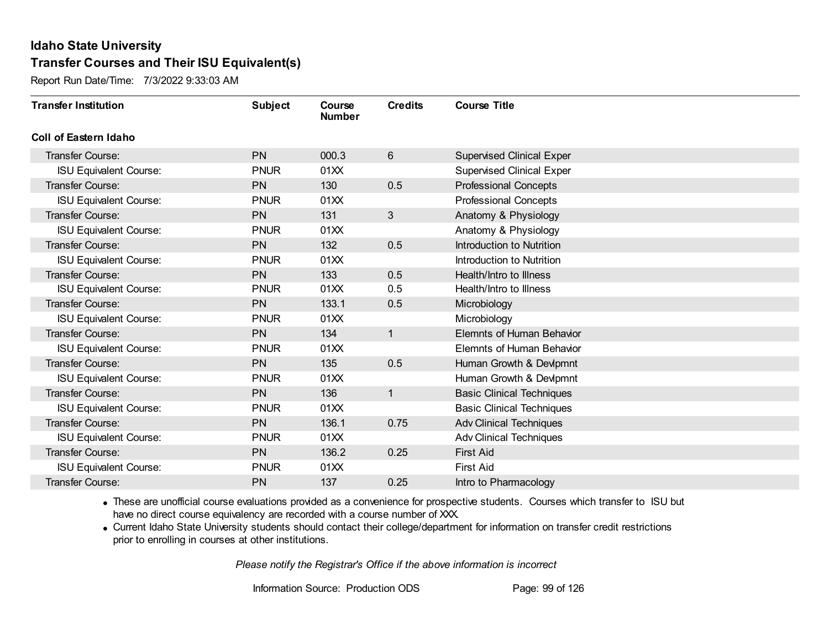Report Run Date/Time: 7/3/2022 9:33:03 AM

| <b>Transfer Institution</b>   | <b>Subject</b> | Course<br><b>Number</b> | <b>Credits</b> | <b>Course Title</b>              |
|-------------------------------|----------------|-------------------------|----------------|----------------------------------|
| <b>Coll of Eastern Idaho</b>  |                |                         |                |                                  |
| Transfer Course:              | <b>PN</b>      | 000.3                   | 6              | <b>Supervised Clinical Exper</b> |
| ISU Equivalent Course:        | <b>PNUR</b>    | 01XX                    |                | <b>Supervised Clinical Exper</b> |
| <b>Transfer Course:</b>       | <b>PN</b>      | 130                     | 0.5            | <b>Professional Concepts</b>     |
| <b>ISU Equivalent Course:</b> | <b>PNUR</b>    | 01XX                    |                | <b>Professional Concepts</b>     |
| <b>Transfer Course:</b>       | <b>PN</b>      | 131                     | 3 <sup>2</sup> | Anatomy & Physiology             |
| <b>ISU Equivalent Course:</b> | <b>PNUR</b>    | 01XX                    |                | Anatomy & Physiology             |
| <b>Transfer Course:</b>       | <b>PN</b>      | 132                     | 0.5            | Introduction to Nutrition        |
| <b>ISU Equivalent Course:</b> | <b>PNUR</b>    | 01XX                    |                | Introduction to Nutrition        |
| <b>Transfer Course:</b>       | <b>PN</b>      | 133                     | 0.5            | Health/Intro to Illness          |
| <b>ISU Equivalent Course:</b> | <b>PNUR</b>    | 01XX                    | 0.5            | Health/Intro to Illness          |
| Transfer Course:              | <b>PN</b>      | 133.1                   | 0.5            | Microbiology                     |
| <b>ISU Equivalent Course:</b> | <b>PNUR</b>    | 01XX                    |                | Microbiology                     |
| Transfer Course:              | <b>PN</b>      | 134                     | $\mathbf{1}$   | <b>Elemnts of Human Behavior</b> |
| <b>ISU Equivalent Course:</b> | <b>PNUR</b>    | 01XX                    |                | <b>Elemnts of Human Behavior</b> |
| <b>Transfer Course:</b>       | <b>PN</b>      | 135                     | 0.5            | Human Growth & Devlpmnt          |
| <b>ISU Equivalent Course:</b> | <b>PNUR</b>    | 01XX                    |                | Human Growth & Devlpmnt          |
| <b>Transfer Course:</b>       | <b>PN</b>      | 136                     | $\mathbf{1}$   | <b>Basic Clinical Techniques</b> |
| <b>ISU Equivalent Course:</b> | <b>PNUR</b>    | 01XX                    |                | <b>Basic Clinical Techniques</b> |
| <b>Transfer Course:</b>       | <b>PN</b>      | 136.1                   | 0.75           | <b>Adv Clinical Techniques</b>   |
| <b>ISU Equivalent Course:</b> | <b>PNUR</b>    | 01XX                    |                | <b>Adv Clinical Techniques</b>   |
| <b>Transfer Course:</b>       | <b>PN</b>      | 136.2                   | 0.25           | <b>First Aid</b>                 |
| <b>ISU Equivalent Course:</b> | <b>PNUR</b>    | 01XX                    |                | <b>First Aid</b>                 |
| Transfer Course:              | <b>PN</b>      | 137                     | 0.25           | Intro to Pharmacology            |

· These are unofficial course evaluations provided as a convenience for prospective students. Courses which transfer to ISU but have no direct course equivalency are recorded with a course number of XXX.

· Current Idaho State University students should contact their college/department for information on transfer credit restrictions prior to enrolling in courses at other institutions.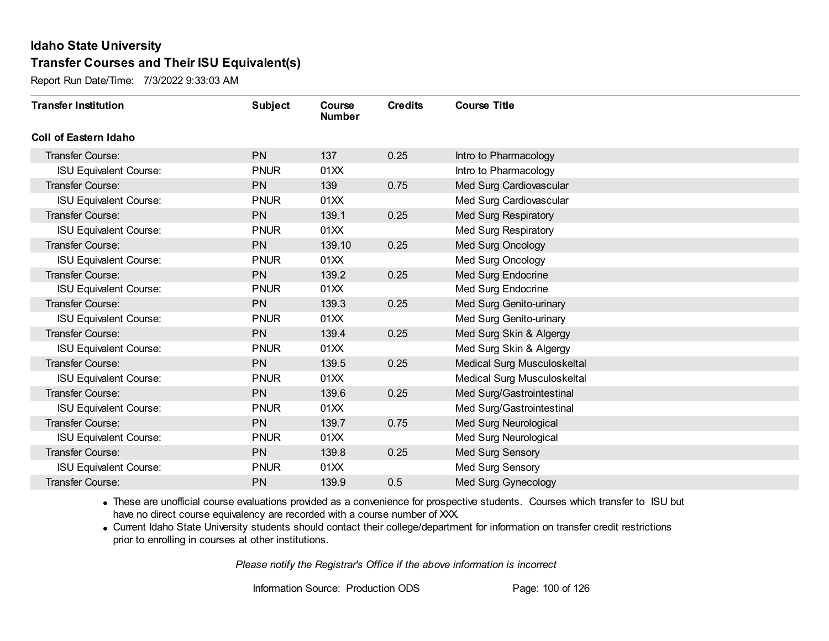Report Run Date/Time: 7/3/2022 9:33:03 AM

| <b>Transfer Institution</b>   | <b>Subject</b> | Course<br><b>Number</b> | <b>Credits</b> | <b>Course Title</b>         |
|-------------------------------|----------------|-------------------------|----------------|-----------------------------|
| Coll of Eastern Idaho         |                |                         |                |                             |
| Transfer Course:              | <b>PN</b>      | 137                     | 0.25           | Intro to Pharmacology       |
| ISU Equivalent Course:        | <b>PNUR</b>    | 01XX                    |                | Intro to Pharmacology       |
| <b>Transfer Course:</b>       | <b>PN</b>      | 139                     | 0.75           | Med Surg Cardiovascular     |
| <b>ISU Equivalent Course:</b> | <b>PNUR</b>    | 01XX                    |                | Med Surg Cardiovascular     |
| <b>Transfer Course:</b>       | <b>PN</b>      | 139.1                   | 0.25           | Med Surg Respiratory        |
| <b>ISU Equivalent Course:</b> | <b>PNUR</b>    | 01XX                    |                | Med Surg Respiratory        |
| Transfer Course:              | <b>PN</b>      | 139.10                  | 0.25           | Med Surg Oncology           |
| <b>ISU Equivalent Course:</b> | <b>PNUR</b>    | 01XX                    |                | Med Surg Oncology           |
| <b>Transfer Course:</b>       | <b>PN</b>      | 139.2                   | 0.25           | Med Surg Endocrine          |
| <b>ISU Equivalent Course:</b> | <b>PNUR</b>    | 01XX                    |                | Med Surg Endocrine          |
| <b>Transfer Course:</b>       | <b>PN</b>      | 139.3                   | 0.25           | Med Surg Genito-urinary     |
| <b>ISU Equivalent Course:</b> | <b>PNUR</b>    | 01XX                    |                | Med Surg Genito-urinary     |
| Transfer Course:              | <b>PN</b>      | 139.4                   | 0.25           | Med Surg Skin & Algergy     |
| <b>ISU Equivalent Course:</b> | <b>PNUR</b>    | 01XX                    |                | Med Surg Skin & Algergy     |
| <b>Transfer Course:</b>       | <b>PN</b>      | 139.5                   | 0.25           | Medical Surg Musculoskeltal |
| <b>ISU Equivalent Course:</b> | <b>PNUR</b>    | 01XX                    |                | Medical Surg Musculoskeltal |
| <b>Transfer Course:</b>       | PN             | 139.6                   | 0.25           | Med Surg/Gastrointestinal   |
| <b>ISU Equivalent Course:</b> | <b>PNUR</b>    | 01XX                    |                | Med Surg/Gastrointestinal   |
| Transfer Course:              | <b>PN</b>      | 139.7                   | 0.75           | Med Surg Neurological       |
| <b>ISU Equivalent Course:</b> | <b>PNUR</b>    | 01XX                    |                | Med Surg Neurological       |
| <b>Transfer Course:</b>       | <b>PN</b>      | 139.8                   | 0.25           | Med Surg Sensory            |
| <b>ISU Equivalent Course:</b> | <b>PNUR</b>    | 01XX                    |                | Med Surg Sensory            |
| Transfer Course:              | <b>PN</b>      | 139.9                   | 0.5            | <b>Med Surg Gynecology</b>  |

· These are unofficial course evaluations provided as a convenience for prospective students. Courses which transfer to ISU but have no direct course equivalency are recorded with a course number of XXX.

· Current Idaho State University students should contact their college/department for information on transfer credit restrictions prior to enrolling in courses at other institutions.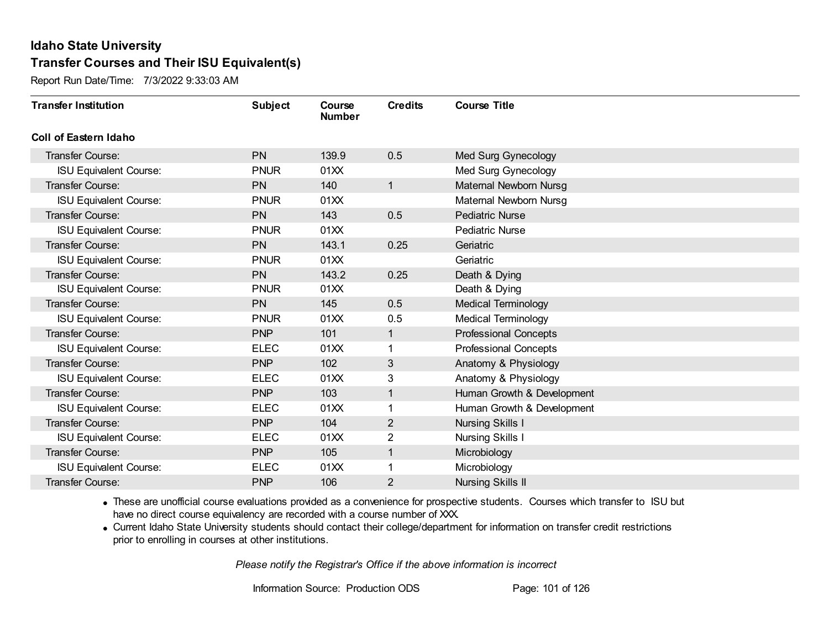Report Run Date/Time: 7/3/2022 9:33:03 AM

| <b>Transfer Institution</b>   | <b>Subject</b> | Course<br><b>Number</b> | <b>Credits</b> | <b>Course Title</b>          |
|-------------------------------|----------------|-------------------------|----------------|------------------------------|
| Coll of Eastern Idaho         |                |                         |                |                              |
| Transfer Course:              | <b>PN</b>      | 139.9                   | 0.5            | Med Surg Gynecology          |
| <b>ISU Equivalent Course:</b> | <b>PNUR</b>    | 01XX                    |                | Med Surg Gynecology          |
| Transfer Course:              | <b>PN</b>      | 140                     | $\mathbf{1}$   | Maternal Newborn Nursg       |
| <b>ISU Equivalent Course:</b> | <b>PNUR</b>    | 01XX                    |                | Maternal Newborn Nursg       |
| Transfer Course:              | <b>PN</b>      | 143                     | 0.5            | <b>Pediatric Nurse</b>       |
| <b>ISU Equivalent Course:</b> | <b>PNUR</b>    | 01XX                    |                | <b>Pediatric Nurse</b>       |
| Transfer Course:              | <b>PN</b>      | 143.1                   | 0.25           | Geriatric                    |
| <b>ISU Equivalent Course:</b> | <b>PNUR</b>    | 01XX                    |                | Geriatric                    |
| Transfer Course:              | <b>PN</b>      | 143.2                   | 0.25           | Death & Dying                |
| <b>ISU Equivalent Course:</b> | <b>PNUR</b>    | 01XX                    |                | Death & Dying                |
| <b>Transfer Course:</b>       | <b>PN</b>      | 145                     | 0.5            | Medical Terminology          |
| <b>ISU Equivalent Course:</b> | <b>PNUR</b>    | 01XX                    | 0.5            | <b>Medical Terminology</b>   |
| Transfer Course:              | <b>PNP</b>     | 101                     | 1              | <b>Professional Concepts</b> |
| <b>ISU Equivalent Course:</b> | <b>ELEC</b>    | 01XX                    | 1.             | <b>Professional Concepts</b> |
| Transfer Course:              | <b>PNP</b>     | 102                     | 3              | Anatomy & Physiology         |
| <b>ISU Equivalent Course:</b> | <b>ELEC</b>    | 01XX                    | $\mathbf{3}$   | Anatomy & Physiology         |
| Transfer Course:              | <b>PNP</b>     | 103                     | $\mathbf{1}$   | Human Growth & Development   |
| <b>ISU Equivalent Course:</b> | <b>ELEC</b>    | 01XX                    | 1              | Human Growth & Development   |
| <b>Transfer Course:</b>       | <b>PNP</b>     | 104                     | $\overline{2}$ | <b>Nursing Skills I</b>      |
| <b>ISU Equivalent Course:</b> | <b>ELEC</b>    | 01XX                    | 2              | <b>Nursing Skills I</b>      |
| Transfer Course:              | <b>PNP</b>     | 105                     | $\mathbf{1}$   | Microbiology                 |
| <b>ISU Equivalent Course:</b> | <b>ELEC</b>    | 01XX                    | 1              | Microbiology                 |
| Transfer Course:              | <b>PNP</b>     | 106                     | 2              | <b>Nursing Skills II</b>     |

· These are unofficial course evaluations provided as a convenience for prospective students. Courses which transfer to ISU but have no direct course equivalency are recorded with a course number of XXX.

· Current Idaho State University students should contact their college/department for information on transfer credit restrictions prior to enrolling in courses at other institutions.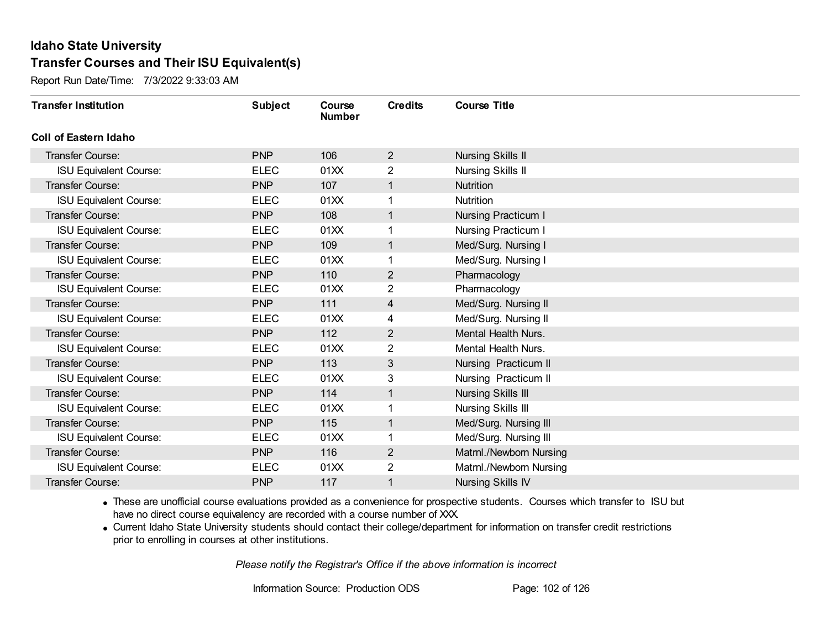Report Run Date/Time: 7/3/2022 9:33:03 AM

| <b>Transfer Institution</b>   | <b>Subject</b> | Course<br><b>Number</b> | <b>Credits</b> | <b>Course Title</b>        |
|-------------------------------|----------------|-------------------------|----------------|----------------------------|
| Coll of Eastern Idaho         |                |                         |                |                            |
| Transfer Course:              | <b>PNP</b>     | 106                     | $\overline{2}$ | <b>Nursing Skills II</b>   |
| <b>ISU Equivalent Course:</b> | <b>ELEC</b>    | 01XX                    | 2              | <b>Nursing Skills II</b>   |
| Transfer Course:              | <b>PNP</b>     | 107                     | 1              | <b>Nutrition</b>           |
| <b>ISU Equivalent Course:</b> | <b>ELEC</b>    | 01XX                    | 1              | Nutrition                  |
| <b>Transfer Course:</b>       | <b>PNP</b>     | 108                     | $\mathbf{1}$   | <b>Nursing Practicum I</b> |
| <b>ISU Equivalent Course:</b> | <b>ELEC</b>    | 01XX                    | 1              | Nursing Practicum I        |
| Transfer Course:              | <b>PNP</b>     | 109                     | $\mathbf{1}$   | Med/Surg. Nursing I        |
| <b>ISU Equivalent Course:</b> | <b>ELEC</b>    | 01XX                    |                | Med/Surg. Nursing I        |
| <b>Transfer Course:</b>       | <b>PNP</b>     | 110                     | $\overline{2}$ | Pharmacology               |
| <b>ISU Equivalent Course:</b> | <b>ELEC</b>    | 01XX                    | $\overline{2}$ | Pharmacology               |
| Transfer Course:              | <b>PNP</b>     | 111                     | $\overline{4}$ | Med/Surg. Nursing II       |
| <b>ISU Equivalent Course:</b> | <b>ELEC</b>    | 01XX                    | 4              | Med/Surg. Nursing II       |
| Transfer Course:              | <b>PNP</b>     | 112                     | $\overline{2}$ | Mental Health Nurs.        |
| <b>ISU Equivalent Course:</b> | <b>ELEC</b>    | 01XX                    | 2              | Mental Health Nurs.        |
| Transfer Course:              | <b>PNP</b>     | 113                     | 3              | Nursing Practicum II       |
| <b>ISU Equivalent Course:</b> | <b>ELEC</b>    | 01XX                    | 3              | Nursing Practicum II       |
| Transfer Course:              | <b>PNP</b>     | 114                     | $\mathbf{1}$   | <b>Nursing Skills III</b>  |
| <b>ISU Equivalent Course:</b> | <b>ELEC</b>    | 01XX                    | 1              | <b>Nursing Skills III</b>  |
| Transfer Course:              | <b>PNP</b>     | 115                     | $\mathbf{1}$   | Med/Surg. Nursing III      |
| <b>ISU Equivalent Course:</b> | <b>ELEC</b>    | 01XX                    |                | Med/Surg. Nursing III      |
| <b>Transfer Course:</b>       | <b>PNP</b>     | 116                     | $\overline{2}$ | Matrnl./Newborn Nursing    |
| <b>ISU Equivalent Course:</b> | <b>ELEC</b>    | 01XX                    | 2              | Matrnl./Newborn Nursing    |
| Transfer Course:              | <b>PNP</b>     | 117                     | 1              | <b>Nursing Skills IV</b>   |

· These are unofficial course evaluations provided as a convenience for prospective students. Courses which transfer to ISU but have no direct course equivalency are recorded with a course number of XXX.

· Current Idaho State University students should contact their college/department for information on transfer credit restrictions prior to enrolling in courses at other institutions.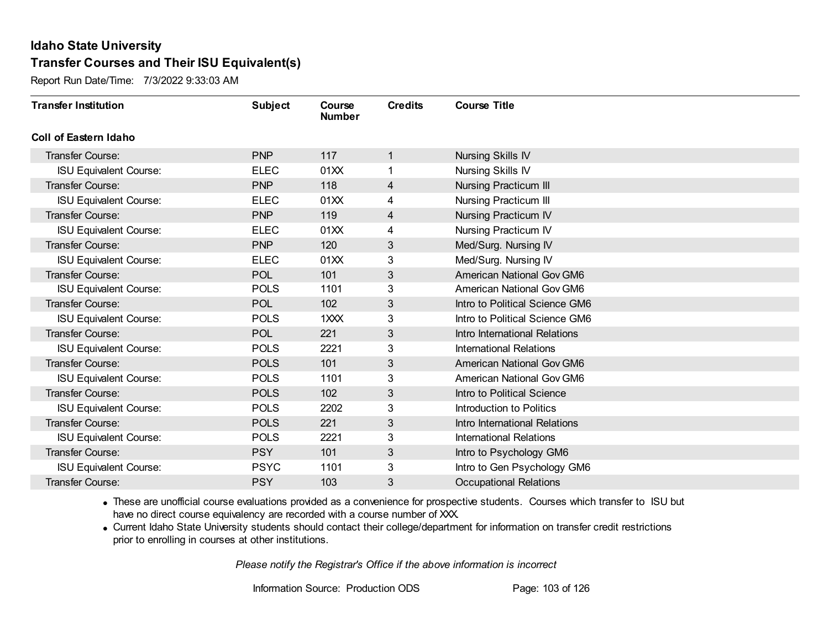Report Run Date/Time: 7/3/2022 9:33:03 AM

| <b>Transfer Institution</b>   | <b>Subject</b> | Course<br><b>Number</b> | <b>Credits</b> | <b>Course Title</b>              |
|-------------------------------|----------------|-------------------------|----------------|----------------------------------|
| Coll of Eastern Idaho         |                |                         |                |                                  |
| Transfer Course:              | <b>PNP</b>     | 117                     | 1              | Nursing Skills IV                |
| <b>ISU Equivalent Course:</b> | <b>ELEC</b>    | 01XX                    |                | Nursing Skills IV                |
| Transfer Course:              | <b>PNP</b>     | 118                     | 4              | <b>Nursing Practicum III</b>     |
| <b>ISU Equivalent Course:</b> | <b>ELEC</b>    | 01XX                    | 4              | <b>Nursing Practicum III</b>     |
| <b>Transfer Course:</b>       | <b>PNP</b>     | 119                     | 4              | <b>Nursing Practicum IV</b>      |
| <b>ISU Equivalent Course:</b> | <b>ELEC</b>    | 01XX                    | 4              | Nursing Practicum IV             |
| Transfer Course:              | <b>PNP</b>     | 120                     | 3              | Med/Surg. Nursing IV             |
| <b>ISU Equivalent Course:</b> | <b>ELEC</b>    | 01XX                    | 3              | Med/Surg. Nursing IV             |
| Transfer Course:              | <b>POL</b>     | 101                     | $\mathfrak{S}$ | American National Gov GM6        |
| <b>ISU Equivalent Course:</b> | <b>POLS</b>    | 1101                    | 3              | American National Gov GM6        |
| Transfer Course:              | <b>POL</b>     | 102                     | 3              | Intro to Political Science GM6   |
| <b>ISU Equivalent Course:</b> | <b>POLS</b>    | 1XXX                    | 3              | Intro to Political Science GM6   |
| Transfer Course:              | <b>POL</b>     | 221                     | 3              | Intro International Relations    |
| <b>ISU Equivalent Course:</b> | <b>POLS</b>    | 2221                    | 3              | <b>International Relations</b>   |
| Transfer Course:              | <b>POLS</b>    | 101                     | $\mathfrak{S}$ | <b>American National Gov GM6</b> |
| <b>ISU Equivalent Course:</b> | <b>POLS</b>    | 1101                    | 3              | American National Gov GM6        |
| Transfer Course:              | <b>POLS</b>    | 102                     | $\mathfrak{S}$ | Intro to Political Science       |
| <b>ISU Equivalent Course:</b> | <b>POLS</b>    | 2202                    | 3              | Introduction to Politics         |
| Transfer Course:              | <b>POLS</b>    | 221                     | 3              | Intro International Relations    |
| <b>ISU Equivalent Course:</b> | <b>POLS</b>    | 2221                    | 3              | <b>International Relations</b>   |
| Transfer Course:              | <b>PSY</b>     | 101                     | $\mathfrak{S}$ | Intro to Psychology GM6          |
| <b>ISU Equivalent Course:</b> | <b>PSYC</b>    | 1101                    | 3              | Intro to Gen Psychology GM6      |
| Transfer Course:              | <b>PSY</b>     | 103                     | 3              | <b>Occupational Relations</b>    |

· These are unofficial course evaluations provided as a convenience for prospective students. Courses which transfer to ISU but have no direct course equivalency are recorded with a course number of XXX.

· Current Idaho State University students should contact their college/department for information on transfer credit restrictions prior to enrolling in courses at other institutions.

*Please notify the Registrar's Office if the above information is incorrect*

Information Source: Production ODS Page: 103 of 126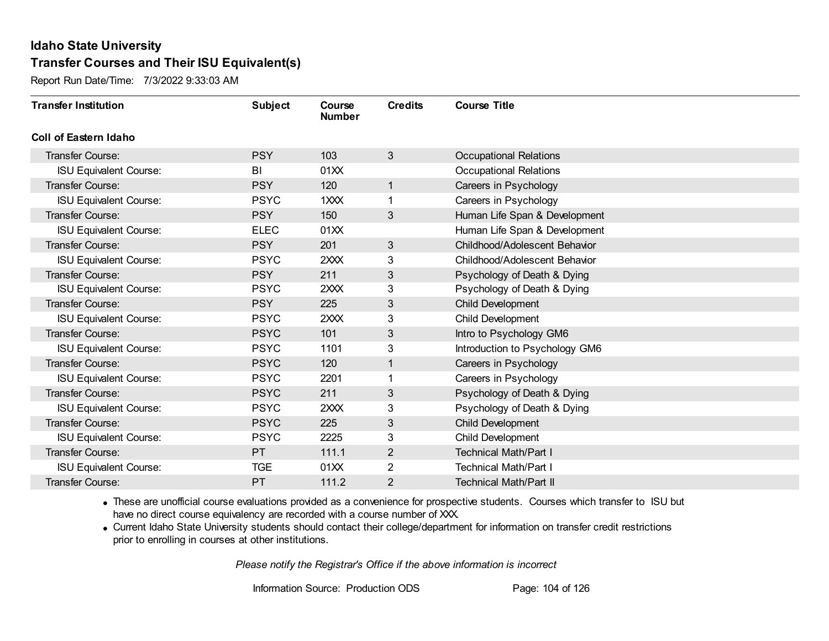Report Run Date/Time: 7/3/2022 9:33:03 AM

| <b>Transfer Institution</b>   | <b>Subject</b> | Course<br><b>Number</b> | <b>Credits</b> | <b>Course Title</b>            |
|-------------------------------|----------------|-------------------------|----------------|--------------------------------|
| <b>Coll of Eastern Idaho</b>  |                |                         |                |                                |
| Transfer Course:              | <b>PSY</b>     | 103                     | 3              | <b>Occupational Relations</b>  |
| <b>ISU Equivalent Course:</b> | BI             | 01XX                    |                | <b>Occupational Relations</b>  |
| <b>Transfer Course:</b>       | <b>PSY</b>     | 120                     | $\overline{1}$ | Careers in Psychology          |
| <b>ISU Equivalent Course:</b> | <b>PSYC</b>    | 1XXX                    |                | Careers in Psychology          |
| Transfer Course:              | <b>PSY</b>     | 150                     | $\mathfrak{S}$ | Human Life Span & Development  |
| <b>ISU Equivalent Course:</b> | <b>ELEC</b>    | 01XX                    |                | Human Life Span & Development  |
| <b>Transfer Course:</b>       | <b>PSY</b>     | 201                     | 3              | Childhood/Adolescent Behavior  |
| <b>ISU Equivalent Course:</b> | <b>PSYC</b>    | 2XXX                    | 3              | Childhood/Adolescent Behavior  |
| <b>Transfer Course:</b>       | <b>PSY</b>     | 211                     | 3              | Psychology of Death & Dying    |
| <b>ISU Equivalent Course:</b> | <b>PSYC</b>    | 2XXX                    | 3              | Psychology of Death & Dying    |
| <b>Transfer Course:</b>       | <b>PSY</b>     | 225                     | 3              | Child Development              |
| <b>ISU Equivalent Course:</b> | <b>PSYC</b>    | 2XXX                    | 3              | Child Development              |
| Transfer Course:              | <b>PSYC</b>    | 101                     | 3              | Intro to Psychology GM6        |
| <b>ISU Equivalent Course:</b> | <b>PSYC</b>    | 1101                    | 3              | Introduction to Psychology GM6 |
| Transfer Course:              | <b>PSYC</b>    | 120                     |                | Careers in Psychology          |
| <b>ISU Equivalent Course:</b> | <b>PSYC</b>    | 2201                    |                | Careers in Psychology          |
| <b>Transfer Course:</b>       | <b>PSYC</b>    | 211                     | 3              | Psychology of Death & Dying    |
| <b>ISU Equivalent Course:</b> | <b>PSYC</b>    | 2XXX                    | 3              | Psychology of Death & Dying    |
| <b>Transfer Course:</b>       | <b>PSYC</b>    | 225                     | 3              | Child Development              |
| <b>ISU Equivalent Course:</b> | <b>PSYC</b>    | 2225                    | 3              | Child Development              |
| <b>Transfer Course:</b>       | <b>PT</b>      | 111.1                   | $\mathbf{2}$   | <b>Technical Math/Part I</b>   |
| <b>ISU Equivalent Course:</b> | <b>TGE</b>     | 01XX                    | $\overline{2}$ | <b>Technical Math/Part I</b>   |
| Transfer Course:              | PT             | 111.2                   | $\overline{2}$ | <b>Technical Math/Part II</b>  |

· These are unofficial course evaluations provided as a convenience for prospective students. Courses which transfer to ISU but have no direct course equivalency are recorded with a course number of XXX.

· Current Idaho State University students should contact their college/department for information on transfer credit restrictions prior to enrolling in courses at other institutions.

*Please notify the Registrar's Office if the above information is incorrect*

Information Source: Production ODS Page: 104 of 126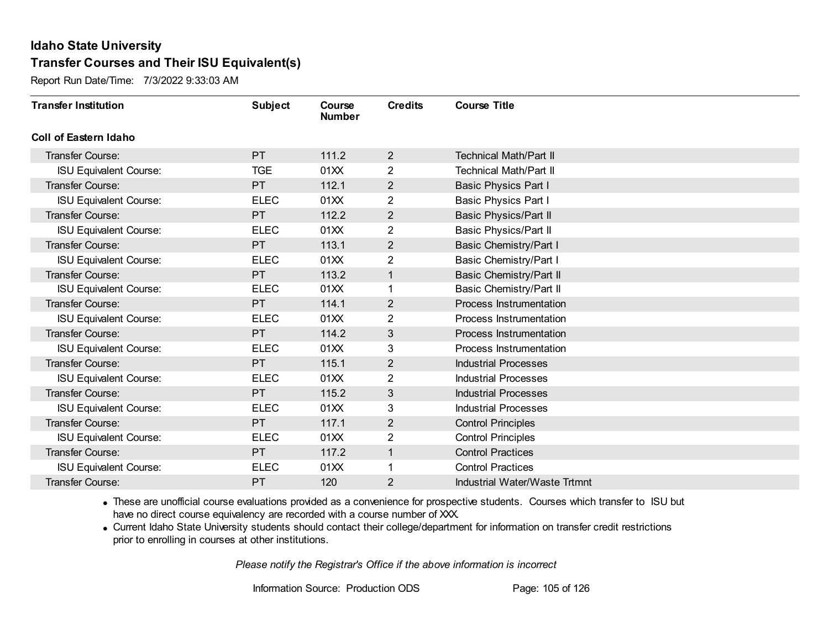Report Run Date/Time: 7/3/2022 9:33:03 AM

| <b>Transfer Institution</b>   | <b>Subject</b> | Course<br><b>Number</b> | <b>Credits</b> | <b>Course Title</b>                  |
|-------------------------------|----------------|-------------------------|----------------|--------------------------------------|
| <b>Coll of Eastern Idaho</b>  |                |                         |                |                                      |
| Transfer Course:              | <b>PT</b>      | 111.2                   | $\overline{2}$ | <b>Technical Math/Part II</b>        |
| <b>ISU Equivalent Course:</b> | <b>TGE</b>     | 01XX                    | $\overline{2}$ | <b>Technical Math/Part II</b>        |
| <b>Transfer Course:</b>       | <b>PT</b>      | 112.1                   | $\overline{2}$ | <b>Basic Physics Part I</b>          |
| <b>ISU Equivalent Course:</b> | <b>ELEC</b>    | 01XX                    | $\overline{c}$ | Basic Physics Part I                 |
| <b>Transfer Course:</b>       | <b>PT</b>      | 112.2                   | $\mathbf{2}$   | Basic Physics/Part II                |
| <b>ISU Equivalent Course:</b> | <b>ELEC</b>    | 01XX                    | 2              | Basic Physics/Part II                |
| <b>Transfer Course:</b>       | <b>PT</b>      | 113.1                   | $\overline{2}$ | Basic Chemistry/Part I               |
| <b>ISU Equivalent Course:</b> | <b>ELEC</b>    | 01XX                    | 2              | <b>Basic Chemistry/Part I</b>        |
| <b>Transfer Course:</b>       | <b>PT</b>      | 113.2                   | $\mathbf{1}$   | Basic Chemistry/Part II              |
| <b>ISU Equivalent Course:</b> | <b>ELEC</b>    | 01XX                    |                | Basic Chemistry/Part II              |
| <b>Transfer Course:</b>       | PT             | 114.1                   | $\overline{2}$ | Process Instrumentation              |
| <b>ISU Equivalent Course:</b> | <b>ELEC</b>    | 01XX                    | 2              | Process Instrumentation              |
| <b>Transfer Course:</b>       | <b>PT</b>      | 114.2                   | 3              | Process Instrumentation              |
| <b>ISU Equivalent Course:</b> | <b>ELEC</b>    | 01XX                    | 3              | Process Instrumentation              |
| Transfer Course:              | PT.            | 115.1                   | $\overline{2}$ | <b>Industrial Processes</b>          |
| <b>ISU Equivalent Course:</b> | <b>ELEC</b>    | 01XX                    | $\overline{2}$ | <b>Industrial Processes</b>          |
| <b>Transfer Course:</b>       | <b>PT</b>      | 115.2                   | 3              | <b>Industrial Processes</b>          |
| <b>ISU Equivalent Course:</b> | <b>ELEC</b>    | 01XX                    | 3              | <b>Industrial Processes</b>          |
| Transfer Course:              | <b>PT</b>      | 117.1                   | $\overline{2}$ | <b>Control Principles</b>            |
| <b>ISU Equivalent Course:</b> | <b>ELEC</b>    | 01XX                    | $\overline{2}$ | <b>Control Principles</b>            |
| <b>Transfer Course:</b>       | <b>PT</b>      | 117.2                   | $\mathbf{1}$   | <b>Control Practices</b>             |
| <b>ISU Equivalent Course:</b> | <b>ELEC</b>    | 01XX                    |                | <b>Control Practices</b>             |
| Transfer Course:              | PT             | 120                     | 2              | <b>Industrial Water/Waste Trtmnt</b> |

· These are unofficial course evaluations provided as a convenience for prospective students. Courses which transfer to ISU but have no direct course equivalency are recorded with a course number of XXX.

· Current Idaho State University students should contact their college/department for information on transfer credit restrictions prior to enrolling in courses at other institutions.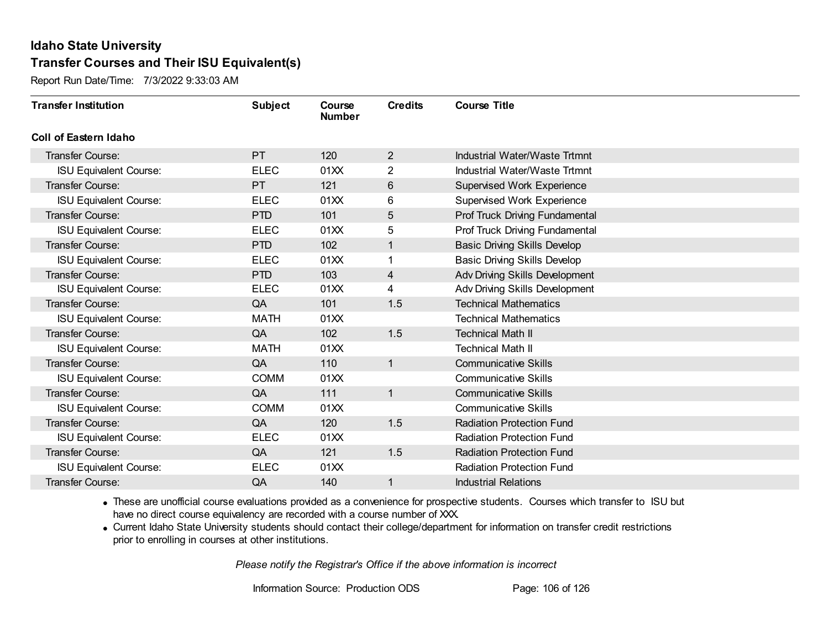Report Run Date/Time: 7/3/2022 9:33:03 AM

| <b>Transfer Institution</b>   | <b>Subject</b> | Course<br><b>Number</b> | <b>Credits</b> | <b>Course Title</b>                   |
|-------------------------------|----------------|-------------------------|----------------|---------------------------------------|
| Coll of Eastern Idaho         |                |                         |                |                                       |
| Transfer Course:              | <b>PT</b>      | 120                     | $\overline{2}$ | Industrial Water/Waste Trtmnt         |
| <b>ISU Equivalent Course:</b> | <b>ELEC</b>    | 01XX                    | 2              | Industrial Water/Waste Trtmnt         |
| Transfer Course:              | PT             | 121                     | 6              | <b>Supervised Work Experience</b>     |
| <b>ISU Equivalent Course:</b> | <b>ELEC</b>    | 01XX                    | 6              | <b>Supervised Work Experience</b>     |
| <b>Transfer Course:</b>       | <b>PTD</b>     | 101                     | 5              | Prof Truck Driving Fundamental        |
| <b>ISU Equivalent Course:</b> | <b>ELEC</b>    | 01XX                    | 5              | Prof Truck Driving Fundamental        |
| <b>Transfer Course:</b>       | <b>PTD</b>     | 102                     | 1              | <b>Basic Driving Skills Develop</b>   |
| <b>ISU Equivalent Course:</b> | <b>ELEC</b>    | 01XX                    |                | <b>Basic Driving Skills Develop</b>   |
| Transfer Course:              | <b>PTD</b>     | 103                     | $\overline{4}$ | <b>Adv Driving Skills Development</b> |
| <b>ISU Equivalent Course:</b> | <b>ELEC</b>    | 01XX                    | 4              | Adv Driving Skills Development        |
| Transfer Course:              | QA             | 101                     | 1.5            | <b>Technical Mathematics</b>          |
| <b>ISU Equivalent Course:</b> | <b>MATH</b>    | 01XX                    |                | <b>Technical Mathematics</b>          |
| Transfer Course:              | QA             | 102                     | 1.5            | <b>Technical Math II</b>              |
| <b>ISU Equivalent Course:</b> | MATH           | 01XX                    |                | <b>Technical Math II</b>              |
| Transfer Course:              | QA             | 110                     | $\mathbf{1}$   | <b>Communicative Skills</b>           |
| <b>ISU Equivalent Course:</b> | <b>COMM</b>    | 01XX                    |                | <b>Communicative Skills</b>           |
| Transfer Course:              | QA             | 111                     | $\mathbf{1}$   | <b>Communicative Skills</b>           |
| <b>ISU Equivalent Course:</b> | <b>COMM</b>    | 01XX                    |                | <b>Communicative Skills</b>           |
| <b>Transfer Course:</b>       | QA             | 120                     | 1.5            | <b>Radiation Protection Fund</b>      |
| <b>ISU Equivalent Course:</b> | <b>ELEC</b>    | 01XX                    |                | <b>Radiation Protection Fund</b>      |
| Transfer Course:              | QA             | 121                     | 1.5            | <b>Radiation Protection Fund</b>      |
| <b>ISU Equivalent Course:</b> | <b>ELEC</b>    | 01XX                    |                | <b>Radiation Protection Fund</b>      |
| Transfer Course:              | QA             | 140                     | 1              | <b>Industrial Relations</b>           |

· These are unofficial course evaluations provided as a convenience for prospective students. Courses which transfer to ISU but have no direct course equivalency are recorded with a course number of XXX.

· Current Idaho State University students should contact their college/department for information on transfer credit restrictions prior to enrolling in courses at other institutions.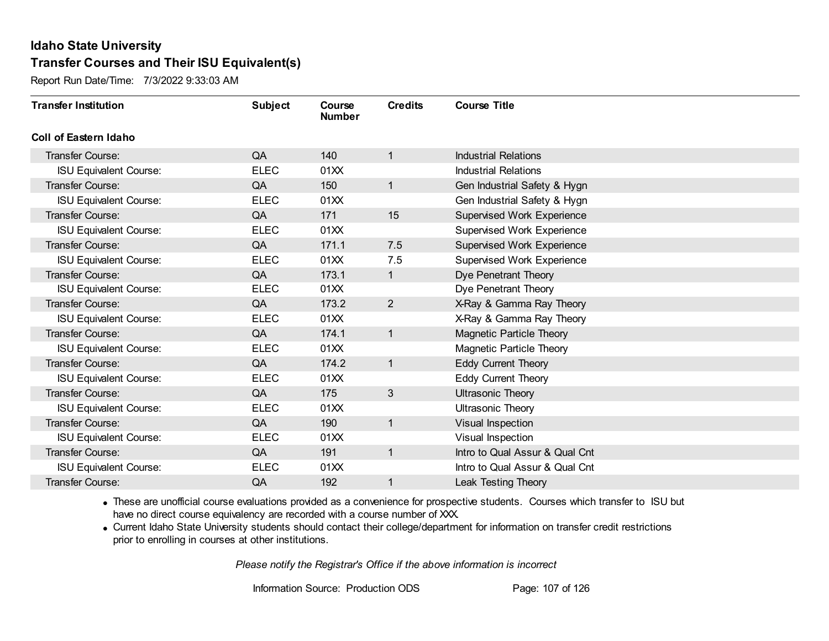Report Run Date/Time: 7/3/2022 9:33:03 AM

| <b>Transfer Institution</b>   | <b>Subject</b> | Course<br><b>Number</b> | <b>Credits</b> | <b>Course Title</b>               |
|-------------------------------|----------------|-------------------------|----------------|-----------------------------------|
| Coll of Eastern Idaho         |                |                         |                |                                   |
| Transfer Course:              | QA             | 140                     | 1              | <b>Industrial Relations</b>       |
| <b>ISU Equivalent Course:</b> | <b>ELEC</b>    | 01XX                    |                | <b>Industrial Relations</b>       |
| Transfer Course:              | QA             | 150                     | $\mathbf{1}$   | Gen Industrial Safety & Hygn      |
| <b>ISU Equivalent Course:</b> | <b>ELEC</b>    | 01XX                    |                | Gen Industrial Safety & Hygn      |
| <b>Transfer Course:</b>       | QA             | 171                     | 15             | <b>Supervised Work Experience</b> |
| <b>ISU Equivalent Course:</b> | <b>ELEC</b>    | 01XX                    |                | <b>Supervised Work Experience</b> |
| Transfer Course:              | QA             | 171.1                   | 7.5            | <b>Supervised Work Experience</b> |
| <b>ISU Equivalent Course:</b> | <b>ELEC</b>    | 01XX                    | 7.5            | <b>Supervised Work Experience</b> |
| Transfer Course:              | QA             | 173.1                   | $\mathbf{1}$   | Dye Penetrant Theory              |
| <b>ISU Equivalent Course:</b> | <b>ELEC</b>    | 01XX                    |                | Dye Penetrant Theory              |
| <b>Transfer Course:</b>       | QA             | 173.2                   | $\overline{2}$ | X-Ray & Gamma Ray Theory          |
| <b>ISU Equivalent Course:</b> | <b>ELEC</b>    | 01XX                    |                | X-Ray & Gamma Ray Theory          |
| Transfer Course:              | QA             | 174.1                   | 1              | Magnetic Particle Theory          |
| <b>ISU Equivalent Course:</b> | <b>ELEC</b>    | 01XX                    |                | Magnetic Particle Theory          |
| Transfer Course:              | QA             | 174.2                   | $\mathbf{1}$   | <b>Eddy Current Theory</b>        |
| <b>ISU Equivalent Course:</b> | <b>ELEC</b>    | 01XX                    |                | Eddy Current Theory               |
| Transfer Course:              | QA             | 175                     | 3              | <b>Ultrasonic Theory</b>          |
| <b>ISU Equivalent Course:</b> | <b>ELEC</b>    | 01XX                    |                | <b>Ultrasonic Theory</b>          |
| Transfer Course:              | QA             | 190                     | $\mathbf{1}$   | Visual Inspection                 |
| <b>ISU Equivalent Course:</b> | <b>ELEC</b>    | 01XX                    |                | Visual Inspection                 |
| Transfer Course:              | QA             | 191                     | $\mathbf{1}$   | Intro to Qual Assur & Qual Cnt    |
| <b>ISU Equivalent Course:</b> | <b>ELEC</b>    | 01XX                    |                | Intro to Qual Assur & Qual Cnt    |
| Transfer Course:              | QA             | 192                     | 1              | Leak Testing Theory               |

· These are unofficial course evaluations provided as a convenience for prospective students. Courses which transfer to ISU but have no direct course equivalency are recorded with a course number of XXX.

· Current Idaho State University students should contact their college/department for information on transfer credit restrictions prior to enrolling in courses at other institutions.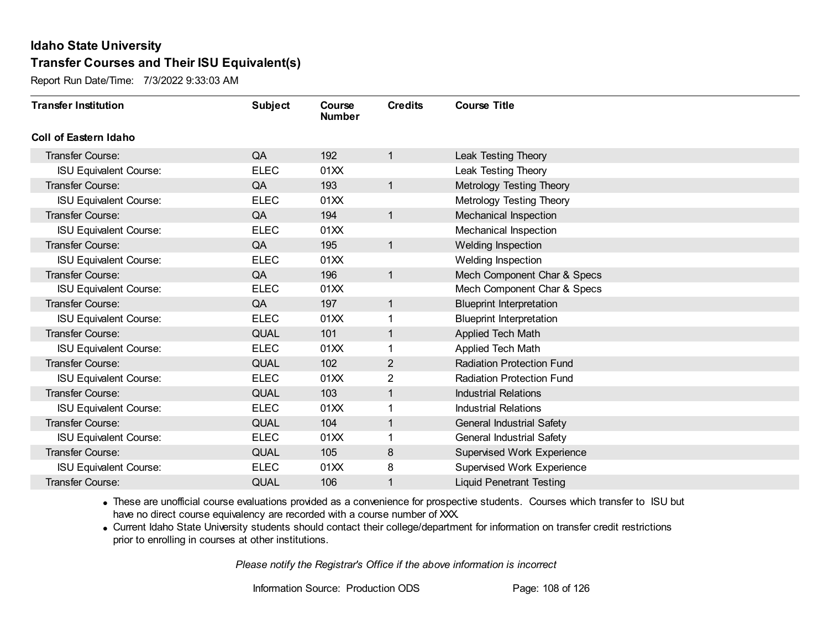Report Run Date/Time: 7/3/2022 9:33:03 AM

| <b>Transfer Institution</b>   | <b>Subject</b> | Course<br><b>Number</b> | <b>Credits</b> | <b>Course Title</b>              |
|-------------------------------|----------------|-------------------------|----------------|----------------------------------|
| Coll of Eastern Idaho         |                |                         |                |                                  |
| Transfer Course:              | QA             | 192                     | 1              | Leak Testing Theory              |
| <b>ISU Equivalent Course:</b> | <b>ELEC</b>    | 01XX                    |                | Leak Testing Theory              |
| Transfer Course:              | QA             | 193                     | $\mathbf{1}$   | Metrology Testing Theory         |
| <b>ISU Equivalent Course:</b> | <b>ELEC</b>    | 01XX                    |                | Metrology Testing Theory         |
| Transfer Course:              | QA             | 194                     | $\mathbf{1}$   | Mechanical Inspection            |
| <b>ISU Equivalent Course:</b> | <b>ELEC</b>    | 01XX                    |                | Mechanical Inspection            |
| Transfer Course:              | QA             | 195                     | 1              | Welding Inspection               |
| <b>ISU Equivalent Course:</b> | <b>ELEC</b>    | 01XX                    |                | Welding Inspection               |
| <b>Transfer Course:</b>       | QA             | 196                     | $\mathbf{1}$   | Mech Component Char & Specs      |
| <b>ISU Equivalent Course:</b> | <b>ELEC</b>    | 01XX                    |                | Mech Component Char & Specs      |
| <b>Transfer Course:</b>       | QA             | 197                     | $\mathbf{1}$   | <b>Blueprint Interpretation</b>  |
| <b>ISU Equivalent Course:</b> | <b>ELEC</b>    | 01XX                    | 1              | <b>Blueprint Interpretation</b>  |
| Transfer Course:              | <b>QUAL</b>    | 101                     | 1              | Applied Tech Math                |
| <b>ISU Equivalent Course:</b> | <b>ELEC</b>    | 01XX                    |                | Applied Tech Math                |
| Transfer Course:              | <b>QUAL</b>    | 102                     | $\overline{2}$ | <b>Radiation Protection Fund</b> |
| <b>ISU Equivalent Course:</b> | <b>ELEC</b>    | 01XX                    | $\overline{2}$ | <b>Radiation Protection Fund</b> |
| Transfer Course:              | <b>QUAL</b>    | 103                     | 1              | <b>Industrial Relations</b>      |
| <b>ISU Equivalent Course:</b> | <b>ELEC</b>    | 01XX                    | 1              | <b>Industrial Relations</b>      |
| Transfer Course:              | <b>QUAL</b>    | 104                     | $\mathbf{1}$   | <b>General Industrial Safety</b> |
| <b>ISU Equivalent Course:</b> | <b>ELEC</b>    | 01XX                    |                | <b>General Industrial Safety</b> |
| Transfer Course:              | <b>QUAL</b>    | 105                     | $\bf 8$        | Supervised Work Experience       |
| <b>ISU Equivalent Course:</b> | <b>ELEC</b>    | 01XX                    | 8              | Supervised Work Experience       |
| Transfer Course:              | <b>QUAL</b>    | 106                     | 1              | <b>Liquid Penetrant Testing</b>  |

· These are unofficial course evaluations provided as a convenience for prospective students. Courses which transfer to ISU but have no direct course equivalency are recorded with a course number of XXX.

· Current Idaho State University students should contact their college/department for information on transfer credit restrictions prior to enrolling in courses at other institutions.

*Please notify the Registrar's Office if the above information is incorrect*

Information Source: Production ODS Page: 108 of 126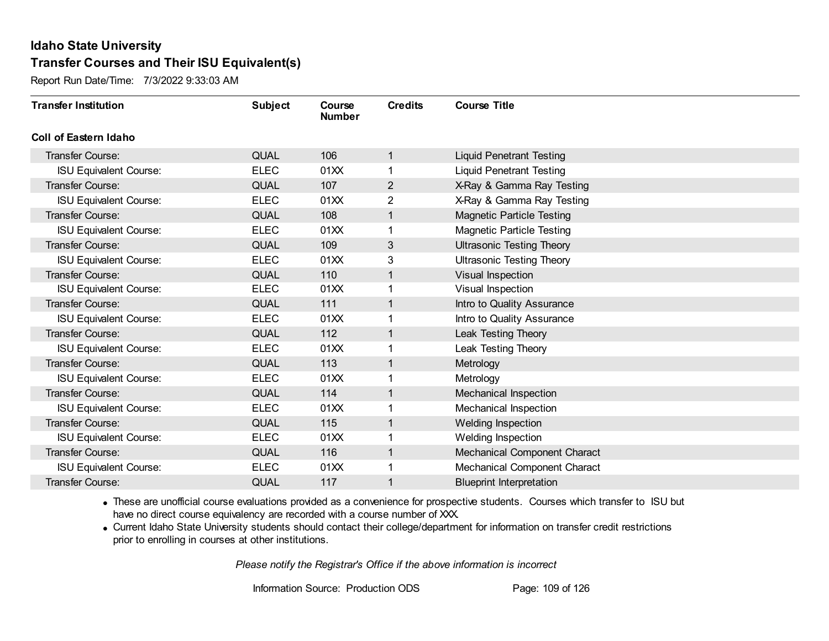Report Run Date/Time: 7/3/2022 9:33:03 AM

| <b>Transfer Institution</b>   | <b>Subject</b> | Course<br><b>Number</b> | <b>Credits</b> | <b>Course Title</b>              |
|-------------------------------|----------------|-------------------------|----------------|----------------------------------|
| Coll of Eastern Idaho         |                |                         |                |                                  |
| Transfer Course:              | <b>QUAL</b>    | 106                     | 1              | <b>Liquid Penetrant Testing</b>  |
| <b>ISU Equivalent Course:</b> | <b>ELEC</b>    | 01XX                    | 1              | <b>Liquid Penetrant Testing</b>  |
| Transfer Course:              | <b>QUAL</b>    | 107                     | $\overline{2}$ | X-Ray & Gamma Ray Testing        |
| <b>ISU Equivalent Course:</b> | <b>ELEC</b>    | 01XX                    | $\overline{2}$ | X-Ray & Gamma Ray Testing        |
| <b>Transfer Course:</b>       | <b>QUAL</b>    | 108                     | 1              | <b>Magnetic Particle Testing</b> |
| <b>ISU Equivalent Course:</b> | <b>ELEC</b>    | 01XX                    |                | <b>Magnetic Particle Testing</b> |
| Transfer Course:              | <b>QUAL</b>    | 109                     | 3              | <b>Ultrasonic Testing Theory</b> |
| <b>ISU Equivalent Course:</b> | <b>ELEC</b>    | 01XX                    | 3              | <b>Ultrasonic Testing Theory</b> |
| Transfer Course:              | <b>QUAL</b>    | 110                     | 1              | Visual Inspection                |
| <b>ISU Equivalent Course:</b> | <b>ELEC</b>    | 01XX                    | 1              | Visual Inspection                |
| <b>Transfer Course:</b>       | <b>QUAL</b>    | 111                     | 1              | Intro to Quality Assurance       |
| <b>ISU Equivalent Course:</b> | <b>ELEC</b>    | 01XX                    |                | Intro to Quality Assurance       |
| Transfer Course:              | <b>QUAL</b>    | 112                     | 1              | Leak Testing Theory              |
| <b>ISU Equivalent Course:</b> | <b>ELEC</b>    | 01XX                    | 1              | Leak Testing Theory              |
| Transfer Course:              | <b>QUAL</b>    | 113                     | 1              | Metrology                        |
| <b>ISU Equivalent Course:</b> | <b>ELEC</b>    | 01XX                    | 1              | Metrology                        |
| Transfer Course:              | <b>QUAL</b>    | 114                     | 1              | Mechanical Inspection            |
| <b>ISU Equivalent Course:</b> | <b>ELEC</b>    | 01XX                    |                | Mechanical Inspection            |
| <b>Transfer Course:</b>       | <b>QUAL</b>    | 115                     | 1              | Welding Inspection               |
| <b>ISU Equivalent Course:</b> | <b>ELEC</b>    | 01XX                    |                | Welding Inspection               |
| Transfer Course:              | <b>QUAL</b>    | 116                     | 1              | Mechanical Component Charact     |
| <b>ISU Equivalent Course:</b> | <b>ELEC</b>    | 01XX                    | 1              | Mechanical Component Charact     |
| Transfer Course:              | <b>QUAL</b>    | 117                     | 1              | <b>Blueprint Interpretation</b>  |

· These are unofficial course evaluations provided as a convenience for prospective students. Courses which transfer to ISU but have no direct course equivalency are recorded with a course number of XXX.

· Current Idaho State University students should contact their college/department for information on transfer credit restrictions prior to enrolling in courses at other institutions.

*Please notify the Registrar's Office if the above information is incorrect*

Information Source: Production ODS Page: 109 of 126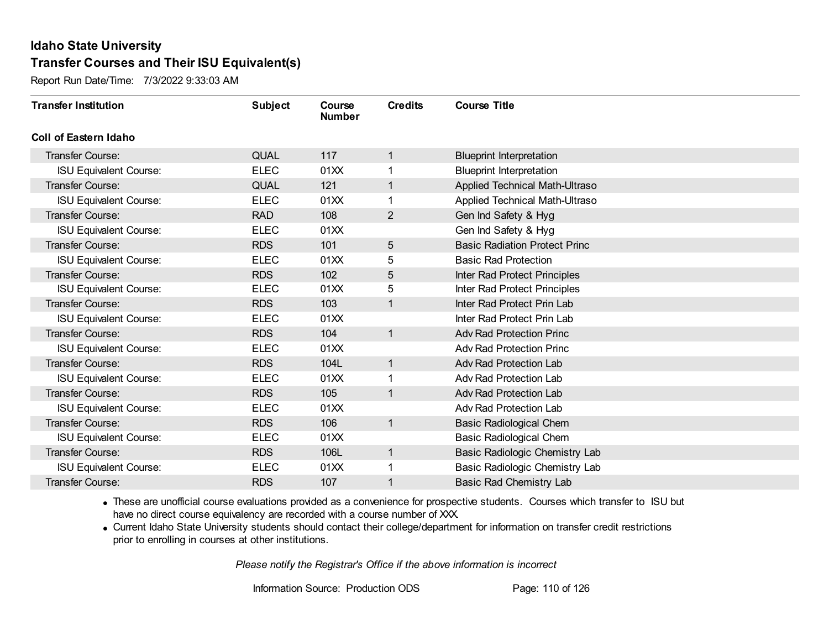Report Run Date/Time: 7/3/2022 9:33:03 AM

| <b>Transfer Institution</b>   | <b>Subject</b> | Course<br><b>Number</b> | <b>Credits</b> | <b>Course Title</b>                  |
|-------------------------------|----------------|-------------------------|----------------|--------------------------------------|
| <b>Coll of Eastern Idaho</b>  |                |                         |                |                                      |
| <b>Transfer Course:</b>       | <b>QUAL</b>    | 117                     | $\mathbf{1}$   | <b>Blueprint Interpretation</b>      |
| <b>ISU Equivalent Course:</b> | <b>ELEC</b>    | 01XX                    |                | <b>Blueprint Interpretation</b>      |
| <b>Transfer Course:</b>       | <b>QUAL</b>    | 121                     |                | Applied Technical Math-Ultraso       |
| <b>ISU Equivalent Course:</b> | <b>ELEC</b>    | 01XX                    |                | Applied Technical Math-Ultraso       |
| <b>Transfer Course:</b>       | <b>RAD</b>     | 108                     | $\overline{2}$ | Gen Ind Safety & Hyg                 |
| <b>ISU Equivalent Course:</b> | <b>ELEC</b>    | 01XX                    |                | Gen Ind Safety & Hyg                 |
| <b>Transfer Course:</b>       | <b>RDS</b>     | 101                     | 5              | <b>Basic Radiation Protect Princ</b> |
| <b>ISU Equivalent Course:</b> | <b>ELEC</b>    | 01XX                    | 5              | <b>Basic Rad Protection</b>          |
| <b>Transfer Course:</b>       | <b>RDS</b>     | 102                     | 5              | Inter Rad Protect Principles         |
| <b>ISU Equivalent Course:</b> | <b>ELEC</b>    | 01XX                    | 5              | Inter Rad Protect Principles         |
| <b>Transfer Course:</b>       | <b>RDS</b>     | 103                     | $\mathbf{1}$   | Inter Rad Protect Prin Lab           |
| <b>ISU Equivalent Course:</b> | <b>ELEC</b>    | 01XX                    |                | Inter Rad Protect Prin Lab           |
| <b>Transfer Course:</b>       | <b>RDS</b>     | 104                     | $\mathbf{1}$   | <b>Adv Rad Protection Princ</b>      |
| <b>ISU Equivalent Course:</b> | <b>ELEC</b>    | 01XX                    |                | <b>Adv Rad Protection Princ</b>      |
| Transfer Course:              | <b>RDS</b>     | 104L                    | $\mathbf{1}$   | Adv Rad Protection Lab               |
| <b>ISU Equivalent Course:</b> | <b>ELEC</b>    | 01XX                    |                | Adv Rad Protection Lab               |
| <b>Transfer Course:</b>       | <b>RDS</b>     | 105                     | $\mathbf{1}$   | Adv Rad Protection Lab               |
| <b>ISU Equivalent Course:</b> | <b>ELEC</b>    | 01XX                    |                | Adv Rad Protection Lab               |
| Transfer Course:              | <b>RDS</b>     | 106                     | $\mathbf{1}$   | <b>Basic Radiological Chem</b>       |
| <b>ISU Equivalent Course:</b> | <b>ELEC</b>    | 01XX                    |                | <b>Basic Radiological Chem</b>       |
| <b>Transfer Course:</b>       | <b>RDS</b>     | 106L                    | $\mathbf{1}$   | Basic Radiologic Chemistry Lab       |
| <b>ISU Equivalent Course:</b> | <b>ELEC</b>    | 01XX                    |                | Basic Radiologic Chemistry Lab       |
| Transfer Course:              | <b>RDS</b>     | 107                     |                | Basic Rad Chemistry Lab              |

· These are unofficial course evaluations provided as a convenience for prospective students. Courses which transfer to ISU but have no direct course equivalency are recorded with a course number of XXX.

· Current Idaho State University students should contact their college/department for information on transfer credit restrictions prior to enrolling in courses at other institutions.

*Please notify the Registrar's Office if the above information is incorrect*

Information Source: Production ODS Page: 110 of 126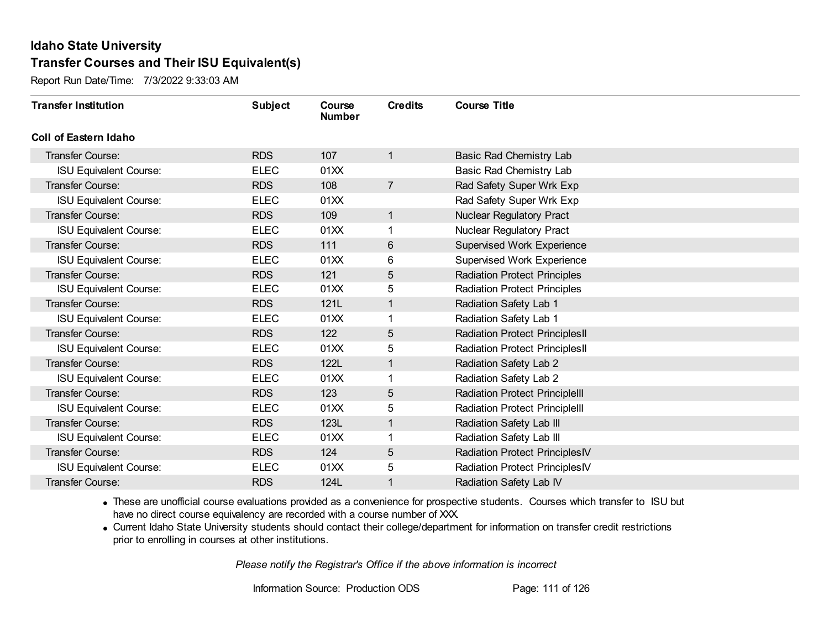Report Run Date/Time: 7/3/2022 9:33:03 AM

| <b>Transfer Institution</b>   | <b>Subject</b> | <b>Course</b><br><b>Number</b> | <b>Credits</b> | <b>Course Title</b>                   |
|-------------------------------|----------------|--------------------------------|----------------|---------------------------------------|
| <b>Coll of Eastern Idaho</b>  |                |                                |                |                                       |
| Transfer Course:              | <b>RDS</b>     | 107                            | $\mathbf{1}$   | Basic Rad Chemistry Lab               |
| <b>ISU Equivalent Course:</b> | <b>ELEC</b>    | 01XX                           |                | Basic Rad Chemistry Lab               |
| Transfer Course:              | <b>RDS</b>     | 108                            | $\overline{7}$ | Rad Safety Super Wrk Exp              |
| <b>ISU Equivalent Course:</b> | <b>ELEC</b>    | 01XX                           |                | Rad Safety Super Wrk Exp              |
| Transfer Course:              | <b>RDS</b>     | 109                            | $\mathbf{1}$   | <b>Nuclear Regulatory Pract</b>       |
| <b>ISU Equivalent Course:</b> | <b>ELEC</b>    | 01XX                           | 1              | <b>Nuclear Regulatory Pract</b>       |
| Transfer Course:              | <b>RDS</b>     | 111                            | 6              | Supervised Work Experience            |
| <b>ISU Equivalent Course:</b> | <b>ELEC</b>    | 01XX                           | 6              | <b>Supervised Work Experience</b>     |
| Transfer Course:              | <b>RDS</b>     | 121                            | 5              | <b>Radiation Protect Principles</b>   |
| <b>ISU Equivalent Course:</b> | <b>ELEC</b>    | 01XX                           | 5              | <b>Radiation Protect Principles</b>   |
| <b>Transfer Course:</b>       | <b>RDS</b>     | 121L                           | $\mathbf{1}$   | Radiation Safety Lab 1                |
| <b>ISU Equivalent Course:</b> | <b>ELEC</b>    | 01XX                           |                | Radiation Safety Lab 1                |
| Transfer Course:              | <b>RDS</b>     | 122                            | 5              | <b>Radiation Protect PrinciplesII</b> |
| <b>ISU Equivalent Course:</b> | <b>ELEC</b>    | 01XX                           | 5              | <b>Radiation Protect PrinciplesII</b> |
| Transfer Course:              | <b>RDS</b>     | 122L                           | $\mathbf{1}$   | Radiation Safety Lab 2                |
| <b>ISU Equivalent Course:</b> | <b>ELEC</b>    | 01XX                           | 1              | Radiation Safety Lab 2                |
| Transfer Course:              | <b>RDS</b>     | 123                            | 5              | <b>Radiation Protect PrincipleIII</b> |
| <b>ISU Equivalent Course:</b> | <b>ELEC</b>    | 01XX                           | 5              | <b>Radiation Protect PrincipleIII</b> |
| Transfer Course:              | <b>RDS</b>     | 123L                           | $\mathbf{1}$   | Radiation Safety Lab III              |
| <b>ISU Equivalent Course:</b> | <b>ELEC</b>    | 01XX                           |                | Radiation Safety Lab III              |
| Transfer Course:              | <b>RDS</b>     | 124                            | 5              | <b>Radiation Protect PrinciplesIV</b> |
| <b>ISU Equivalent Course:</b> | <b>ELEC</b>    | 01XX                           | 5              | <b>Radiation Protect PrinciplesIV</b> |
| Transfer Course:              | <b>RDS</b>     | 124L                           | 1              | Radiation Safety Lab IV               |

· These are unofficial course evaluations provided as a convenience for prospective students. Courses which transfer to ISU but have no direct course equivalency are recorded with a course number of XXX.

· Current Idaho State University students should contact their college/department for information on transfer credit restrictions prior to enrolling in courses at other institutions.

*Please notify the Registrar's Office if the above information is incorrect*

Information Source: Production ODS Page: 111 of 126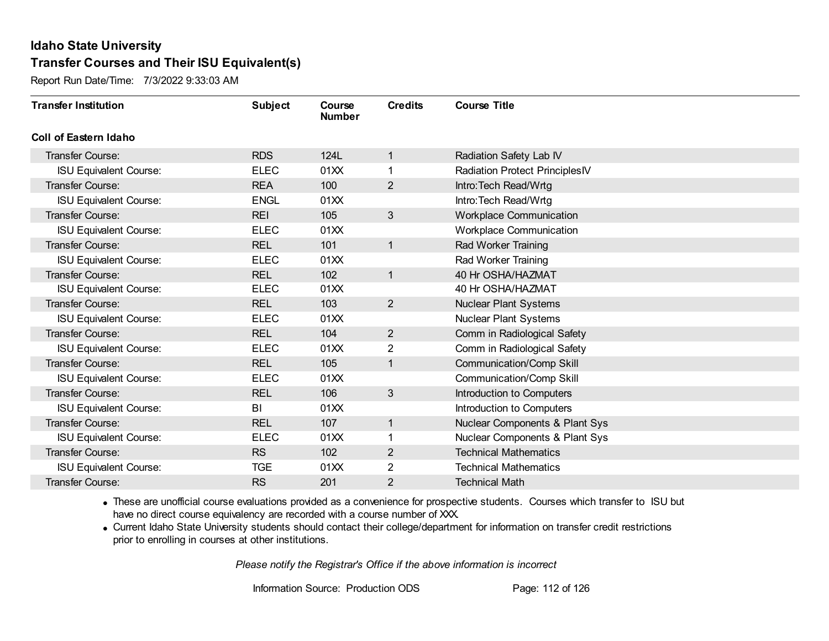Report Run Date/Time: 7/3/2022 9:33:03 AM

| <b>Transfer Institution</b>   | <b>Subject</b> | Course<br><b>Number</b> | <b>Credits</b> | <b>Course Title</b>             |
|-------------------------------|----------------|-------------------------|----------------|---------------------------------|
| Coll of Eastern Idaho         |                |                         |                |                                 |
| Transfer Course:              | <b>RDS</b>     | 124L                    | 1              | Radiation Safety Lab IV         |
| <b>ISU Equivalent Course:</b> | <b>ELEC</b>    | 01XX                    | 1              | Radiation Protect PrinciplesIV  |
| Transfer Course:              | <b>REA</b>     | 100                     | $\overline{2}$ | Intro: Tech Read/Wrtg           |
| <b>ISU Equivalent Course:</b> | <b>ENGL</b>    | 01XX                    |                | Intro: Tech Read/Wrtg           |
| <b>Transfer Course:</b>       | <b>REI</b>     | 105                     | 3              | <b>Workplace Communication</b>  |
| <b>ISU Equivalent Course:</b> | <b>ELEC</b>    | 01XX                    |                | <b>Workplace Communication</b>  |
| Transfer Course:              | <b>REL</b>     | 101                     | $\mathbf{1}$   | Rad Worker Training             |
| <b>ISU Equivalent Course:</b> | <b>ELEC</b>    | 01XX                    |                | Rad Worker Training             |
| Transfer Course:              | <b>REL</b>     | 102                     | $\mathbf{1}$   | 40 Hr OSHA/HAZMAT               |
| <b>ISU Equivalent Course:</b> | <b>ELEC</b>    | 01XX                    |                | 40 Hr OSHA/HAZMAT               |
| <b>Transfer Course:</b>       | <b>REL</b>     | 103                     | $\overline{2}$ | <b>Nuclear Plant Systems</b>    |
| <b>ISU Equivalent Course:</b> | <b>ELEC</b>    | 01XX                    |                | <b>Nuclear Plant Systems</b>    |
| Transfer Course:              | <b>REL</b>     | 104                     | $\overline{2}$ | Comm in Radiological Safety     |
| <b>ISU Equivalent Course:</b> | <b>ELEC</b>    | 01XX                    | $\overline{2}$ | Comm in Radiological Safety     |
| Transfer Course:              | <b>REL</b>     | 105                     | 1              | Communication/Comp Skill        |
| <b>ISU Equivalent Course:</b> | <b>ELEC</b>    | 01XX                    |                | <b>Communication/Comp Skill</b> |
| Transfer Course:              | <b>REL</b>     | 106                     | $\mathfrak{S}$ | Introduction to Computers       |
| <b>ISU Equivalent Course:</b> | BI             | 01XX                    |                | Introduction to Computers       |
| Transfer Course:              | <b>REL</b>     | 107                     | $\mathbf{1}$   | Nuclear Components & Plant Sys  |
| <b>ISU Equivalent Course:</b> | <b>ELEC</b>    | 01XX                    |                | Nuclear Components & Plant Sys  |
| Transfer Course:              | <b>RS</b>      | 102                     | $\overline{2}$ | <b>Technical Mathematics</b>    |
| <b>ISU Equivalent Course:</b> | <b>TGE</b>     | 01XX                    | 2              | <b>Technical Mathematics</b>    |
| Transfer Course:              | <b>RS</b>      | 201                     | 2              | <b>Technical Math</b>           |

· These are unofficial course evaluations provided as a convenience for prospective students. Courses which transfer to ISU but have no direct course equivalency are recorded with a course number of XXX.

· Current Idaho State University students should contact their college/department for information on transfer credit restrictions prior to enrolling in courses at other institutions.

*Please notify the Registrar's Office if the above information is incorrect*

Information Source: Production ODS Page: 112 of 126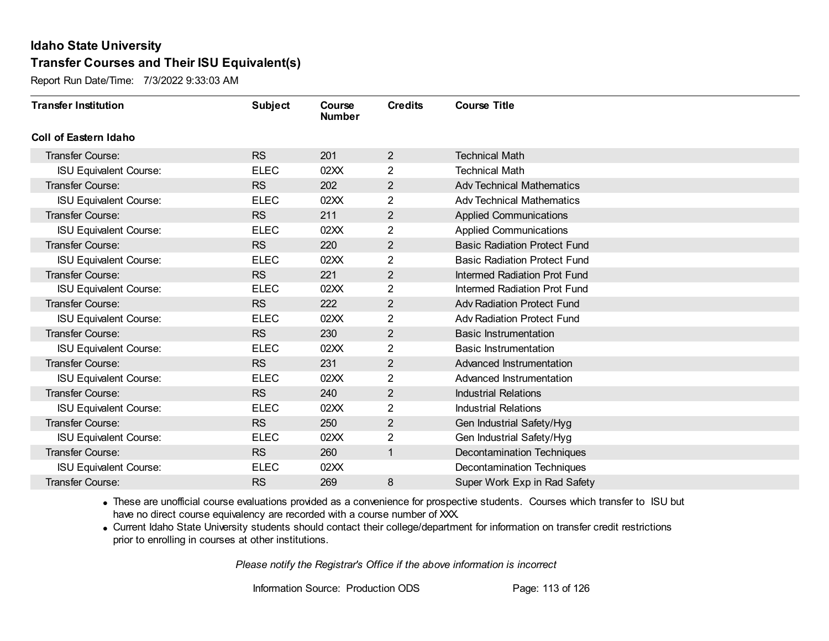Report Run Date/Time: 7/3/2022 9:33:03 AM

| <b>Transfer Institution</b>   | <b>Subject</b> | Course<br><b>Number</b> | <b>Credits</b> | <b>Course Title</b>                 |
|-------------------------------|----------------|-------------------------|----------------|-------------------------------------|
| <b>Coll of Eastern Idaho</b>  |                |                         |                |                                     |
| <b>Transfer Course:</b>       | <b>RS</b>      | 201                     | $\overline{2}$ | <b>Technical Math</b>               |
| <b>ISU Equivalent Course:</b> | <b>ELEC</b>    | 02XX                    | $\overline{2}$ | <b>Technical Math</b>               |
| <b>Transfer Course:</b>       | <b>RS</b>      | 202                     | $\overline{2}$ | <b>Adv Technical Mathematics</b>    |
| <b>ISU Equivalent Course:</b> | <b>ELEC</b>    | 02XX                    | $\overline{2}$ | <b>Adv Technical Mathematics</b>    |
| <b>Transfer Course:</b>       | <b>RS</b>      | 211                     | $\overline{2}$ | <b>Applied Communications</b>       |
| <b>ISU Equivalent Course:</b> | <b>ELEC</b>    | 02XX                    | 2              | <b>Applied Communications</b>       |
| <b>Transfer Course:</b>       | <b>RS</b>      | 220                     | $\overline{2}$ | <b>Basic Radiation Protect Fund</b> |
| <b>ISU Equivalent Course:</b> | <b>ELEC</b>    | 02XX                    | $\overline{2}$ | <b>Basic Radiation Protect Fund</b> |
| <b>Transfer Course:</b>       | <b>RS</b>      | 221                     | $\overline{2}$ | <b>Intermed Radiation Prot Fund</b> |
| <b>ISU Equivalent Course:</b> | <b>ELEC</b>    | 02XX                    | $\overline{2}$ | Intermed Radiation Prot Fund        |
| <b>Transfer Course:</b>       | <b>RS</b>      | 222                     | $\overline{2}$ | <b>Adv Radiation Protect Fund</b>   |
| <b>ISU Equivalent Course:</b> | <b>ELEC</b>    | 02XX                    | $\overline{2}$ | <b>Adv Radiation Protect Fund</b>   |
| <b>Transfer Course:</b>       | <b>RS</b>      | 230                     | $\overline{2}$ | <b>Basic Instrumentation</b>        |
| <b>ISU Equivalent Course:</b> | <b>ELEC</b>    | 02XX                    | $\overline{2}$ | <b>Basic Instrumentation</b>        |
| Transfer Course:              | <b>RS</b>      | 231                     | $\overline{2}$ | Advanced Instrumentation            |
| <b>ISU Equivalent Course:</b> | <b>ELEC</b>    | 02XX                    | $\overline{2}$ | Advanced Instrumentation            |
| <b>Transfer Course:</b>       | <b>RS</b>      | 240                     | $\overline{2}$ | <b>Industrial Relations</b>         |
| <b>ISU Equivalent Course:</b> | <b>ELEC</b>    | 02XX                    | $\overline{2}$ | <b>Industrial Relations</b>         |
| Transfer Course:              | <b>RS</b>      | 250                     | $\overline{2}$ | Gen Industrial Safety/Hyg           |
| <b>ISU Equivalent Course:</b> | <b>ELEC</b>    | 02XX                    | $\overline{2}$ | Gen Industrial Safety/Hyg           |
| <b>Transfer Course:</b>       | <b>RS</b>      | 260                     | $\mathbf{1}$   | <b>Decontamination Techniques</b>   |
| <b>ISU Equivalent Course:</b> | <b>ELEC</b>    | 02XX                    |                | <b>Decontamination Techniques</b>   |
| Transfer Course:              | <b>RS</b>      | 269                     | 8              | Super Work Exp in Rad Safety        |

· These are unofficial course evaluations provided as a convenience for prospective students. Courses which transfer to ISU but have no direct course equivalency are recorded with a course number of XXX.

· Current Idaho State University students should contact their college/department for information on transfer credit restrictions prior to enrolling in courses at other institutions.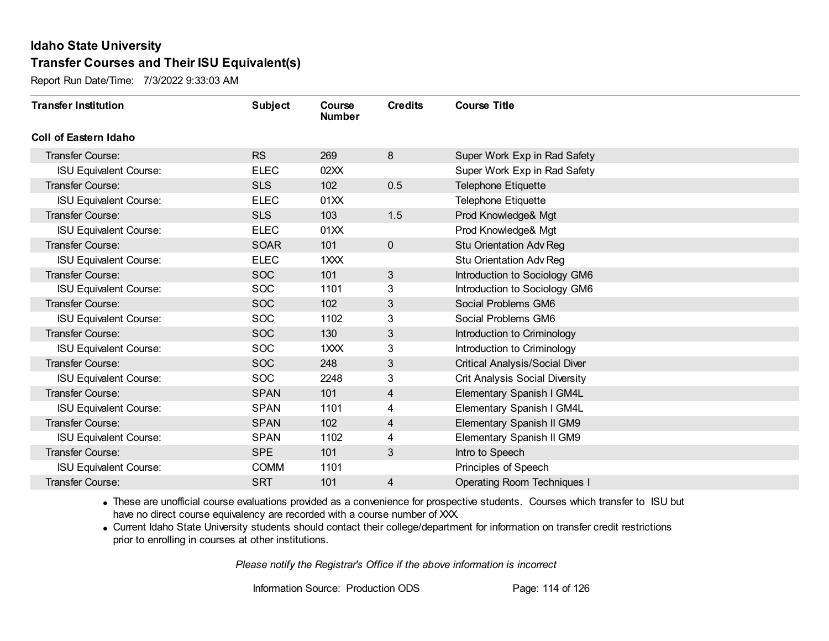Report Run Date/Time: 7/3/2022 9:33:03 AM

| <b>Transfer Institution</b>   | <b>Subject</b> | Course<br><b>Number</b> | <b>Credits</b> | <b>Course Title</b>                   |
|-------------------------------|----------------|-------------------------|----------------|---------------------------------------|
| Coll of Eastern Idaho         |                |                         |                |                                       |
| Transfer Course:              | <b>RS</b>      | 269                     | 8              | Super Work Exp in Rad Safety          |
| ISU Equivalent Course:        | <b>ELEC</b>    | 02XX                    |                | Super Work Exp in Rad Safety          |
| Transfer Course:              | <b>SLS</b>     | 102                     | 0.5            | <b>Telephone Etiquette</b>            |
| <b>ISU Equivalent Course:</b> | <b>ELEC</b>    | 01XX                    |                | <b>Telephone Etiquette</b>            |
| Transfer Course:              | <b>SLS</b>     | 103                     | 1.5            | Prod Knowledge& Mgt                   |
| <b>ISU Equivalent Course:</b> | <b>ELEC</b>    | 01XX                    |                | Prod Knowledge& Mgt                   |
| Transfer Course:              | <b>SOAR</b>    | 101                     | $\mathbf 0$    | Stu Orientation Adv Reg               |
| <b>ISU Equivalent Course:</b> | <b>ELEC</b>    | 1XXX                    |                | Stu Orientation Adv Reg               |
| Transfer Course:              | <b>SOC</b>     | 101                     | $\sqrt{3}$     | Introduction to Sociology GM6         |
| <b>ISU Equivalent Course:</b> | <b>SOC</b>     | 1101                    | 3              | Introduction to Sociology GM6         |
| Transfer Course:              | <b>SOC</b>     | 102                     | 3              | Social Problems GM6                   |
| <b>ISU Equivalent Course:</b> | <b>SOC</b>     | 1102                    | 3              | Social Problems GM6                   |
| Transfer Course:              | <b>SOC</b>     | 130                     | 3              | Introduction to Criminology           |
| <b>ISU Equivalent Course:</b> | <b>SOC</b>     | 1XXX                    | 3              | Introduction to Criminology           |
| Transfer Course:              | <b>SOC</b>     | 248                     | $\mathfrak{S}$ | <b>Critical Analysis/Social Diver</b> |
| <b>ISU Equivalent Course:</b> | <b>SOC</b>     | 2248                    | 3              | Crit Analysis Social Diversity        |
| Transfer Course:              | <b>SPAN</b>    | 101                     | 4              | Elementary Spanish I GM4L             |
| <b>ISU Equivalent Course:</b> | <b>SPAN</b>    | 1101                    | 4              | Elementary Spanish I GM4L             |
| <b>Transfer Course:</b>       | <b>SPAN</b>    | 102                     | 4              | Elementary Spanish II GM9             |
| <b>ISU Equivalent Course:</b> | <b>SPAN</b>    | 1102                    | 4              | Elementary Spanish II GM9             |
| Transfer Course:              | <b>SPE</b>     | 101                     | 3              | Intro to Speech                       |
| <b>ISU Equivalent Course:</b> | <b>COMM</b>    | 1101                    |                | Principles of Speech                  |
| Transfer Course:              | <b>SRT</b>     | 101                     | 4              | <b>Operating Room Techniques I</b>    |

· These are unofficial course evaluations provided as a convenience for prospective students. Courses which transfer to ISU but have no direct course equivalency are recorded with a course number of XXX.

· Current Idaho State University students should contact their college/department for information on transfer credit restrictions prior to enrolling in courses at other institutions.

*Please notify the Registrar's Office if the above information is incorrect*

Information Source: Production ODS Page: 114 of 126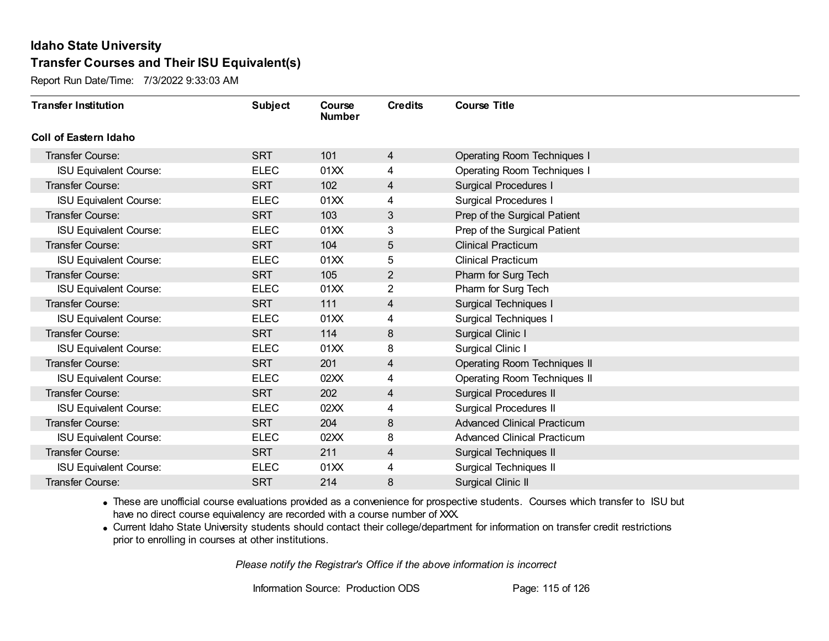Report Run Date/Time: 7/3/2022 9:33:03 AM

| <b>Transfer Institution</b>   | <b>Subject</b> | Course<br><b>Number</b> | <b>Credits</b> | <b>Course Title</b>                 |
|-------------------------------|----------------|-------------------------|----------------|-------------------------------------|
| Coll of Eastern Idaho         |                |                         |                |                                     |
| Transfer Course:              | <b>SRT</b>     | 101                     | $\overline{4}$ | <b>Operating Room Techniques I</b>  |
| <b>ISU Equivalent Course:</b> | <b>ELEC</b>    | 01XX                    | 4              | <b>Operating Room Techniques I</b>  |
| Transfer Course:              | <b>SRT</b>     | 102                     | 4              | <b>Surgical Procedures I</b>        |
| <b>ISU Equivalent Course:</b> | <b>ELEC</b>    | 01XX                    | 4              | <b>Surgical Procedures I</b>        |
| <b>Transfer Course:</b>       | <b>SRT</b>     | 103                     | 3              | Prep of the Surgical Patient        |
| <b>ISU Equivalent Course:</b> | <b>ELEC</b>    | 01XX                    | 3              | Prep of the Surgical Patient        |
| Transfer Course:              | <b>SRT</b>     | 104                     | 5              | <b>Clinical Practicum</b>           |
| <b>ISU Equivalent Course:</b> | <b>ELEC</b>    | 01XX                    | 5              | <b>Clinical Practicum</b>           |
| Transfer Course:              | <b>SRT</b>     | 105                     | $\overline{2}$ | Pharm for Surg Tech                 |
| <b>ISU Equivalent Course:</b> | <b>ELEC</b>    | 01XX                    | $\overline{2}$ | Pharm for Surg Tech                 |
| <b>Transfer Course:</b>       | <b>SRT</b>     | 111                     | 4              | <b>Surgical Techniques I</b>        |
| <b>ISU Equivalent Course:</b> | <b>ELEC</b>    | 01XX                    | 4              | <b>Surgical Techniques I</b>        |
| Transfer Course:              | <b>SRT</b>     | 114                     | 8              | Surgical Clinic I                   |
| <b>ISU Equivalent Course:</b> | <b>ELEC</b>    | 01XX                    | 8              | Surgical Clinic I                   |
| Transfer Course:              | <b>SRT</b>     | 201                     | 4              | <b>Operating Room Techniques II</b> |
| <b>ISU Equivalent Course:</b> | <b>ELEC</b>    | 02XX                    | 4              | <b>Operating Room Techniques II</b> |
| Transfer Course:              | <b>SRT</b>     | 202                     | 4              | <b>Surgical Procedures II</b>       |
| <b>ISU Equivalent Course:</b> | <b>ELEC</b>    | 02XX                    | 4              | <b>Surgical Procedures II</b>       |
| Transfer Course:              | <b>SRT</b>     | 204                     | 8              | <b>Advanced Clinical Practicum</b>  |
| <b>ISU Equivalent Course:</b> | <b>ELEC</b>    | 02XX                    | 8              | <b>Advanced Clinical Practicum</b>  |
| Transfer Course:              | <b>SRT</b>     | 211                     | 4              | Surgical Techniques II              |
| <b>ISU Equivalent Course:</b> | <b>ELEC</b>    | 01XX                    | 4              | Surgical Techniques II              |
| Transfer Course:              | <b>SRT</b>     | 214                     | 8              | Surgical Clinic II                  |

· These are unofficial course evaluations provided as a convenience for prospective students. Courses which transfer to ISU but have no direct course equivalency are recorded with a course number of XXX.

· Current Idaho State University students should contact their college/department for information on transfer credit restrictions prior to enrolling in courses at other institutions.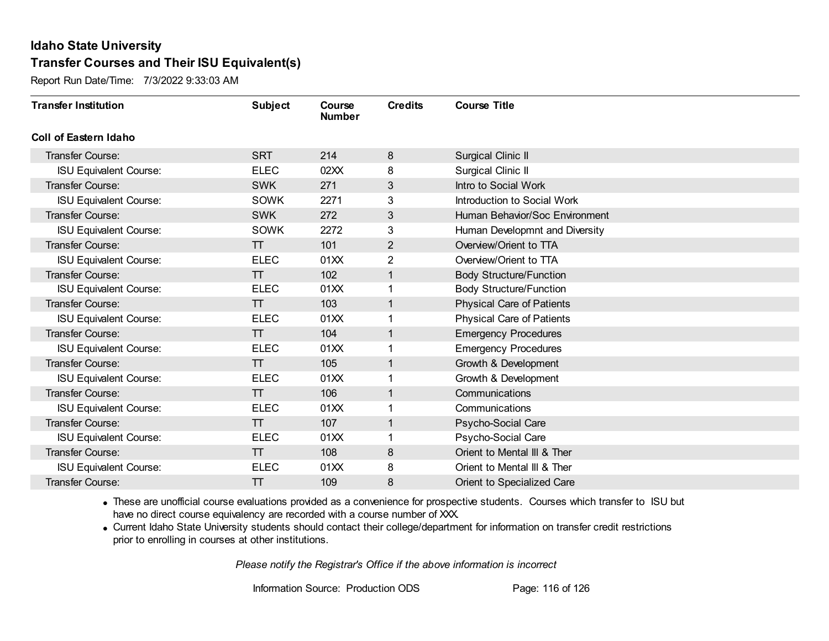Report Run Date/Time: 7/3/2022 9:33:03 AM

| <b>Transfer Institution</b>   | <b>Subject</b> | Course<br><b>Number</b> | <b>Credits</b> | <b>Course Title</b>              |
|-------------------------------|----------------|-------------------------|----------------|----------------------------------|
| <b>Coll of Eastern Idaho</b>  |                |                         |                |                                  |
| Transfer Course:              | <b>SRT</b>     | 214                     | 8              | Surgical Clinic II               |
| <b>ISU Equivalent Course:</b> | <b>ELEC</b>    | 02XX                    | 8              | Surgical Clinic II               |
| <b>Transfer Course:</b>       | <b>SWK</b>     | 271                     | 3              | Intro to Social Work             |
| <b>ISU Equivalent Course:</b> | <b>SOWK</b>    | 2271                    | 3              | Introduction to Social Work      |
| <b>Transfer Course:</b>       | <b>SWK</b>     | 272                     | 3              | Human Behavior/Soc Environment   |
| <b>ISU Equivalent Course:</b> | <b>SOWK</b>    | 2272                    | 3              | Human Developmnt and Diversity   |
| <b>Transfer Course:</b>       | $\top$         | 101                     | 2              | Overview/Orient to TTA           |
| <b>ISU Equivalent Course:</b> | <b>ELEC</b>    | 01XX                    | $\overline{2}$ | Overview/Orient to TTA           |
| <b>Transfer Course:</b>       | $\top$         | 102                     | 1              | <b>Body Structure/Function</b>   |
| <b>ISU Equivalent Course:</b> | <b>ELEC</b>    | 01XX                    | 1              | <b>Body Structure/Function</b>   |
| <b>Transfer Course:</b>       | $\top$         | 103                     | 1              | <b>Physical Care of Patients</b> |
| <b>ISU Equivalent Course:</b> | <b>ELEC</b>    | 01XX                    |                | <b>Physical Care of Patients</b> |
| Transfer Course:              | $\pi$          | 104                     | $\mathbf 1$    | <b>Emergency Procedures</b>      |
| <b>ISU Equivalent Course:</b> | <b>ELEC</b>    | 01XX                    |                | <b>Emergency Procedures</b>      |
| Transfer Course:              | $\top$         | 105                     | 1              | Growth & Development             |
| <b>ISU Equivalent Course:</b> | <b>ELEC</b>    | 01XX                    | 1              | Growth & Development             |
| <b>Transfer Course:</b>       | $\top$         | 106                     | 1              | Communications                   |
| <b>ISU Equivalent Course:</b> | <b>ELEC</b>    | 01XX                    |                | Communications                   |
| Transfer Course:              | $\top$         | 107                     | 1              | Psycho-Social Care               |
| <b>ISU Equivalent Course:</b> | <b>ELEC</b>    | 01XX                    |                | Psycho-Social Care               |
| <b>Transfer Course:</b>       | TT             | 108                     | $\bf 8$        | Orient to Mental III & Ther      |
| <b>ISU Equivalent Course:</b> | <b>ELEC</b>    | 01XX                    | 8              | Orient to Mental III & Ther      |
| Transfer Course:              | π              | 109                     | 8              | Orient to Specialized Care       |

· These are unofficial course evaluations provided as a convenience for prospective students. Courses which transfer to ISU but have no direct course equivalency are recorded with a course number of XXX.

· Current Idaho State University students should contact their college/department for information on transfer credit restrictions prior to enrolling in courses at other institutions.

*Please notify the Registrar's Office if the above information is incorrect*

Information Source: Production ODS Page: 116 of 126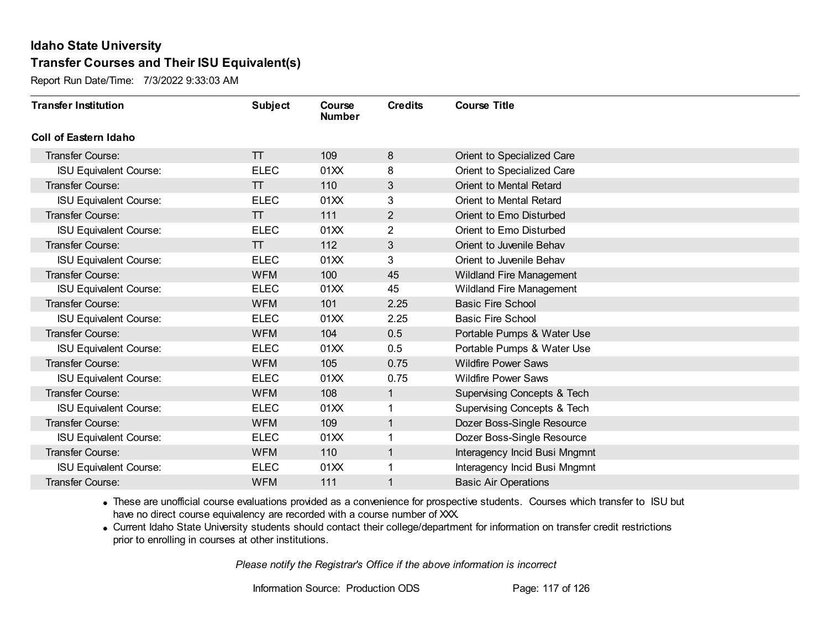Report Run Date/Time: 7/3/2022 9:33:03 AM

| <b>Transfer Institution</b>   | <b>Subject</b> | Course<br><b>Number</b> | <b>Credits</b> | <b>Course Title</b>                    |
|-------------------------------|----------------|-------------------------|----------------|----------------------------------------|
| Coll of Eastern Idaho         |                |                         |                |                                        |
| Transfer Course:              | $\top$         | 109                     | 8              | Orient to Specialized Care             |
| <b>ISU Equivalent Course:</b> | <b>ELEC</b>    | 01XX                    | 8              | Orient to Specialized Care             |
| <b>Transfer Course:</b>       | π              | 110                     | $\mathfrak{S}$ | Orient to Mental Retard                |
| <b>ISU Equivalent Course:</b> | <b>ELEC</b>    | 01XX                    | 3              | Orient to Mental Retard                |
| <b>Transfer Course:</b>       | $\top$         | 111                     | $\overline{2}$ | Orient to Emo Disturbed                |
| <b>ISU Equivalent Course:</b> | <b>ELEC</b>    | 01XX                    | 2              | Orient to Emo Disturbed                |
| <b>Transfer Course:</b>       | $\top$         | 112                     | 3              | Orient to Juvenile Behav               |
| <b>ISU Equivalent Course:</b> | <b>ELEC</b>    | 01XX                    | 3              | Orient to Juvenile Behav               |
| <b>Transfer Course:</b>       | <b>WFM</b>     | 100                     | 45             | Wildland Fire Management               |
| <b>ISU Equivalent Course:</b> | <b>ELEC</b>    | 01XX                    | 45             | <b>Wildland Fire Management</b>        |
| <b>Transfer Course:</b>       | <b>WFM</b>     | 101                     | 2.25           | <b>Basic Fire School</b>               |
| <b>ISU Equivalent Course:</b> | <b>ELEC</b>    | 01XX                    | 2.25           | <b>Basic Fire School</b>               |
| Transfer Course:              | <b>WFM</b>     | 104                     | 0.5            | Portable Pumps & Water Use             |
| <b>ISU Equivalent Course:</b> | <b>ELEC</b>    | 01XX                    | 0.5            | Portable Pumps & Water Use             |
| Transfer Course:              | <b>WFM</b>     | 105                     | 0.75           | <b>Wildfire Power Saws</b>             |
| <b>ISU Equivalent Course:</b> | <b>ELEC</b>    | 01XX                    | 0.75           | <b>Wildfire Power Saws</b>             |
| <b>Transfer Course:</b>       | <b>WFM</b>     | 108                     | $\mathbf{1}$   | <b>Supervising Concepts &amp; Tech</b> |
| <b>ISU Equivalent Course:</b> | <b>ELEC</b>    | 01XX                    |                | <b>Supervising Concepts &amp; Tech</b> |
| <b>Transfer Course:</b>       | <b>WFM</b>     | 109                     | $\mathbf{1}$   | Dozer Boss-Single Resource             |
| <b>ISU Equivalent Course:</b> | ELEC           | 01XX                    |                | Dozer Boss-Single Resource             |
| <b>Transfer Course:</b>       | <b>WFM</b>     | 110                     | $\overline{1}$ | Interagency Incid Busi Mngmnt          |
| <b>ISU Equivalent Course:</b> | <b>ELEC</b>    | 01XX                    |                | Interagency Incid Busi Mngmnt          |
| Transfer Course:              | <b>WFM</b>     | 111                     |                | <b>Basic Air Operations</b>            |

· These are unofficial course evaluations provided as a convenience for prospective students. Courses which transfer to ISU but have no direct course equivalency are recorded with a course number of XXX.

· Current Idaho State University students should contact their college/department for information on transfer credit restrictions prior to enrolling in courses at other institutions.

*Please notify the Registrar's Office if the above information is incorrect*

Information Source: Production ODS Page: 117 of 126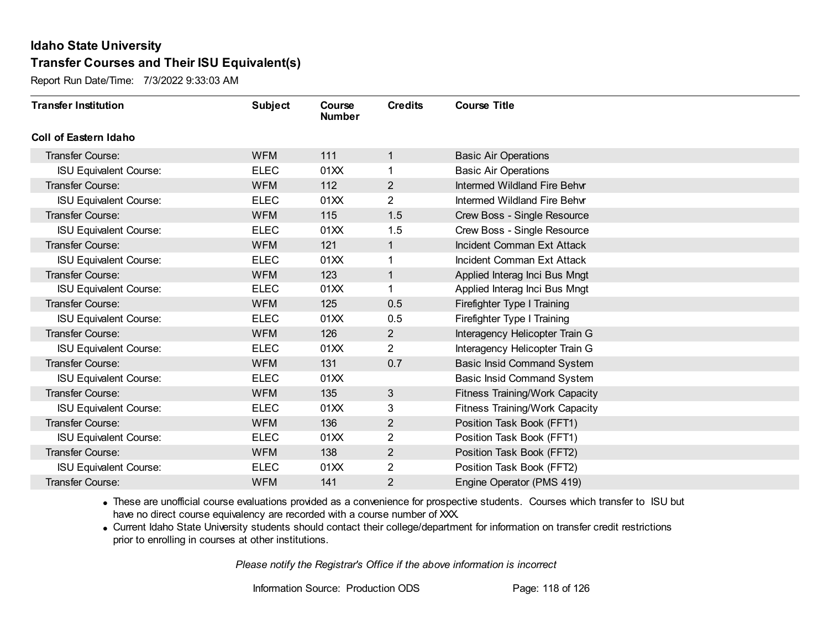Report Run Date/Time: 7/3/2022 9:33:03 AM

| <b>Transfer Institution</b>   | <b>Subject</b> | Course<br><b>Number</b> | <b>Credits</b> | <b>Course Title</b>                   |
|-------------------------------|----------------|-------------------------|----------------|---------------------------------------|
| <b>Coll of Eastern Idaho</b>  |                |                         |                |                                       |
| Transfer Course:              | <b>WFM</b>     | 111                     | $\mathbf{1}$   | <b>Basic Air Operations</b>           |
| <b>ISU Equivalent Course:</b> | <b>ELEC</b>    | 01XX                    |                | <b>Basic Air Operations</b>           |
| Transfer Course:              | <b>WFM</b>     | 112                     | $\overline{2}$ | Intermed Wildland Fire Behvr          |
| <b>ISU Equivalent Course:</b> | <b>ELEC</b>    | 01XX                    | $\overline{2}$ | Intermed Wildland Fire Behvr          |
| <b>Transfer Course:</b>       | <b>WFM</b>     | 115                     | 1.5            | Crew Boss - Single Resource           |
| <b>ISU Equivalent Course:</b> | <b>ELEC</b>    | 01XX                    | 1.5            | Crew Boss - Single Resource           |
| Transfer Course:              | <b>WFM</b>     | 121                     | $\mathbf{1}$   | Incident Comman Ext Attack            |
| <b>ISU Equivalent Course:</b> | <b>ELEC</b>    | 01XX                    |                | Incident Comman Ext Attack            |
| Transfer Course:              | <b>WFM</b>     | 123                     | $\mathbf{1}$   | Applied Interag Inci Bus Mngt         |
| <b>ISU Equivalent Course:</b> | <b>ELEC</b>    | 01XX                    |                | Applied Interag Inci Bus Mngt         |
| Transfer Course:              | <b>WFM</b>     | 125                     | 0.5            | Firefighter Type I Training           |
| <b>ISU Equivalent Course:</b> | <b>ELEC</b>    | 01XX                    | 0.5            | Firefighter Type I Training           |
| Transfer Course:              | <b>WFM</b>     | 126                     | $\overline{2}$ | Interagency Helicopter Train G        |
| <b>ISU Equivalent Course:</b> | <b>ELEC</b>    | 01XX                    | $\overline{2}$ | Interagency Helicopter Train G        |
| Transfer Course:              | <b>WFM</b>     | 131                     | 0.7            | <b>Basic Insid Command System</b>     |
| <b>ISU Equivalent Course:</b> | <b>ELEC</b>    | 01XX                    |                | <b>Basic Insid Command System</b>     |
| Transfer Course:              | <b>WFM</b>     | 135                     | $\mathbf{3}$   | <b>Fitness Training/Work Capacity</b> |
| <b>ISU Equivalent Course:</b> | <b>ELEC</b>    | 01XX                    | 3              | Fitness Training/Work Capacity        |
| Transfer Course:              | <b>WFM</b>     | 136                     | $\overline{2}$ | Position Task Book (FFT1)             |
| <b>ISU Equivalent Course:</b> | <b>ELEC</b>    | 01XX                    | $\overline{2}$ | Position Task Book (FFT1)             |
| Transfer Course:              | <b>WFM</b>     | 138                     | $\overline{2}$ | Position Task Book (FFT2)             |
| <b>ISU Equivalent Course:</b> | <b>ELEC</b>    | 01XX                    | $\overline{2}$ | Position Task Book (FFT2)             |
| Transfer Course:              | <b>WFM</b>     | 141                     | 2              | Engine Operator (PMS 419)             |

· These are unofficial course evaluations provided as a convenience for prospective students. Courses which transfer to ISU but have no direct course equivalency are recorded with a course number of XXX.

· Current Idaho State University students should contact their college/department for information on transfer credit restrictions prior to enrolling in courses at other institutions.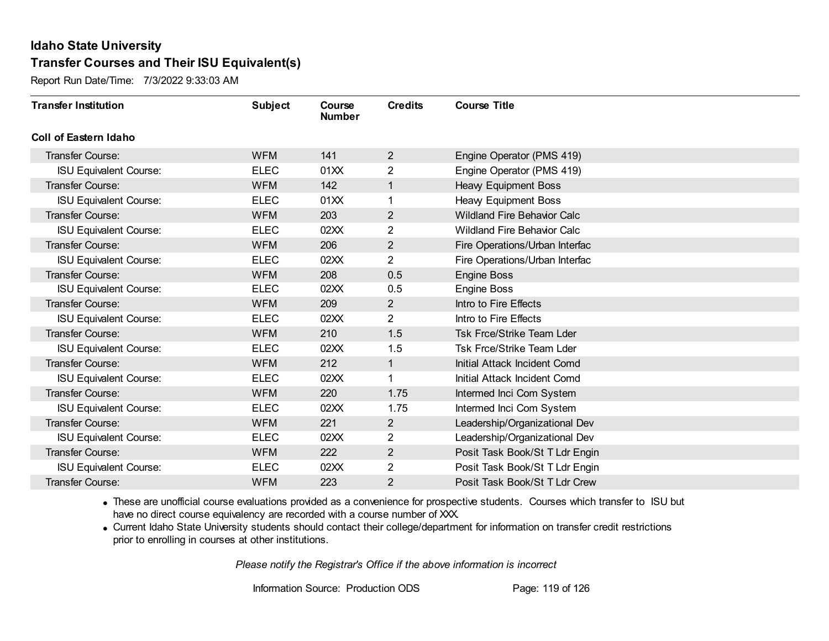Report Run Date/Time: 7/3/2022 9:33:03 AM

| <b>Transfer Institution</b>   | <b>Subject</b> | Course<br><b>Number</b> | <b>Credits</b> | <b>Course Title</b>                |
|-------------------------------|----------------|-------------------------|----------------|------------------------------------|
| <b>Coll of Eastern Idaho</b>  |                |                         |                |                                    |
| Transfer Course:              | <b>WFM</b>     | 141                     | $\overline{2}$ | Engine Operator (PMS 419)          |
| <b>ISU Equivalent Course:</b> | <b>ELEC</b>    | 01XX                    | $\overline{2}$ | Engine Operator (PMS 419)          |
| <b>Transfer Course:</b>       | <b>WFM</b>     | 142                     |                | <b>Heavy Equipment Boss</b>        |
| <b>ISU Equivalent Course:</b> | <b>ELEC</b>    | 01XX                    |                | Heavy Equipment Boss               |
| <b>Transfer Course:</b>       | <b>WFM</b>     | 203                     | $\overline{2}$ | <b>Wildland Fire Behavior Calc</b> |
| <b>ISU Equivalent Course:</b> | <b>ELEC</b>    | 02XX                    | 2              | <b>Wildland Fire Behavior Calc</b> |
| <b>Transfer Course:</b>       | <b>WFM</b>     | 206                     | $\overline{2}$ | Fire Operations/Urban Interfac     |
| <b>ISU Equivalent Course:</b> | <b>ELEC</b>    | 02XX                    | $\overline{2}$ | Fire Operations/Urban Interfac     |
| <b>Transfer Course:</b>       | <b>WFM</b>     | 208                     | 0.5            | Engine Boss                        |
| <b>ISU Equivalent Course:</b> | <b>ELEC</b>    | 02XX                    | 0.5            | <b>Engine Boss</b>                 |
| <b>Transfer Course:</b>       | <b>WFM</b>     | 209                     | $\mathbf{2}$   | Intro to Fire Effects              |
| <b>ISU Equivalent Course:</b> | <b>ELEC</b>    | 02XX                    | $\overline{2}$ | Intro to Fire Effects              |
| <b>Transfer Course:</b>       | <b>WFM</b>     | 210                     | 1.5            | Tsk Frce/Strike Team Lder          |
| <b>ISU Equivalent Course:</b> | <b>ELEC</b>    | 02XX                    | 1.5            | <b>Tsk Frce/Strike Team Lder</b>   |
| <b>Transfer Course:</b>       | <b>WFM</b>     | 212                     | $\mathbf{1}$   | Initial Attack Incident Comd       |
| <b>ISU Equivalent Course:</b> | <b>ELEC</b>    | 02XX                    |                | Initial Attack Incident Comd       |
| <b>Transfer Course:</b>       | <b>WFM</b>     | 220                     | 1.75           | Intermed Inci Com System           |
| <b>ISU Equivalent Course:</b> | <b>ELEC</b>    | 02XX                    | 1.75           | Intermed Inci Com System           |
| <b>Transfer Course:</b>       | <b>WFM</b>     | 221                     | $\overline{2}$ | Leadership/Organizational Dev      |
| <b>ISU Equivalent Course:</b> | <b>ELEC</b>    | 02XX                    | $\overline{2}$ | Leadership/Organizational Dev      |
| <b>Transfer Course:</b>       | <b>WFM</b>     | 222                     | $\mathbf{2}$   | Posit Task Book/St T Ldr Engin     |
| <b>ISU Equivalent Course:</b> | <b>ELEC</b>    | 02XX                    | 2              | Posit Task Book/St T Ldr Engin     |
| Transfer Course:              | <b>WFM</b>     | 223                     | 2              | Posit Task Book/St T Ldr Crew      |

· These are unofficial course evaluations provided as a convenience for prospective students. Courses which transfer to ISU but have no direct course equivalency are recorded with a course number of XXX.

· Current Idaho State University students should contact their college/department for information on transfer credit restrictions prior to enrolling in courses at other institutions.

*Please notify the Registrar's Office if the above information is incorrect*

Information Source: Production ODS Page: 119 of 126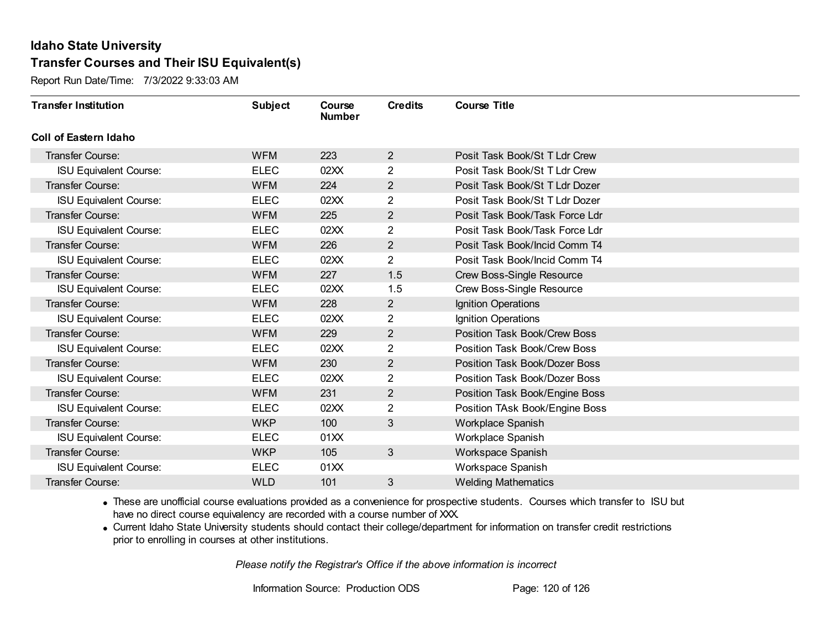Report Run Date/Time: 7/3/2022 9:33:03 AM

| <b>Transfer Institution</b>   | <b>Subject</b> | Course<br><b>Number</b> | <b>Credits</b> | <b>Course Title</b>              |
|-------------------------------|----------------|-------------------------|----------------|----------------------------------|
| Coll of Eastern Idaho         |                |                         |                |                                  |
| <b>Transfer Course:</b>       | <b>WFM</b>     | 223                     | $\overline{2}$ | Posit Task Book/St T Ldr Crew    |
| <b>ISU Equivalent Course:</b> | <b>ELEC</b>    | 02XX                    | $\overline{2}$ | Posit Task Book/St T Ldr Crew    |
| <b>Transfer Course:</b>       | <b>WFM</b>     | 224                     | $\overline{2}$ | Posit Task Book/St T Ldr Dozer   |
| <b>ISU Equivalent Course:</b> | <b>ELEC</b>    | 02XX                    | $\overline{2}$ | Posit Task Book/St T Ldr Dozer   |
| <b>Transfer Course:</b>       | <b>WFM</b>     | 225                     | $\overline{2}$ | Posit Task Book/Task Force Ldr   |
| <b>ISU Equivalent Course:</b> | <b>ELEC</b>    | 02XX                    | $\overline{2}$ | Posit Task Book/Task Force Ldr   |
| <b>Transfer Course:</b>       | <b>WFM</b>     | 226                     | $\overline{2}$ | Posit Task Book/Incid Comm T4    |
| <b>ISU Equivalent Course:</b> | <b>ELEC</b>    | 02XX                    | $\overline{2}$ | Posit Task Book/Incid Comm T4    |
| <b>Transfer Course:</b>       | <b>WFM</b>     | 227                     | 1.5            | <b>Crew Boss-Single Resource</b> |
| <b>ISU Equivalent Course:</b> | <b>ELEC</b>    | 02XX                    | 1.5            | Crew Boss-Single Resource        |
| Transfer Course:              | <b>WFM</b>     | 228                     | $\overline{2}$ | Ignition Operations              |
| <b>ISU Equivalent Course:</b> | <b>ELEC</b>    | 02XX                    | $\overline{2}$ | Ignition Operations              |
| <b>Transfer Course:</b>       | <b>WFM</b>     | 229                     | $\overline{2}$ | Position Task Book/Crew Boss     |
| <b>ISU Equivalent Course:</b> | <b>ELEC</b>    | 02XX                    | $\overline{2}$ | Position Task Book/Crew Boss     |
| Transfer Course:              | <b>WFM</b>     | 230                     | $\overline{2}$ | Position Task Book/Dozer Boss    |
| <b>ISU Equivalent Course:</b> | <b>ELEC</b>    | 02XX                    | $\overline{2}$ | Position Task Book/Dozer Boss    |
| <b>Transfer Course:</b>       | <b>WFM</b>     | 231                     | $\overline{2}$ | Position Task Book/Engine Boss   |
| <b>ISU Equivalent Course:</b> | <b>ELEC</b>    | 02XX                    | $\overline{2}$ | Position TAsk Book/Engine Boss   |
| <b>Transfer Course:</b>       | <b>WKP</b>     | 100                     | 3              | Workplace Spanish                |
| <b>ISU Equivalent Course:</b> | <b>ELEC</b>    | 01XX                    |                | Workplace Spanish                |
| <b>Transfer Course:</b>       | <b>WKP</b>     | 105                     | 3              | Workspace Spanish                |
| <b>ISU Equivalent Course:</b> | <b>ELEC</b>    | 01XX                    |                | Workspace Spanish                |
| Transfer Course:              | <b>WLD</b>     | 101                     | 3              | <b>Welding Mathematics</b>       |

· These are unofficial course evaluations provided as a convenience for prospective students. Courses which transfer to ISU but have no direct course equivalency are recorded with a course number of XXX.

· Current Idaho State University students should contact their college/department for information on transfer credit restrictions prior to enrolling in courses at other institutions.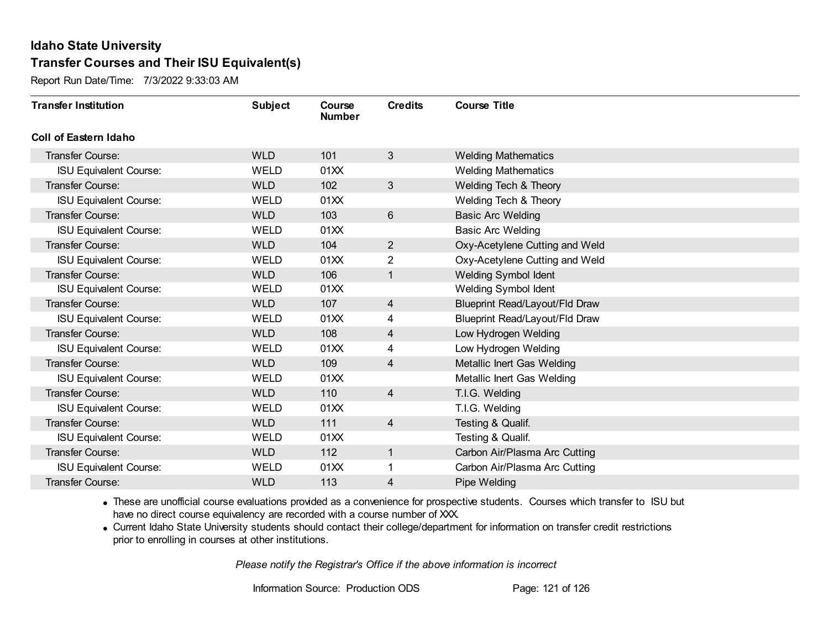Report Run Date/Time: 7/3/2022 9:33:03 AM

| <b>Transfer Institution</b>   | <b>Subject</b> | Course<br><b>Number</b> | <b>Credits</b> | <b>Course Title</b>            |
|-------------------------------|----------------|-------------------------|----------------|--------------------------------|
| Coll of Eastern Idaho         |                |                         |                |                                |
| Transfer Course:              | <b>WLD</b>     | 101                     | 3              | <b>Welding Mathematics</b>     |
| <b>ISU Equivalent Course:</b> | <b>WELD</b>    | 01XX                    |                | <b>Welding Mathematics</b>     |
| <b>Transfer Course:</b>       | <b>WLD</b>     | 102                     | $\mathbf{3}$   | Welding Tech & Theory          |
| <b>ISU Equivalent Course:</b> | <b>WELD</b>    | 01XX                    |                | Welding Tech & Theory          |
| <b>Transfer Course:</b>       | <b>WLD</b>     | 103                     | $6\phantom{1}$ | <b>Basic Arc Welding</b>       |
| <b>ISU Equivalent Course:</b> | <b>WELD</b>    | 01XX                    |                | <b>Basic Arc Welding</b>       |
| <b>Transfer Course:</b>       | <b>WLD</b>     | 104                     | $\overline{2}$ | Oxy-Acetylene Cutting and Weld |
| <b>ISU Equivalent Course:</b> | <b>WELD</b>    | 01XX                    | 2              | Oxy-Acetylene Cutting and Weld |
| <b>Transfer Course:</b>       | <b>WLD</b>     | 106                     | $\mathbf{1}$   | <b>Welding Symbol Ident</b>    |
| <b>ISU Equivalent Course:</b> | <b>WELD</b>    | 01XX                    |                | Welding Symbol Ident           |
| <b>Transfer Course:</b>       | <b>WLD</b>     | 107                     | 4              | Blueprint Read/Layout/Fld Draw |
| <b>ISU Equivalent Course:</b> | WELD           | 01XX                    | 4              | Blueprint Read/Layout/Fld Draw |
| <b>Transfer Course:</b>       | <b>WLD</b>     | 108                     | 4              | Low Hydrogen Welding           |
| <b>ISU Equivalent Course:</b> | <b>WELD</b>    | 01XX                    | 4              | Low Hydrogen Welding           |
| <b>Transfer Course:</b>       | <b>WLD</b>     | 109                     | 4              | Metallic Inert Gas Welding     |
| <b>ISU Equivalent Course:</b> | <b>WELD</b>    | 01XX                    |                | Metallic Inert Gas Welding     |
| <b>Transfer Course:</b>       | <b>WLD</b>     | 110                     | $\overline{4}$ | T.I.G. Welding                 |
| <b>ISU Equivalent Course:</b> | <b>WELD</b>    | 01XX                    |                | T.I.G. Welding                 |
| Transfer Course:              | <b>WLD</b>     | 111                     | $\overline{4}$ | Testing & Qualif.              |
| <b>ISU Equivalent Course:</b> | <b>WELD</b>    | 01XX                    |                | Testing & Qualif.              |
| <b>Transfer Course:</b>       | <b>WLD</b>     | 112                     | $\mathbf{1}$   | Carbon Air/Plasma Arc Cutting  |
| <b>ISU Equivalent Course:</b> | <b>WELD</b>    | 01XX                    |                | Carbon Air/Plasma Arc Cutting  |
| Transfer Course:              | <b>WLD</b>     | 113                     | 4              | Pipe Welding                   |

· These are unofficial course evaluations provided as a convenience for prospective students. Courses which transfer to ISU but have no direct course equivalency are recorded with a course number of XXX.

· Current Idaho State University students should contact their college/department for information on transfer credit restrictions prior to enrolling in courses at other institutions.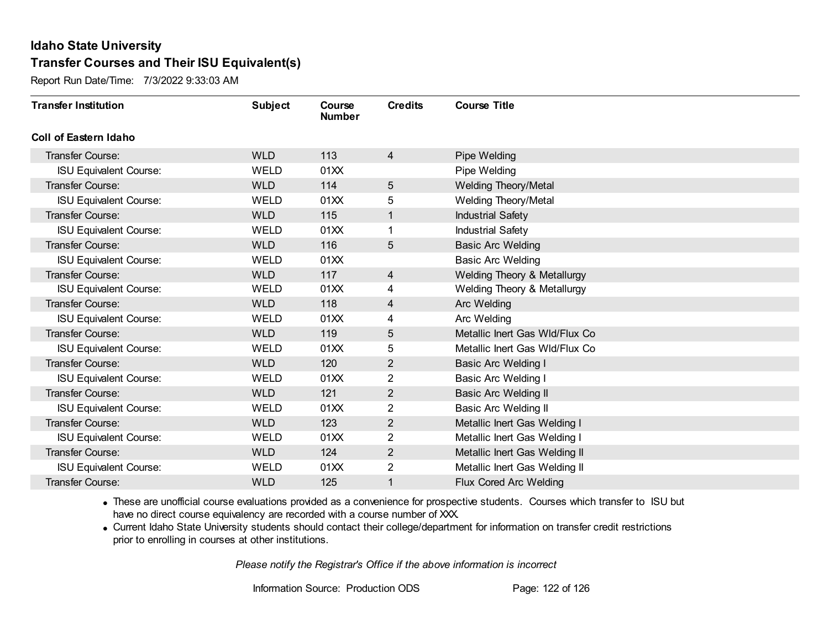Report Run Date/Time: 7/3/2022 9:33:03 AM

| <b>Transfer Institution</b>   | <b>Subject</b> | Course<br><b>Number</b> | <b>Credits</b> | <b>Course Title</b>            |
|-------------------------------|----------------|-------------------------|----------------|--------------------------------|
| Coll of Eastern Idaho         |                |                         |                |                                |
| Transfer Course:              | <b>WLD</b>     | 113                     | 4              | Pipe Welding                   |
| <b>ISU Equivalent Course:</b> | <b>WELD</b>    | 01XX                    |                | Pipe Welding                   |
| Transfer Course:              | <b>WLD</b>     | 114                     | 5              | <b>Welding Theory/Metal</b>    |
| <b>ISU Equivalent Course:</b> | <b>WELD</b>    | 01XX                    | 5              | <b>Welding Theory/Metal</b>    |
| Transfer Course:              | <b>WLD</b>     | 115                     | $\mathbf{1}$   | <b>Industrial Safety</b>       |
| <b>ISU Equivalent Course:</b> | <b>WELD</b>    | 01XX                    |                | <b>Industrial Safety</b>       |
| Transfer Course:              | <b>WLD</b>     | 116                     | 5              | <b>Basic Arc Welding</b>       |
| <b>ISU Equivalent Course:</b> | WELD           | 01XX                    |                | <b>Basic Arc Welding</b>       |
| <b>Transfer Course:</b>       | <b>WLD</b>     | 117                     | 4              | Welding Theory & Metallurgy    |
| <b>ISU Equivalent Course:</b> | WELD           | 01XX                    | 4              | Welding Theory & Metallurgy    |
| <b>Transfer Course:</b>       | <b>WLD</b>     | 118                     | 4              | Arc Welding                    |
| <b>ISU Equivalent Course:</b> | <b>WELD</b>    | 01XX                    | 4              | Arc Welding                    |
| Transfer Course:              | <b>WLD</b>     | 119                     | 5              | Metallic Inert Gas WId/Flux Co |
| <b>ISU Equivalent Course:</b> | <b>WELD</b>    | 01XX                    | 5              | Metallic Inert Gas WId/Flux Co |
| Transfer Course:              | <b>WLD</b>     | 120                     | $\overline{2}$ | Basic Arc Welding I            |
| <b>ISU Equivalent Course:</b> | <b>WELD</b>    | 01XX                    | 2              | <b>Basic Arc Welding I</b>     |
| Transfer Course:              | <b>WLD</b>     | 121                     | $\overline{2}$ | <b>Basic Arc Welding II</b>    |
| <b>ISU Equivalent Course:</b> | WELD           | 01XX                    | 2              | Basic Arc Welding II           |
| Transfer Course:              | <b>WLD</b>     | 123                     | $\overline{2}$ | Metallic Inert Gas Welding I   |
| <b>ISU Equivalent Course:</b> | WELD           | 01XX                    | 2              | Metallic Inert Gas Welding I   |
| <b>Transfer Course:</b>       | <b>WLD</b>     | 124                     | $\overline{2}$ | Metallic Inert Gas Welding II  |
| <b>ISU Equivalent Course:</b> | <b>WELD</b>    | 01XX                    | 2              | Metallic Inert Gas Welding II  |
| <b>Transfer Course:</b>       | <b>WLD</b>     | 125                     | 1              | Flux Cored Arc Welding         |

· These are unofficial course evaluations provided as a convenience for prospective students. Courses which transfer to ISU but have no direct course equivalency are recorded with a course number of XXX.

· Current Idaho State University students should contact their college/department for information on transfer credit restrictions prior to enrolling in courses at other institutions.

*Please notify the Registrar's Office if the above information is incorrect*

Information Source: Production ODS Page: 122 of 126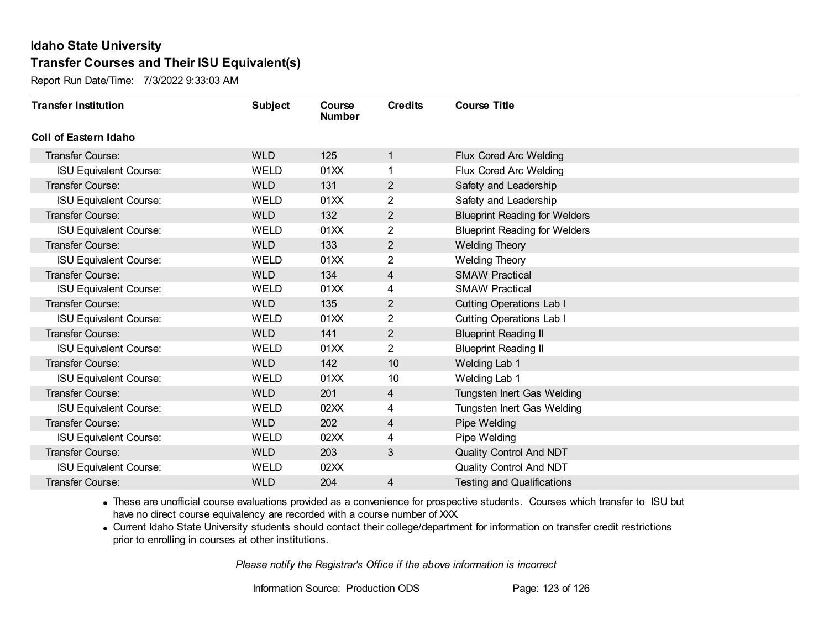Report Run Date/Time: 7/3/2022 9:33:03 AM

| <b>Transfer Institution</b>   | <b>Subject</b> | Course<br><b>Number</b> | <b>Credits</b> | <b>Course Title</b>                  |
|-------------------------------|----------------|-------------------------|----------------|--------------------------------------|
| <b>Coll of Eastern Idaho</b>  |                |                         |                |                                      |
| Transfer Course:              | <b>WLD</b>     | 125                     | 1              | Flux Cored Arc Welding               |
| <b>ISU Equivalent Course:</b> | WELD           | 01XX                    | 1              | Flux Cored Arc Welding               |
| Transfer Course:              | <b>WLD</b>     | 131                     | $\overline{2}$ | Safety and Leadership                |
| <b>ISU Equivalent Course:</b> | <b>WELD</b>    | 01XX                    | $\overline{2}$ | Safety and Leadership                |
| <b>Transfer Course:</b>       | <b>WLD</b>     | 132                     | $\overline{2}$ | <b>Blueprint Reading for Welders</b> |
| <b>ISU Equivalent Course:</b> | <b>WELD</b>    | 01XX                    | 2              | <b>Blueprint Reading for Welders</b> |
| <b>Transfer Course:</b>       | <b>WLD</b>     | 133                     | 2              | <b>Welding Theory</b>                |
| <b>ISU Equivalent Course:</b> | WELD           | 01XX                    | 2              | <b>Welding Theory</b>                |
| <b>Transfer Course:</b>       | <b>WLD</b>     | 134                     | $\overline{4}$ | <b>SMAW Practical</b>                |
| <b>ISU Equivalent Course:</b> | <b>WELD</b>    | 01XX                    | 4              | <b>SMAW Practical</b>                |
| <b>Transfer Course:</b>       | <b>WLD</b>     | 135                     | 2              | <b>Cutting Operations Lab I</b>      |
| <b>ISU Equivalent Course:</b> | <b>WELD</b>    | 01XX                    | 2              | <b>Cutting Operations Lab I</b>      |
| Transfer Course:              | <b>WLD</b>     | 141                     | 2              | <b>Blueprint Reading II</b>          |
| <b>ISU Equivalent Course:</b> | WELD           | 01XX                    | $\overline{2}$ | <b>Blueprint Reading II</b>          |
| Transfer Course:              | <b>WLD</b>     | 142                     | 10             | Welding Lab 1                        |
| <b>ISU Equivalent Course:</b> | WELD           | 01XX                    | 10             | Welding Lab 1                        |
| <b>Transfer Course:</b>       | <b>WLD</b>     | 201                     | 4              | Tungsten Inert Gas Welding           |
| <b>ISU Equivalent Course:</b> | <b>WELD</b>    | 02XX                    | 4              | Tungsten Inert Gas Welding           |
| <b>Transfer Course:</b>       | <b>WLD</b>     | 202                     | 4              | Pipe Welding                         |
| <b>ISU Equivalent Course:</b> | <b>WELD</b>    | 02XX                    | 4              | Pipe Welding                         |
| <b>Transfer Course:</b>       | <b>WLD</b>     | 203                     | 3              | Quality Control And NDT              |
| <b>ISU Equivalent Course:</b> | <b>WELD</b>    | 02XX                    |                | Quality Control And NDT              |
| Transfer Course:              | <b>WLD</b>     | 204                     | 4              | <b>Testing and Qualifications</b>    |

· These are unofficial course evaluations provided as a convenience for prospective students. Courses which transfer to ISU but have no direct course equivalency are recorded with a course number of XXX.

· Current Idaho State University students should contact their college/department for information on transfer credit restrictions prior to enrolling in courses at other institutions.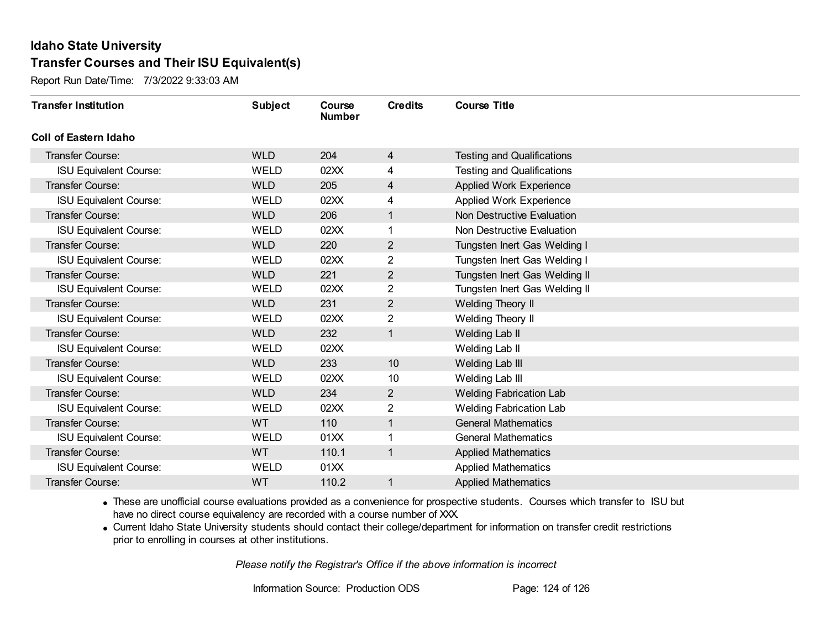Report Run Date/Time: 7/3/2022 9:33:03 AM

| <b>Transfer Institution</b>   | <b>Subject</b> | Course<br><b>Number</b> | <b>Credits</b> | <b>Course Title</b>               |
|-------------------------------|----------------|-------------------------|----------------|-----------------------------------|
| <b>Coll of Eastern Idaho</b>  |                |                         |                |                                   |
| <b>Transfer Course:</b>       | <b>WLD</b>     | 204                     | 4              | <b>Testing and Qualifications</b> |
| <b>ISU Equivalent Course:</b> | <b>WELD</b>    | 02XX                    | 4              | <b>Testing and Qualifications</b> |
| <b>Transfer Course:</b>       | <b>WLD</b>     | 205                     | 4              | <b>Applied Work Experience</b>    |
| <b>ISU Equivalent Course:</b> | <b>WELD</b>    | 02XX                    | 4              | Applied Work Experience           |
| <b>Transfer Course:</b>       | <b>WLD</b>     | 206                     | $\mathbf{1}$   | Non Destructive Evaluation        |
| <b>ISU Equivalent Course:</b> | <b>WELD</b>    | 02XX                    |                | Non Destructive Evaluation        |
| <b>Transfer Course:</b>       | <b>WLD</b>     | 220                     | $\overline{2}$ | Tungsten Inert Gas Welding I      |
| <b>ISU Equivalent Course:</b> | <b>WELD</b>    | 02XX                    | 2              | Tungsten Inert Gas Welding I      |
| <b>Transfer Course:</b>       | <b>WLD</b>     | 221                     | $\overline{2}$ | Tungsten Inert Gas Welding II     |
| <b>ISU Equivalent Course:</b> | <b>WELD</b>    | 02XX                    | $\overline{2}$ | Tungsten Inert Gas Welding II     |
| <b>Transfer Course:</b>       | <b>WLD</b>     | 231                     | $\overline{2}$ | Welding Theory II                 |
| <b>ISU Equivalent Course:</b> | <b>WELD</b>    | 02XX                    | $\overline{2}$ | Welding Theory II                 |
| <b>Transfer Course:</b>       | <b>WLD</b>     | 232                     | $\mathbf{1}$   | Welding Lab II                    |
| <b>ISU Equivalent Course:</b> | <b>WELD</b>    | 02XX                    |                | Welding Lab II                    |
| Transfer Course:              | <b>WLD</b>     | 233                     | 10             | Welding Lab III                   |
| <b>ISU Equivalent Course:</b> | <b>WELD</b>    | 02XX                    | 10             | Welding Lab III                   |
| <b>Transfer Course:</b>       | <b>WLD</b>     | 234                     | $\overline{2}$ | <b>Welding Fabrication Lab</b>    |
| <b>ISU Equivalent Course:</b> | <b>WELD</b>    | 02XX                    | 2              | <b>Welding Fabrication Lab</b>    |
| <b>Transfer Course:</b>       | WT             | 110                     | $\mathbf{1}$   | <b>General Mathematics</b>        |
| <b>ISU Equivalent Course:</b> | <b>WELD</b>    | 01XX                    |                | <b>General Mathematics</b>        |
| <b>Transfer Course:</b>       | <b>WT</b>      | 110.1                   | $\overline{1}$ | <b>Applied Mathematics</b>        |
| <b>ISU Equivalent Course:</b> | WELD           | 01XX                    |                | <b>Applied Mathematics</b>        |
| Transfer Course:              | WT             | 110.2                   |                | <b>Applied Mathematics</b>        |

· These are unofficial course evaluations provided as a convenience for prospective students. Courses which transfer to ISU but have no direct course equivalency are recorded with a course number of XXX.

· Current Idaho State University students should contact their college/department for information on transfer credit restrictions prior to enrolling in courses at other institutions.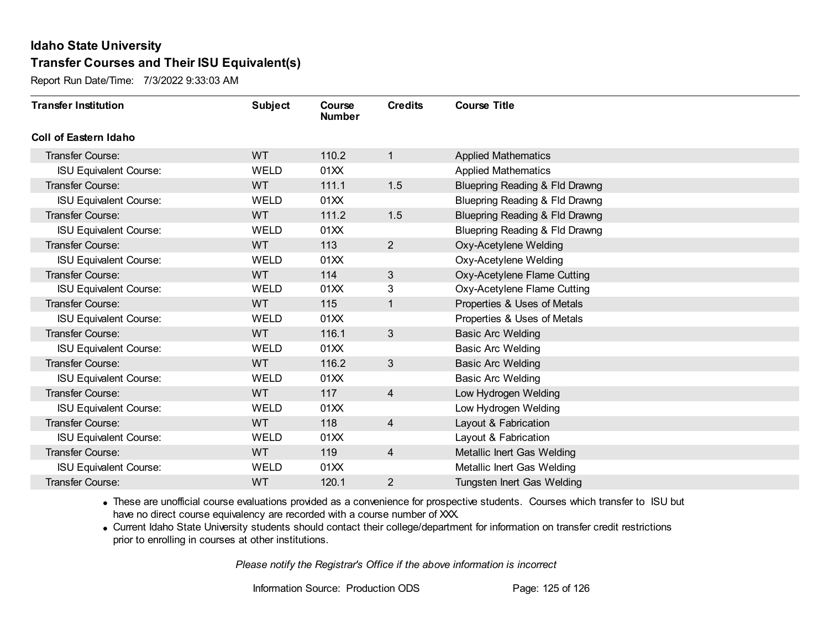Report Run Date/Time: 7/3/2022 9:33:03 AM

| <b>Transfer Institution</b>   | <b>Subject</b> | Course<br><b>Number</b> | <b>Credits</b>  | <b>Course Title</b>                       |
|-------------------------------|----------------|-------------------------|-----------------|-------------------------------------------|
| <b>Coll of Eastern Idaho</b>  |                |                         |                 |                                           |
| Transfer Course:              | <b>WT</b>      | 110.2                   | 1               | <b>Applied Mathematics</b>                |
| <b>ISU Equivalent Course:</b> | <b>WELD</b>    | 01XX                    |                 | <b>Applied Mathematics</b>                |
| <b>Transfer Course:</b>       | <b>WT</b>      | 111.1                   | 1.5             | Bluepring Reading & Fld Drawng            |
| <b>ISU Equivalent Course:</b> | <b>WELD</b>    | 01XX                    |                 | Bluepring Reading & Fld Drawng            |
| <b>Transfer Course:</b>       | <b>WT</b>      | 111.2                   | 1.5             | <b>Bluepring Reading &amp; Fld Drawng</b> |
| <b>ISU Equivalent Course:</b> | <b>WELD</b>    | 01XX                    |                 | Bluepring Reading & Fld Drawng            |
| <b>Transfer Course:</b>       | <b>WT</b>      | 113                     | $\overline{2}$  | Oxy-Acetylene Welding                     |
| <b>ISU Equivalent Course:</b> | WELD           | 01XX                    |                 | Oxy-Acetylene Welding                     |
| <b>Transfer Course:</b>       | <b>WT</b>      | 114                     | 3               | Oxy-Acetylene Flame Cutting               |
| <b>ISU Equivalent Course:</b> | <b>WELD</b>    | 01XX                    | 3               | Oxy-Acetylene Flame Cutting               |
| Transfer Course:              | <b>WT</b>      | 115                     | 1               | Properties & Uses of Metals               |
| <b>ISU Equivalent Course:</b> | <b>WELD</b>    | 01XX                    |                 | Properties & Uses of Metals               |
| Transfer Course:              | WT             | 116.1                   | $3\overline{3}$ | <b>Basic Arc Welding</b>                  |
| <b>ISU Equivalent Course:</b> | <b>WELD</b>    | 01XX                    |                 | <b>Basic Arc Welding</b>                  |
| Transfer Course:              | <b>WT</b>      | 116.2                   | $\mathbf{3}$    | <b>Basic Arc Welding</b>                  |
| <b>ISU Equivalent Course:</b> | WELD           | 01XX                    |                 | <b>Basic Arc Welding</b>                  |
| <b>Transfer Course:</b>       | <b>WT</b>      | 117                     | $\overline{4}$  | Low Hydrogen Welding                      |
| <b>ISU Equivalent Course:</b> | <b>WELD</b>    | 01XX                    |                 | Low Hydrogen Welding                      |
| <b>Transfer Course:</b>       | <b>WT</b>      | 118                     | $\overline{4}$  | Layout & Fabrication                      |
| <b>ISU Equivalent Course:</b> | WELD           | 01XX                    |                 | Layout & Fabrication                      |
| <b>Transfer Course:</b>       | <b>WT</b>      | 119                     | $\overline{4}$  | Metallic Inert Gas Welding                |
| <b>ISU Equivalent Course:</b> | WELD           | 01XX                    |                 | Metallic Inert Gas Welding                |
| Transfer Course:              | <b>WT</b>      | 120.1                   | $\overline{2}$  | Tungsten Inert Gas Welding                |

· These are unofficial course evaluations provided as a convenience for prospective students. Courses which transfer to ISU but have no direct course equivalency are recorded with a course number of XXX.

· Current Idaho State University students should contact their college/department for information on transfer credit restrictions prior to enrolling in courses at other institutions.